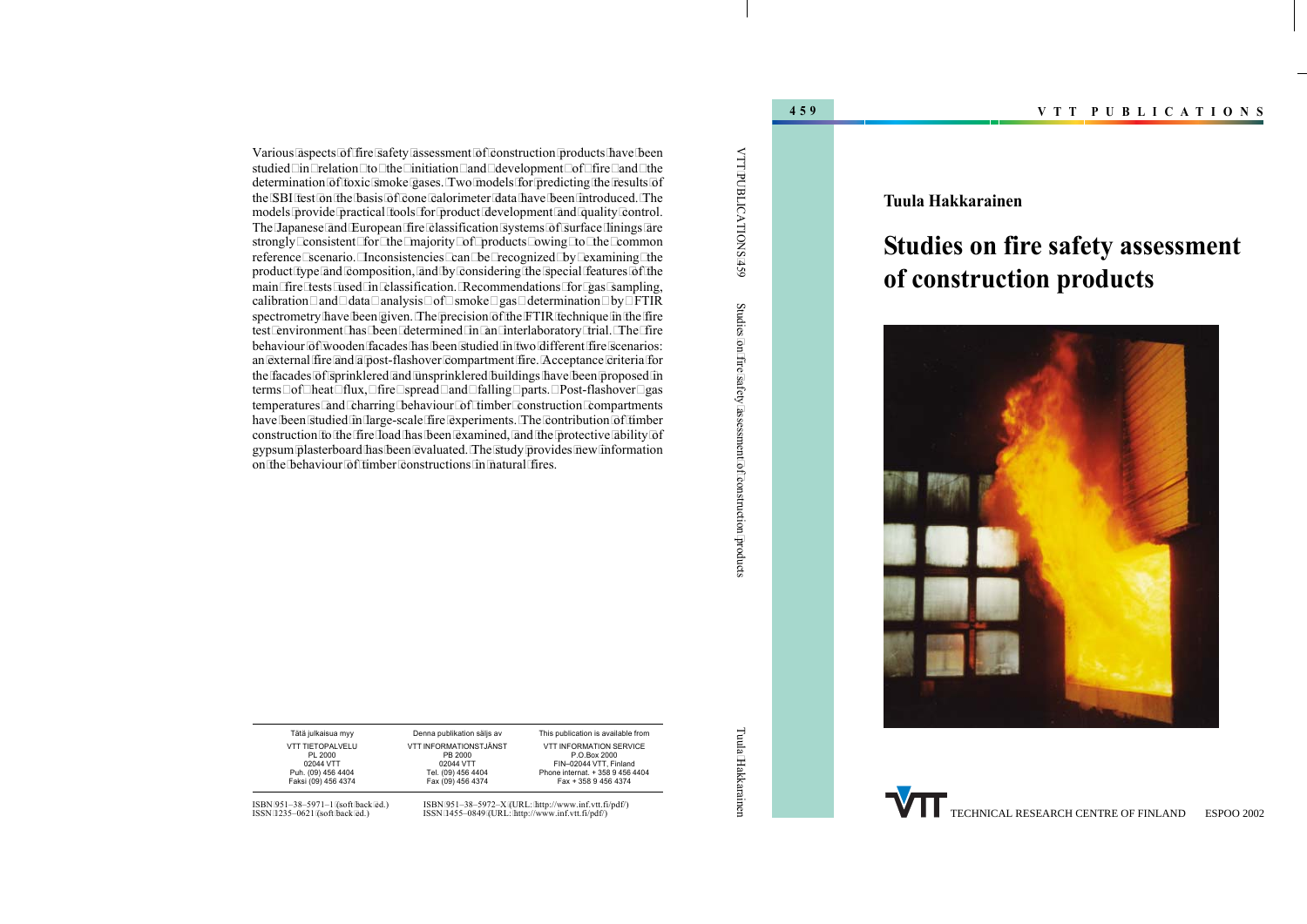### **Tuula Hakkarainen**

# **Studies on fire safety assessment of construction products**



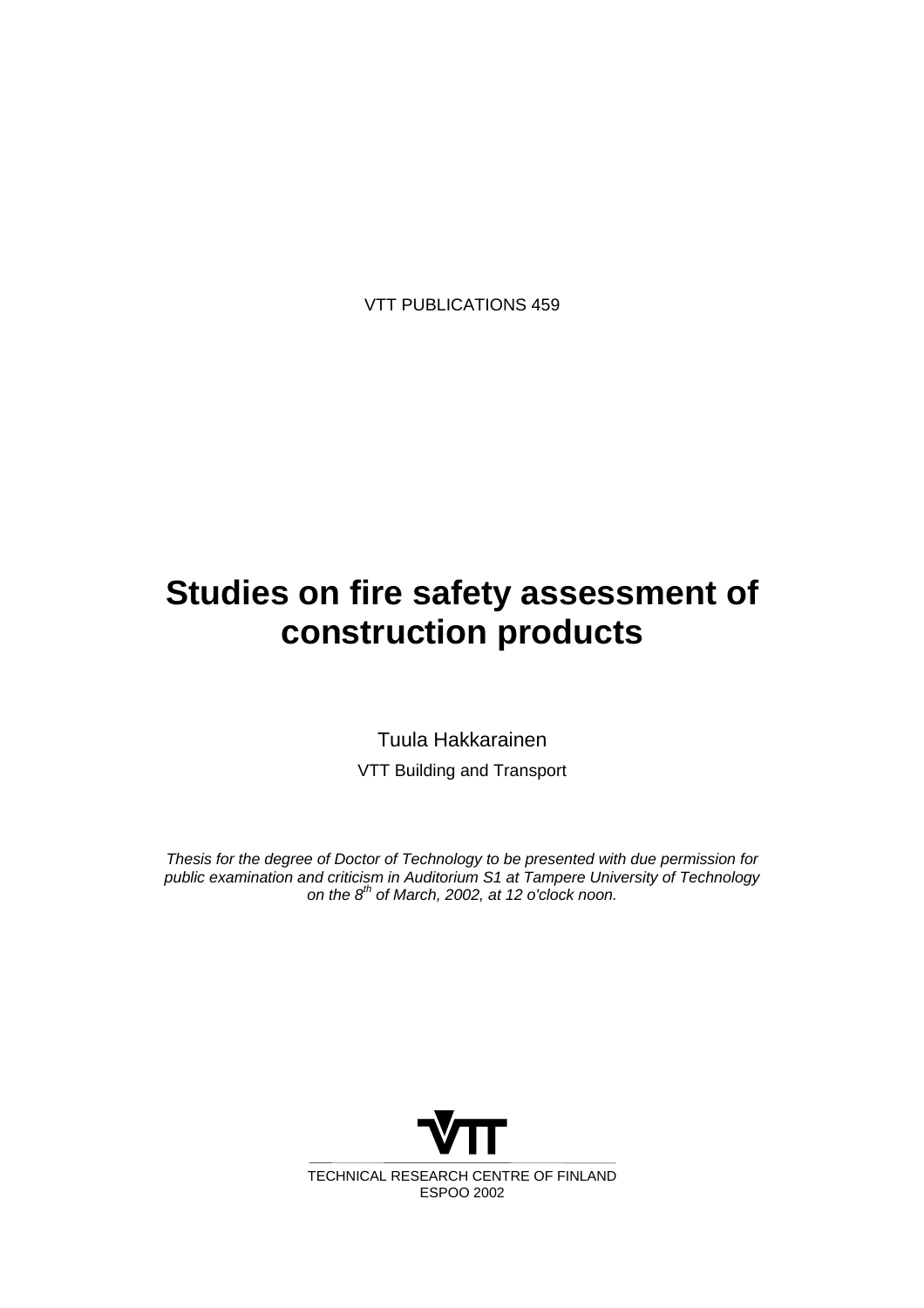# **Studies on fire safety assessment of construction products**

Tuula Hakkarainen VTT Building and Transport

*Thesis for the degree of Doctor of Technology to be presented with due permission for public examination and criticism in Auditorium S1 at Tampere University of Technology on the 8th of March, 2002, at 12 o'clock noon.*

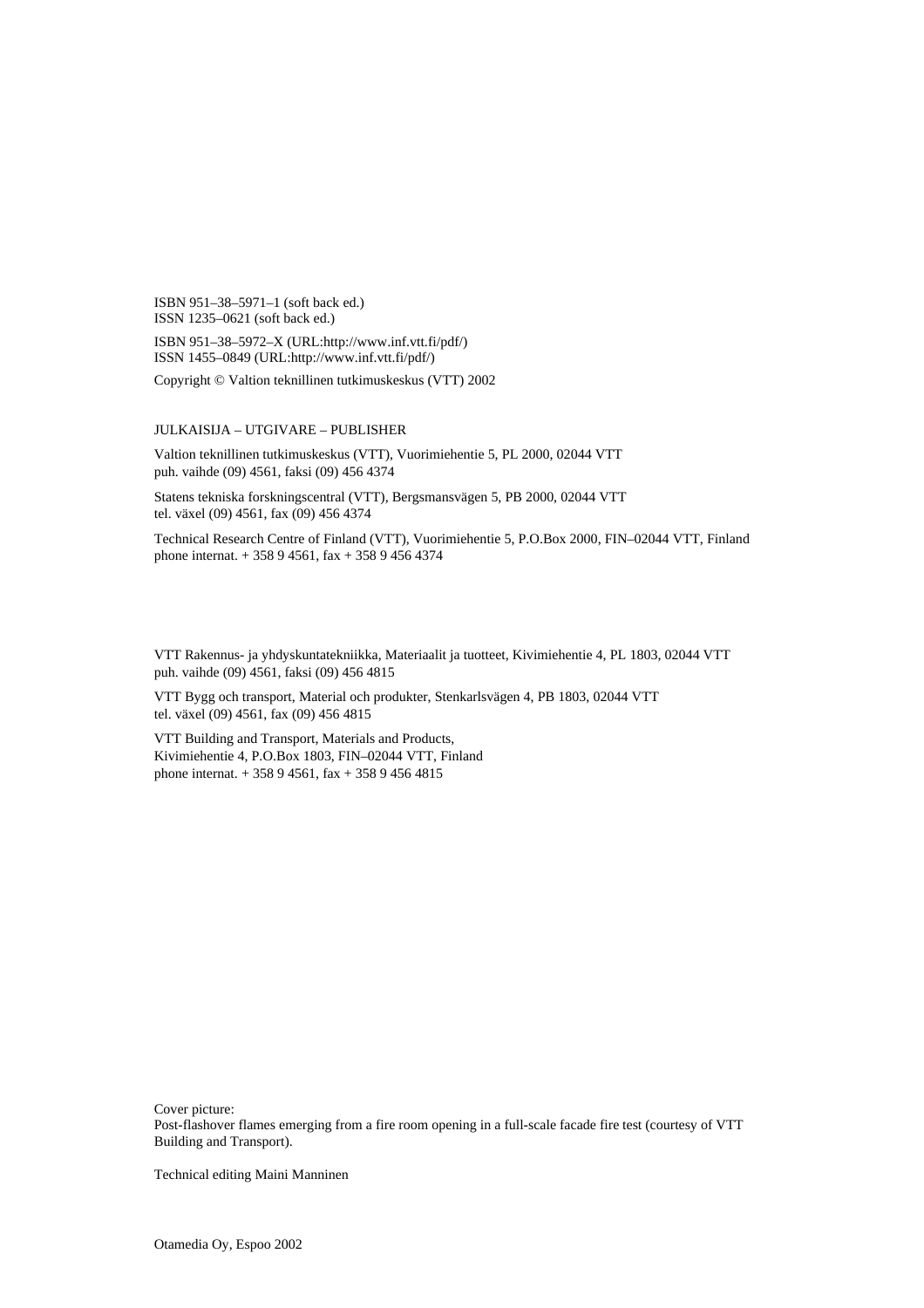ISBN 951–38–5971–1 (soft back ed.) ISSN 1235–0621 (soft back ed.)

ISBN 951–38–5972–X (URL:http://www.inf.vtt.fi/pdf/) ISSN 1455–0849 (URL:http://www.inf.vtt.fi/pdf/)

Copyright © Valtion teknillinen tutkimuskeskus (VTT) 2002

#### JULKAISIJA – UTGIVARE – PUBLISHER

Valtion teknillinen tutkimuskeskus (VTT), Vuorimiehentie 5, PL 2000, 02044 VTT puh. vaihde (09) 4561, faksi (09) 456 4374

Statens tekniska forskningscentral (VTT), Bergsmansvägen 5, PB 2000, 02044 VTT tel. växel (09) 4561, fax (09) 456 4374

Technical Research Centre of Finland (VTT), Vuorimiehentie 5, P.O.Box 2000, FIN–02044 VTT, Finland phone internat. + 358 9 4561, fax + 358 9 456 4374

VTT Rakennus- ja yhdyskuntatekniikka, Materiaalit ja tuotteet, Kivimiehentie 4, PL 1803, 02044 VTT puh. vaihde (09) 4561, faksi (09) 456 4815

VTT Bygg och transport, Material och produkter, Stenkarlsvägen 4, PB 1803, 02044 VTT tel. växel (09) 4561, fax (09) 456 4815

VTT Building and Transport, Materials and Products, Kivimiehentie 4, P.O.Box 1803, FIN–02044 VTT, Finland phone internat. + 358 9 4561, fax + 358 9 456 4815

Cover picture:

Post-flashover flames emerging from a fire room opening in a full-scale facade fire test (courtesy of VTT Building and Transport).

Technical editing Maini Manninen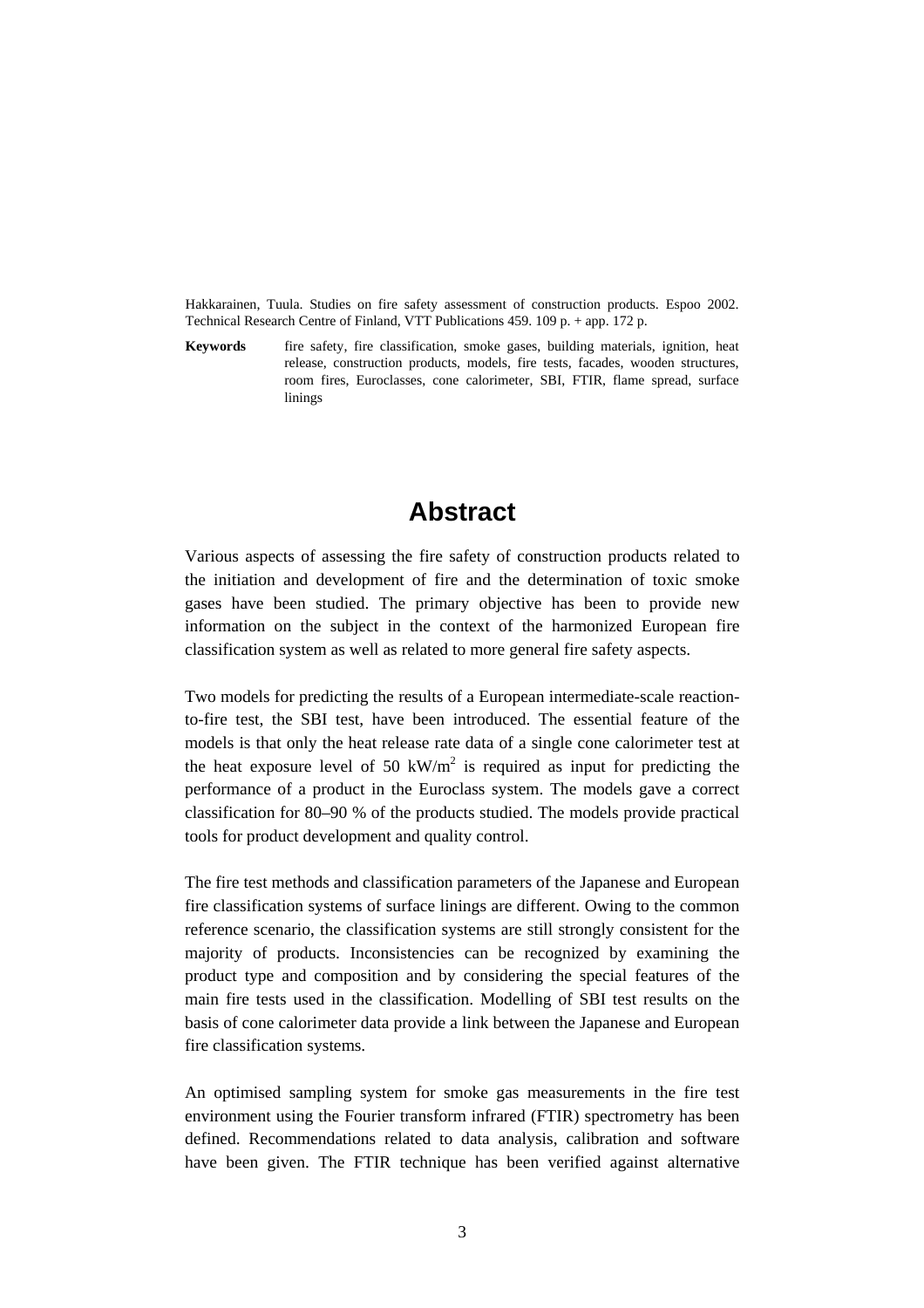Hakkarainen, Tuula. Studies on fire safety assessment of construction products. Espoo 2002. Technical Research Centre of Finland, VTT Publications 459. 109 p. + app. 172 p.

**Keywords** fire safety, fire classification, smoke gases, building materials, ignition, heat release, construction products, models, fire tests, facades, wooden structures, room fires, Euroclasses, cone calorimeter, SBI, FTIR, flame spread, surface linings

### **Abstract**

Various aspects of assessing the fire safety of construction products related to the initiation and development of fire and the determination of toxic smoke gases have been studied. The primary objective has been to provide new information on the subject in the context of the harmonized European fire classification system as well as related to more general fire safety aspects.

Two models for predicting the results of a European intermediate-scale reactionto-fire test, the SBI test, have been introduced. The essential feature of the models is that only the heat release rate data of a single cone calorimeter test at the heat exposure level of 50  $\text{kW/m}^2$  is required as input for predicting the performance of a product in the Euroclass system. The models gave a correct classification for 80–90 % of the products studied. The models provide practical tools for product development and quality control.

The fire test methods and classification parameters of the Japanese and European fire classification systems of surface linings are different. Owing to the common reference scenario, the classification systems are still strongly consistent for the majority of products. Inconsistencies can be recognized by examining the product type and composition and by considering the special features of the main fire tests used in the classification. Modelling of SBI test results on the basis of cone calorimeter data provide a link between the Japanese and European fire classification systems.

An optimised sampling system for smoke gas measurements in the fire test environment using the Fourier transform infrared (FTIR) spectrometry has been defined. Recommendations related to data analysis, calibration and software have been given. The FTIR technique has been verified against alternative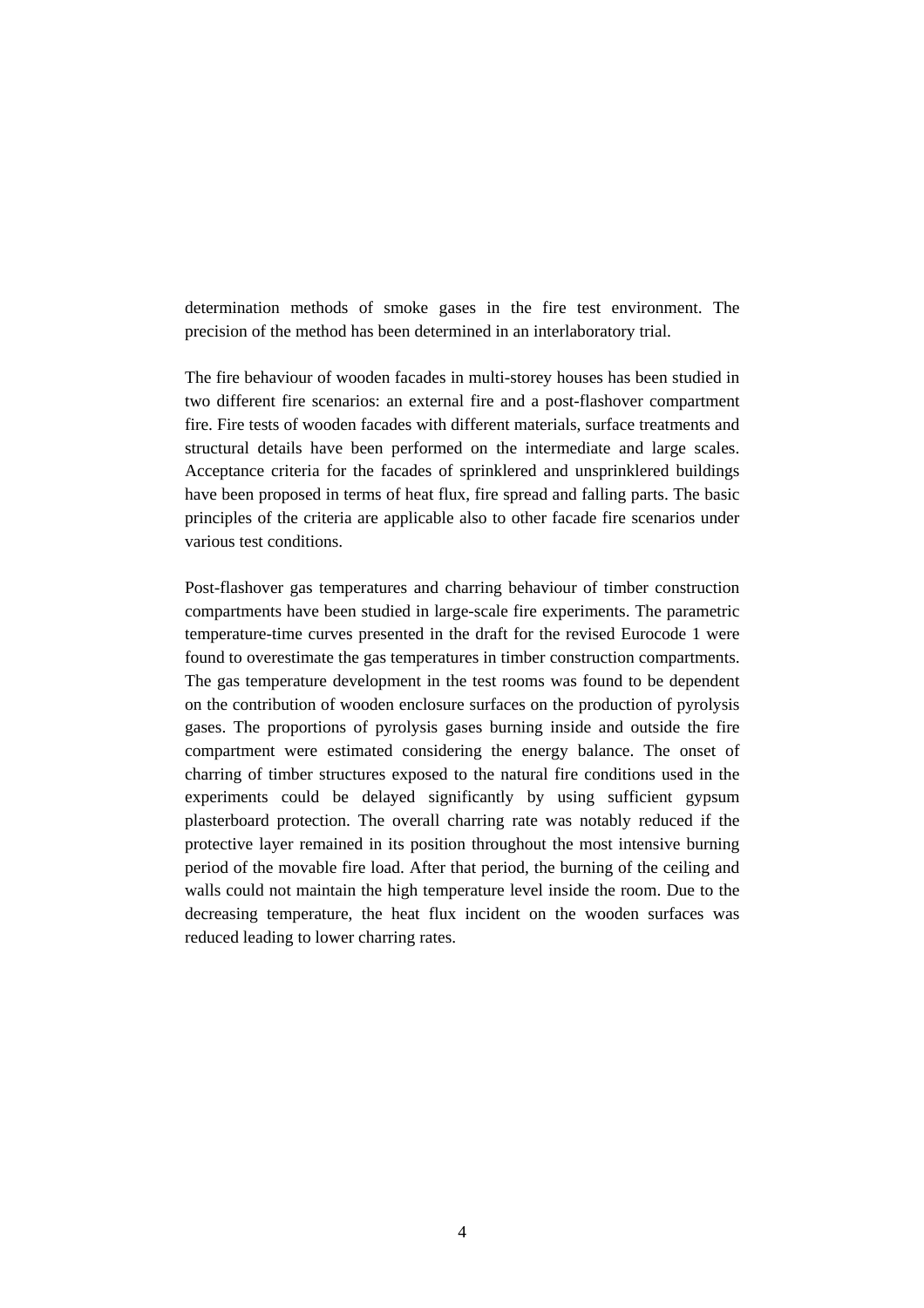determination methods of smoke gases in the fire test environment. The precision of the method has been determined in an interlaboratory trial.

The fire behaviour of wooden facades in multi-storey houses has been studied in two different fire scenarios: an external fire and a post-flashover compartment fire. Fire tests of wooden facades with different materials, surface treatments and structural details have been performed on the intermediate and large scales. Acceptance criteria for the facades of sprinklered and unsprinklered buildings have been proposed in terms of heat flux, fire spread and falling parts. The basic principles of the criteria are applicable also to other facade fire scenarios under various test conditions.

Post-flashover gas temperatures and charring behaviour of timber construction compartments have been studied in large-scale fire experiments. The parametric temperature-time curves presented in the draft for the revised Eurocode 1 were found to overestimate the gas temperatures in timber construction compartments. The gas temperature development in the test rooms was found to be dependent on the contribution of wooden enclosure surfaces on the production of pyrolysis gases. The proportions of pyrolysis gases burning inside and outside the fire compartment were estimated considering the energy balance. The onset of charring of timber structures exposed to the natural fire conditions used in the experiments could be delayed significantly by using sufficient gypsum plasterboard protection. The overall charring rate was notably reduced if the protective layer remained in its position throughout the most intensive burning period of the movable fire load. After that period, the burning of the ceiling and walls could not maintain the high temperature level inside the room. Due to the decreasing temperature, the heat flux incident on the wooden surfaces was reduced leading to lower charring rates.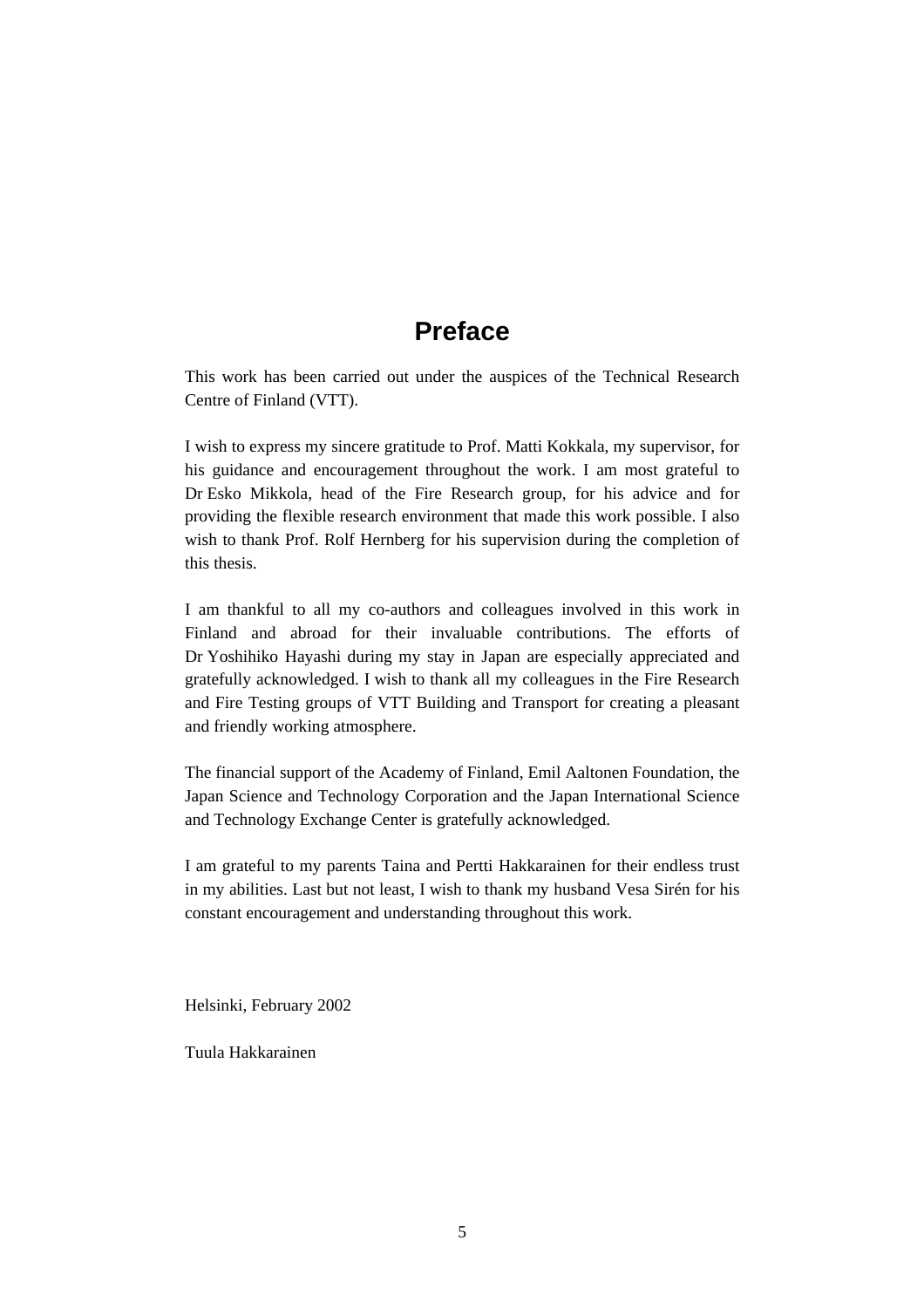## **Preface**

This work has been carried out under the auspices of the Technical Research Centre of Finland (VTT).

I wish to express my sincere gratitude to Prof. Matti Kokkala, my supervisor, for his guidance and encouragement throughout the work. I am most grateful to Dr Esko Mikkola, head of the Fire Research group, for his advice and for providing the flexible research environment that made this work possible. I also wish to thank Prof. Rolf Hernberg for his supervision during the completion of this thesis.

I am thankful to all my co-authors and colleagues involved in this work in Finland and abroad for their invaluable contributions. The efforts of Dr Yoshihiko Hayashi during my stay in Japan are especially appreciated and gratefully acknowledged. I wish to thank all my colleagues in the Fire Research and Fire Testing groups of VTT Building and Transport for creating a pleasant and friendly working atmosphere.

The financial support of the Academy of Finland, Emil Aaltonen Foundation, the Japan Science and Technology Corporation and the Japan International Science and Technology Exchange Center is gratefully acknowledged.

I am grateful to my parents Taina and Pertti Hakkarainen for their endless trust in my abilities. Last but not least, I wish to thank my husband Vesa Sirén for his constant encouragement and understanding throughout this work.

Helsinki, February 2002

Tuula Hakkarainen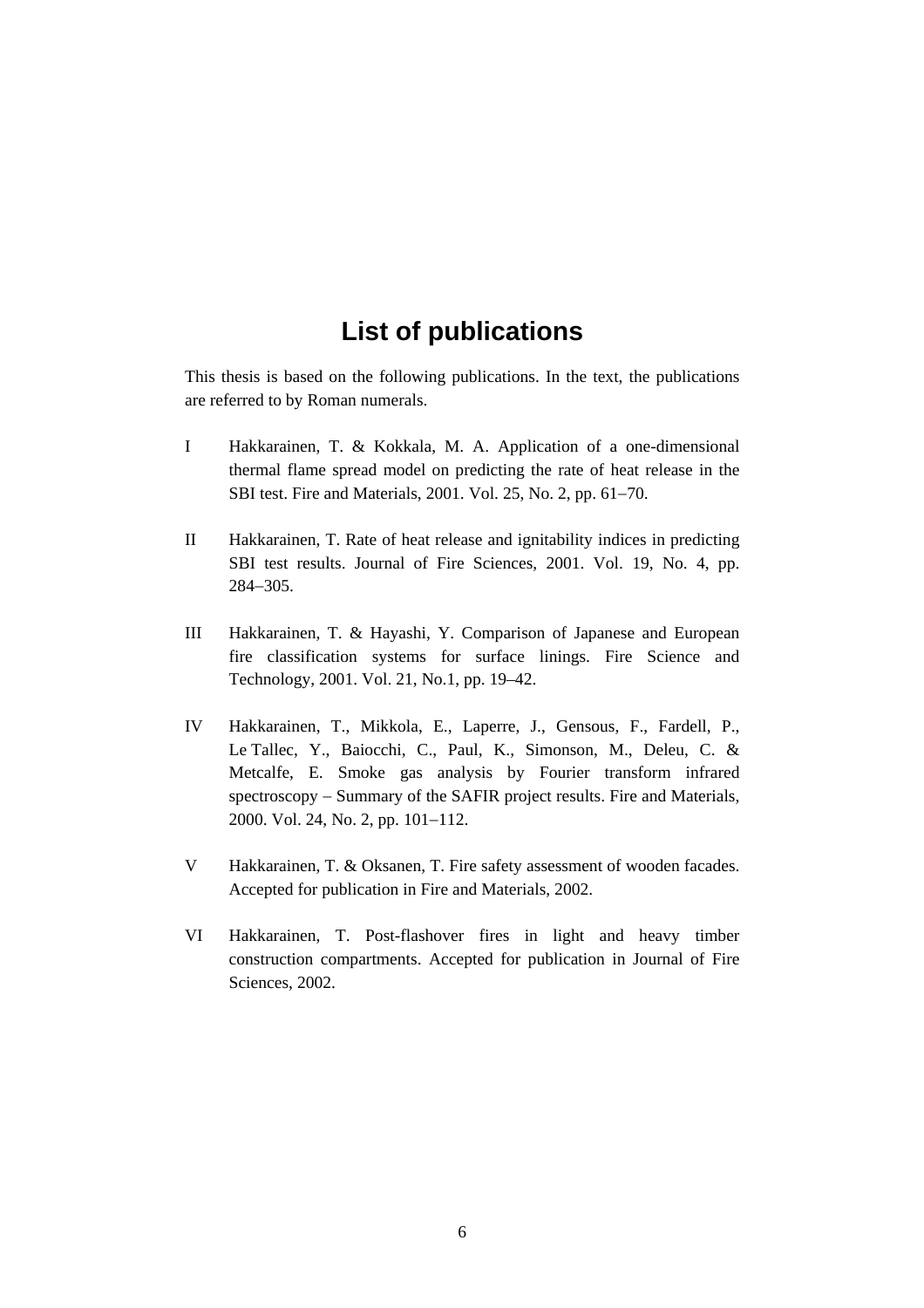## **List of publications**

This thesis is based on the following publications. In the text, the publications are referred to by Roman numerals.

- I Hakkarainen, T. & Kokkala, M. A. Application of a one-dimensional thermal flame spread model on predicting the rate of heat release in the SBI test. Fire and Materials, 2001. Vol. 25, No. 2, pp. 61−70.
- II Hakkarainen, T. Rate of heat release and ignitability indices in predicting SBI test results. Journal of Fire Sciences, 2001. Vol. 19, No. 4, pp. 284−305.
- III Hakkarainen, T. & Hayashi, Y. Comparison of Japanese and European fire classification systems for surface linings. Fire Science and Technology, 2001. Vol. 21, No.1, pp. 19–42.
- IV Hakkarainen, T., Mikkola, E., Laperre, J., Gensous, F., Fardell, P., Le Tallec, Y., Baiocchi, C., Paul, K., Simonson, M., Deleu, C. & Metcalfe, E. Smoke gas analysis by Fourier transform infrared spectroscopy – Summary of the SAFIR project results. Fire and Materials, 2000. Vol. 24, No. 2, pp. 101−112.
- V Hakkarainen, T. & Oksanen, T. Fire safety assessment of wooden facades. Accepted for publication in Fire and Materials, 2002.
- VI Hakkarainen, T. Post-flashover fires in light and heavy timber construction compartments. Accepted for publication in Journal of Fire Sciences, 2002.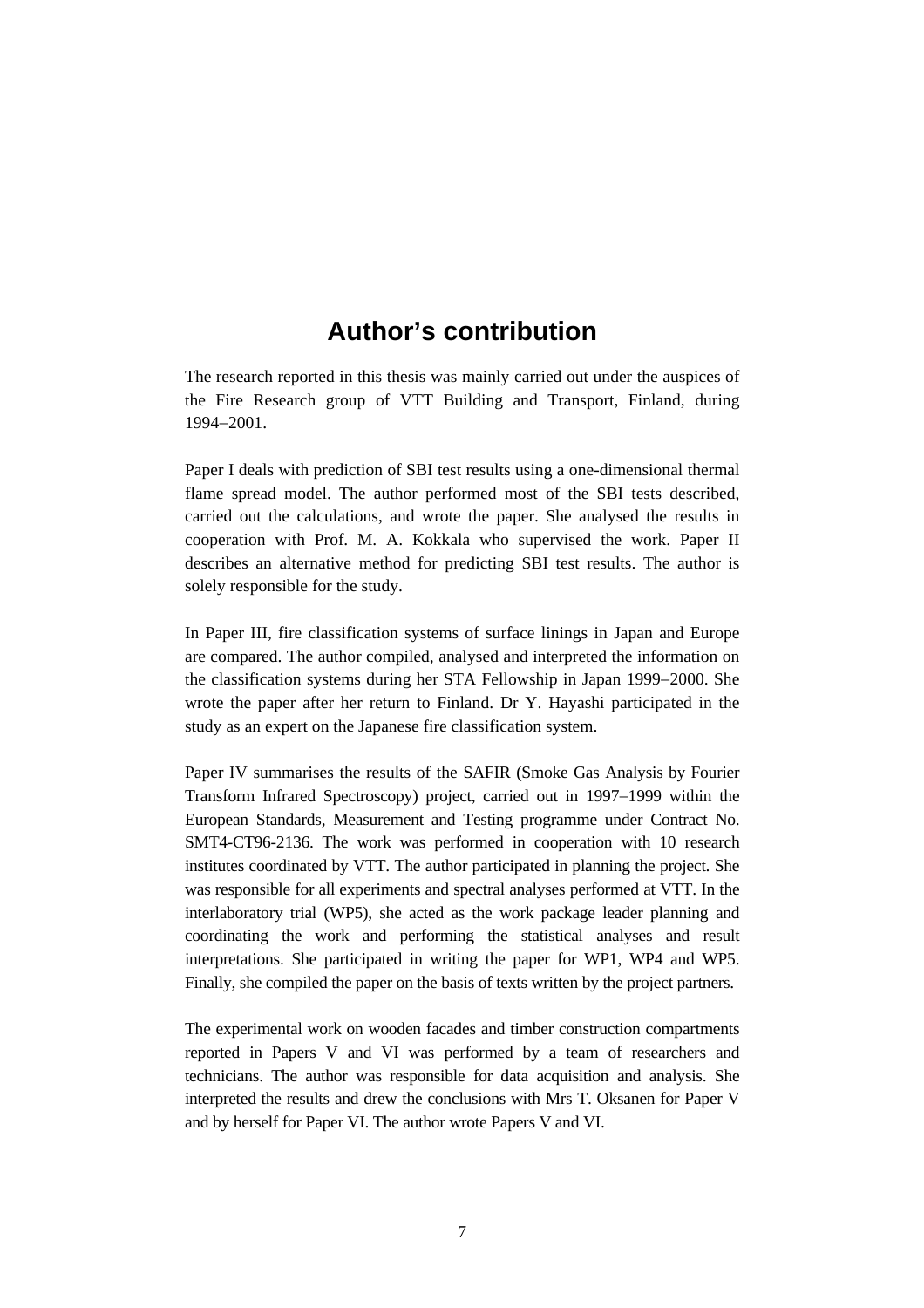### **Author's contribution**

The research reported in this thesis was mainly carried out under the auspices of the Fire Research group of VTT Building and Transport, Finland, during 1994−2001.

Paper I deals with prediction of SBI test results using a one-dimensional thermal flame spread model. The author performed most of the SBI tests described, carried out the calculations, and wrote the paper. She analysed the results in cooperation with Prof. M. A. Kokkala who supervised the work. Paper II describes an alternative method for predicting SBI test results. The author is solely responsible for the study.

In Paper III, fire classification systems of surface linings in Japan and Europe are compared. The author compiled, analysed and interpreted the information on the classification systems during her STA Fellowship in Japan 1999−2000. She wrote the paper after her return to Finland. Dr Y. Hayashi participated in the study as an expert on the Japanese fire classification system.

Paper IV summarises the results of the SAFIR (Smoke Gas Analysis by Fourier Transform Infrared Spectroscopy) project, carried out in 1997−1999 within the European Standards, Measurement and Testing programme under Contract No. SMT4-CT96-2136. The work was performed in cooperation with 10 research institutes coordinated by VTT. The author participated in planning the project. She was responsible for all experiments and spectral analyses performed at VTT. In the interlaboratory trial (WP5), she acted as the work package leader planning and coordinating the work and performing the statistical analyses and result interpretations. She participated in writing the paper for WP1, WP4 and WP5. Finally, she compiled the paper on the basis of texts written by the project partners.

The experimental work on wooden facades and timber construction compartments reported in Papers V and VI was performed by a team of researchers and technicians. The author was responsible for data acquisition and analysis. She interpreted the results and drew the conclusions with Mrs T. Oksanen for Paper V and by herself for Paper VI. The author wrote Papers V and VI.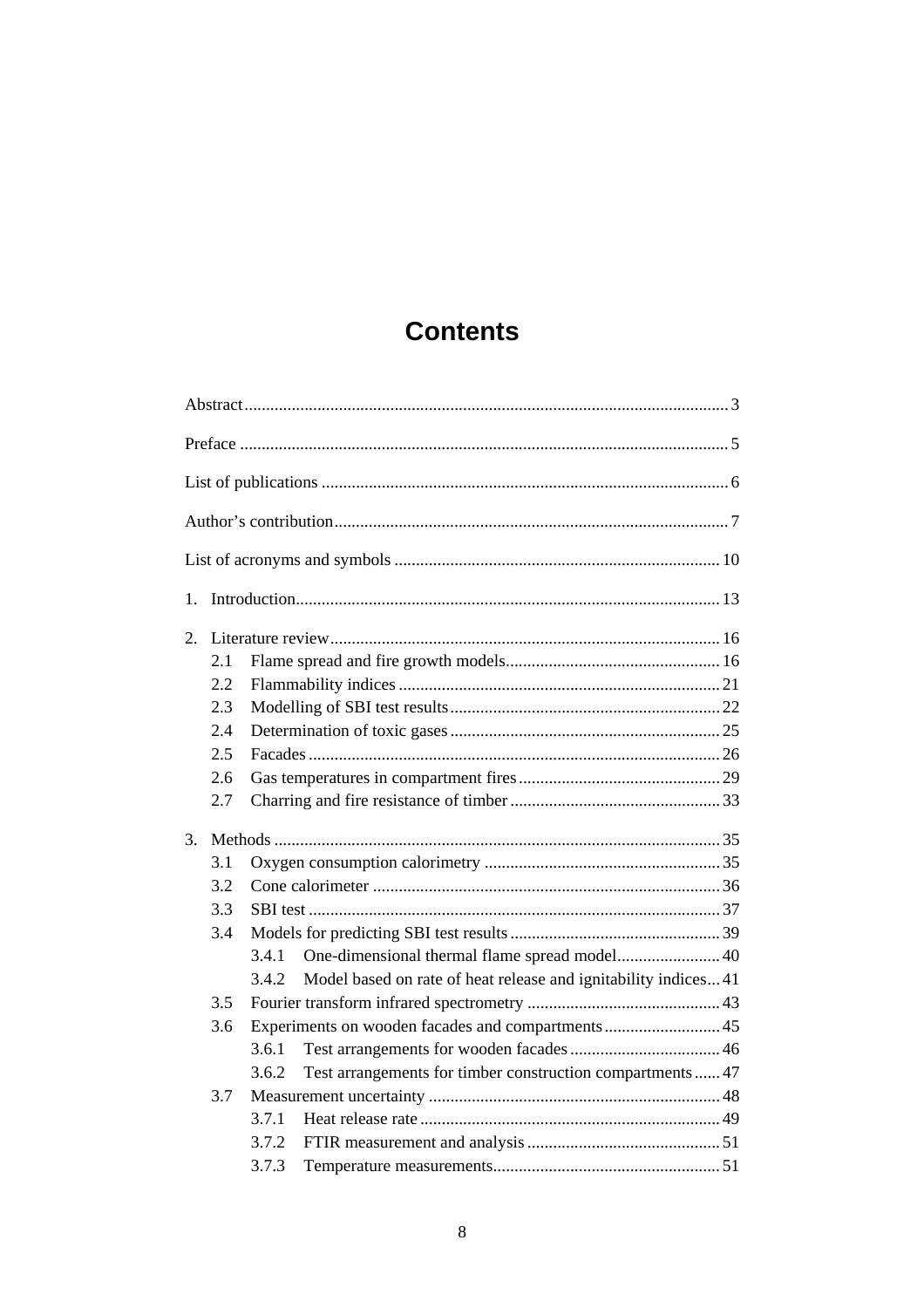## **Contents**

| 1. |     |                                                   |                                                                 |  |  |
|----|-----|---------------------------------------------------|-----------------------------------------------------------------|--|--|
| 2. |     |                                                   |                                                                 |  |  |
|    | 2.1 |                                                   |                                                                 |  |  |
|    | 2.2 |                                                   |                                                                 |  |  |
|    | 2.3 |                                                   |                                                                 |  |  |
|    | 2.4 |                                                   |                                                                 |  |  |
|    | 2.5 |                                                   |                                                                 |  |  |
|    | 2.6 |                                                   |                                                                 |  |  |
|    | 2.7 |                                                   |                                                                 |  |  |
| 3. |     |                                                   |                                                                 |  |  |
|    | 3.1 |                                                   |                                                                 |  |  |
|    | 3.2 |                                                   |                                                                 |  |  |
|    | 3.3 |                                                   |                                                                 |  |  |
|    | 3.4 |                                                   |                                                                 |  |  |
|    |     | 3.4.1                                             | One-dimensional thermal flame spread model 40                   |  |  |
|    |     | 3.4.2                                             | Model based on rate of heat release and ignitability indices 41 |  |  |
|    | 3.5 |                                                   |                                                                 |  |  |
|    | 3.6 | Experiments on wooden facades and compartments 45 |                                                                 |  |  |
|    |     | 3.6.1                                             |                                                                 |  |  |
|    |     | 3.6.2                                             | Test arrangements for timber construction compartments  47      |  |  |
|    | 3.7 |                                                   |                                                                 |  |  |
|    |     | 3.7.1                                             |                                                                 |  |  |
|    |     | 3.7.2                                             |                                                                 |  |  |
|    |     | 3.7.3                                             |                                                                 |  |  |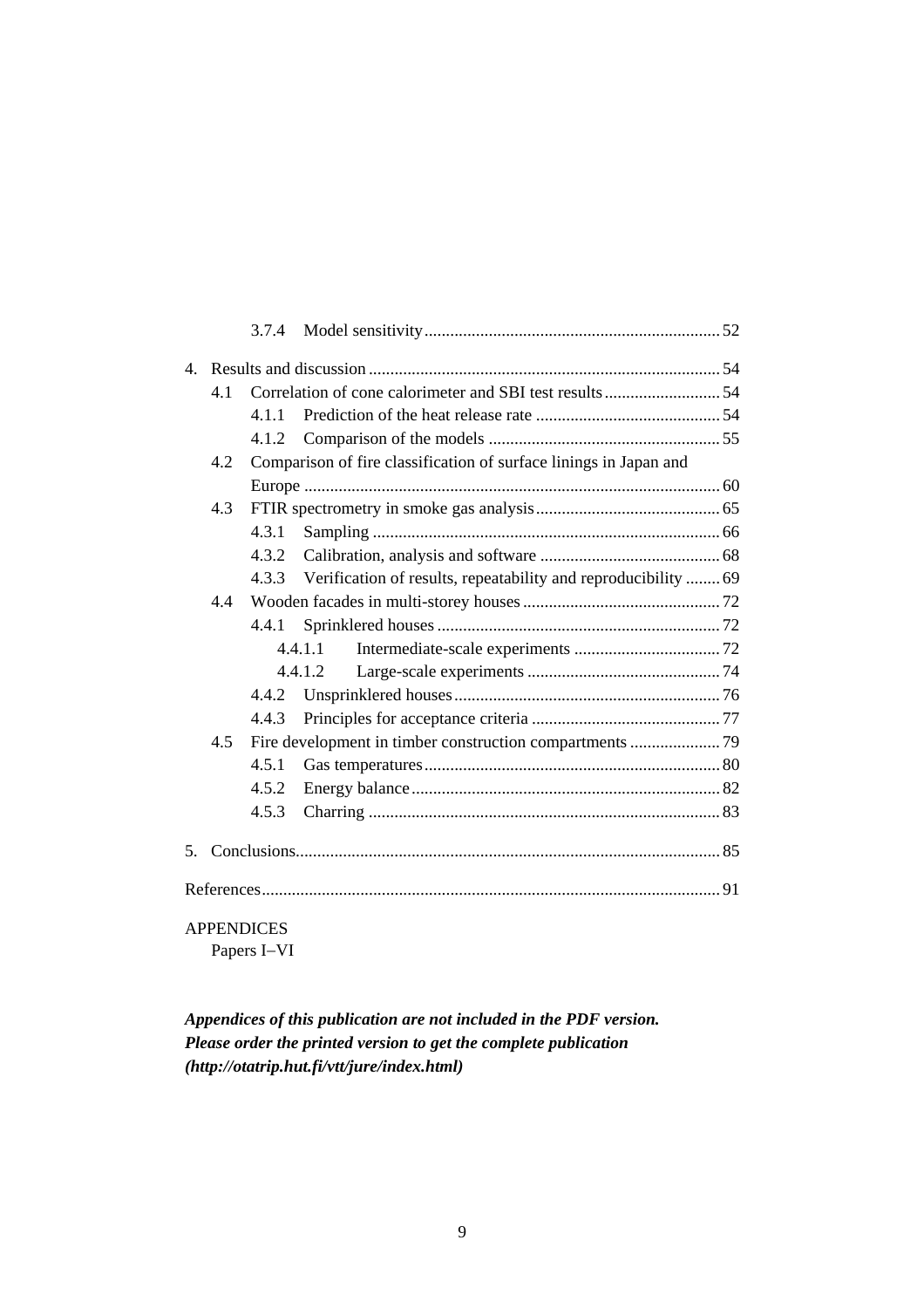| $\overline{4}$ |     |                                                                   |                                                                      |  |  |
|----------------|-----|-------------------------------------------------------------------|----------------------------------------------------------------------|--|--|
|                | 4.1 |                                                                   |                                                                      |  |  |
|                |     | 4.1.1                                                             |                                                                      |  |  |
|                |     | 4.1.2                                                             |                                                                      |  |  |
|                | 4.2 | Comparison of fire classification of surface linings in Japan and |                                                                      |  |  |
|                |     |                                                                   |                                                                      |  |  |
|                | 4.3 |                                                                   |                                                                      |  |  |
|                |     | 4.3.1                                                             |                                                                      |  |  |
|                |     | 4.3.2                                                             |                                                                      |  |  |
|                |     |                                                                   | 4.3.3 Verification of results, repeatability and reproducibility  69 |  |  |
|                | 44  |                                                                   |                                                                      |  |  |
|                |     | 4.4.1                                                             |                                                                      |  |  |
|                |     |                                                                   | 4.4.1.1                                                              |  |  |
|                |     |                                                                   | 4.4.1.2                                                              |  |  |
|                |     | 4.4.2                                                             |                                                                      |  |  |
|                |     | 4.4.3                                                             |                                                                      |  |  |
|                | 4.5 |                                                                   |                                                                      |  |  |
|                |     | 4.5.1                                                             |                                                                      |  |  |
|                |     | 4.5.2                                                             |                                                                      |  |  |
|                |     | 4.5.3                                                             |                                                                      |  |  |
|                |     |                                                                   |                                                                      |  |  |
| $5_{-}$        |     |                                                                   |                                                                      |  |  |
|                |     |                                                                   |                                                                      |  |  |

APPENDICES Papers I−VI

*Appendices of this publication are not included in the PDF version. Please order the printed version to get the complete publication (http://otatrip.hut.fi/vtt/jure/index.html)*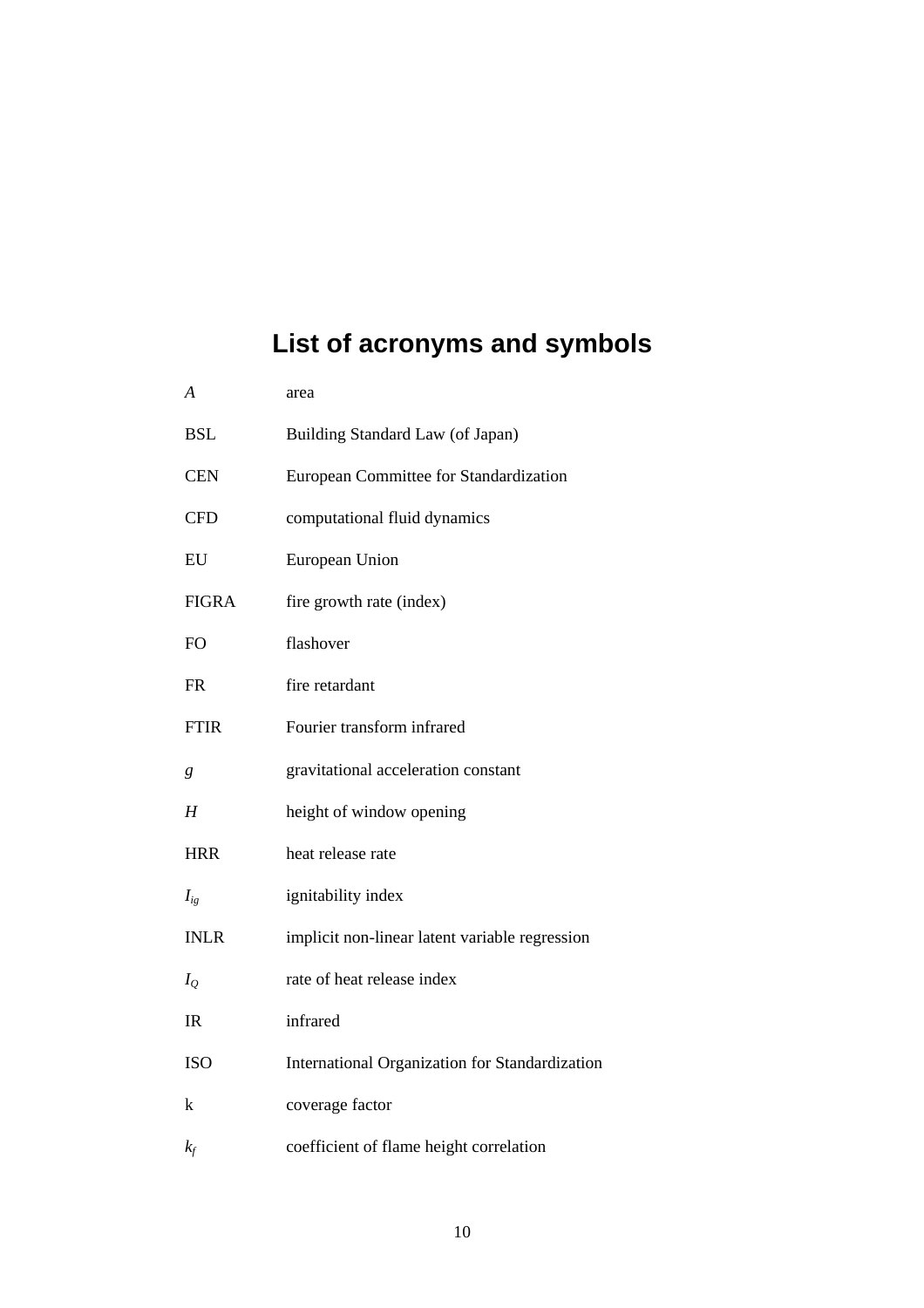# **List of acronyms and symbols**

| $\boldsymbol{A}$ | area                                           |
|------------------|------------------------------------------------|
| <b>BSL</b>       | Building Standard Law (of Japan)               |
| <b>CEN</b>       | European Committee for Standardization         |
| <b>CFD</b>       | computational fluid dynamics                   |
| EU               | European Union                                 |
| <b>FIGRA</b>     | fire growth rate (index)                       |
| FO.              | flashover                                      |
| <b>FR</b>        | fire retardant                                 |
| <b>FTIR</b>      | Fourier transform infrared                     |
| g                | gravitational acceleration constant            |
| Н                | height of window opening                       |
| <b>HRR</b>       | heat release rate                              |
| $I_{ig}$         | ignitability index                             |
| <b>INLR</b>      | implicit non-linear latent variable regression |
| $I_O$            | rate of heat release index                     |
| IR               | infrared                                       |
| <b>ISO</b>       | International Organization for Standardization |
| k                | coverage factor                                |
| $k_f$            | coefficient of flame height correlation        |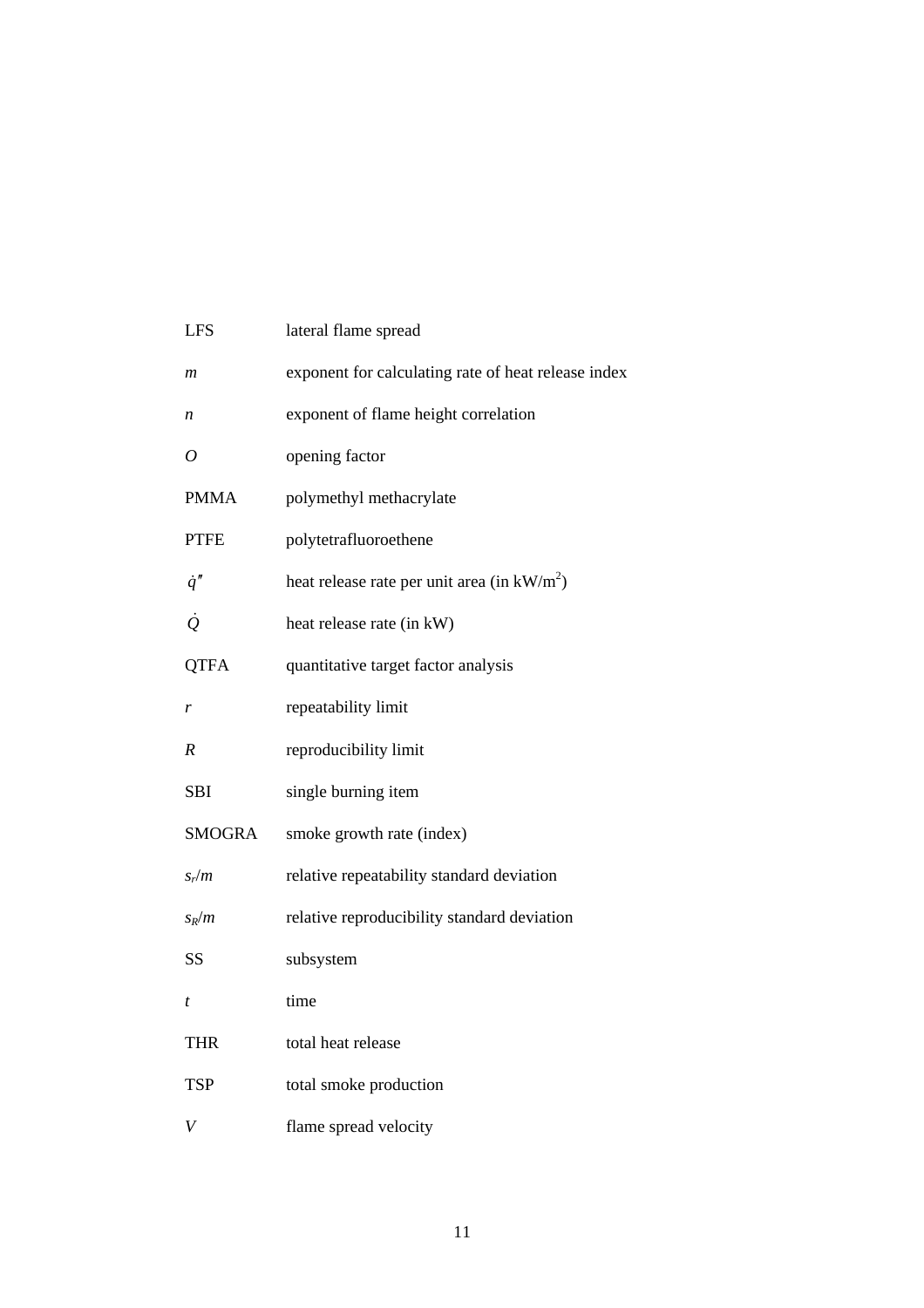| <b>LFS</b>     | lateral flame spread                                |
|----------------|-----------------------------------------------------|
| m              | exponent for calculating rate of heat release index |
| n              | exponent of flame height correlation                |
| $\overline{O}$ | opening factor                                      |
| <b>PMMA</b>    | polymethyl methacrylate                             |
| <b>PTFE</b>    | polytetrafluoroethene                               |
| $\dot{q}''$    | heat release rate per unit area (in $kW/m2$ )       |
| $\dot{Q}$      | heat release rate (in kW)                           |
| <b>QTFA</b>    | quantitative target factor analysis                 |
| r              | repeatability limit                                 |
| R              | reproducibility limit                               |
| <b>SBI</b>     | single burning item                                 |
| <b>SMOGRA</b>  | smoke growth rate (index)                           |
| $S_r/m$        | relative repeatability standard deviation           |
| $s_R/m$        | relative reproducibility standard deviation         |
| SS             | subsystem                                           |
| t              | time                                                |
| <b>THR</b>     | total heat release                                  |
| <b>TSP</b>     | total smoke production                              |
| V              | flame spread velocity                               |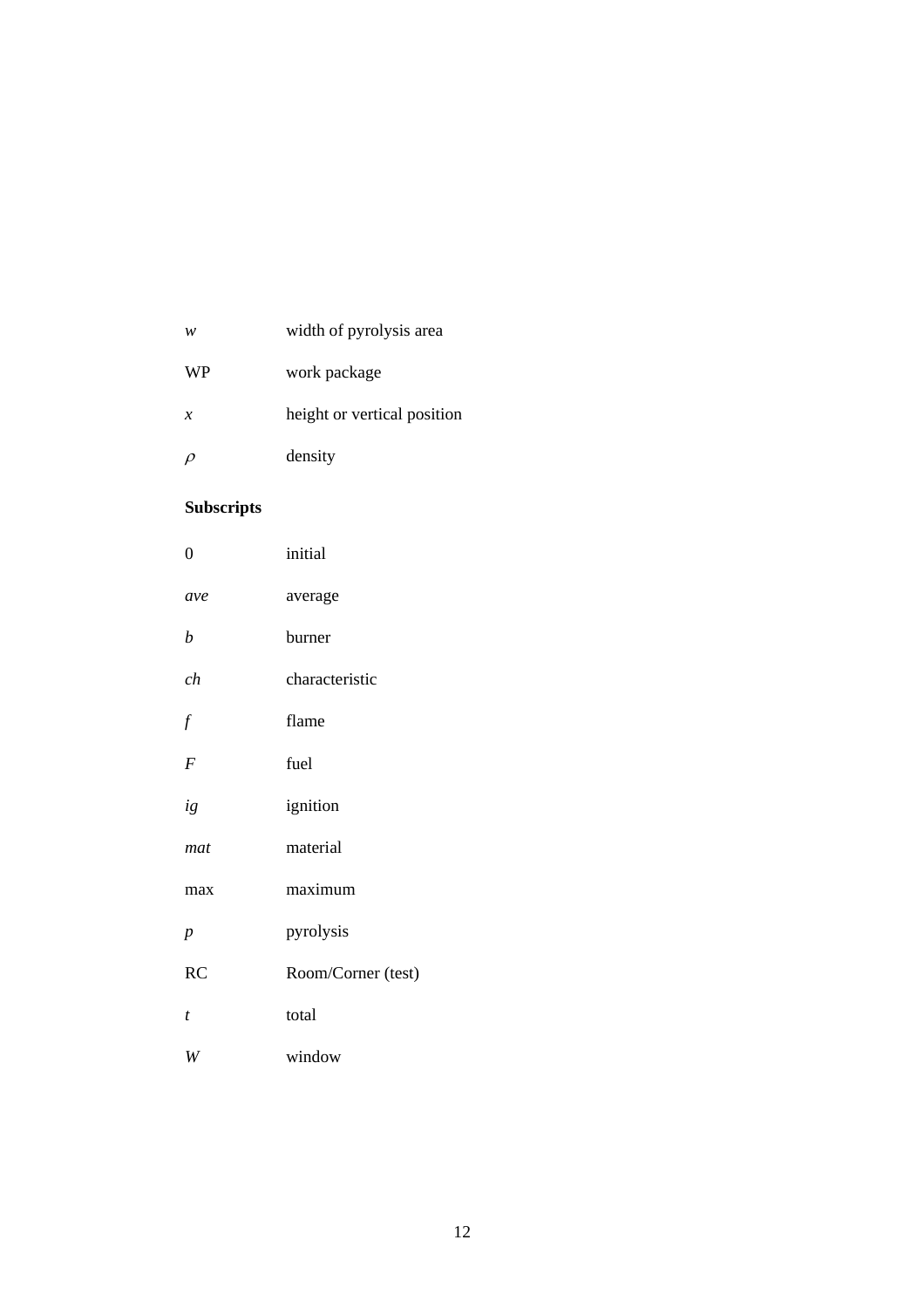| w             | width of pyrolysis area     |
|---------------|-----------------------------|
| <b>WP</b>     | work package                |
| $\mathcal{X}$ | height or vertical position |
| $\rho$        | density                     |

#### **Subscripts**

| $\boldsymbol{0}$ | initial            |
|------------------|--------------------|
| ave              | average            |
| $\boldsymbol{b}$ | burner             |
| ch               | characteristic     |
| f                | flame              |
| $\boldsymbol{F}$ | fuel               |
| ig               | ignition           |
| mat              | material           |
| max              | maximum            |
| $\overline{p}$   | pyrolysis          |
| RC               | Room/Corner (test) |
| t                | total              |
| W                | window             |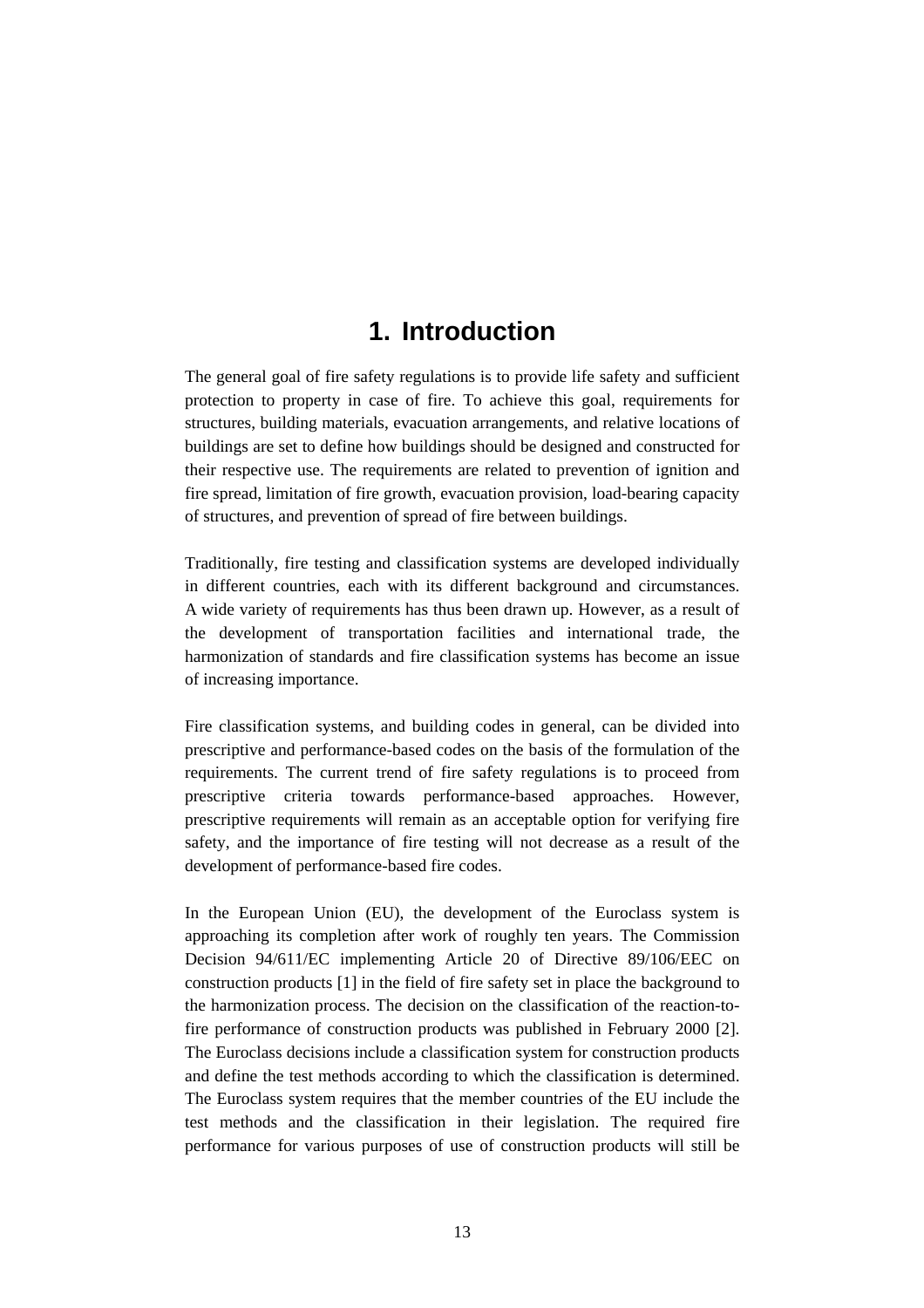### **1. Introduction**

The general goal of fire safety regulations is to provide life safety and sufficient protection to property in case of fire. To achieve this goal, requirements for structures, building materials, evacuation arrangements, and relative locations of buildings are set to define how buildings should be designed and constructed for their respective use. The requirements are related to prevention of ignition and fire spread, limitation of fire growth, evacuation provision, load-bearing capacity of structures, and prevention of spread of fire between buildings.

Traditionally, fire testing and classification systems are developed individually in different countries, each with its different background and circumstances. A wide variety of requirements has thus been drawn up. However, as a result of the development of transportation facilities and international trade, the harmonization of standards and fire classification systems has become an issue of increasing importance.

Fire classification systems, and building codes in general, can be divided into prescriptive and performance-based codes on the basis of the formulation of the requirements. The current trend of fire safety regulations is to proceed from prescriptive criteria towards performance-based approaches. However, prescriptive requirements will remain as an acceptable option for verifying fire safety, and the importance of fire testing will not decrease as a result of the development of performance-based fire codes.

In the European Union (EU), the development of the Euroclass system is approaching its completion after work of roughly ten years. The Commission Decision 94/611/EC implementing Article 20 of Directive 89/106/EEC on construction products [1] in the field of fire safety set in place the background to the harmonization process. The decision on the classification of the reaction-tofire performance of construction products was published in February 2000 [2]. The Euroclass decisions include a classification system for construction products and define the test methods according to which the classification is determined. The Euroclass system requires that the member countries of the EU include the test methods and the classification in their legislation. The required fire performance for various purposes of use of construction products will still be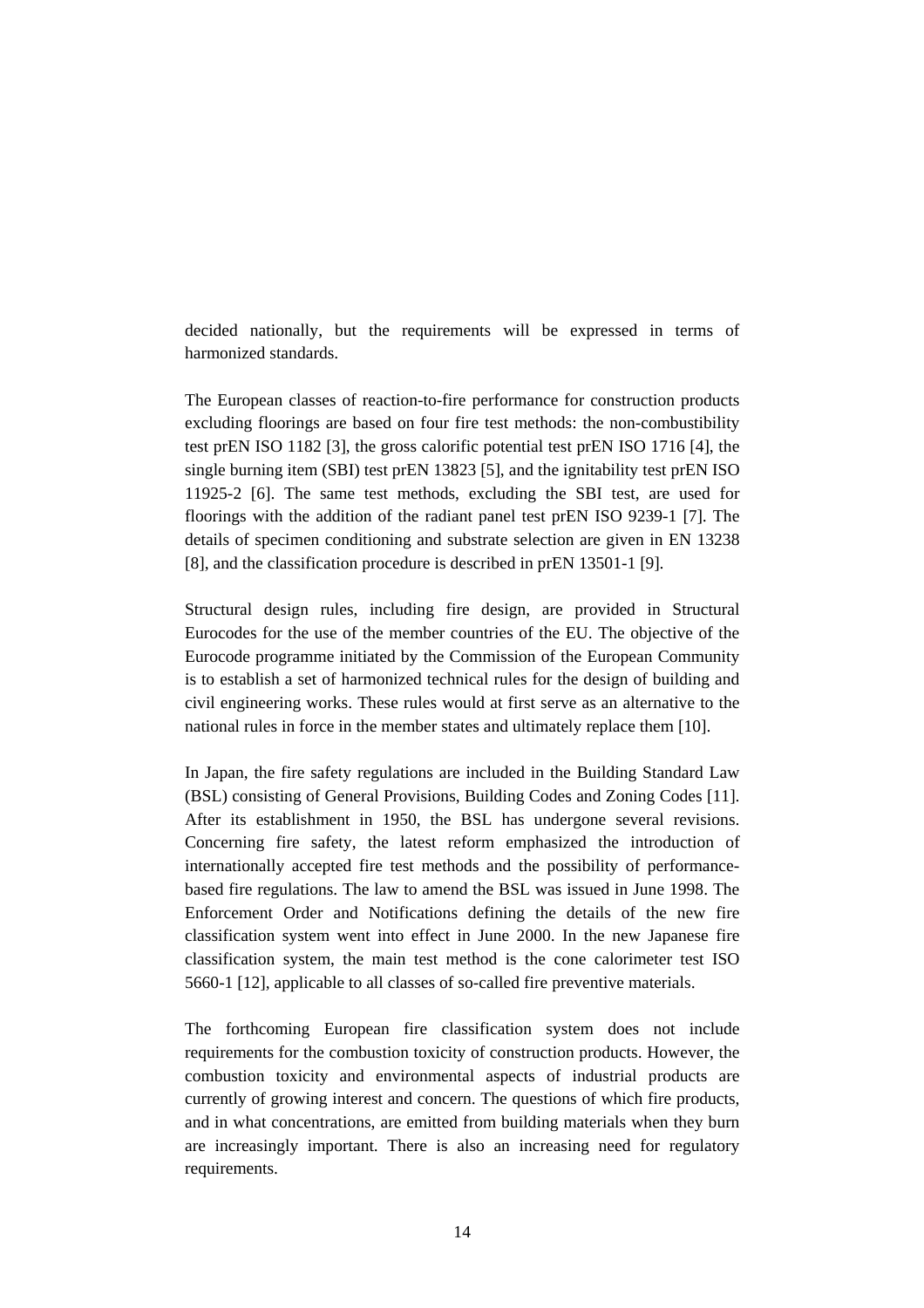decided nationally, but the requirements will be expressed in terms of harmonized standards.

The European classes of reaction-to-fire performance for construction products excluding floorings are based on four fire test methods: the non-combustibility test prEN ISO 1182 [3], the gross calorific potential test prEN ISO 1716 [4], the single burning item (SBI) test prEN 13823 [5], and the ignitability test prEN ISO 11925-2 [6]. The same test methods, excluding the SBI test, are used for floorings with the addition of the radiant panel test prEN ISO 9239-1 [7]. The details of specimen conditioning and substrate selection are given in EN 13238 [8], and the classification procedure is described in prEN 13501-1 [9].

Structural design rules, including fire design, are provided in Structural Eurocodes for the use of the member countries of the EU. The objective of the Eurocode programme initiated by the Commission of the European Community is to establish a set of harmonized technical rules for the design of building and civil engineering works. These rules would at first serve as an alternative to the national rules in force in the member states and ultimately replace them [10].

In Japan, the fire safety regulations are included in the Building Standard Law (BSL) consisting of General Provisions, Building Codes and Zoning Codes [11]. After its establishment in 1950, the BSL has undergone several revisions. Concerning fire safety, the latest reform emphasized the introduction of internationally accepted fire test methods and the possibility of performancebased fire regulations. The law to amend the BSL was issued in June 1998. The Enforcement Order and Notifications defining the details of the new fire classification system went into effect in June 2000. In the new Japanese fire classification system, the main test method is the cone calorimeter test ISO 5660-1 [12], applicable to all classes of so-called fire preventive materials.

The forthcoming European fire classification system does not include requirements for the combustion toxicity of construction products. However, the combustion toxicity and environmental aspects of industrial products are currently of growing interest and concern. The questions of which fire products, and in what concentrations, are emitted from building materials when they burn are increasingly important. There is also an increasing need for regulatory requirements.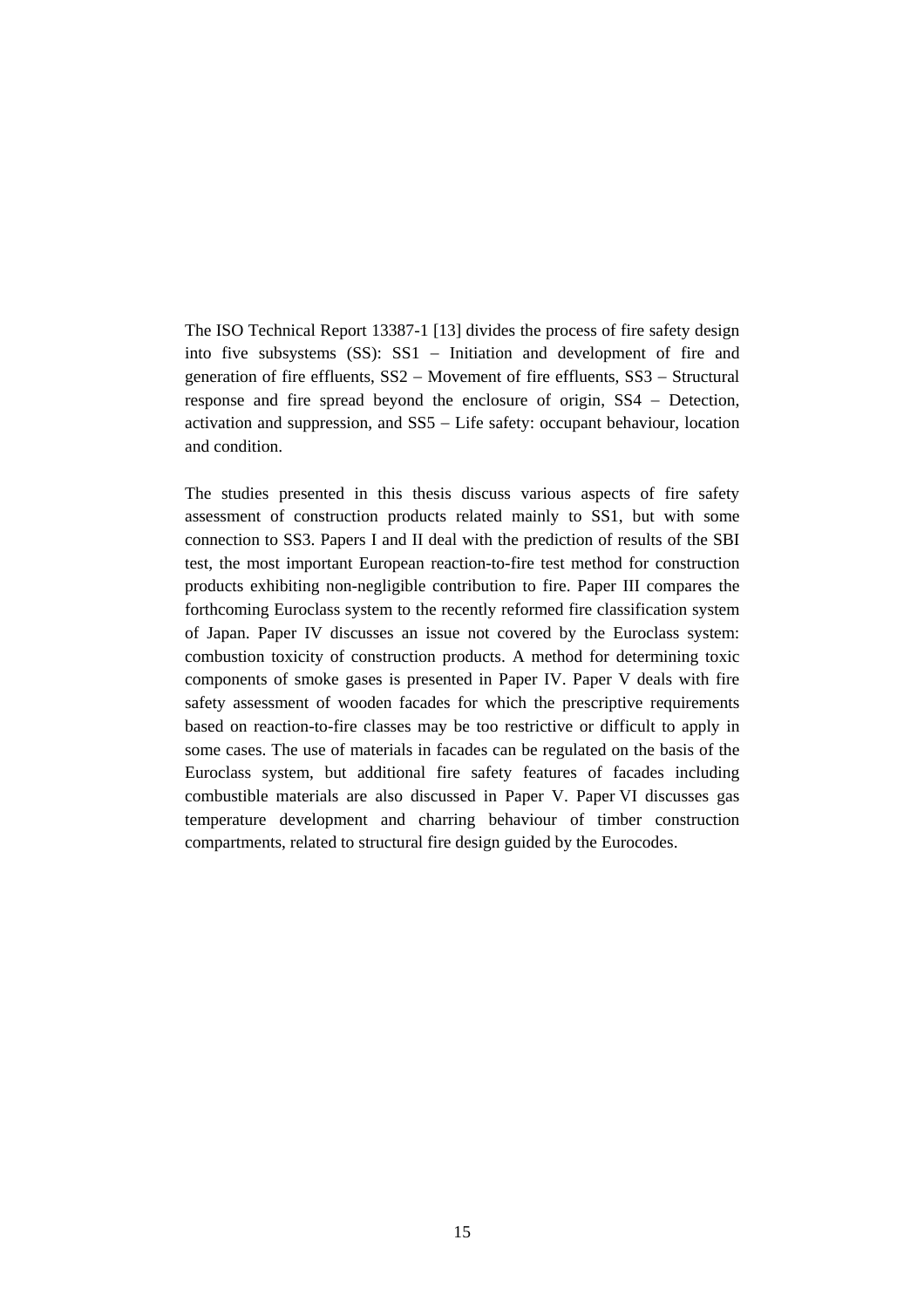The ISO Technical Report 13387-1 [13] divides the process of fire safety design into five subsystems (SS): SS1 − Initiation and development of fire and generation of fire effluents, SS2 − Movement of fire effluents, SS3 − Structural response and fire spread beyond the enclosure of origin, SS4 − Detection, activation and suppression, and SS5 − Life safety: occupant behaviour, location and condition.

The studies presented in this thesis discuss various aspects of fire safety assessment of construction products related mainly to SS1, but with some connection to SS3. Papers I and II deal with the prediction of results of the SBI test, the most important European reaction-to-fire test method for construction products exhibiting non-negligible contribution to fire. Paper III compares the forthcoming Euroclass system to the recently reformed fire classification system of Japan. Paper IV discusses an issue not covered by the Euroclass system: combustion toxicity of construction products. A method for determining toxic components of smoke gases is presented in Paper IV. Paper V deals with fire safety assessment of wooden facades for which the prescriptive requirements based on reaction-to-fire classes may be too restrictive or difficult to apply in some cases. The use of materials in facades can be regulated on the basis of the Euroclass system, but additional fire safety features of facades including combustible materials are also discussed in Paper V. Paper VI discusses gas temperature development and charring behaviour of timber construction compartments, related to structural fire design guided by the Eurocodes.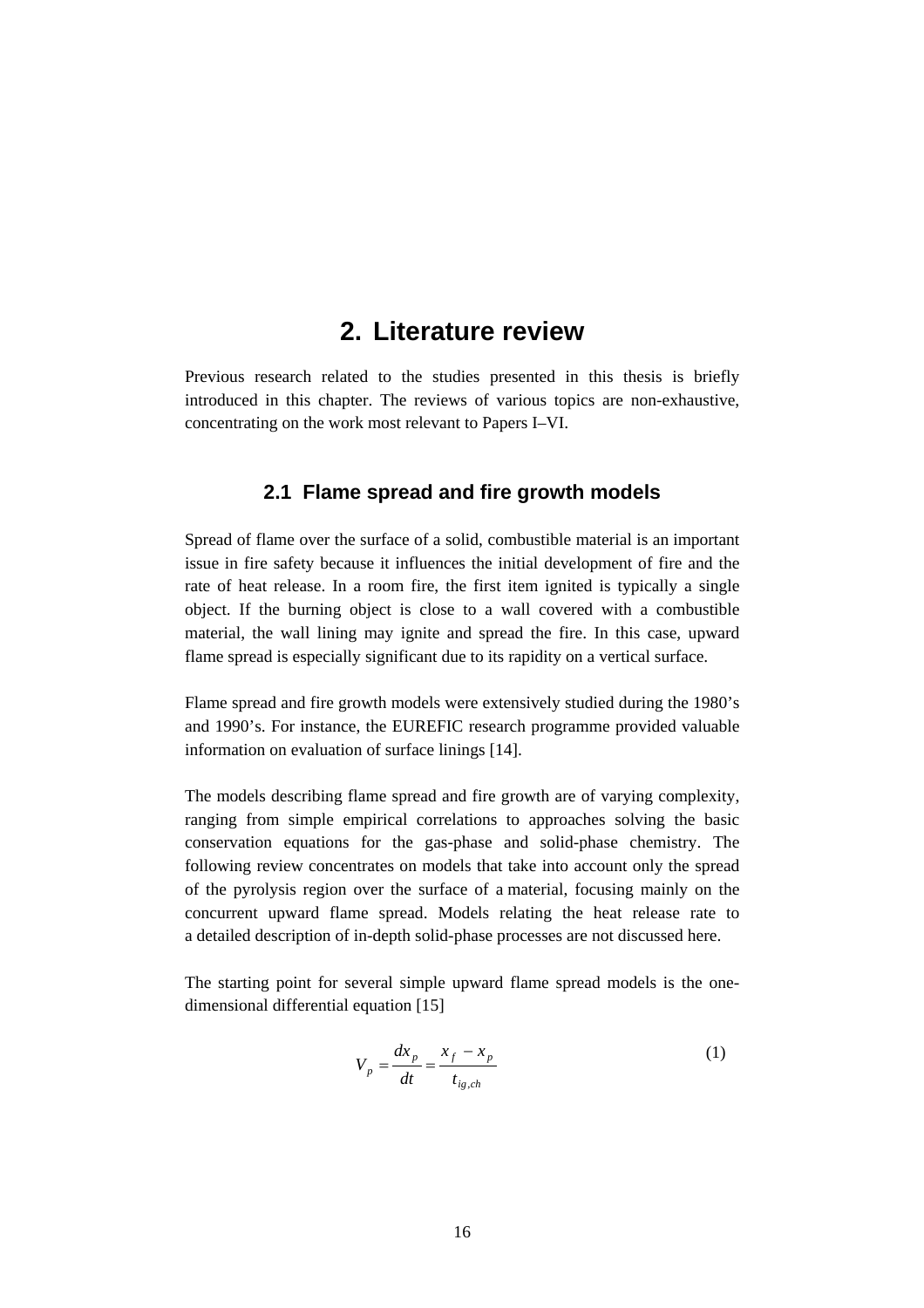### **2. Literature review**

Previous research related to the studies presented in this thesis is briefly introduced in this chapter. The reviews of various topics are non-exhaustive, concentrating on the work most relevant to Papers I–VI.

#### **2.1 Flame spread and fire growth models**

Spread of flame over the surface of a solid, combustible material is an important issue in fire safety because it influences the initial development of fire and the rate of heat release. In a room fire, the first item ignited is typically a single object. If the burning object is close to a wall covered with a combustible material, the wall lining may ignite and spread the fire. In this case, upward flame spread is especially significant due to its rapidity on a vertical surface.

Flame spread and fire growth models were extensively studied during the 1980's and 1990's. For instance, the EUREFIC research programme provided valuable information on evaluation of surface linings [14].

The models describing flame spread and fire growth are of varying complexity, ranging from simple empirical correlations to approaches solving the basic conservation equations for the gas-phase and solid-phase chemistry. The following review concentrates on models that take into account only the spread of the pyrolysis region over the surface of a material, focusing mainly on the concurrent upward flame spread. Models relating the heat release rate to a detailed description of in-depth solid-phase processes are not discussed here.

The starting point for several simple upward flame spread models is the onedimensional differential equation [15]

$$
V_p = \frac{dx_p}{dt} = \frac{x_f - x_p}{t_{ig,ch}}\tag{1}
$$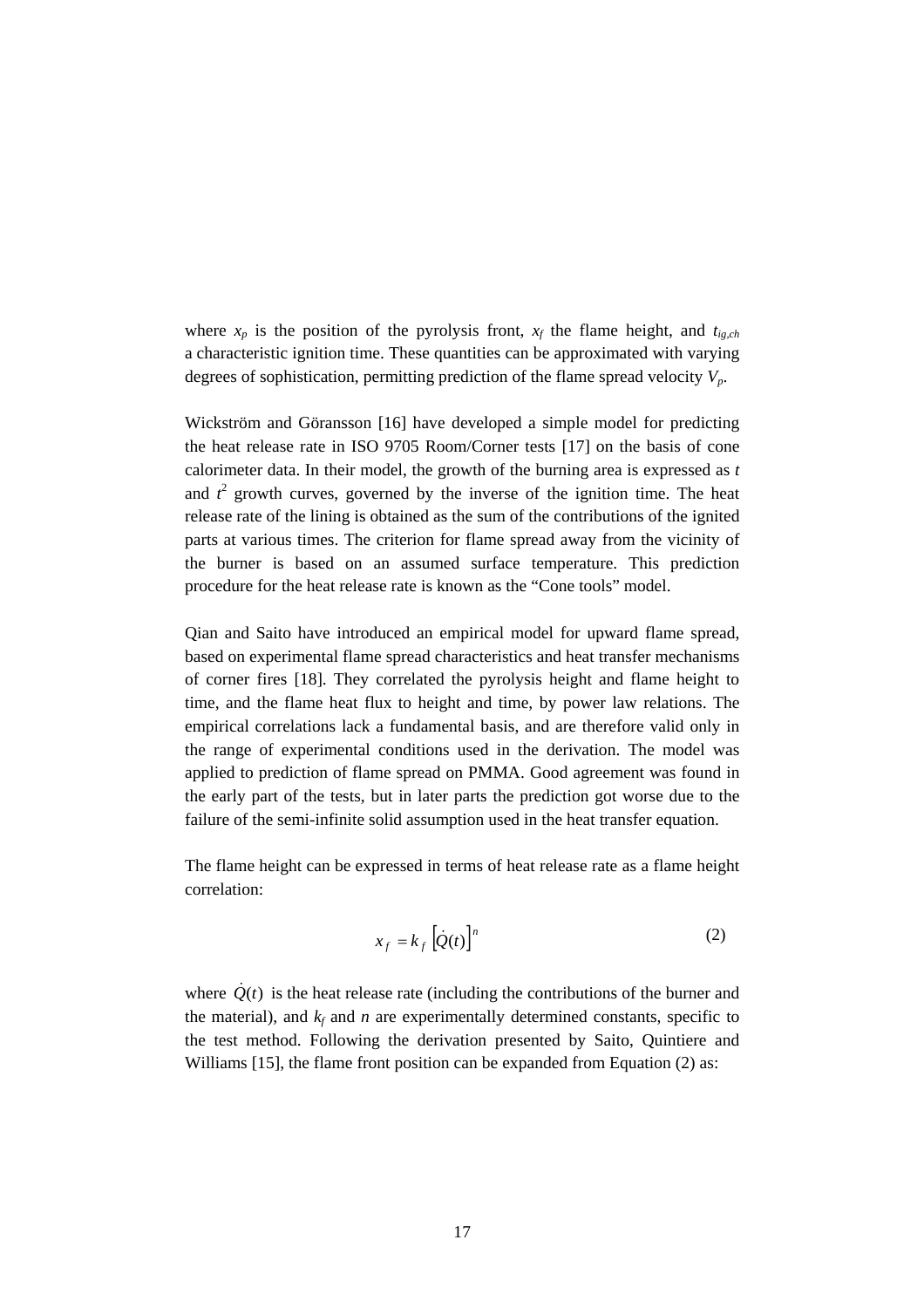where  $x_p$  is the position of the pyrolysis front,  $x_f$  the flame height, and  $t_{ig,ch}$ a characteristic ignition time. These quantities can be approximated with varying degrees of sophistication, permitting prediction of the flame spread velocity *Vp*.

Wickström and Göransson [16] have developed a simple model for predicting the heat release rate in ISO 9705 Room/Corner tests [17] on the basis of cone calorimeter data. In their model, the growth of the burning area is expressed as *t* and  $t^2$  growth curves, governed by the inverse of the ignition time. The heat release rate of the lining is obtained as the sum of the contributions of the ignited parts at various times. The criterion for flame spread away from the vicinity of the burner is based on an assumed surface temperature. This prediction procedure for the heat release rate is known as the "Cone tools" model.

Qian and Saito have introduced an empirical model for upward flame spread, based on experimental flame spread characteristics and heat transfer mechanisms of corner fires [18]. They correlated the pyrolysis height and flame height to time, and the flame heat flux to height and time, by power law relations. The empirical correlations lack a fundamental basis, and are therefore valid only in the range of experimental conditions used in the derivation. The model was applied to prediction of flame spread on PMMA. Good agreement was found in the early part of the tests, but in later parts the prediction got worse due to the failure of the semi-infinite solid assumption used in the heat transfer equation.

The flame height can be expressed in terms of heat release rate as a flame height correlation:

$$
x_f = k_f \left[ \dot{Q}(t) \right]^n \tag{2}
$$

where  $Q(t)$  is the heat release rate (including the contributions of the burner and the material), and  $k_f$  and *n* are experimentally determined constants, specific to the test method. Following the derivation presented by Saito, Quintiere and Williams [15], the flame front position can be expanded from Equation (2) as: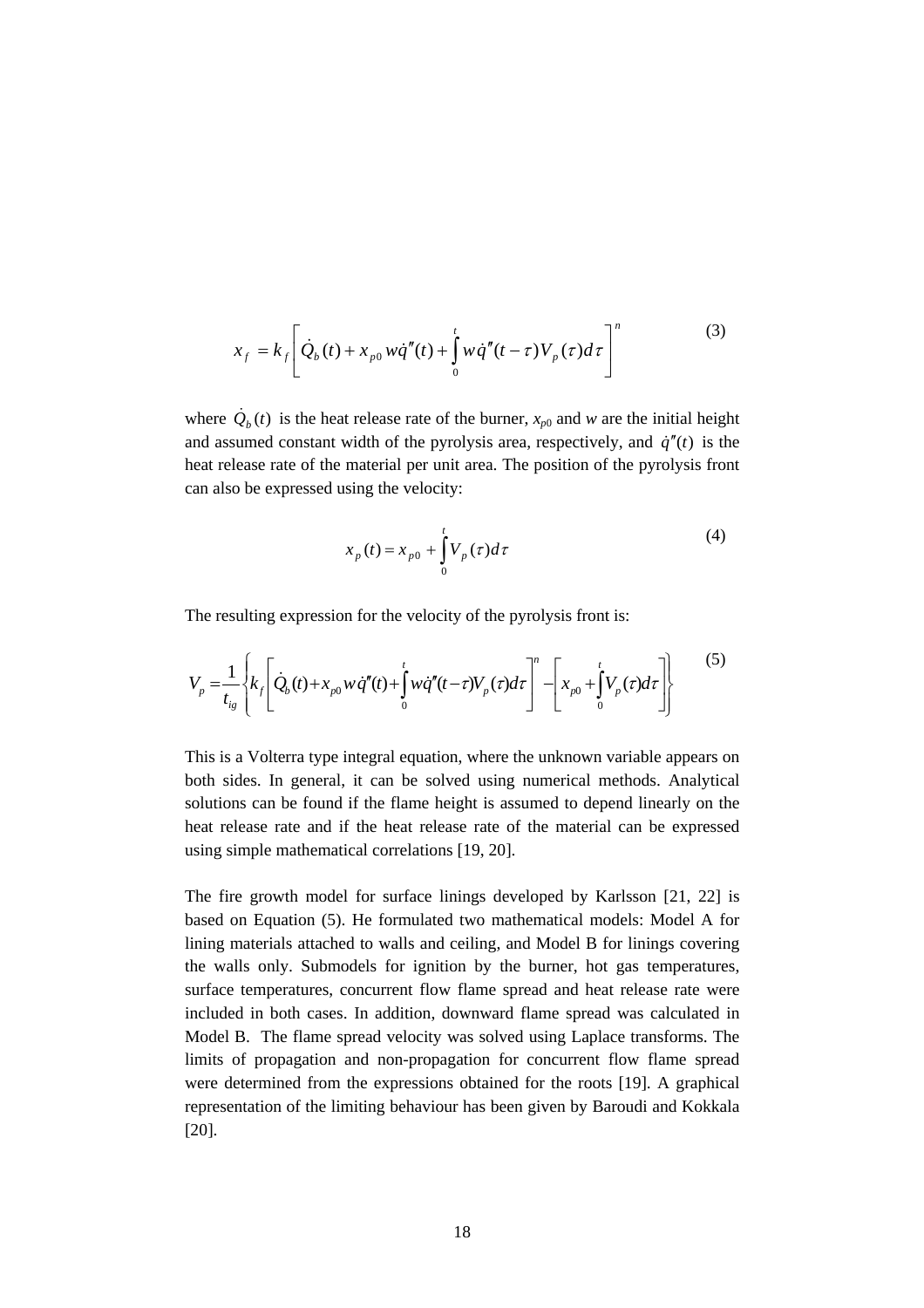$$
x_f = k_f \left[ \dot{Q}_b(t) + x_{p0} w \dot{q}''(t) + \int_0^t w \dot{q}''(t-\tau) V_p(\tau) d\tau \right]^n
$$
 (3)

where  $\dot{Q}_b(t)$  is the heat release rate of the burner,  $x_{p0}$  and *w* are the initial height and assumed constant width of the pyrolysis area, respectively, and  $\dot{q}''(t)$  is the heat release rate of the material per unit area. The position of the pyrolysis front can also be expressed using the velocity:

$$
x_p(t) = x_{p0} + \int_{0}^{t} V_p(\tau) d\tau
$$
 (4)

The resulting expression for the velocity of the pyrolysis front is:

$$
V_{p} = \frac{1}{t_{ig}} \left\{ k_{f} \left[ \dot{Q}_{b}(t) + x_{p0} w \dot{q}''(t) + \int_{0}^{t} w \dot{q}''(t-\tau) V_{p}(\tau) d\tau \right]^{n} - \left[ x_{p0} + \int_{0}^{t} V_{p}(\tau) d\tau \right] \right\}
$$
(5)

This is a Volterra type integral equation, where the unknown variable appears on both sides. In general, it can be solved using numerical methods. Analytical solutions can be found if the flame height is assumed to depend linearly on the heat release rate and if the heat release rate of the material can be expressed using simple mathematical correlations [19, 20].

The fire growth model for surface linings developed by Karlsson [21, 22] is based on Equation (5). He formulated two mathematical models: Model A for lining materials attached to walls and ceiling, and Model B for linings covering the walls only. Submodels for ignition by the burner, hot gas temperatures, surface temperatures, concurrent flow flame spread and heat release rate were included in both cases. In addition, downward flame spread was calculated in Model B. The flame spread velocity was solved using Laplace transforms. The limits of propagation and non-propagation for concurrent flow flame spread were determined from the expressions obtained for the roots [19]. A graphical representation of the limiting behaviour has been given by Baroudi and Kokkala [20].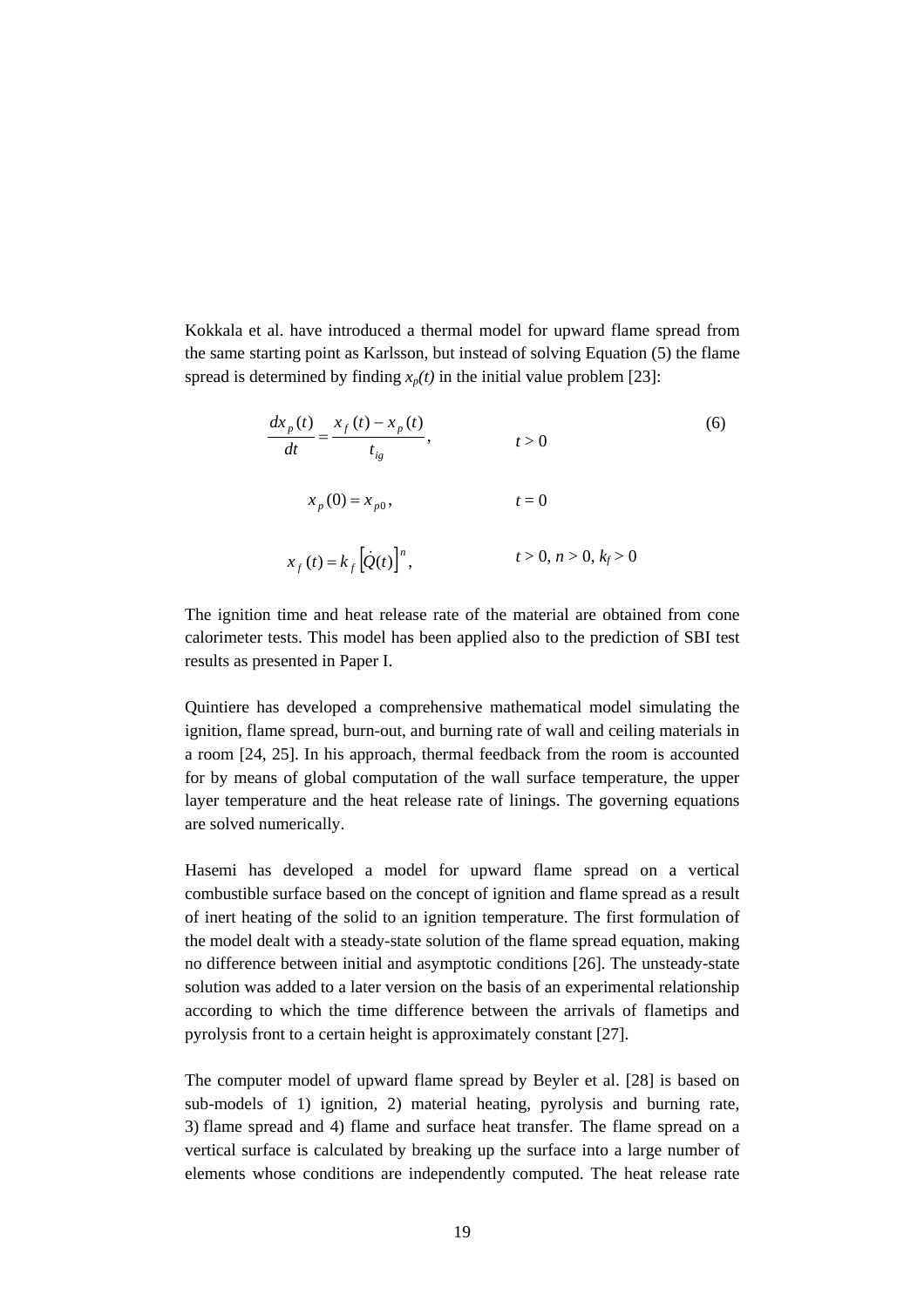Kokkala et al. have introduced a thermal model for upward flame spread from the same starting point as Karlsson, but instead of solving Equation (5) the flame spread is determined by finding  $x_p(t)$  in the initial value problem [23]:

$$
\frac{dx_p(t)}{dt} = \frac{x_f(t) - x_p(t)}{t_{ig}}, \qquad t > 0
$$
\n
$$
x_p(0) = x_{p0}, \qquad t = 0
$$
\n
$$
x_f(t) = k_f \left[\dot{Q}(t)\right]^n, \qquad t > 0, n > 0, k_f > 0
$$
\n(6)

The ignition time and heat release rate of the material are obtained from cone calorimeter tests. This model has been applied also to the prediction of SBI test results as presented in Paper I.

Quintiere has developed a comprehensive mathematical model simulating the ignition, flame spread, burn-out, and burning rate of wall and ceiling materials in a room [24, 25]. In his approach, thermal feedback from the room is accounted for by means of global computation of the wall surface temperature, the upper layer temperature and the heat release rate of linings. The governing equations are solved numerically.

Hasemi has developed a model for upward flame spread on a vertical combustible surface based on the concept of ignition and flame spread as a result of inert heating of the solid to an ignition temperature. The first formulation of the model dealt with a steady-state solution of the flame spread equation, making no difference between initial and asymptotic conditions [26]. The unsteady-state solution was added to a later version on the basis of an experimental relationship according to which the time difference between the arrivals of flametips and pyrolysis front to a certain height is approximately constant [27].

The computer model of upward flame spread by Beyler et al. [28] is based on sub-models of 1) ignition, 2) material heating, pyrolysis and burning rate, 3) flame spread and 4) flame and surface heat transfer. The flame spread on a vertical surface is calculated by breaking up the surface into a large number of elements whose conditions are independently computed. The heat release rate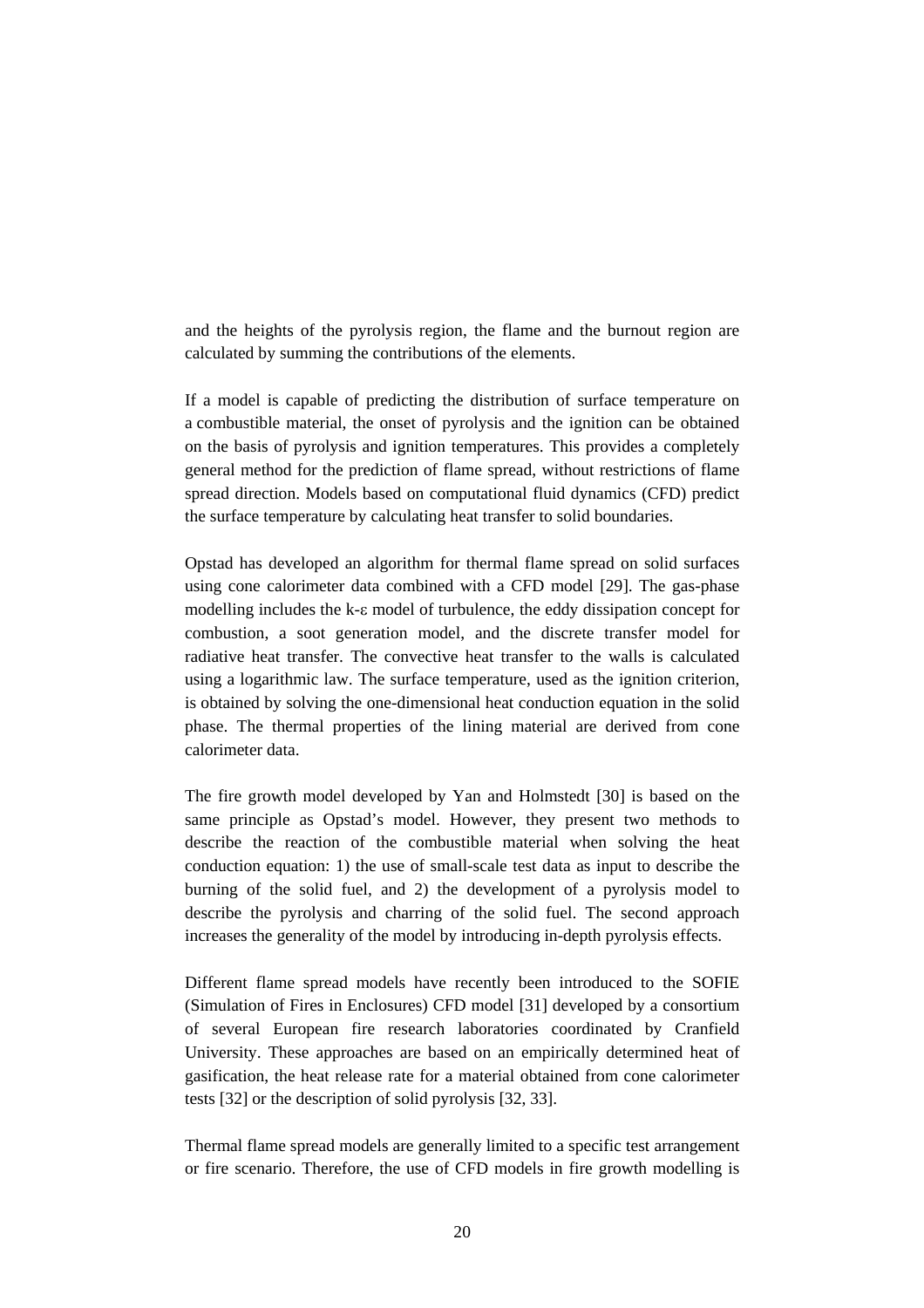and the heights of the pyrolysis region, the flame and the burnout region are calculated by summing the contributions of the elements.

If a model is capable of predicting the distribution of surface temperature on a combustible material, the onset of pyrolysis and the ignition can be obtained on the basis of pyrolysis and ignition temperatures. This provides a completely general method for the prediction of flame spread, without restrictions of flame spread direction. Models based on computational fluid dynamics (CFD) predict the surface temperature by calculating heat transfer to solid boundaries.

Opstad has developed an algorithm for thermal flame spread on solid surfaces using cone calorimeter data combined with a CFD model [29]. The gas-phase modelling includes the k-ε model of turbulence, the eddy dissipation concept for combustion, a soot generation model, and the discrete transfer model for radiative heat transfer. The convective heat transfer to the walls is calculated using a logarithmic law. The surface temperature, used as the ignition criterion, is obtained by solving the one-dimensional heat conduction equation in the solid phase. The thermal properties of the lining material are derived from cone calorimeter data.

The fire growth model developed by Yan and Holmstedt [30] is based on the same principle as Opstad's model. However, they present two methods to describe the reaction of the combustible material when solving the heat conduction equation: 1) the use of small-scale test data as input to describe the burning of the solid fuel, and 2) the development of a pyrolysis model to describe the pyrolysis and charring of the solid fuel. The second approach increases the generality of the model by introducing in-depth pyrolysis effects.

Different flame spread models have recently been introduced to the SOFIE (Simulation of Fires in Enclosures) CFD model [31] developed by a consortium of several European fire research laboratories coordinated by Cranfield University. These approaches are based on an empirically determined heat of gasification, the heat release rate for a material obtained from cone calorimeter tests [32] or the description of solid pyrolysis [32, 33].

Thermal flame spread models are generally limited to a specific test arrangement or fire scenario. Therefore, the use of CFD models in fire growth modelling is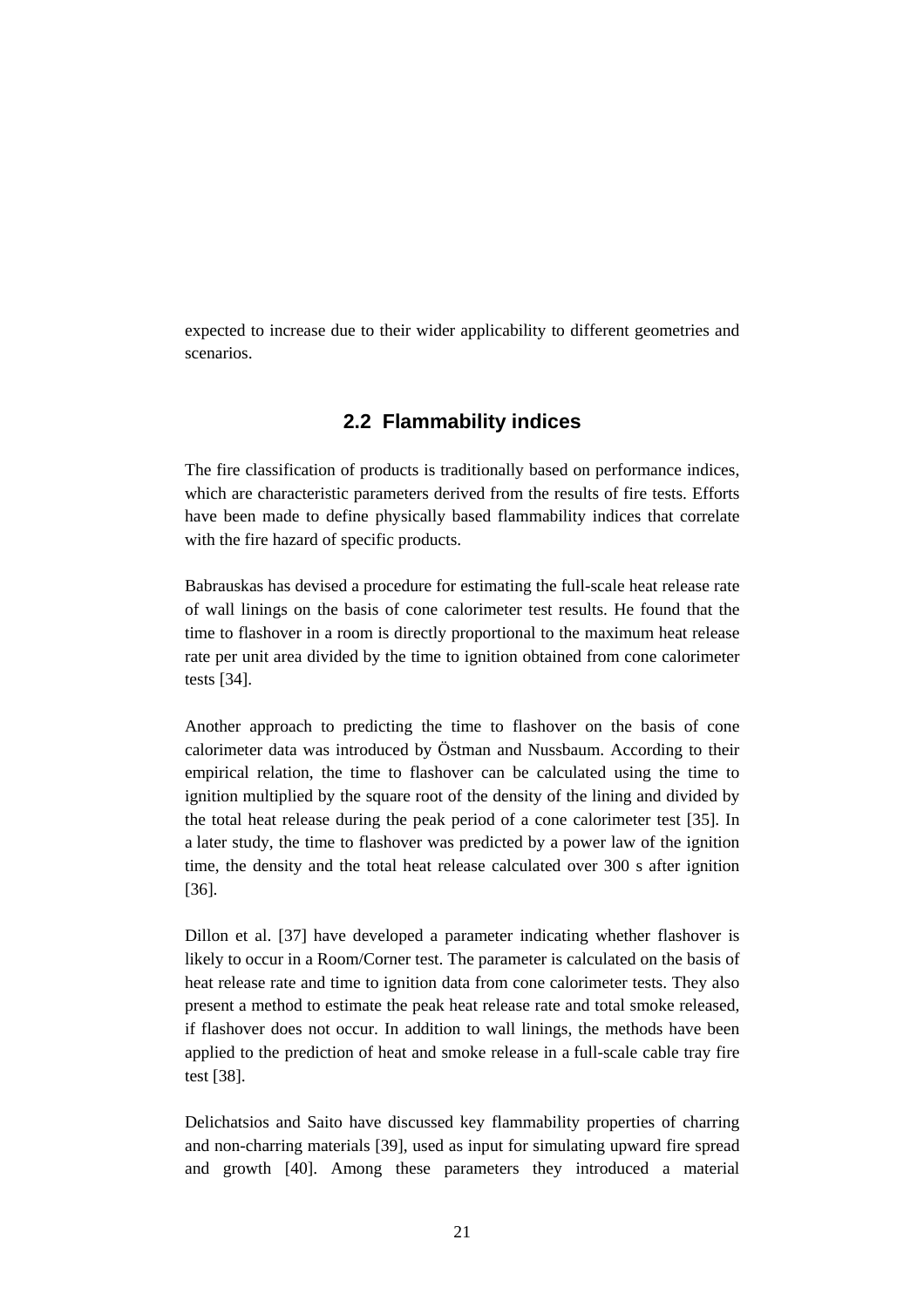expected to increase due to their wider applicability to different geometries and scenarios.

#### **2.2 Flammability indices**

The fire classification of products is traditionally based on performance indices, which are characteristic parameters derived from the results of fire tests. Efforts have been made to define physically based flammability indices that correlate with the fire hazard of specific products.

Babrauskas has devised a procedure for estimating the full-scale heat release rate of wall linings on the basis of cone calorimeter test results. He found that the time to flashover in a room is directly proportional to the maximum heat release rate per unit area divided by the time to ignition obtained from cone calorimeter tests [34].

Another approach to predicting the time to flashover on the basis of cone calorimeter data was introduced by Östman and Nussbaum. According to their empirical relation, the time to flashover can be calculated using the time to ignition multiplied by the square root of the density of the lining and divided by the total heat release during the peak period of a cone calorimeter test [35]. In a later study, the time to flashover was predicted by a power law of the ignition time, the density and the total heat release calculated over 300 s after ignition [36].

Dillon et al. [37] have developed a parameter indicating whether flashover is likely to occur in a Room/Corner test. The parameter is calculated on the basis of heat release rate and time to ignition data from cone calorimeter tests. They also present a method to estimate the peak heat release rate and total smoke released, if flashover does not occur. In addition to wall linings, the methods have been applied to the prediction of heat and smoke release in a full-scale cable tray fire test [38].

Delichatsios and Saito have discussed key flammability properties of charring and non-charring materials [39], used as input for simulating upward fire spread and growth [40]. Among these parameters they introduced a material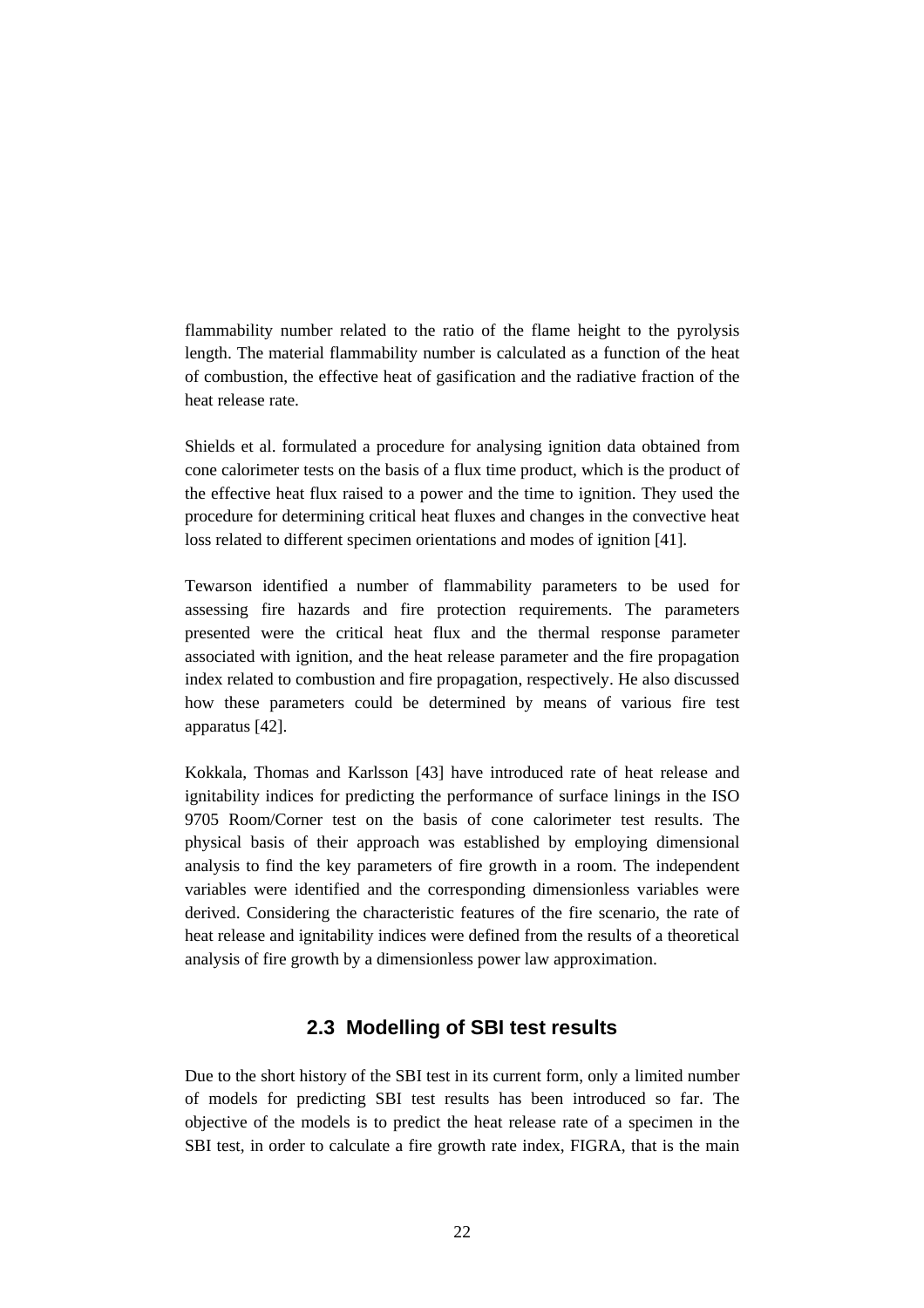flammability number related to the ratio of the flame height to the pyrolysis length. The material flammability number is calculated as a function of the heat of combustion, the effective heat of gasification and the radiative fraction of the heat release rate.

Shields et al. formulated a procedure for analysing ignition data obtained from cone calorimeter tests on the basis of a flux time product, which is the product of the effective heat flux raised to a power and the time to ignition. They used the procedure for determining critical heat fluxes and changes in the convective heat loss related to different specimen orientations and modes of ignition [41].

Tewarson identified a number of flammability parameters to be used for assessing fire hazards and fire protection requirements. The parameters presented were the critical heat flux and the thermal response parameter associated with ignition, and the heat release parameter and the fire propagation index related to combustion and fire propagation, respectively. He also discussed how these parameters could be determined by means of various fire test apparatus [42].

Kokkala, Thomas and Karlsson [43] have introduced rate of heat release and ignitability indices for predicting the performance of surface linings in the ISO 9705 Room/Corner test on the basis of cone calorimeter test results. The physical basis of their approach was established by employing dimensional analysis to find the key parameters of fire growth in a room. The independent variables were identified and the corresponding dimensionless variables were derived. Considering the characteristic features of the fire scenario, the rate of heat release and ignitability indices were defined from the results of a theoretical analysis of fire growth by a dimensionless power law approximation.

#### **2.3 Modelling of SBI test results**

Due to the short history of the SBI test in its current form, only a limited number of models for predicting SBI test results has been introduced so far. The objective of the models is to predict the heat release rate of a specimen in the SBI test, in order to calculate a fire growth rate index, FIGRA, that is the main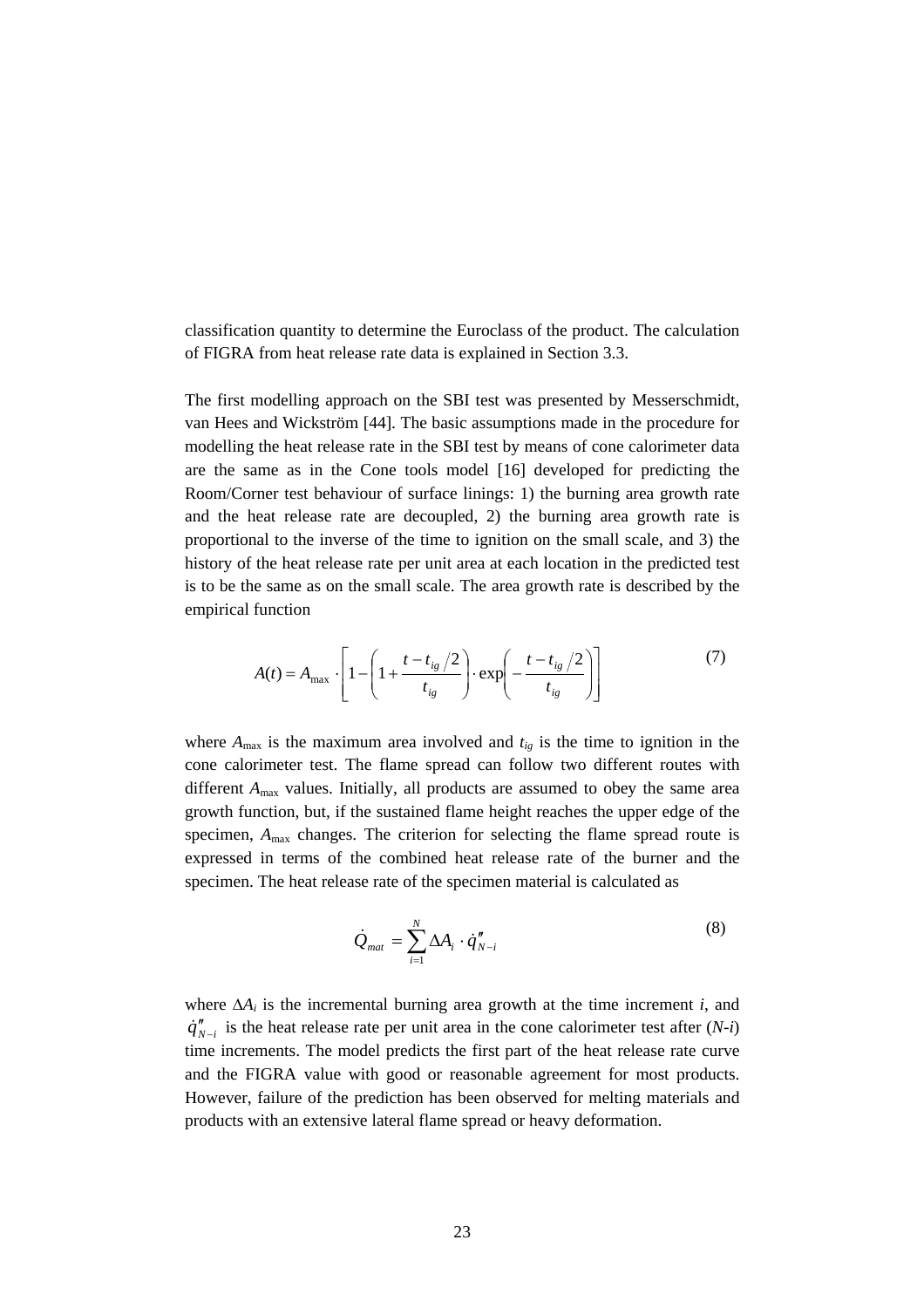classification quantity to determine the Euroclass of the product. The calculation of FIGRA from heat release rate data is explained in Section 3.3.

The first modelling approach on the SBI test was presented by Messerschmidt, van Hees and Wickström [44]. The basic assumptions made in the procedure for modelling the heat release rate in the SBI test by means of cone calorimeter data are the same as in the Cone tools model [16] developed for predicting the Room/Corner test behaviour of surface linings: 1) the burning area growth rate and the heat release rate are decoupled, 2) the burning area growth rate is proportional to the inverse of the time to ignition on the small scale, and 3) the history of the heat release rate per unit area at each location in the predicted test is to be the same as on the small scale. The area growth rate is described by the empirical function

$$
A(t) = A_{\text{max}} \cdot \left[ 1 - \left( 1 + \frac{t - t_{ig}/2}{t_{ig}} \right) \cdot \exp\left( -\frac{t - t_{ig}/2}{t_{ig}} \right) \right]
$$
(7)

where  $A_{\text{max}}$  is the maximum area involved and  $t_{ig}$  is the time to ignition in the cone calorimeter test. The flame spread can follow two different routes with different *A*max values. Initially, all products are assumed to obey the same area growth function, but, if the sustained flame height reaches the upper edge of the specimen,  $A_{\text{max}}$  changes. The criterion for selecting the flame spread route is expressed in terms of the combined heat release rate of the burner and the specimen. The heat release rate of the specimen material is calculated as

$$
\dot{Q}_{mat} = \sum_{i=1}^{N} \Delta A_i \cdot \dot{q}_{N-i}'' \tag{8}
$$

where  $\Delta A_i$  is the incremental burning area growth at the time increment *i*, and  $\dot{q}''_{N-i}$  is the heat release rate per unit area in the cone calorimeter test after (*N-i*) time increments. The model predicts the first part of the heat release rate curve and the FIGRA value with good or reasonable agreement for most products. However, failure of the prediction has been observed for melting materials and products with an extensive lateral flame spread or heavy deformation.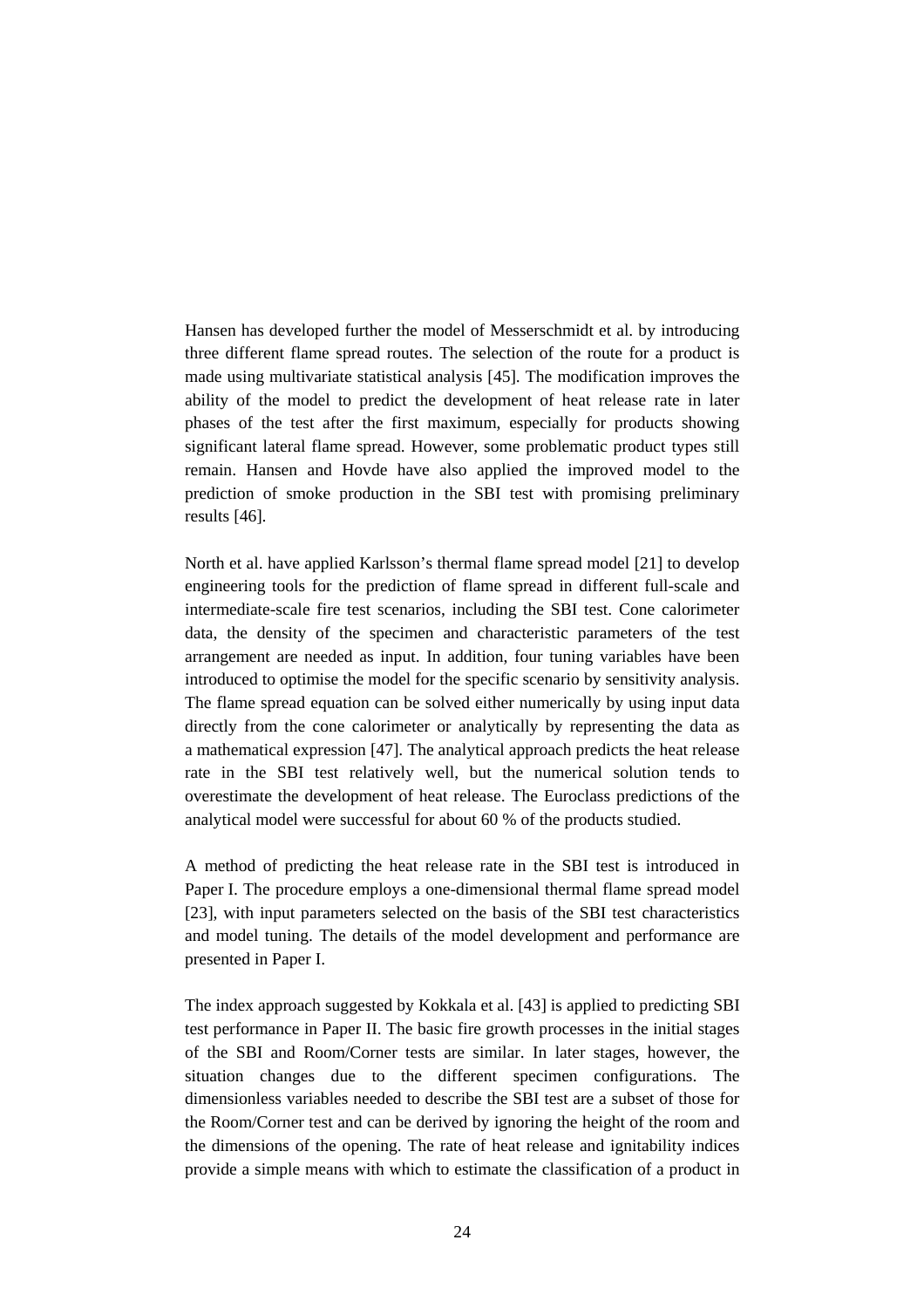Hansen has developed further the model of Messerschmidt et al. by introducing three different flame spread routes. The selection of the route for a product is made using multivariate statistical analysis [45]. The modification improves the ability of the model to predict the development of heat release rate in later phases of the test after the first maximum, especially for products showing significant lateral flame spread. However, some problematic product types still remain. Hansen and Hovde have also applied the improved model to the prediction of smoke production in the SBI test with promising preliminary results [46].

North et al. have applied Karlsson's thermal flame spread model [21] to develop engineering tools for the prediction of flame spread in different full-scale and intermediate-scale fire test scenarios, including the SBI test. Cone calorimeter data, the density of the specimen and characteristic parameters of the test arrangement are needed as input. In addition, four tuning variables have been introduced to optimise the model for the specific scenario by sensitivity analysis. The flame spread equation can be solved either numerically by using input data directly from the cone calorimeter or analytically by representing the data as a mathematical expression [47]. The analytical approach predicts the heat release rate in the SBI test relatively well, but the numerical solution tends to overestimate the development of heat release. The Euroclass predictions of the analytical model were successful for about 60 % of the products studied.

A method of predicting the heat release rate in the SBI test is introduced in Paper I. The procedure employs a one-dimensional thermal flame spread model [23], with input parameters selected on the basis of the SBI test characteristics and model tuning. The details of the model development and performance are presented in Paper I.

The index approach suggested by Kokkala et al. [43] is applied to predicting SBI test performance in Paper II. The basic fire growth processes in the initial stages of the SBI and Room/Corner tests are similar. In later stages, however, the situation changes due to the different specimen configurations. The dimensionless variables needed to describe the SBI test are a subset of those for the Room/Corner test and can be derived by ignoring the height of the room and the dimensions of the opening. The rate of heat release and ignitability indices provide a simple means with which to estimate the classification of a product in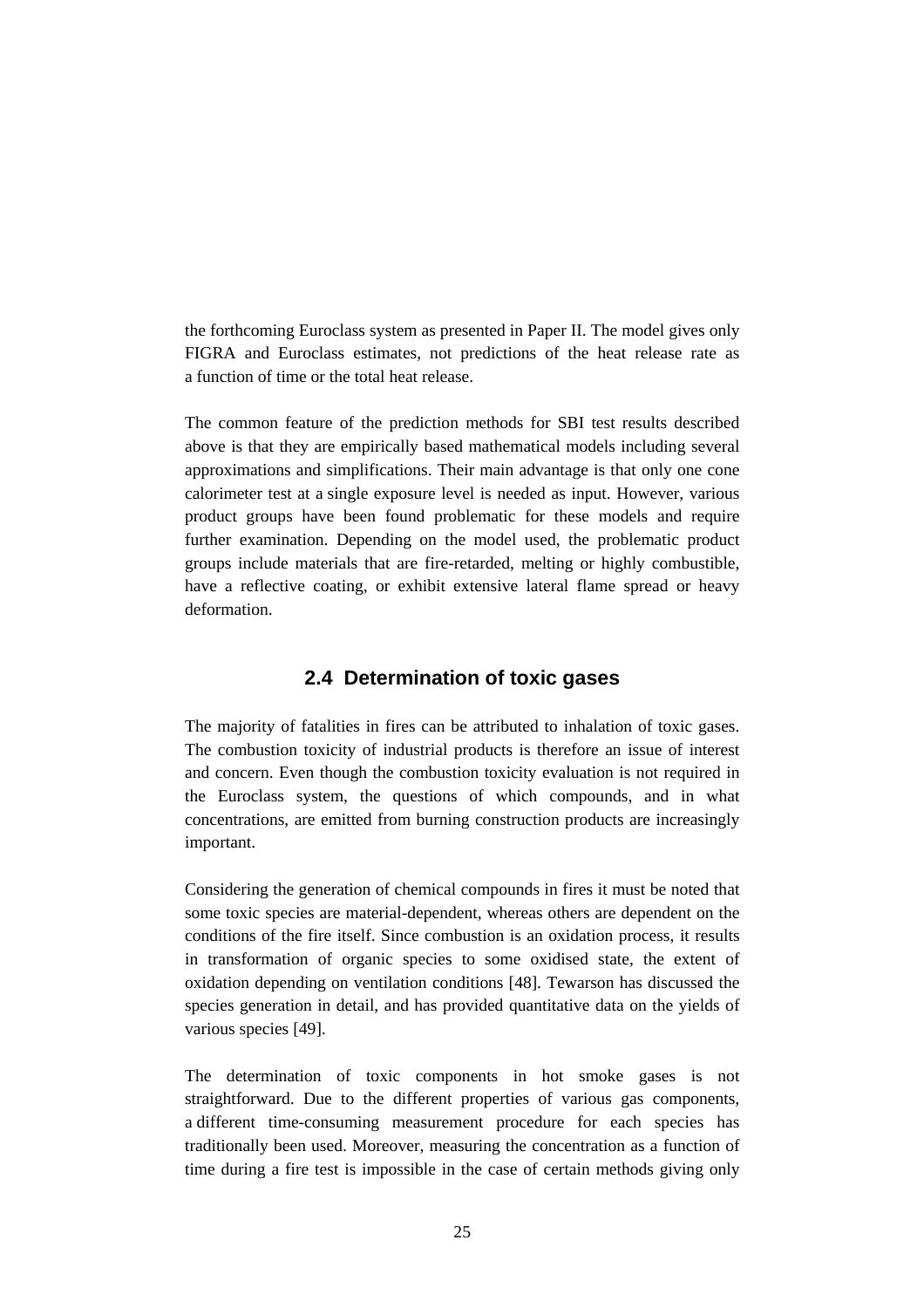the forthcoming Euroclass system as presented in Paper II. The model gives only FIGRA and Euroclass estimates, not predictions of the heat release rate as a function of time or the total heat release.

The common feature of the prediction methods for SBI test results described above is that they are empirically based mathematical models including several approximations and simplifications. Their main advantage is that only one cone calorimeter test at a single exposure level is needed as input. However, various product groups have been found problematic for these models and require further examination. Depending on the model used, the problematic product groups include materials that are fire-retarded, melting or highly combustible, have a reflective coating, or exhibit extensive lateral flame spread or heavy deformation.

#### **2.4 Determination of toxic gases**

The majority of fatalities in fires can be attributed to inhalation of toxic gases. The combustion toxicity of industrial products is therefore an issue of interest and concern. Even though the combustion toxicity evaluation is not required in the Euroclass system, the questions of which compounds, and in what concentrations, are emitted from burning construction products are increasingly important.

Considering the generation of chemical compounds in fires it must be noted that some toxic species are material-dependent, whereas others are dependent on the conditions of the fire itself. Since combustion is an oxidation process, it results in transformation of organic species to some oxidised state, the extent of oxidation depending on ventilation conditions [48]. Tewarson has discussed the species generation in detail, and has provided quantitative data on the yields of various species [49].

The determination of toxic components in hot smoke gases is not straightforward. Due to the different properties of various gas components, a different time-consuming measurement procedure for each species has traditionally been used. Moreover, measuring the concentration as a function of time during a fire test is impossible in the case of certain methods giving only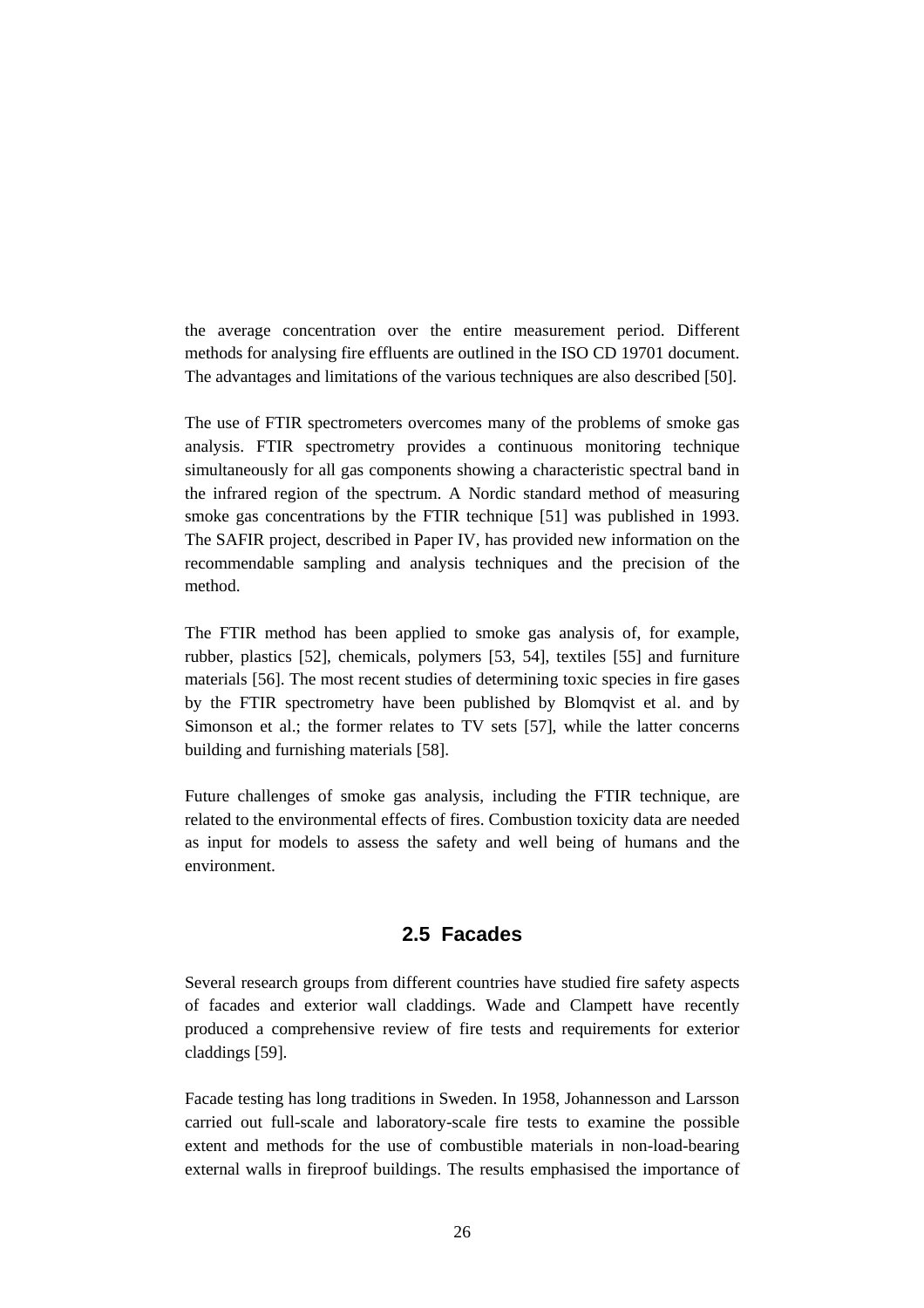the average concentration over the entire measurement period. Different methods for analysing fire effluents are outlined in the ISO CD 19701 document. The advantages and limitations of the various techniques are also described [50].

The use of FTIR spectrometers overcomes many of the problems of smoke gas analysis. FTIR spectrometry provides a continuous monitoring technique simultaneously for all gas components showing a characteristic spectral band in the infrared region of the spectrum. A Nordic standard method of measuring smoke gas concentrations by the FTIR technique [51] was published in 1993. The SAFIR project, described in Paper IV, has provided new information on the recommendable sampling and analysis techniques and the precision of the method.

The FTIR method has been applied to smoke gas analysis of, for example, rubber, plastics [52], chemicals, polymers [53, 54], textiles [55] and furniture materials [56]. The most recent studies of determining toxic species in fire gases by the FTIR spectrometry have been published by Blomqvist et al. and by Simonson et al.; the former relates to TV sets [57], while the latter concerns building and furnishing materials [58].

Future challenges of smoke gas analysis, including the FTIR technique, are related to the environmental effects of fires. Combustion toxicity data are needed as input for models to assess the safety and well being of humans and the environment.

#### **2.5 Facades**

Several research groups from different countries have studied fire safety aspects of facades and exterior wall claddings. Wade and Clampett have recently produced a comprehensive review of fire tests and requirements for exterior claddings [59].

Facade testing has long traditions in Sweden. In 1958, Johannesson and Larsson carried out full-scale and laboratory-scale fire tests to examine the possible extent and methods for the use of combustible materials in non-load-bearing external walls in fireproof buildings. The results emphasised the importance of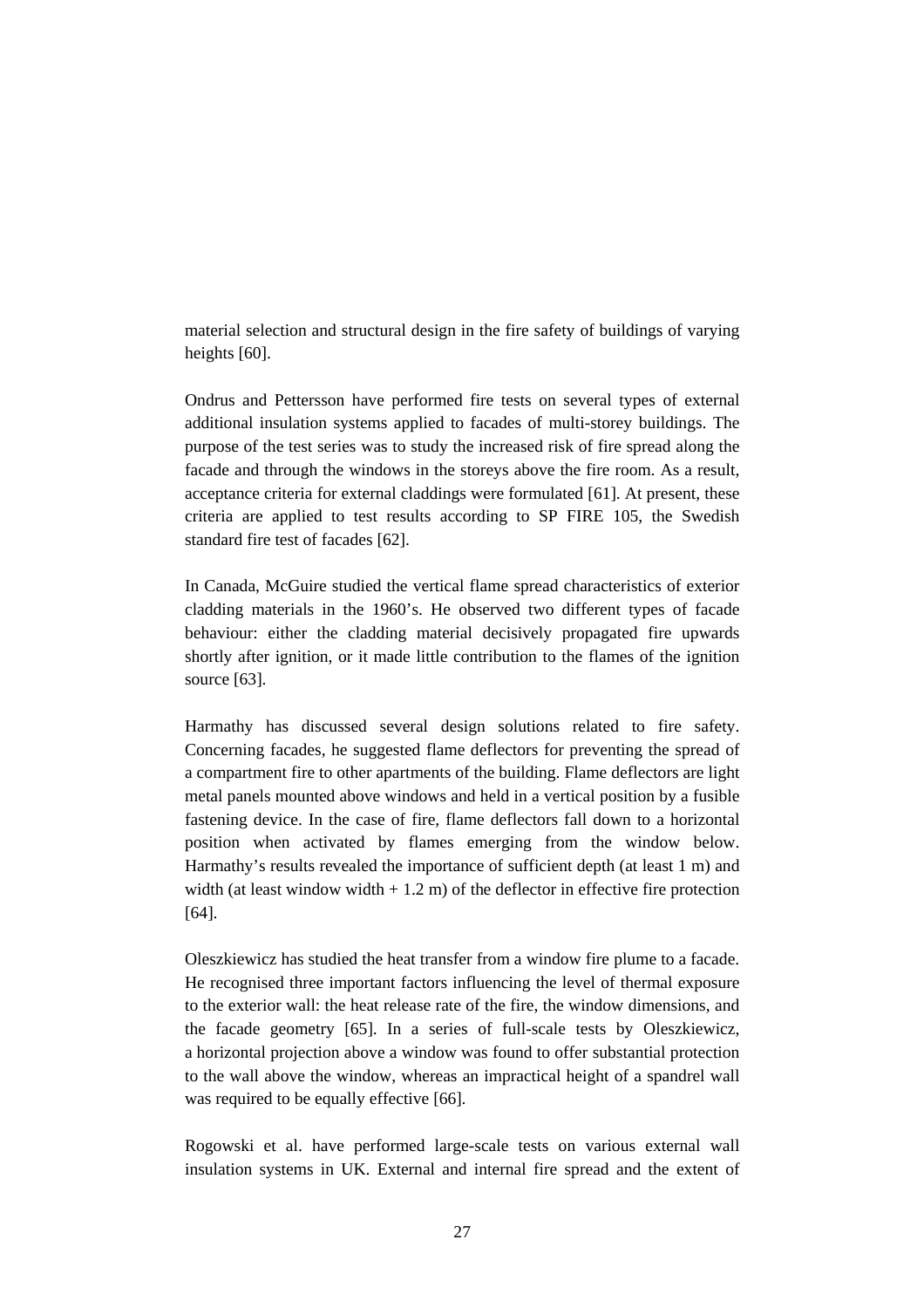material selection and structural design in the fire safety of buildings of varying heights [60].

Ondrus and Pettersson have performed fire tests on several types of external additional insulation systems applied to facades of multi-storey buildings. The purpose of the test series was to study the increased risk of fire spread along the facade and through the windows in the storeys above the fire room. As a result, acceptance criteria for external claddings were formulated [61]. At present, these criteria are applied to test results according to SP FIRE 105, the Swedish standard fire test of facades [62].

In Canada, McGuire studied the vertical flame spread characteristics of exterior cladding materials in the 1960's. He observed two different types of facade behaviour: either the cladding material decisively propagated fire upwards shortly after ignition, or it made little contribution to the flames of the ignition source [63].

Harmathy has discussed several design solutions related to fire safety. Concerning facades, he suggested flame deflectors for preventing the spread of a compartment fire to other apartments of the building. Flame deflectors are light metal panels mounted above windows and held in a vertical position by a fusible fastening device. In the case of fire, flame deflectors fall down to a horizontal position when activated by flames emerging from the window below. Harmathy's results revealed the importance of sufficient depth (at least 1 m) and width (at least window width  $+ 1.2$  m) of the deflector in effective fire protection [64].

Oleszkiewicz has studied the heat transfer from a window fire plume to a facade. He recognised three important factors influencing the level of thermal exposure to the exterior wall: the heat release rate of the fire, the window dimensions, and the facade geometry [65]. In a series of full-scale tests by Oleszkiewicz, a horizontal projection above a window was found to offer substantial protection to the wall above the window, whereas an impractical height of a spandrel wall was required to be equally effective [66].

Rogowski et al. have performed large-scale tests on various external wall insulation systems in UK. External and internal fire spread and the extent of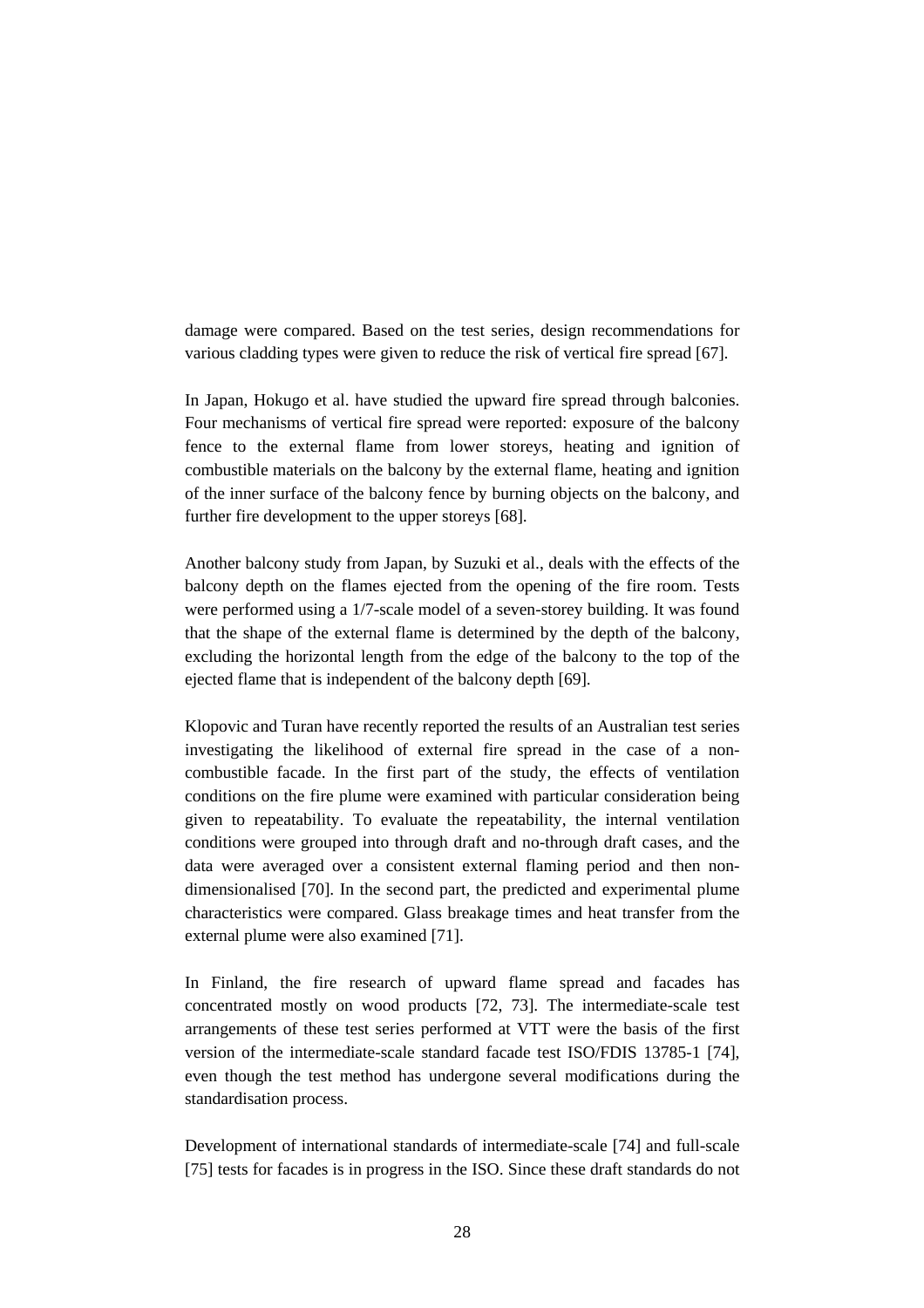damage were compared. Based on the test series, design recommendations for various cladding types were given to reduce the risk of vertical fire spread [67].

In Japan, Hokugo et al. have studied the upward fire spread through balconies. Four mechanisms of vertical fire spread were reported: exposure of the balcony fence to the external flame from lower storeys, heating and ignition of combustible materials on the balcony by the external flame, heating and ignition of the inner surface of the balcony fence by burning objects on the balcony, and further fire development to the upper storeys [68].

Another balcony study from Japan, by Suzuki et al., deals with the effects of the balcony depth on the flames ejected from the opening of the fire room. Tests were performed using a 1/7-scale model of a seven-storey building. It was found that the shape of the external flame is determined by the depth of the balcony, excluding the horizontal length from the edge of the balcony to the top of the ejected flame that is independent of the balcony depth [69].

Klopovic and Turan have recently reported the results of an Australian test series investigating the likelihood of external fire spread in the case of a noncombustible facade. In the first part of the study, the effects of ventilation conditions on the fire plume were examined with particular consideration being given to repeatability. To evaluate the repeatability, the internal ventilation conditions were grouped into through draft and no-through draft cases, and the data were averaged over a consistent external flaming period and then nondimensionalised [70]. In the second part, the predicted and experimental plume characteristics were compared. Glass breakage times and heat transfer from the external plume were also examined [71].

In Finland, the fire research of upward flame spread and facades has concentrated mostly on wood products [72, 73]. The intermediate-scale test arrangements of these test series performed at VTT were the basis of the first version of the intermediate-scale standard facade test ISO/FDIS 13785-1 [74], even though the test method has undergone several modifications during the standardisation process.

Development of international standards of intermediate-scale [74] and full-scale [75] tests for facades is in progress in the ISO. Since these draft standards do not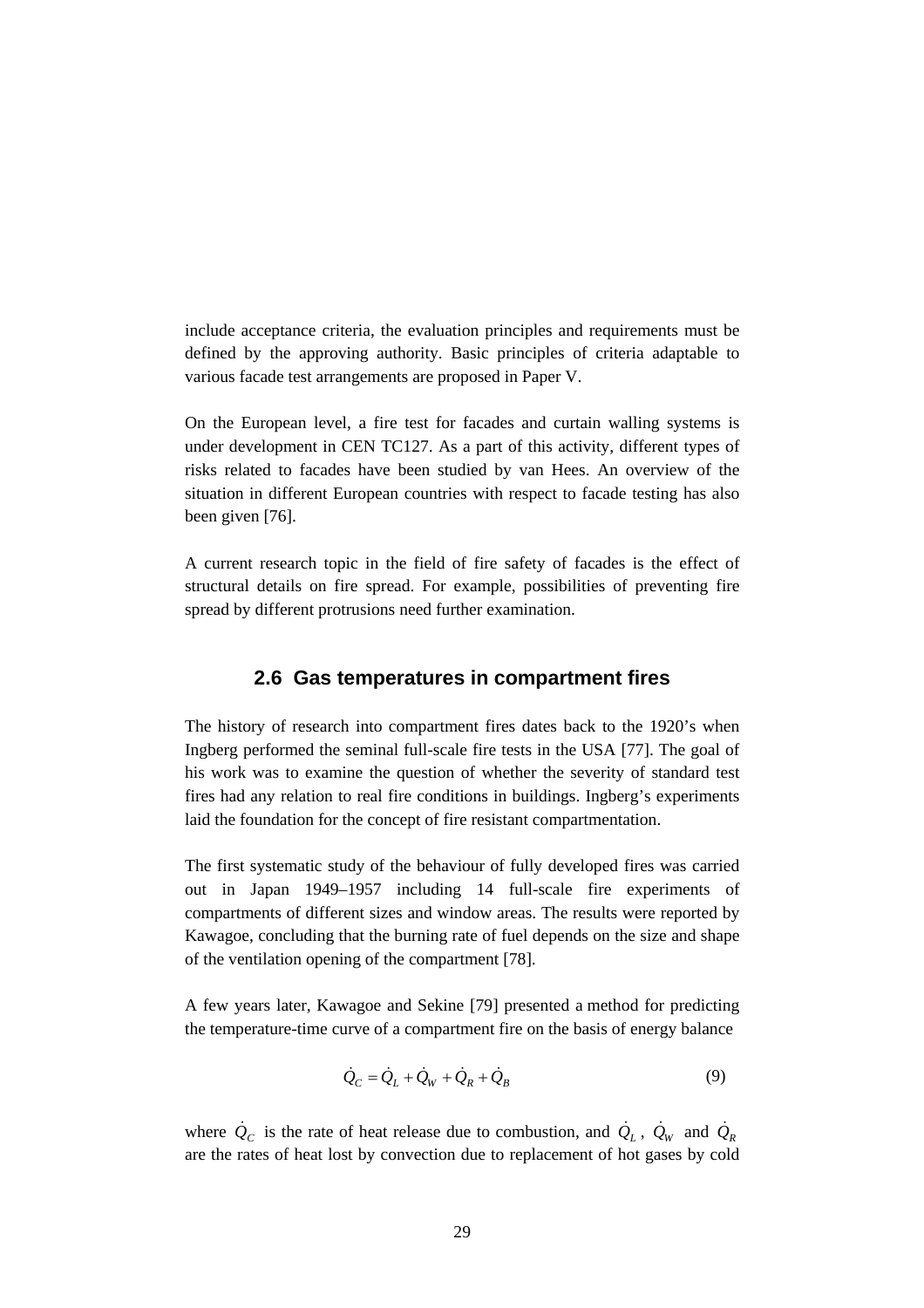include acceptance criteria, the evaluation principles and requirements must be defined by the approving authority. Basic principles of criteria adaptable to various facade test arrangements are proposed in Paper V.

On the European level, a fire test for facades and curtain walling systems is under development in CEN TC127. As a part of this activity, different types of risks related to facades have been studied by van Hees. An overview of the situation in different European countries with respect to facade testing has also been given [76].

A current research topic in the field of fire safety of facades is the effect of structural details on fire spread. For example, possibilities of preventing fire spread by different protrusions need further examination.

#### **2.6 Gas temperatures in compartment fires**

The history of research into compartment fires dates back to the 1920's when Ingberg performed the seminal full-scale fire tests in the USA [77]. The goal of his work was to examine the question of whether the severity of standard test fires had any relation to real fire conditions in buildings. Ingberg's experiments laid the foundation for the concept of fire resistant compartmentation.

The first systematic study of the behaviour of fully developed fires was carried out in Japan 1949–1957 including 14 full-scale fire experiments of compartments of different sizes and window areas. The results were reported by Kawagoe, concluding that the burning rate of fuel depends on the size and shape of the ventilation opening of the compartment [78].

A few years later, Kawagoe and Sekine [79] presented a method for predicting the temperature-time curve of a compartment fire on the basis of energy balance

$$
\dot{Q}_C = \dot{Q}_L + \dot{Q}_W + \dot{Q}_R + \dot{Q}_B \tag{9}
$$

where  $\dot{Q}_C$  is the rate of heat release due to combustion, and  $\dot{Q}_L$ ,  $\dot{Q}_W$  and  $\dot{Q}_R$ are the rates of heat lost by convection due to replacement of hot gases by cold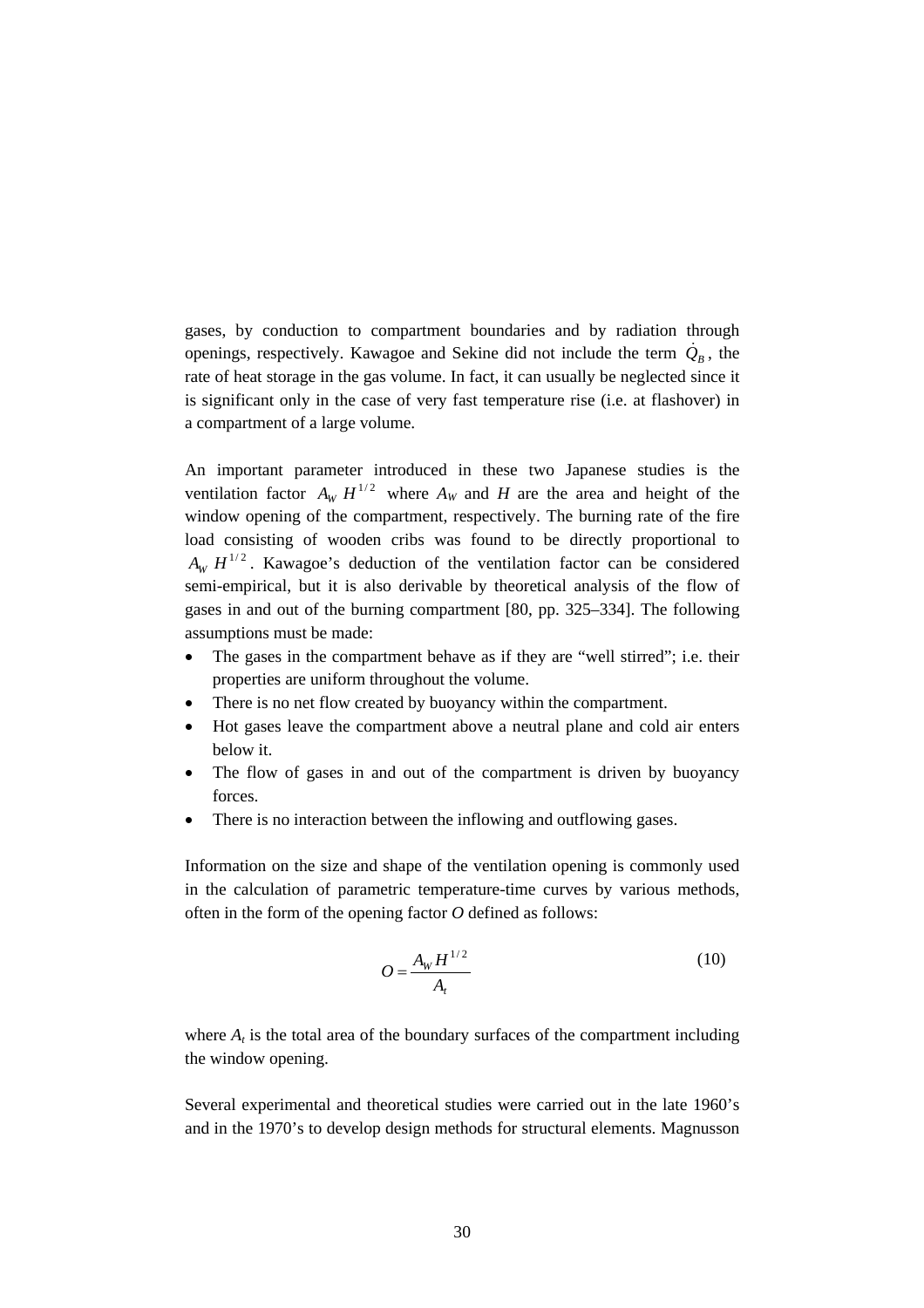gases, by conduction to compartment boundaries and by radiation through openings, respectively. Kawagoe and Sekine did not include the term  $\dot{Q}_B$ , the rate of heat storage in the gas volume. In fact, it can usually be neglected since it is significant only in the case of very fast temperature rise (i.e. at flashover) in a compartment of a large volume.

An important parameter introduced in these two Japanese studies is the ventilation factor  $A_w H^{1/2}$  where  $A_w$  and *H* are the area and height of the window opening of the compartment, respectively. The burning rate of the fire load consisting of wooden cribs was found to be directly proportional to  $A_w$   $H^{1/2}$ . Kawagoe's deduction of the ventilation factor can be considered semi-empirical, but it is also derivable by theoretical analysis of the flow of gases in and out of the burning compartment [80, pp. 325–334]. The following assumptions must be made:

- The gases in the compartment behave as if they are "well stirred"; i.e. their properties are uniform throughout the volume.
- There is no net flow created by buoyancy within the compartment.
- Hot gases leave the compartment above a neutral plane and cold air enters below it.
- The flow of gases in and out of the compartment is driven by buoyancy forces.
- There is no interaction between the inflowing and outflowing gases.

Information on the size and shape of the ventilation opening is commonly used in the calculation of parametric temperature-time curves by various methods, often in the form of the opening factor *O* defined as follows:

$$
O = \frac{A_W H^{1/2}}{A_t} \tag{10}
$$

where  $A_t$  is the total area of the boundary surfaces of the compartment including the window opening.

Several experimental and theoretical studies were carried out in the late 1960's and in the 1970's to develop design methods for structural elements. Magnusson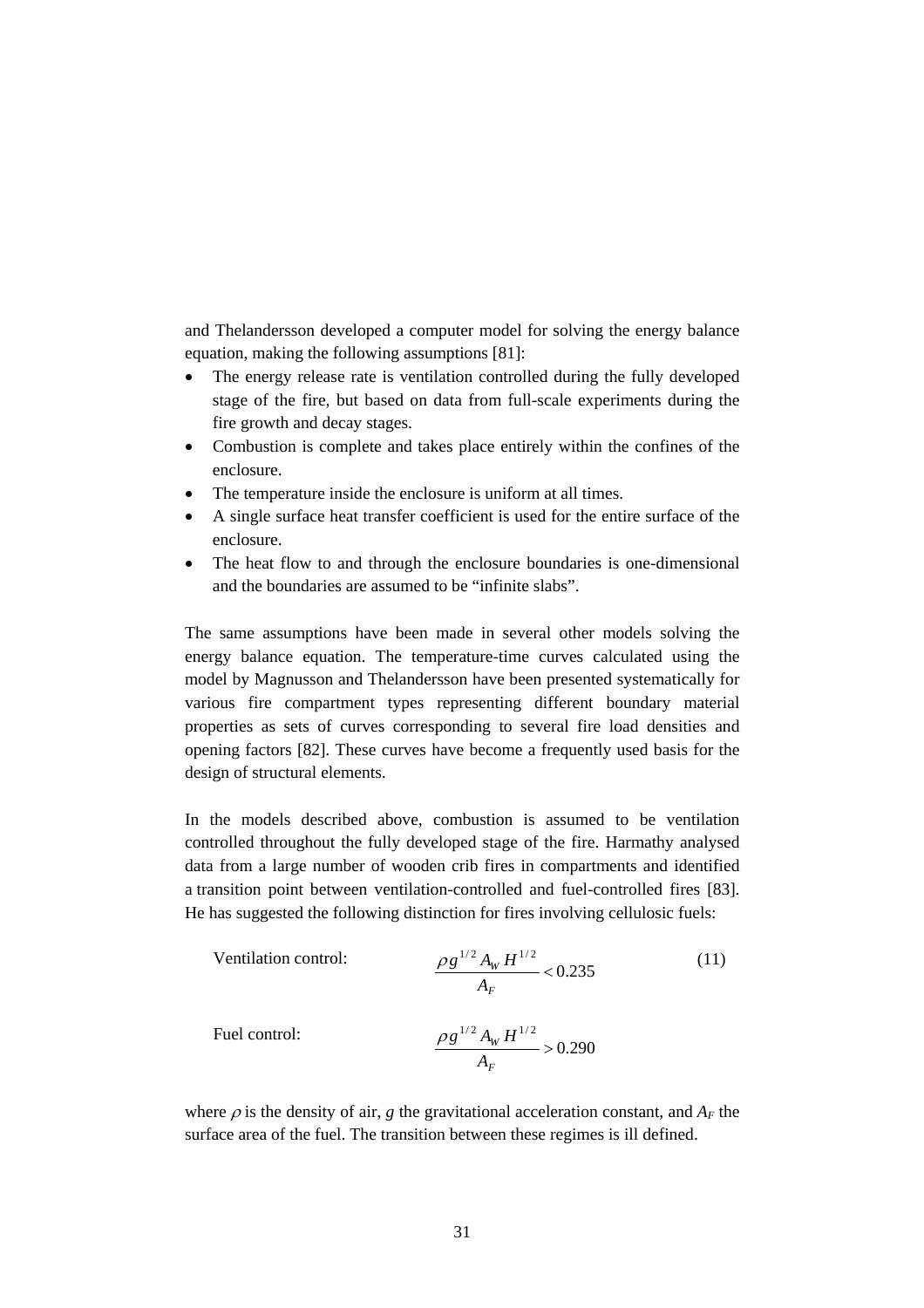and Thelandersson developed a computer model for solving the energy balance equation, making the following assumptions [81]:

- The energy release rate is ventilation controlled during the fully developed stage of the fire, but based on data from full-scale experiments during the fire growth and decay stages.
- Combustion is complete and takes place entirely within the confines of the enclosure.
- The temperature inside the enclosure is uniform at all times.
- A single surface heat transfer coefficient is used for the entire surface of the enclosure.
- The heat flow to and through the enclosure boundaries is one-dimensional and the boundaries are assumed to be "infinite slabs".

The same assumptions have been made in several other models solving the energy balance equation. The temperature-time curves calculated using the model by Magnusson and Thelandersson have been presented systematically for various fire compartment types representing different boundary material properties as sets of curves corresponding to several fire load densities and opening factors [82]. These curves have become a frequently used basis for the design of structural elements.

In the models described above, combustion is assumed to be ventilation controlled throughout the fully developed stage of the fire. Harmathy analysed data from a large number of wooden crib fires in compartments and identified a transition point between ventilation-controlled and fuel-controlled fires [83]. He has suggested the following distinction for fires involving cellulosic fuels:

Vertical function of the equation is given by:

\n
$$
\frac{\rho g^{1/2} A_W H^{1/2}}{A_F} < 0.235 \tag{11}
$$
\nFind the equation:

\n
$$
\frac{\rho g^{1/2} A_W H^{1/2}}{A_F} > 0.290
$$
\nUsing the equation:

\n
$$
\frac{\rho g^{1/2} A_W H^{1/2}}{A_F} > 0.290
$$
\nUsing the equation:

\n
$$
\frac{\rho g^{1/2} A_W H^{1/2}}{A_F} > 0.290
$$
\nUsing the equation:

\n
$$
\frac{\rho g^{1/2} A_W H^{1/2}}{A_F} > 0.290
$$
\nUsing the equation:

\n
$$
\frac{\rho g^{1/2} A_W H^{1/2}}{A_F} > 0.290
$$
\nUsing the equation:

\n
$$
\frac{\rho g^{1/2} A_W H^{1/2}}{A_F} > 0.290
$$
\nUsing the equation:

\n
$$
\frac{\rho g^{1/2} A_W H^{1/2}}{A_F} > 0.290
$$
\nUsing the equation:

\n
$$
\frac{\rho g^{1/2} A_W H^{1/2}}{A_F} > 0.290
$$
\nUsing the equation:

\n
$$
\frac{\rho g^{1/2} A_W H^{1/2}}{A_F} > 0.290
$$
\nUsing the equation:

\n
$$
\frac{\rho g^{1/2} A_W H^{1/2}}{A_F} > 0.290
$$
\nUsing the equation:

\n
$$
\frac{\rho g^{1/2} A_W H^{1/2}}{A_F} > 0.290
$$
\nUsing the equation:

\n
$$
\frac{\rho g^{1/2} A_W H^{1/2}}{A_F} > 0.290
$$
\nUsing the equation:

\n
$$
\frac{\rho g^{1/2} A_W H^{1/2}}{A_F} > 0.290
$$
\nUsing the equation:

\n
$$
\frac{\rho g^{1/2} A_W H^{1/2}}{A_F} > 0.290
$$
\nUsing the equation:

\n
$$
\frac{\rho g^{
$$

where  $\rho$  is the density of air, *g* the gravitational acceleration constant, and  $A_F$  the surface area of the fuel. The transition between these regimes is ill defined.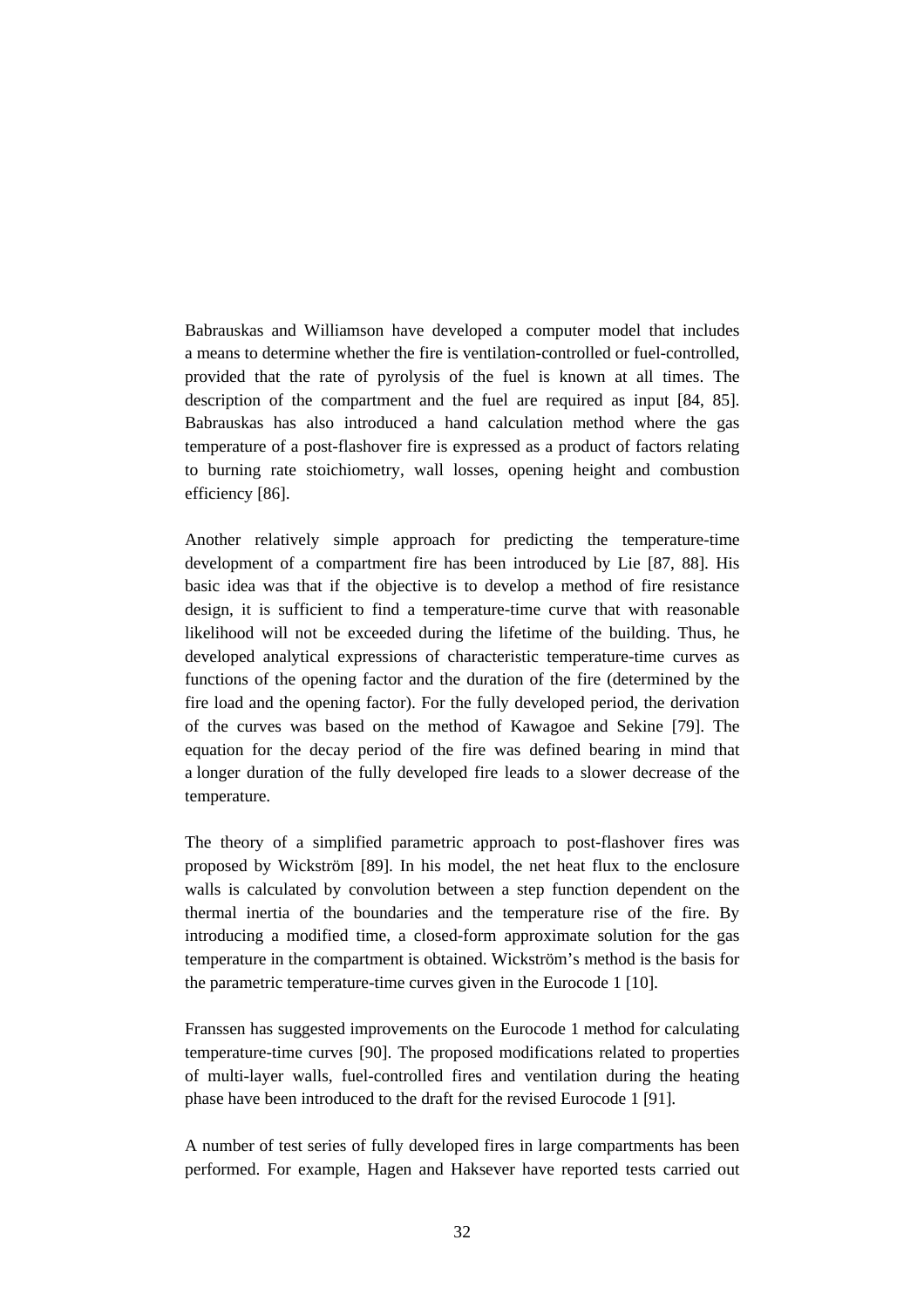Babrauskas and Williamson have developed a computer model that includes a means to determine whether the fire is ventilation-controlled or fuel-controlled, provided that the rate of pyrolysis of the fuel is known at all times. The description of the compartment and the fuel are required as input [84, 85]. Babrauskas has also introduced a hand calculation method where the gas temperature of a post-flashover fire is expressed as a product of factors relating to burning rate stoichiometry, wall losses, opening height and combustion efficiency [86].

Another relatively simple approach for predicting the temperature-time development of a compartment fire has been introduced by Lie [87, 88]. His basic idea was that if the objective is to develop a method of fire resistance design, it is sufficient to find a temperature-time curve that with reasonable likelihood will not be exceeded during the lifetime of the building. Thus, he developed analytical expressions of characteristic temperature-time curves as functions of the opening factor and the duration of the fire (determined by the fire load and the opening factor). For the fully developed period, the derivation of the curves was based on the method of Kawagoe and Sekine [79]. The equation for the decay period of the fire was defined bearing in mind that a longer duration of the fully developed fire leads to a slower decrease of the temperature.

The theory of a simplified parametric approach to post-flashover fires was proposed by Wickström [89]. In his model, the net heat flux to the enclosure walls is calculated by convolution between a step function dependent on the thermal inertia of the boundaries and the temperature rise of the fire. By introducing a modified time, a closed-form approximate solution for the gas temperature in the compartment is obtained. Wickström's method is the basis for the parametric temperature-time curves given in the Eurocode 1 [10].

Franssen has suggested improvements on the Eurocode 1 method for calculating temperature-time curves [90]. The proposed modifications related to properties of multi-layer walls, fuel-controlled fires and ventilation during the heating phase have been introduced to the draft for the revised Eurocode 1 [91].

A number of test series of fully developed fires in large compartments has been performed. For example, Hagen and Haksever have reported tests carried out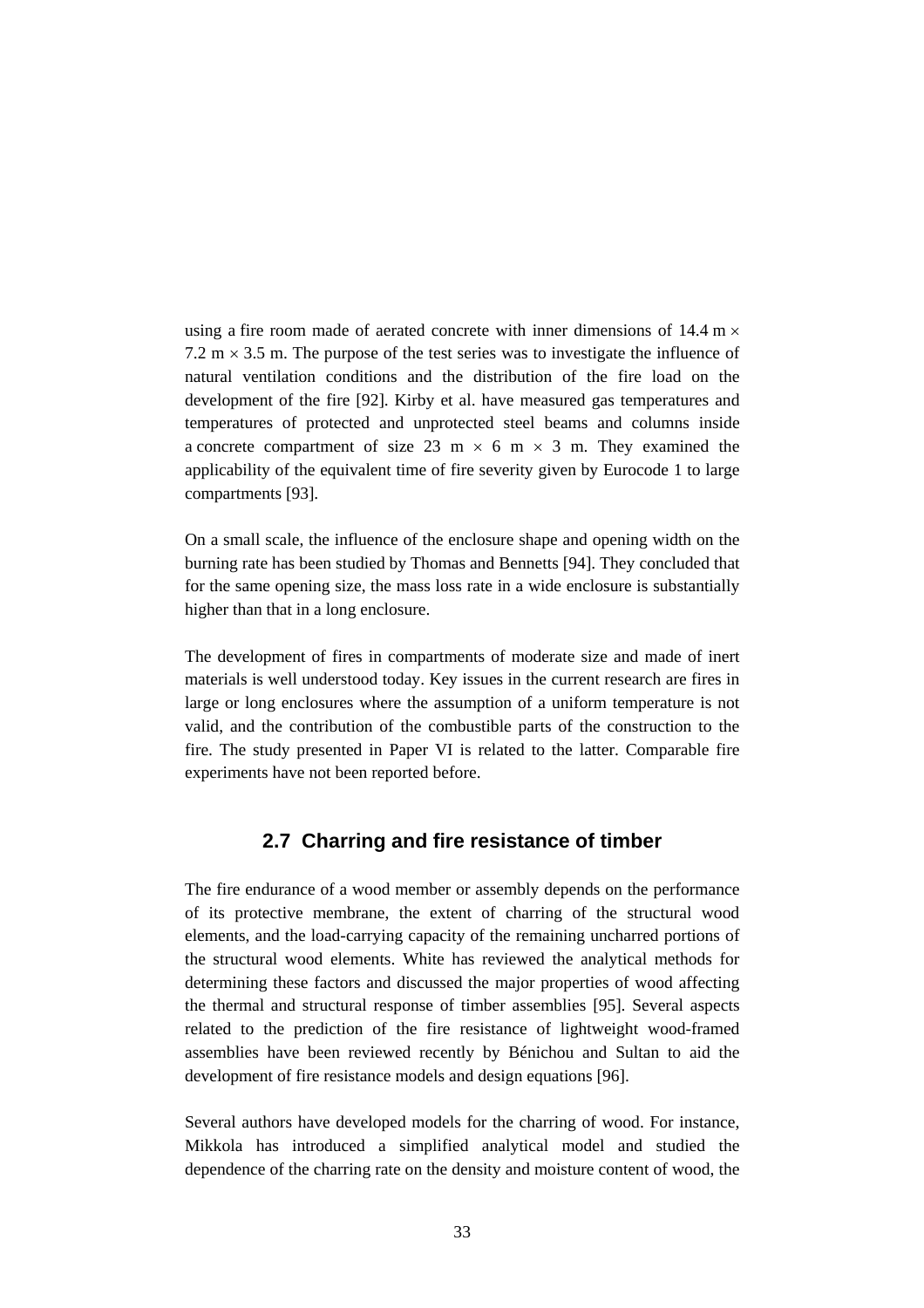using a fire room made of aerated concrete with inner dimensions of 14.4 m  $\times$ 7.2 m  $\times$  3.5 m. The purpose of the test series was to investigate the influence of natural ventilation conditions and the distribution of the fire load on the development of the fire [92]. Kirby et al. have measured gas temperatures and temperatures of protected and unprotected steel beams and columns inside a concrete compartment of size 23 m  $\times$  6 m  $\times$  3 m. They examined the applicability of the equivalent time of fire severity given by Eurocode 1 to large compartments [93].

On a small scale, the influence of the enclosure shape and opening width on the burning rate has been studied by Thomas and Bennetts [94]. They concluded that for the same opening size, the mass loss rate in a wide enclosure is substantially higher than that in a long enclosure.

The development of fires in compartments of moderate size and made of inert materials is well understood today. Key issues in the current research are fires in large or long enclosures where the assumption of a uniform temperature is not valid, and the contribution of the combustible parts of the construction to the fire. The study presented in Paper VI is related to the latter. Comparable fire experiments have not been reported before.

#### **2.7 Charring and fire resistance of timber**

The fire endurance of a wood member or assembly depends on the performance of its protective membrane, the extent of charring of the structural wood elements, and the load-carrying capacity of the remaining uncharred portions of the structural wood elements. White has reviewed the analytical methods for determining these factors and discussed the major properties of wood affecting the thermal and structural response of timber assemblies [95]. Several aspects related to the prediction of the fire resistance of lightweight wood-framed assemblies have been reviewed recently by Bénichou and Sultan to aid the development of fire resistance models and design equations [96].

Several authors have developed models for the charring of wood. For instance, Mikkola has introduced a simplified analytical model and studied the dependence of the charring rate on the density and moisture content of wood, the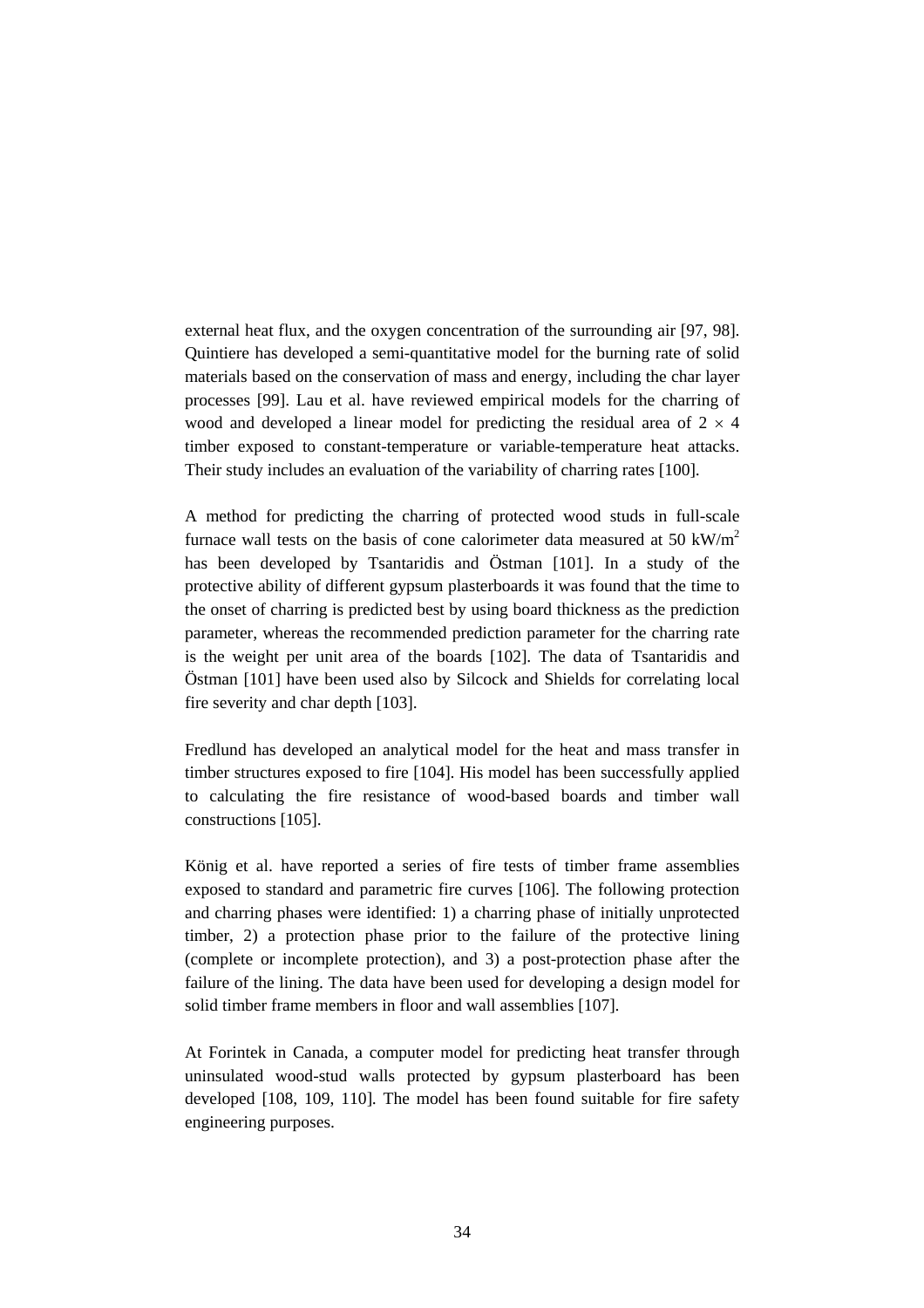external heat flux, and the oxygen concentration of the surrounding air [97, 98]. Quintiere has developed a semi-quantitative model for the burning rate of solid materials based on the conservation of mass and energy, including the char layer processes [99]. Lau et al. have reviewed empirical models for the charring of wood and developed a linear model for predicting the residual area of  $2 \times 4$ timber exposed to constant-temperature or variable-temperature heat attacks. Their study includes an evaluation of the variability of charring rates [100].

A method for predicting the charring of protected wood studs in full-scale furnace wall tests on the basis of cone calorimeter data measured at 50 kW/ $m^2$ has been developed by Tsantaridis and Östman [101]. In a study of the protective ability of different gypsum plasterboards it was found that the time to the onset of charring is predicted best by using board thickness as the prediction parameter, whereas the recommended prediction parameter for the charring rate is the weight per unit area of the boards [102]. The data of Tsantaridis and Östman [101] have been used also by Silcock and Shields for correlating local fire severity and char depth [103].

Fredlund has developed an analytical model for the heat and mass transfer in timber structures exposed to fire [104]. His model has been successfully applied to calculating the fire resistance of wood-based boards and timber wall constructions [105].

König et al. have reported a series of fire tests of timber frame assemblies exposed to standard and parametric fire curves [106]. The following protection and charring phases were identified: 1) a charring phase of initially unprotected timber, 2) a protection phase prior to the failure of the protective lining (complete or incomplete protection), and 3) a post-protection phase after the failure of the lining. The data have been used for developing a design model for solid timber frame members in floor and wall assemblies [107].

At Forintek in Canada, a computer model for predicting heat transfer through uninsulated wood-stud walls protected by gypsum plasterboard has been developed [108, 109, 110]. The model has been found suitable for fire safety engineering purposes.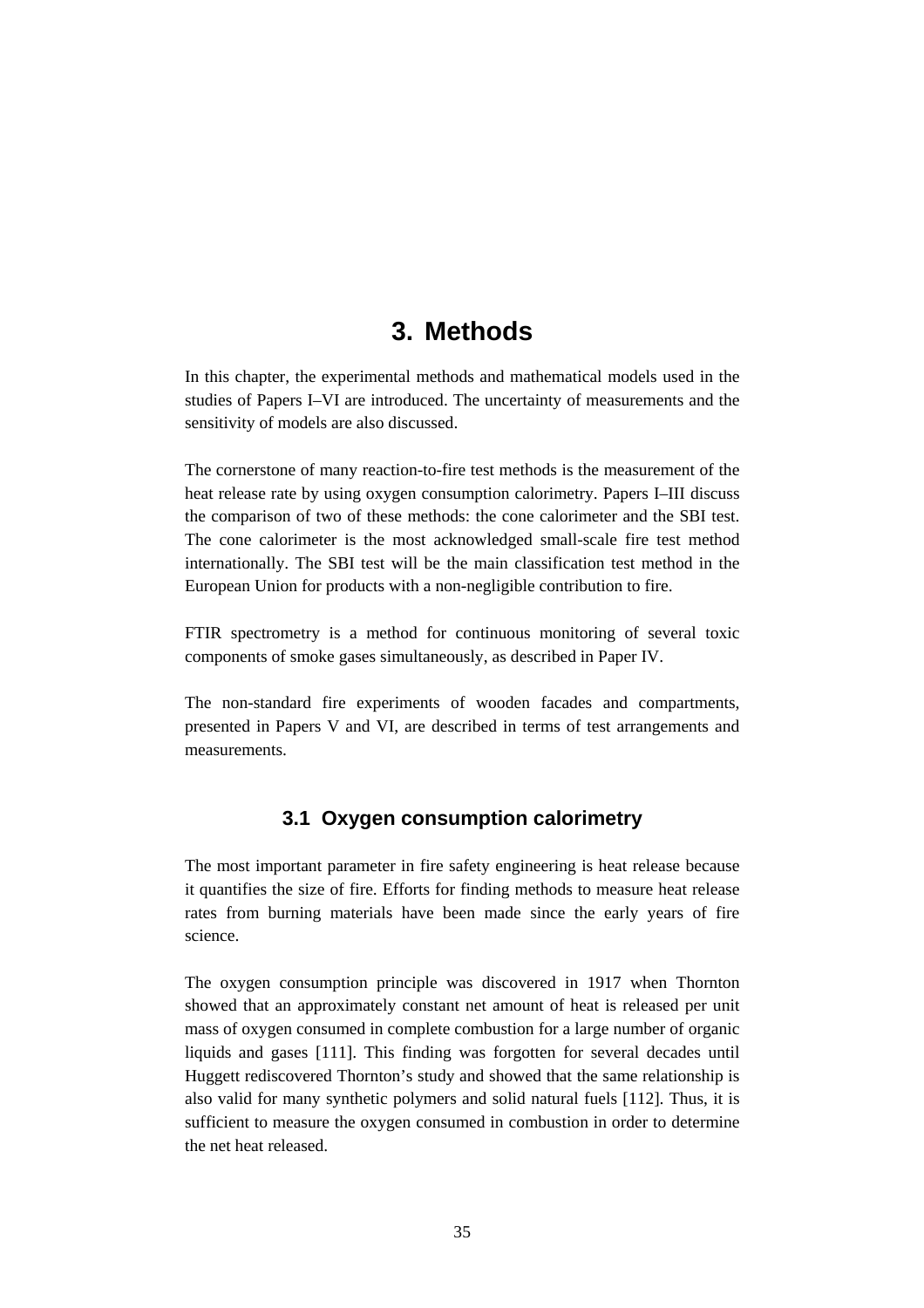# **3. Methods**

In this chapter, the experimental methods and mathematical models used in the studies of Papers I–VI are introduced. The uncertainty of measurements and the sensitivity of models are also discussed.

The cornerstone of many reaction-to-fire test methods is the measurement of the heat release rate by using oxygen consumption calorimetry. Papers I–III discuss the comparison of two of these methods: the cone calorimeter and the SBI test. The cone calorimeter is the most acknowledged small-scale fire test method internationally. The SBI test will be the main classification test method in the European Union for products with a non-negligible contribution to fire.

FTIR spectrometry is a method for continuous monitoring of several toxic components of smoke gases simultaneously, as described in Paper IV.

The non-standard fire experiments of wooden facades and compartments, presented in Papers V and VI, are described in terms of test arrangements and measurements.

# **3.1 Oxygen consumption calorimetry**

The most important parameter in fire safety engineering is heat release because it quantifies the size of fire. Efforts for finding methods to measure heat release rates from burning materials have been made since the early years of fire science.

The oxygen consumption principle was discovered in 1917 when Thornton showed that an approximately constant net amount of heat is released per unit mass of oxygen consumed in complete combustion for a large number of organic liquids and gases [111]. This finding was forgotten for several decades until Huggett rediscovered Thornton's study and showed that the same relationship is also valid for many synthetic polymers and solid natural fuels [112]. Thus, it is sufficient to measure the oxygen consumed in combustion in order to determine the net heat released.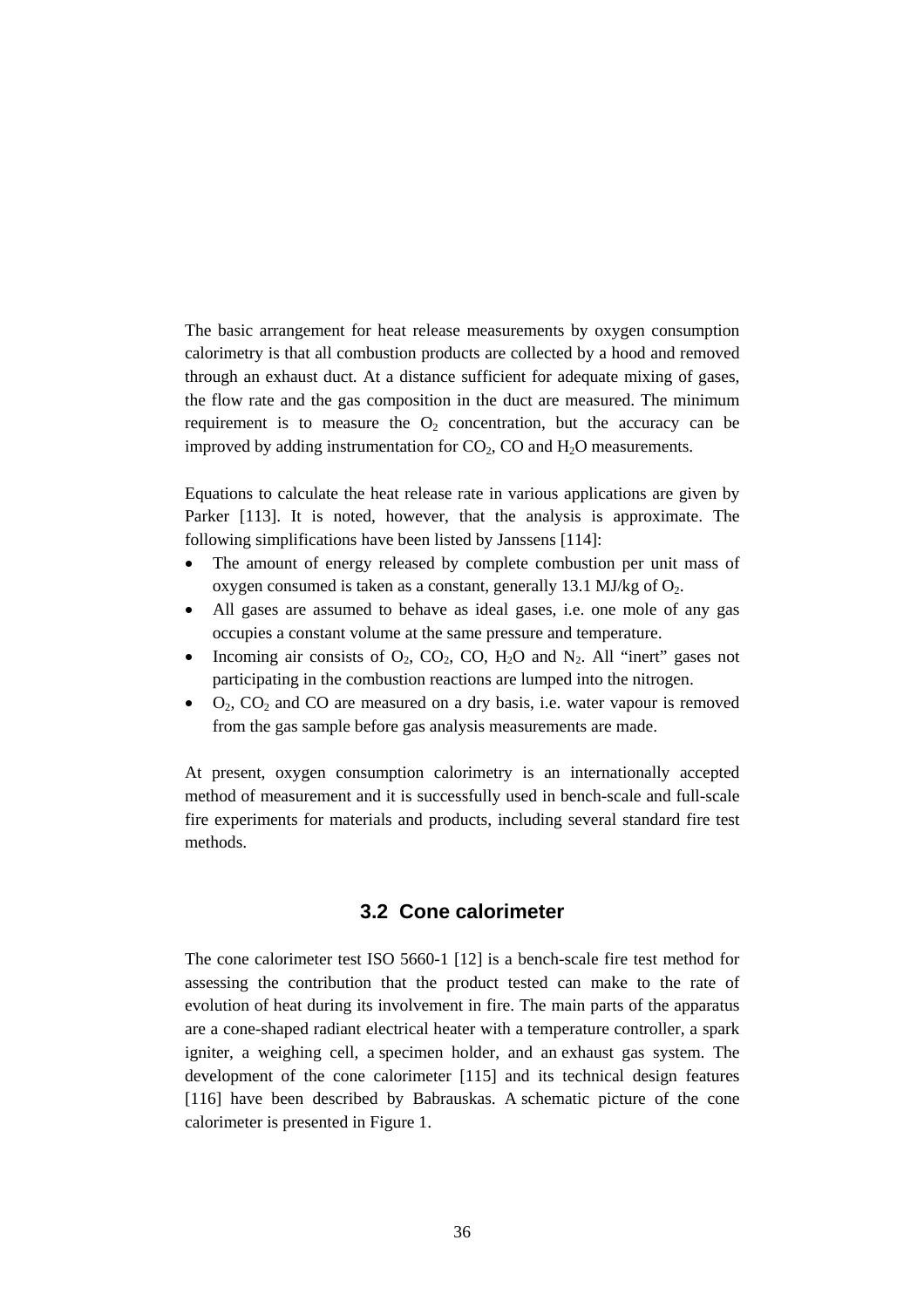The basic arrangement for heat release measurements by oxygen consumption calorimetry is that all combustion products are collected by a hood and removed through an exhaust duct. At a distance sufficient for adequate mixing of gases, the flow rate and the gas composition in the duct are measured. The minimum requirement is to measure the  $O_2$  concentration, but the accuracy can be improved by adding instrumentation for  $CO<sub>2</sub>$ , CO and  $H<sub>2</sub>O$  measurements.

Equations to calculate the heat release rate in various applications are given by Parker [113]. It is noted, however, that the analysis is approximate. The following simplifications have been listed by Janssens [114]:

- The amount of energy released by complete combustion per unit mass of oxygen consumed is taken as a constant, generally 13.1 MJ/kg of  $O<sub>2</sub>$ .
- All gases are assumed to behave as ideal gases, i.e. one mole of any gas occupies a constant volume at the same pressure and temperature.
- Incoming air consists of  $O_2$ ,  $CO_2$ ,  $CO$ ,  $H_2O$  and  $N_2$ . All "inert" gases not participating in the combustion reactions are lumped into the nitrogen.
- $O_2$ ,  $CO_2$  and CO are measured on a dry basis, i.e. water vapour is removed from the gas sample before gas analysis measurements are made.

At present, oxygen consumption calorimetry is an internationally accepted method of measurement and it is successfully used in bench-scale and full-scale fire experiments for materials and products, including several standard fire test methods.

## **3.2 Cone calorimeter**

The cone calorimeter test ISO 5660-1 [12] is a bench-scale fire test method for assessing the contribution that the product tested can make to the rate of evolution of heat during its involvement in fire. The main parts of the apparatus are a cone-shaped radiant electrical heater with a temperature controller, a spark igniter, a weighing cell, a specimen holder, and an exhaust gas system. The development of the cone calorimeter [115] and its technical design features [116] have been described by Babrauskas. A schematic picture of the cone calorimeter is presented in Figure 1.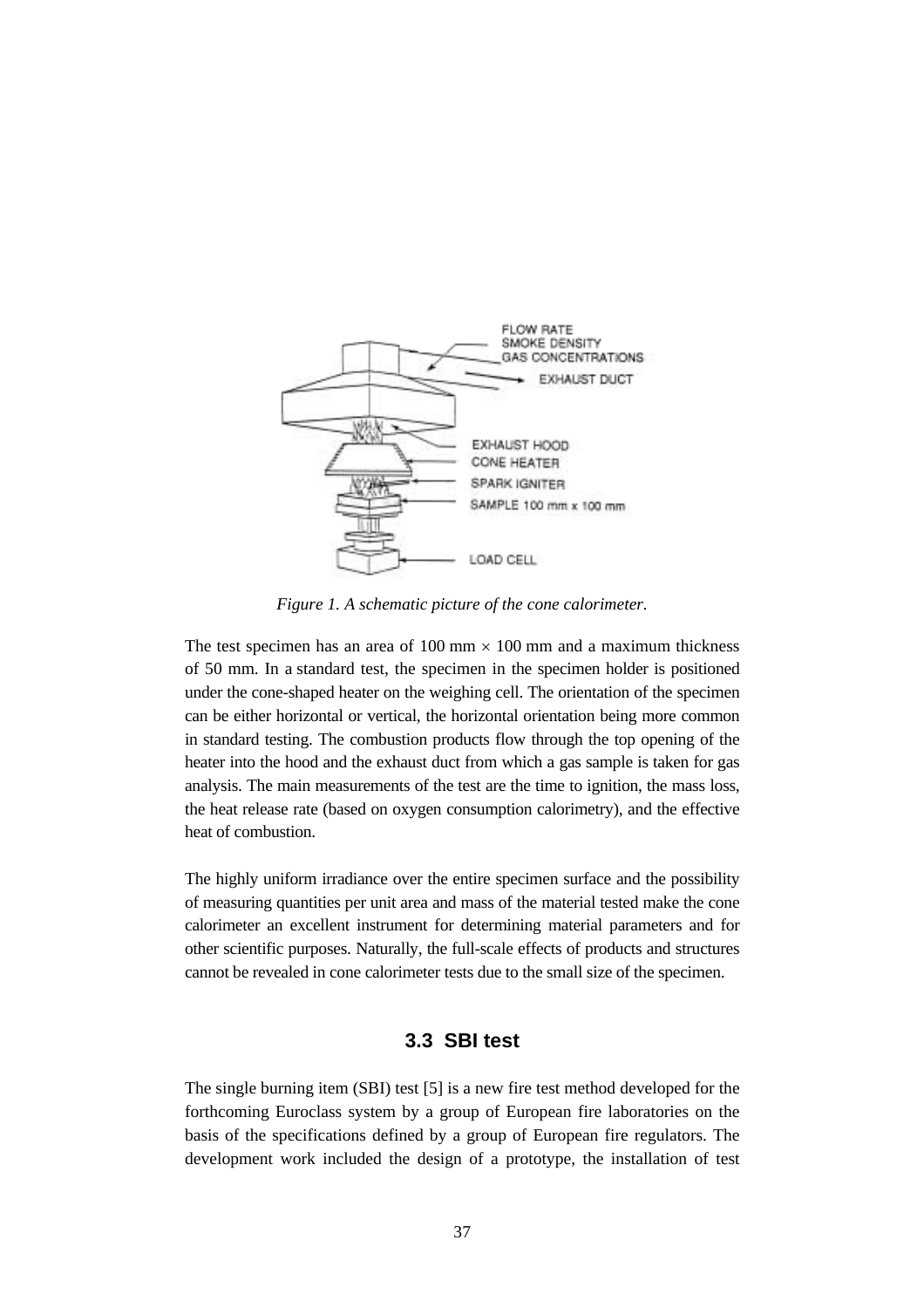

*Figure 1. A schematic picture of the cone calorimeter.*

The test specimen has an area of  $100 \text{ mm} \times 100 \text{ mm}$  and a maximum thickness of 50 mm. In a standard test, the specimen in the specimen holder is positioned under the cone-shaped heater on the weighing cell. The orientation of the specimen can be either horizontal or vertical, the horizontal orientation being more common in standard testing. The combustion products flow through the top opening of the heater into the hood and the exhaust duct from which a gas sample is taken for gas analysis. The main measurements of the test are the time to ignition, the mass loss, the heat release rate (based on oxygen consumption calorimetry), and the effective heat of combustion.

The highly uniform irradiance over the entire specimen surface and the possibility of measuring quantities per unit area and mass of the material tested make the cone calorimeter an excellent instrument for determining material parameters and for other scientific purposes. Naturally, the full-scale effects of products and structures cannot be revealed in cone calorimeter tests due to the small size of the specimen.

# **3.3 SBI test**

The single burning item (SBI) test [5] is a new fire test method developed for the forthcoming Euroclass system by a group of European fire laboratories on the basis of the specifications defined by a group of European fire regulators. The development work included the design of a prototype, the installation of test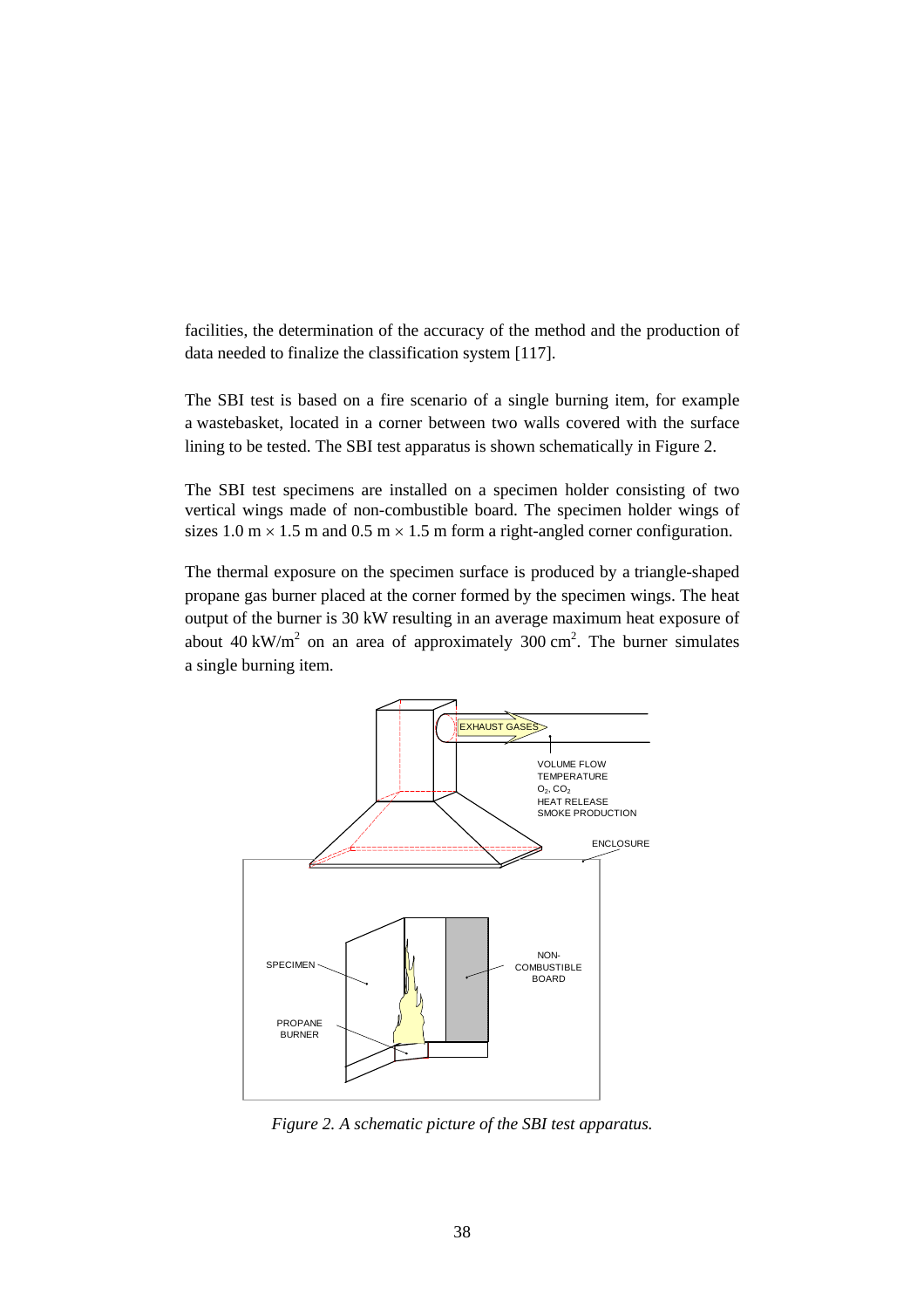facilities, the determination of the accuracy of the method and the production of data needed to finalize the classification system [117].

The SBI test is based on a fire scenario of a single burning item, for example a wastebasket, located in a corner between two walls covered with the surface lining to be tested. The SBI test apparatus is shown schematically in Figure 2.

The SBI test specimens are installed on a specimen holder consisting of two vertical wings made of non-combustible board. The specimen holder wings of sizes 1.0 m  $\times$  1.5 m and 0.5 m  $\times$  1.5 m form a right-angled corner configuration.

The thermal exposure on the specimen surface is produced by a triangle-shaped propane gas burner placed at the corner formed by the specimen wings. The heat output of the burner is 30 kW resulting in an average maximum heat exposure of about 40 kW/m<sup>2</sup> on an area of approximately 300 cm<sup>2</sup>. The burner simulates a single burning item.



*Figure 2. A schematic picture of the SBI test apparatus.*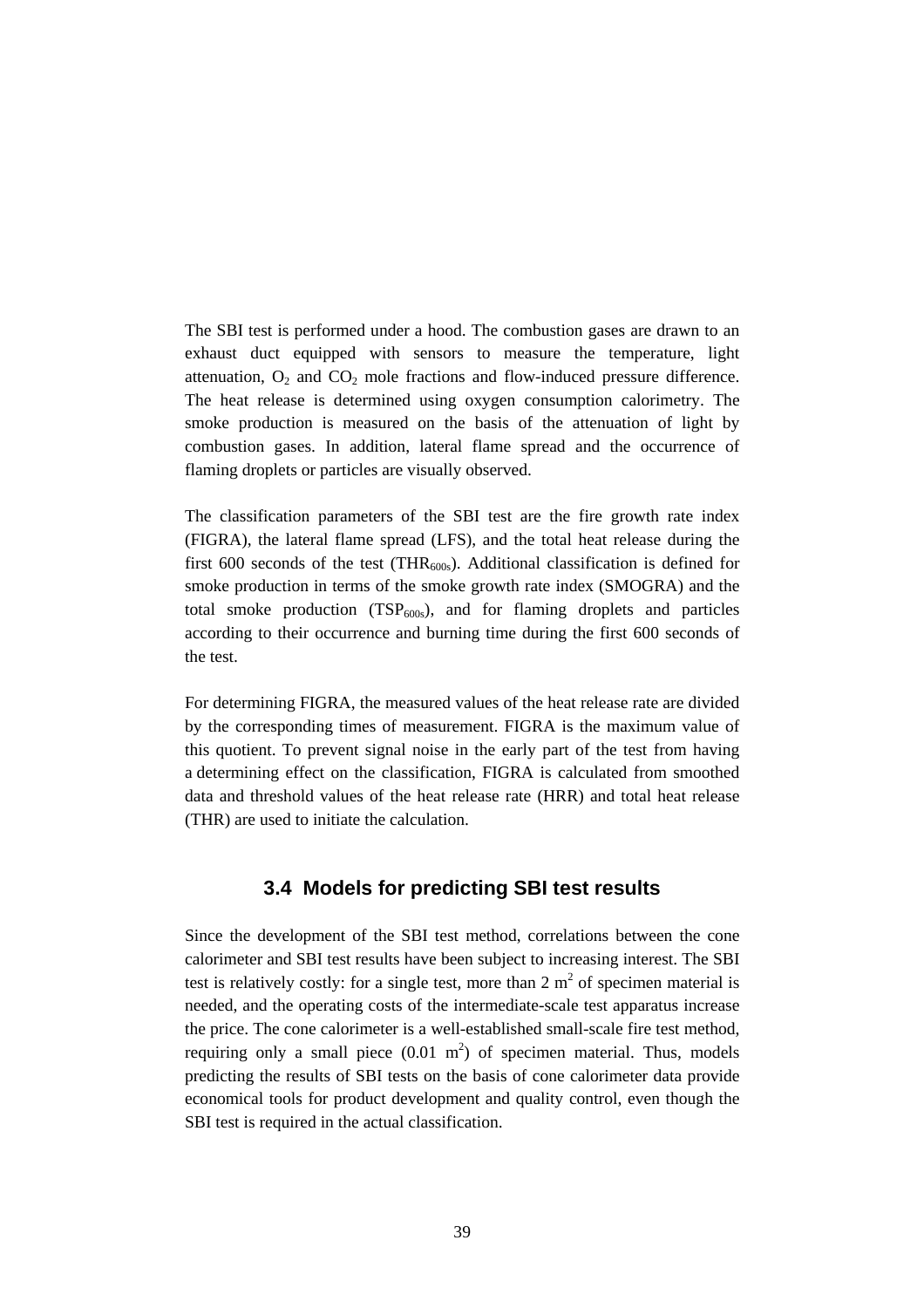The SBI test is performed under a hood. The combustion gases are drawn to an exhaust duct equipped with sensors to measure the temperature, light attenuation,  $O_2$  and  $CO_2$  mole fractions and flow-induced pressure difference. The heat release is determined using oxygen consumption calorimetry. The smoke production is measured on the basis of the attenuation of light by combustion gases. In addition, lateral flame spread and the occurrence of flaming droplets or particles are visually observed.

The classification parameters of the SBI test are the fire growth rate index (FIGRA), the lateral flame spread (LFS), and the total heat release during the first 600 seconds of the test (THR<sub>600s</sub>). Additional classification is defined for smoke production in terms of the smoke growth rate index (SMOGRA) and the total smoke production  $(TSP<sub>600s</sub>)$ , and for flaming droplets and particles according to their occurrence and burning time during the first 600 seconds of the test.

For determining FIGRA, the measured values of the heat release rate are divided by the corresponding times of measurement. FIGRA is the maximum value of this quotient. To prevent signal noise in the early part of the test from having a determining effect on the classification, FIGRA is calculated from smoothed data and threshold values of the heat release rate (HRR) and total heat release (THR) are used to initiate the calculation.

# **3.4 Models for predicting SBI test results**

Since the development of the SBI test method, correlations between the cone calorimeter and SBI test results have been subject to increasing interest. The SBI test is relatively costly: for a single test, more than 2  $m<sup>2</sup>$  of specimen material is needed, and the operating costs of the intermediate-scale test apparatus increase the price. The cone calorimeter is a well-established small-scale fire test method, requiring only a small piece  $(0.01 \text{ m}^2)$  of specimen material. Thus, models predicting the results of SBI tests on the basis of cone calorimeter data provide economical tools for product development and quality control, even though the SBI test is required in the actual classification.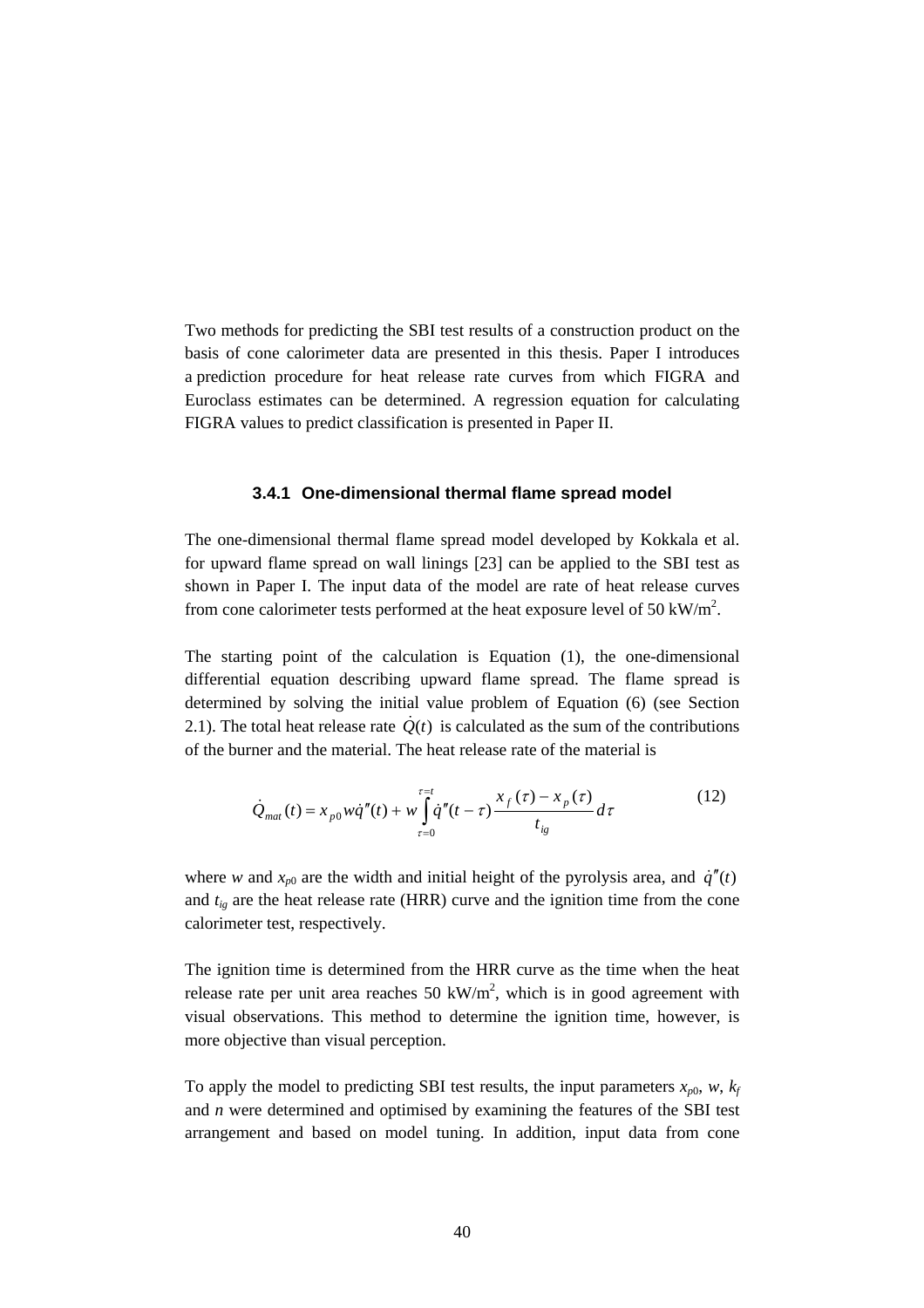Two methods for predicting the SBI test results of a construction product on the basis of cone calorimeter data are presented in this thesis. Paper I introduces a prediction procedure for heat release rate curves from which FIGRA and Euroclass estimates can be determined. A regression equation for calculating FIGRA values to predict classification is presented in Paper II.

#### **3.4.1 One-dimensional thermal flame spread model**

The one-dimensional thermal flame spread model developed by Kokkala et al. for upward flame spread on wall linings [23] can be applied to the SBI test as shown in Paper I. The input data of the model are rate of heat release curves from cone calorimeter tests performed at the heat exposure level of 50 kW/m<sup>2</sup>.

The starting point of the calculation is Equation (1), the one-dimensional differential equation describing upward flame spread. The flame spread is determined by solving the initial value problem of Equation (6) (see Section 2.1). The total heat release rate  $\dot{Q}(t)$  is calculated as the sum of the contributions of the burner and the material. The heat release rate of the material is

$$
\dot{Q}_{mat}(t) = x_{p0} w \dot{q}''(t) + w \int_{\tau=0}^{\tau=t} \dot{q}''(t-\tau) \frac{x_f(\tau) - x_p(\tau)}{t_{ig}} d\tau
$$
\n(12)

where *w* and  $x_{p0}$  are the width and initial height of the pyrolysis area, and  $\dot{q}''(t)$ and  $t_{ig}$  are the heat release rate (HRR) curve and the ignition time from the cone calorimeter test, respectively.

The ignition time is determined from the HRR curve as the time when the heat release rate per unit area reaches 50 kW/m<sup>2</sup>, which is in good agreement with visual observations. This method to determine the ignition time, however, is more objective than visual perception.

To apply the model to predicting SBI test results, the input parameters  $x_{p0}$ ,  $w$ ,  $k_f$ and *n* were determined and optimised by examining the features of the SBI test arrangement and based on model tuning. In addition, input data from cone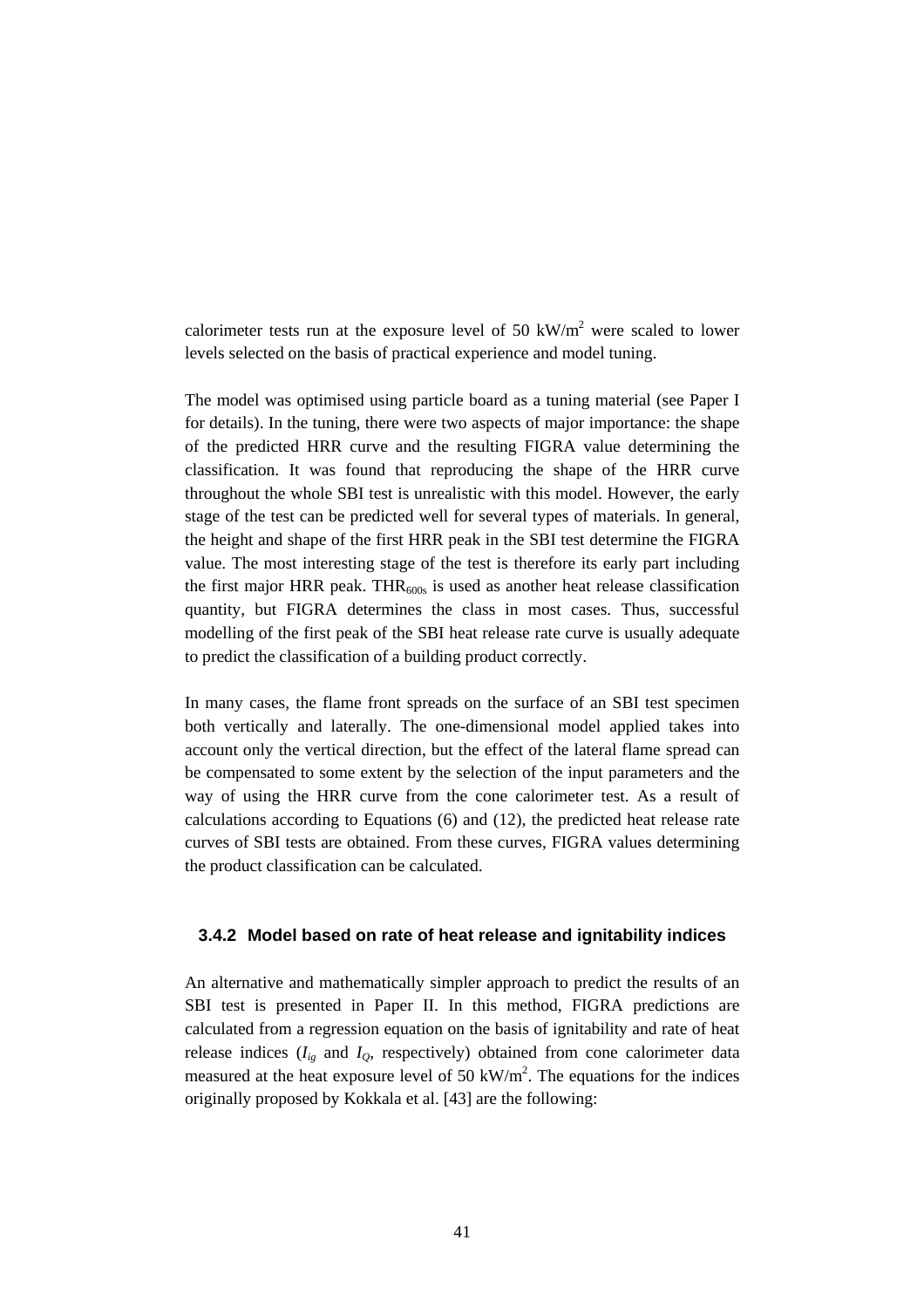calorimeter tests run at the exposure level of 50 kW/ $m<sup>2</sup>$  were scaled to lower levels selected on the basis of practical experience and model tuning.

The model was optimised using particle board as a tuning material (see Paper I for details). In the tuning, there were two aspects of major importance: the shape of the predicted HRR curve and the resulting FIGRA value determining the classification. It was found that reproducing the shape of the HRR curve throughout the whole SBI test is unrealistic with this model. However, the early stage of the test can be predicted well for several types of materials. In general, the height and shape of the first HRR peak in the SBI test determine the FIGRA value. The most interesting stage of the test is therefore its early part including the first major HRR peak. THR<sub>600s</sub> is used as another heat release classification quantity, but FIGRA determines the class in most cases. Thus, successful modelling of the first peak of the SBI heat release rate curve is usually adequate to predict the classification of a building product correctly.

In many cases, the flame front spreads on the surface of an SBI test specimen both vertically and laterally. The one-dimensional model applied takes into account only the vertical direction, but the effect of the lateral flame spread can be compensated to some extent by the selection of the input parameters and the way of using the HRR curve from the cone calorimeter test. As a result of calculations according to Equations (6) and (12), the predicted heat release rate curves of SBI tests are obtained. From these curves, FIGRA values determining the product classification can be calculated.

#### **3.4.2 Model based on rate of heat release and ignitability indices**

An alternative and mathematically simpler approach to predict the results of an SBI test is presented in Paper II. In this method, FIGRA predictions are calculated from a regression equation on the basis of ignitability and rate of heat release indices  $(I_{i_g}$  and  $I_{i_g}$ , respectively) obtained from cone calorimeter data measured at the heat exposure level of 50  $\text{kW/m}^2$ . The equations for the indices originally proposed by Kokkala et al. [43] are the following: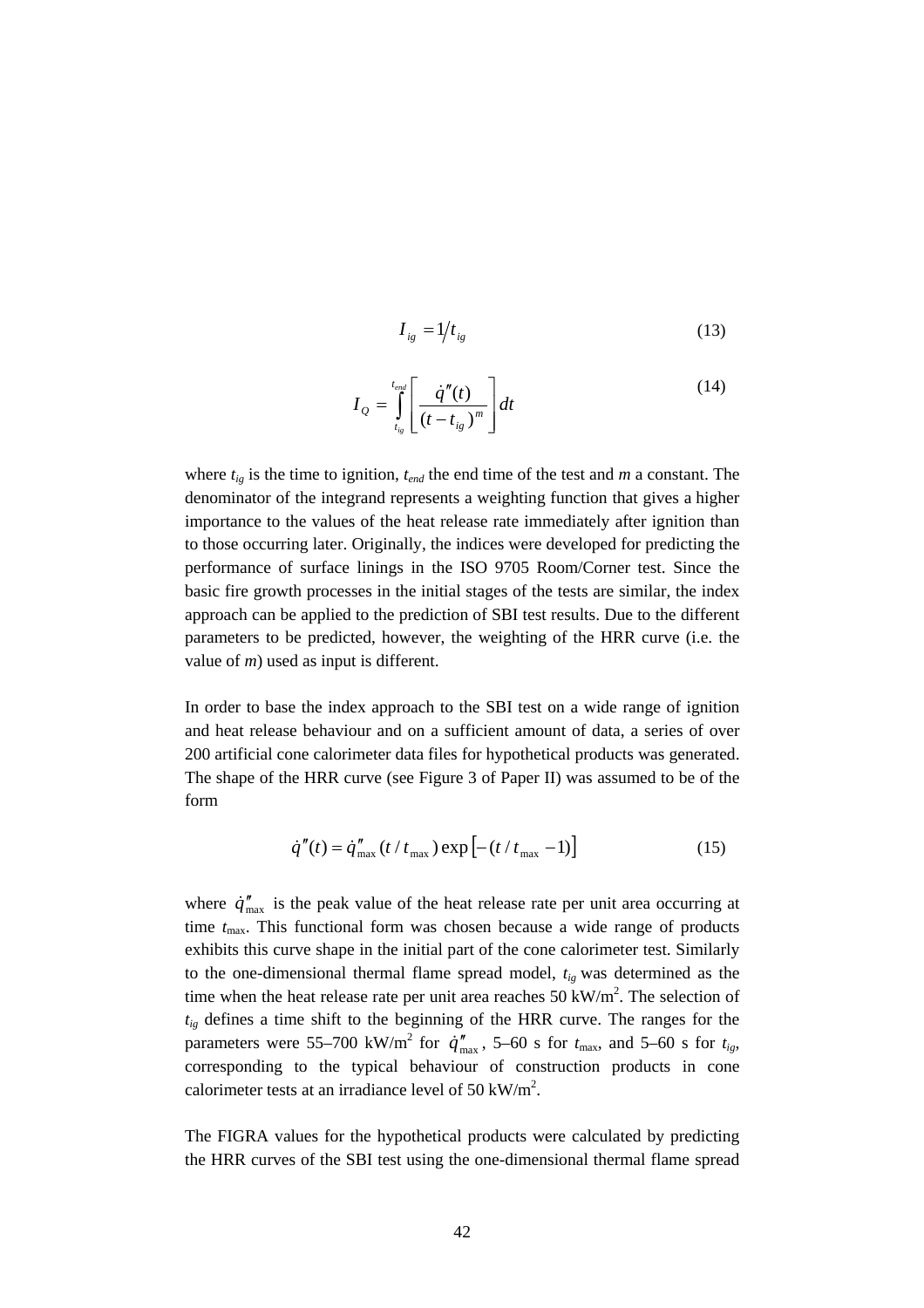$$
I_{ig} = 1/t_{ig} \tag{13}
$$

$$
I_{Q} = \int_{t_{ig}}^{t_{end}} \left[ \frac{\dot{q}''(t)}{(t - t_{ig})^m} \right] dt
$$
 (14)

where *tig* is the time to ignition, *tend* the end time of the test and *m* a constant. The denominator of the integrand represents a weighting function that gives a higher importance to the values of the heat release rate immediately after ignition than to those occurring later. Originally, the indices were developed for predicting the performance of surface linings in the ISO 9705 Room/Corner test. Since the basic fire growth processes in the initial stages of the tests are similar, the index approach can be applied to the prediction of SBI test results. Due to the different parameters to be predicted, however, the weighting of the HRR curve (i.e. the value of *m*) used as input is different.

In order to base the index approach to the SBI test on a wide range of ignition and heat release behaviour and on a sufficient amount of data, a series of over 200 artificial cone calorimeter data files for hypothetical products was generated. The shape of the HRR curve (see Figure 3 of Paper II) was assumed to be of the form

$$
\dot{q}''(t) = \dot{q}''_{\text{max}}(t/t_{\text{max}}) \exp[-(t/t_{\text{max}} - 1)]
$$
 (15)

where  $\dot{q}_{\text{max}}''$  is the peak value of the heat release rate per unit area occurring at time  $t_{\text{max}}$ . This functional form was chosen because a wide range of products exhibits this curve shape in the initial part of the cone calorimeter test. Similarly to the one-dimensional thermal flame spread model, *tig* was determined as the time when the heat release rate per unit area reaches  $50 \text{ kW/m}^2$ . The selection of *tig* defines a time shift to the beginning of the HRR curve. The ranges for the parameters were 55–700 kW/m<sup>2</sup> for  $\dot{q}''_{\text{max}}$ , 5–60 s for  $t_{\text{max}}$ , and 5–60 s for  $t_{ig}$ , corresponding to the typical behaviour of construction products in cone calorimeter tests at an irradiance level of 50 kW/m<sup>2</sup>.

The FIGRA values for the hypothetical products were calculated by predicting the HRR curves of the SBI test using the one-dimensional thermal flame spread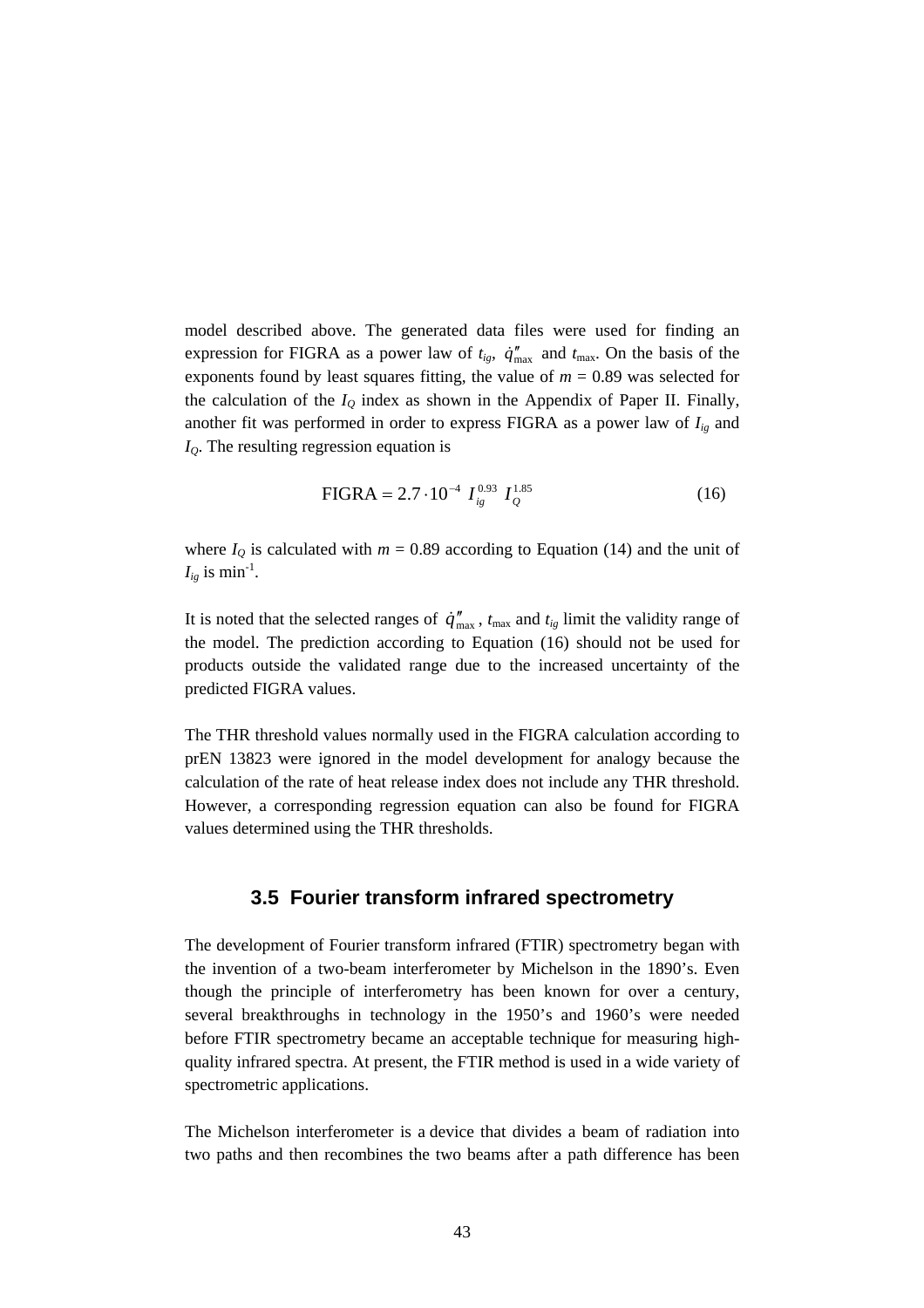model described above. The generated data files were used for finding an expression for FIGRA as a power law of  $t_{ig}$ ,  $\dot{q}_{max}^{\prime\prime}$  and  $t_{max}$ . On the basis of the exponents found by least squares fitting, the value of  $m = 0.89$  was selected for the calculation of the  $I<sub>O</sub>$  index as shown in the Appendix of Paper II. Finally, another fit was performed in order to express FIGRA as a power law of  $I_{ig}$  and *IQ*. The resulting regression equation is

FIGRA = 2.7 
$$
\cdot 10^{-4} I_{ig}^{0.93} I_Q^{1.85}
$$
 (16)

where  $I_Q$  is calculated with  $m = 0.89$  according to Equation (14) and the unit of  $I_{i\varrho}$  is min<sup>-1</sup>.

It is noted that the selected ranges of  $\dot{q}_{\text{max}}''$ ,  $t_{\text{max}}$  and  $t_{ig}$  limit the validity range of the model. The prediction according to Equation (16) should not be used for products outside the validated range due to the increased uncertainty of the predicted FIGRA values.

The THR threshold values normally used in the FIGRA calculation according to prEN 13823 were ignored in the model development for analogy because the calculation of the rate of heat release index does not include any THR threshold. However, a corresponding regression equation can also be found for FIGRA values determined using the THR thresholds.

# **3.5 Fourier transform infrared spectrometry**

The development of Fourier transform infrared (FTIR) spectrometry began with the invention of a two-beam interferometer by Michelson in the 1890's. Even though the principle of interferometry has been known for over a century, several breakthroughs in technology in the 1950's and 1960's were needed before FTIR spectrometry became an acceptable technique for measuring highquality infrared spectra. At present, the FTIR method is used in a wide variety of spectrometric applications.

The Michelson interferometer is a device that divides a beam of radiation into two paths and then recombines the two beams after a path difference has been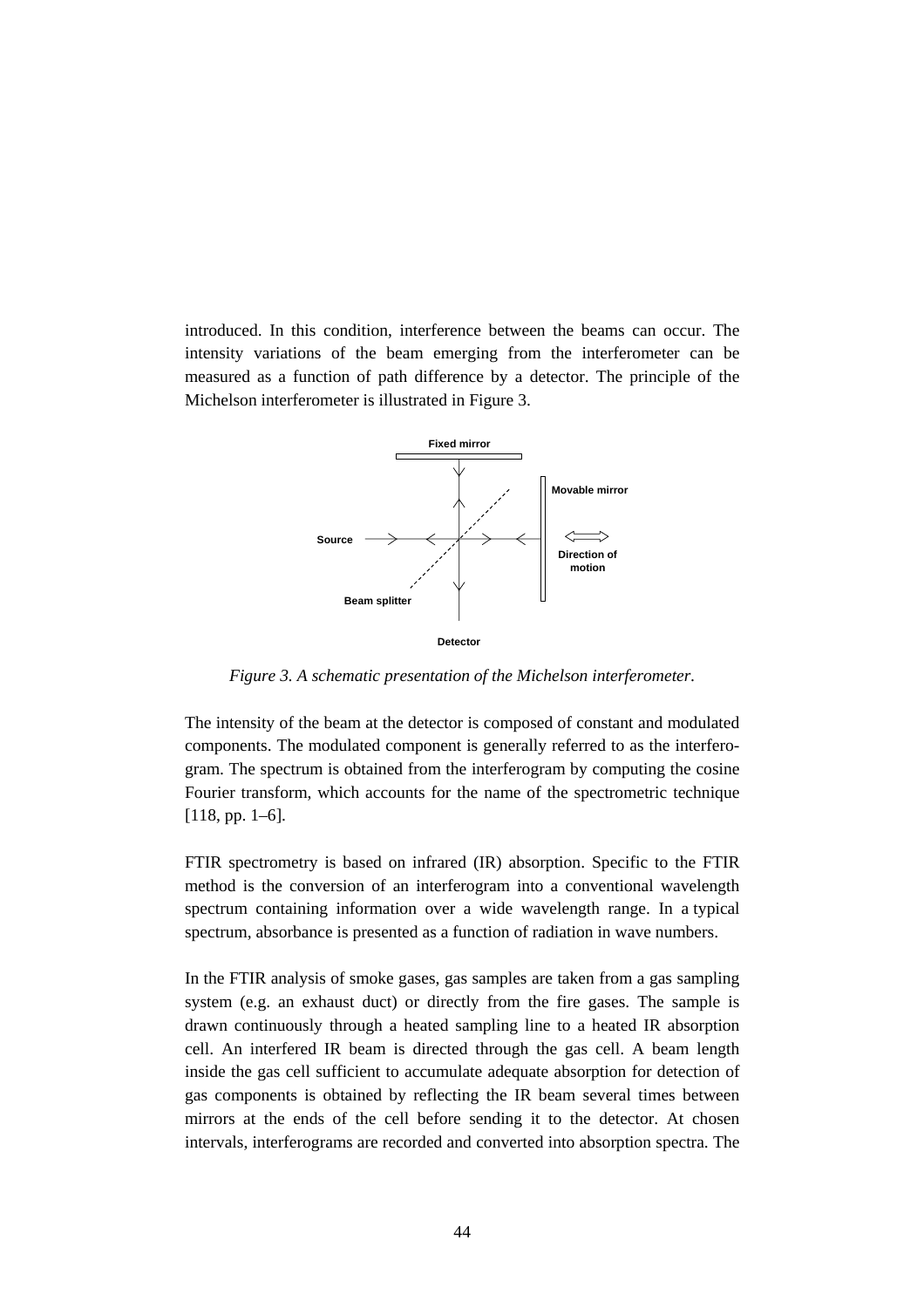introduced. In this condition, interference between the beams can occur. The intensity variations of the beam emerging from the interferometer can be measured as a function of path difference by a detector. The principle of the Michelson interferometer is illustrated in Figure 3.



*Figure 3. A schematic presentation of the Michelson interferometer.*

The intensity of the beam at the detector is composed of constant and modulated components. The modulated component is generally referred to as the interferogram. The spectrum is obtained from the interferogram by computing the cosine Fourier transform, which accounts for the name of the spectrometric technique [118, pp. 1–6].

FTIR spectrometry is based on infrared (IR) absorption. Specific to the FTIR method is the conversion of an interferogram into a conventional wavelength spectrum containing information over a wide wavelength range. In a typical spectrum, absorbance is presented as a function of radiation in wave numbers.

In the FTIR analysis of smoke gases, gas samples are taken from a gas sampling system (e.g. an exhaust duct) or directly from the fire gases. The sample is drawn continuously through a heated sampling line to a heated IR absorption cell. An interfered IR beam is directed through the gas cell. A beam length inside the gas cell sufficient to accumulate adequate absorption for detection of gas components is obtained by reflecting the IR beam several times between mirrors at the ends of the cell before sending it to the detector. At chosen intervals, interferograms are recorded and converted into absorption spectra. The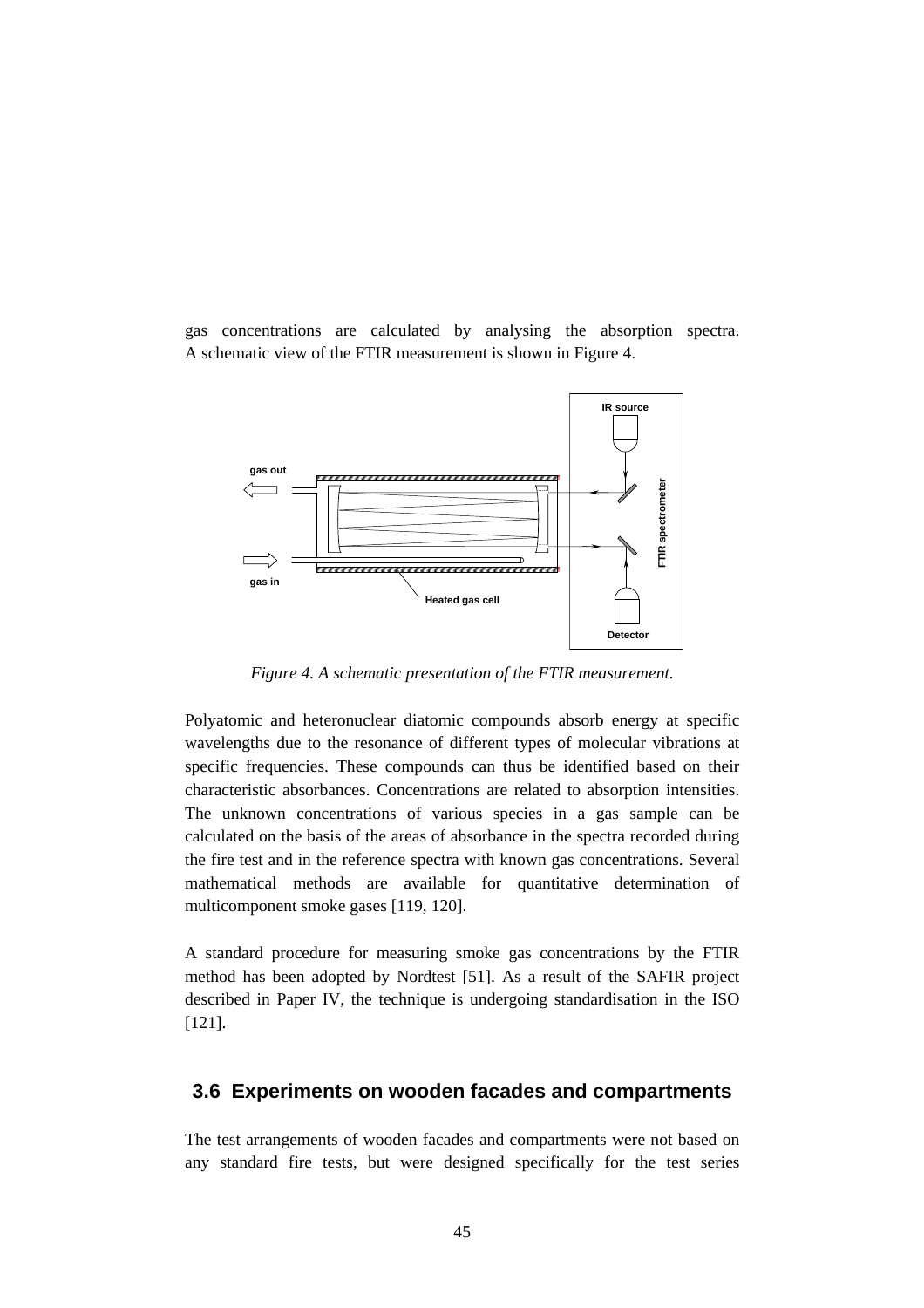gas concentrations are calculated by analysing the absorption spectra. A schematic view of the FTIR measurement is shown in Figure 4.



*Figure 4. A schematic presentation of the FTIR measurement.*

Polyatomic and heteronuclear diatomic compounds absorb energy at specific wavelengths due to the resonance of different types of molecular vibrations at specific frequencies. These compounds can thus be identified based on their characteristic absorbances. Concentrations are related to absorption intensities. The unknown concentrations of various species in a gas sample can be calculated on the basis of the areas of absorbance in the spectra recorded during the fire test and in the reference spectra with known gas concentrations. Several mathematical methods are available for quantitative determination of multicomponent smoke gases [119, 120].

A standard procedure for measuring smoke gas concentrations by the FTIR method has been adopted by Nordtest [51]. As a result of the SAFIR project described in Paper IV, the technique is undergoing standardisation in the ISO [121].

# **3.6 Experiments on wooden facades and compartments**

The test arrangements of wooden facades and compartments were not based on any standard fire tests, but were designed specifically for the test series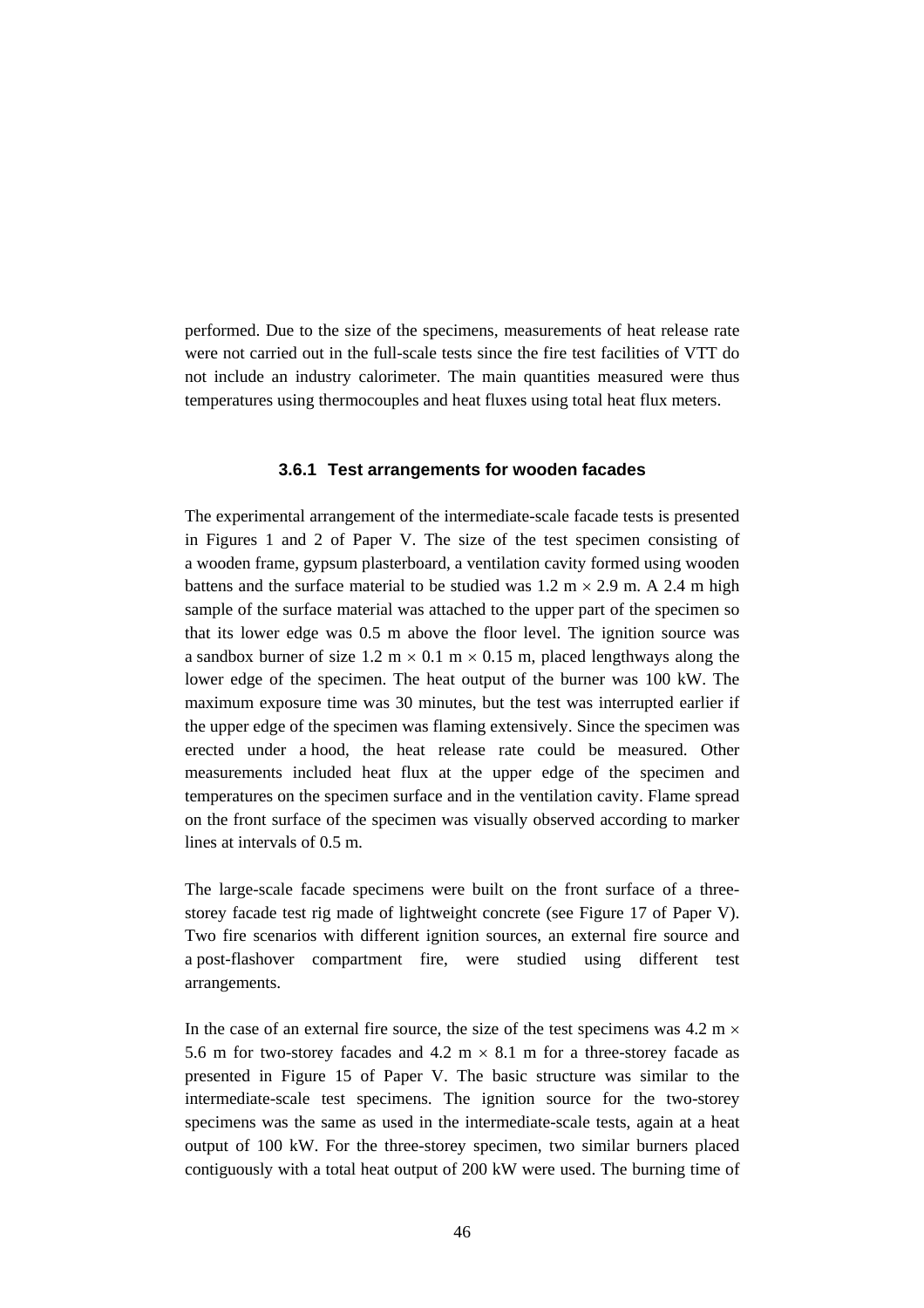performed. Due to the size of the specimens, measurements of heat release rate were not carried out in the full-scale tests since the fire test facilities of VTT do not include an industry calorimeter. The main quantities measured were thus temperatures using thermocouples and heat fluxes using total heat flux meters.

#### **3.6.1 Test arrangements for wooden facades**

The experimental arrangement of the intermediate-scale facade tests is presented in Figures 1 and 2 of Paper V. The size of the test specimen consisting of a wooden frame, gypsum plasterboard, a ventilation cavity formed using wooden battens and the surface material to be studied was  $1.2 \text{ m} \times 2.9 \text{ m}$ . A 2.4 m high sample of the surface material was attached to the upper part of the specimen so that its lower edge was 0.5 m above the floor level. The ignition source was a sandbox burner of size 1.2 m  $\times$  0.1 m  $\times$  0.15 m, placed lengthways along the lower edge of the specimen. The heat output of the burner was 100 kW. The maximum exposure time was 30 minutes, but the test was interrupted earlier if the upper edge of the specimen was flaming extensively. Since the specimen was erected under a hood, the heat release rate could be measured. Other measurements included heat flux at the upper edge of the specimen and temperatures on the specimen surface and in the ventilation cavity. Flame spread on the front surface of the specimen was visually observed according to marker lines at intervals of 0.5 m.

The large-scale facade specimens were built on the front surface of a threestorey facade test rig made of lightweight concrete (see Figure 17 of Paper V). Two fire scenarios with different ignition sources, an external fire source and a post-flashover compartment fire, were studied using different test arrangements.

In the case of an external fire source, the size of the test specimens was  $4.2 \text{ m} \times$ 5.6 m for two-storey facades and 4.2 m  $\times$  8.1 m for a three-storey facade as presented in Figure 15 of Paper V. The basic structure was similar to the intermediate-scale test specimens. The ignition source for the two-storey specimens was the same as used in the intermediate-scale tests, again at a heat output of 100 kW. For the three-storey specimen, two similar burners placed contiguously with a total heat output of 200 kW were used. The burning time of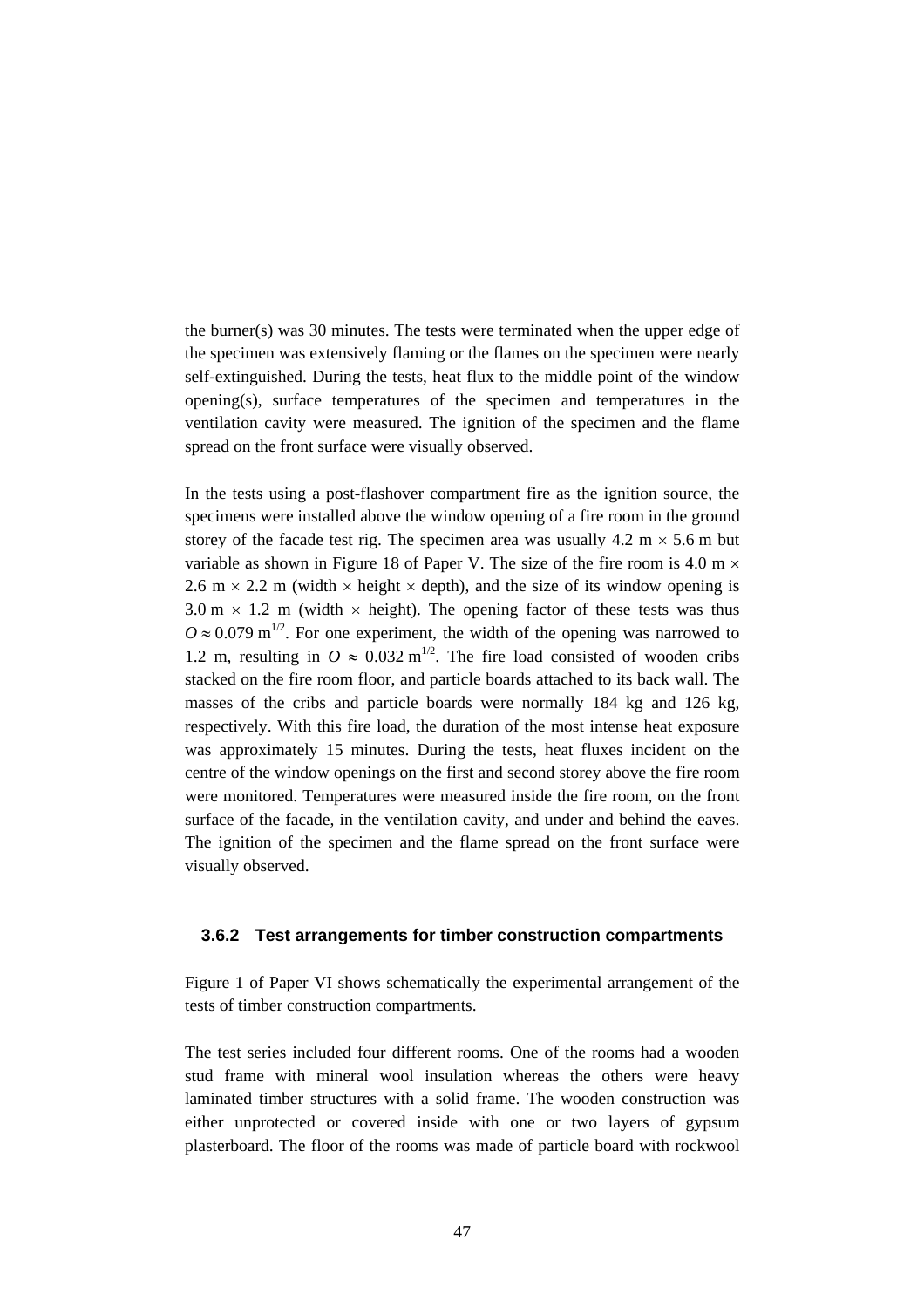the burner(s) was 30 minutes. The tests were terminated when the upper edge of the specimen was extensively flaming or the flames on the specimen were nearly self-extinguished. During the tests, heat flux to the middle point of the window opening(s), surface temperatures of the specimen and temperatures in the ventilation cavity were measured. The ignition of the specimen and the flame spread on the front surface were visually observed.

In the tests using a post-flashover compartment fire as the ignition source, the specimens were installed above the window opening of a fire room in the ground storey of the facade test rig. The specimen area was usually  $4.2 \text{ m} \times 5.6 \text{ m}$  but variable as shown in Figure 18 of Paper V. The size of the fire room is 4.0 m  $\times$ 2.6 m  $\times$  2.2 m (width  $\times$  height  $\times$  depth), and the size of its window opening is  $3.0 \text{ m} \times 1.2 \text{ m}$  (width  $\times$  height). The opening factor of these tests was thus  $Q \approx 0.079$  m<sup>1/2</sup>. For one experiment, the width of the opening was narrowed to 1.2 m, resulting in  $O \approx 0.032 \text{ m}^{1/2}$ . The fire load consisted of wooden cribs stacked on the fire room floor, and particle boards attached to its back wall. The masses of the cribs and particle boards were normally 184 kg and 126 kg, respectively. With this fire load, the duration of the most intense heat exposure was approximately 15 minutes. During the tests, heat fluxes incident on the centre of the window openings on the first and second storey above the fire room were monitored. Temperatures were measured inside the fire room, on the front surface of the facade, in the ventilation cavity, and under and behind the eaves. The ignition of the specimen and the flame spread on the front surface were visually observed.

#### **3.6.2 Test arrangements for timber construction compartments**

Figure 1 of Paper VI shows schematically the experimental arrangement of the tests of timber construction compartments.

The test series included four different rooms. One of the rooms had a wooden stud frame with mineral wool insulation whereas the others were heavy laminated timber structures with a solid frame. The wooden construction was either unprotected or covered inside with one or two layers of gypsum plasterboard. The floor of the rooms was made of particle board with rockwool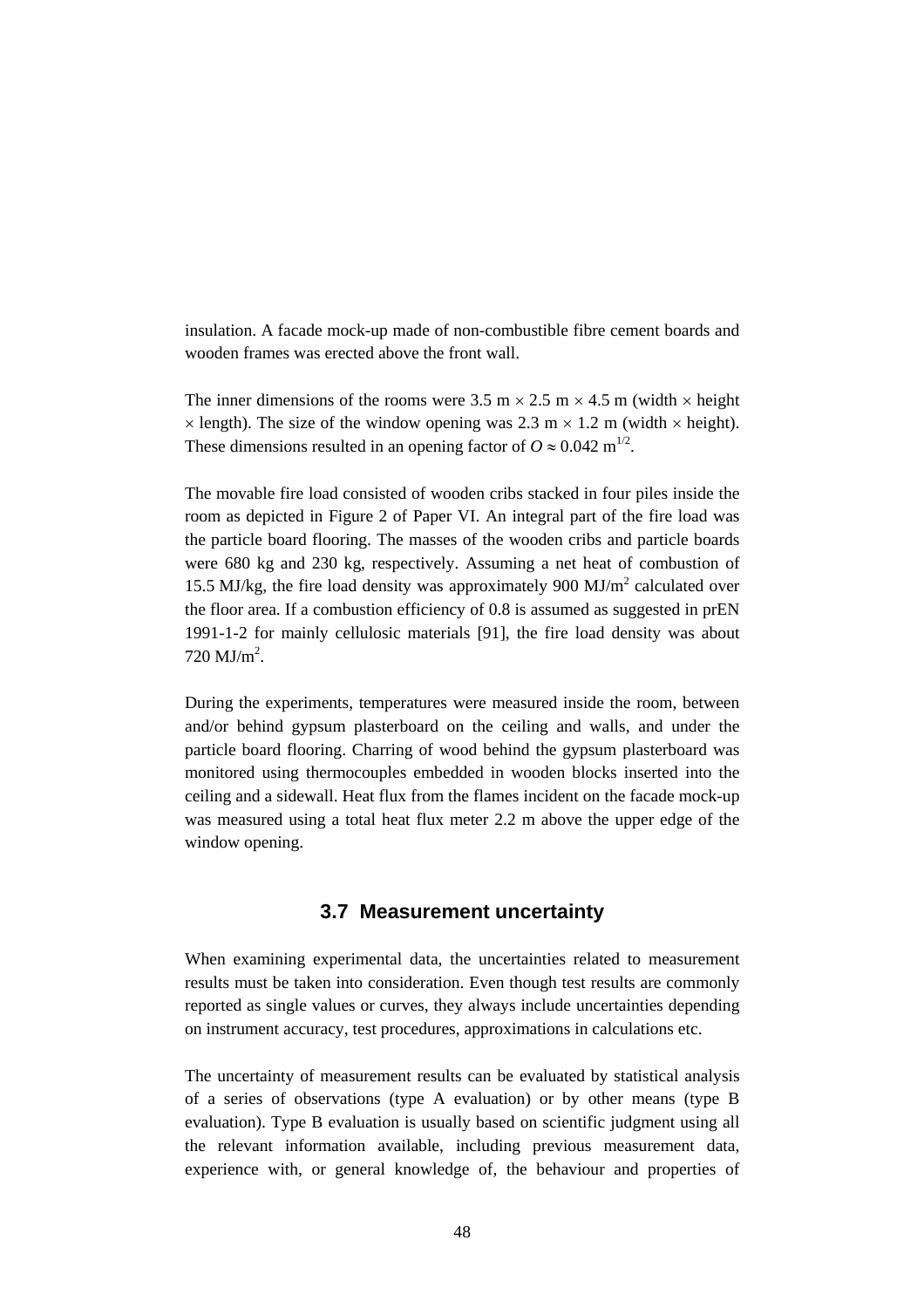insulation. A facade mock-up made of non-combustible fibre cement boards and wooden frames was erected above the front wall.

The inner dimensions of the rooms were 3.5 m  $\times$  2.5 m  $\times$  4.5 m (width  $\times$  height  $\times$  length). The size of the window opening was 2.3 m  $\times$  1.2 m (width  $\times$  height). These dimensions resulted in an opening factor of  $O \approx 0.042$  m<sup>1/2</sup>.

The movable fire load consisted of wooden cribs stacked in four piles inside the room as depicted in Figure 2 of Paper VI. An integral part of the fire load was the particle board flooring. The masses of the wooden cribs and particle boards were 680 kg and 230 kg, respectively. Assuming a net heat of combustion of 15.5 MJ/kg, the fire load density was approximately 900  $MJ/m<sup>2</sup>$  calculated over the floor area. If a combustion efficiency of 0.8 is assumed as suggested in prEN 1991-1-2 for mainly cellulosic materials [91], the fire load density was about  $720 \text{ MJ/m}^2$ .

During the experiments, temperatures were measured inside the room, between and/or behind gypsum plasterboard on the ceiling and walls, and under the particle board flooring. Charring of wood behind the gypsum plasterboard was monitored using thermocouples embedded in wooden blocks inserted into the ceiling and a sidewall. Heat flux from the flames incident on the facade mock-up was measured using a total heat flux meter 2.2 m above the upper edge of the window opening.

# **3.7 Measurement uncertainty**

When examining experimental data, the uncertainties related to measurement results must be taken into consideration. Even though test results are commonly reported as single values or curves, they always include uncertainties depending on instrument accuracy, test procedures, approximations in calculations etc.

The uncertainty of measurement results can be evaluated by statistical analysis of a series of observations (type A evaluation) or by other means (type B evaluation). Type B evaluation is usually based on scientific judgment using all the relevant information available, including previous measurement data, experience with, or general knowledge of, the behaviour and properties of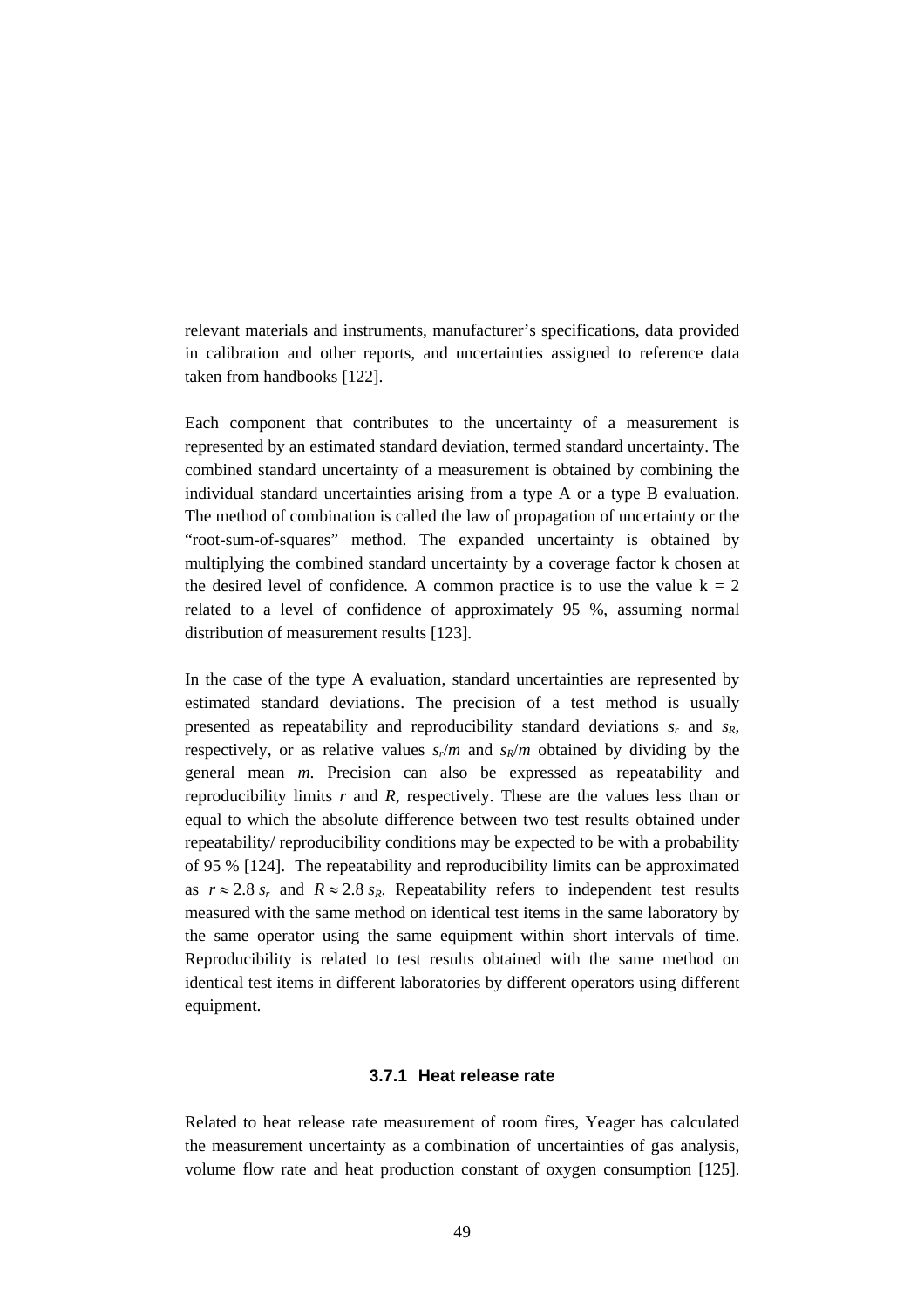relevant materials and instruments, manufacturer's specifications, data provided in calibration and other reports, and uncertainties assigned to reference data taken from handbooks [122].

Each component that contributes to the uncertainty of a measurement is represented by an estimated standard deviation, termed standard uncertainty. The combined standard uncertainty of a measurement is obtained by combining the individual standard uncertainties arising from a type A or a type B evaluation. The method of combination is called the law of propagation of uncertainty or the "root-sum-of-squares" method. The expanded uncertainty is obtained by multiplying the combined standard uncertainty by a coverage factor k chosen at the desired level of confidence. A common practice is to use the value  $k = 2$ related to a level of confidence of approximately 95 %, assuming normal distribution of measurement results [123].

In the case of the type A evaluation, standard uncertainties are represented by estimated standard deviations. The precision of a test method is usually presented as repeatability and reproducibility standard deviations  $s_r$  and  $s_R$ , respectively, or as relative values  $s_r/m$  and  $s_R/m$  obtained by dividing by the general mean *m*. Precision can also be expressed as repeatability and reproducibility limits *r* and *R*, respectively. These are the values less than or equal to which the absolute difference between two test results obtained under repeatability/ reproducibility conditions may be expected to be with a probability of 95 % [124]. The repeatability and reproducibility limits can be approximated as  $r \approx 2.8$   $s_r$  and  $R \approx 2.8$   $s_R$ . Repeatability refers to independent test results measured with the same method on identical test items in the same laboratory by the same operator using the same equipment within short intervals of time. Reproducibility is related to test results obtained with the same method on identical test items in different laboratories by different operators using different equipment.

#### **3.7.1 Heat release rate**

Related to heat release rate measurement of room fires, Yeager has calculated the measurement uncertainty as a combination of uncertainties of gas analysis, volume flow rate and heat production constant of oxygen consumption [125].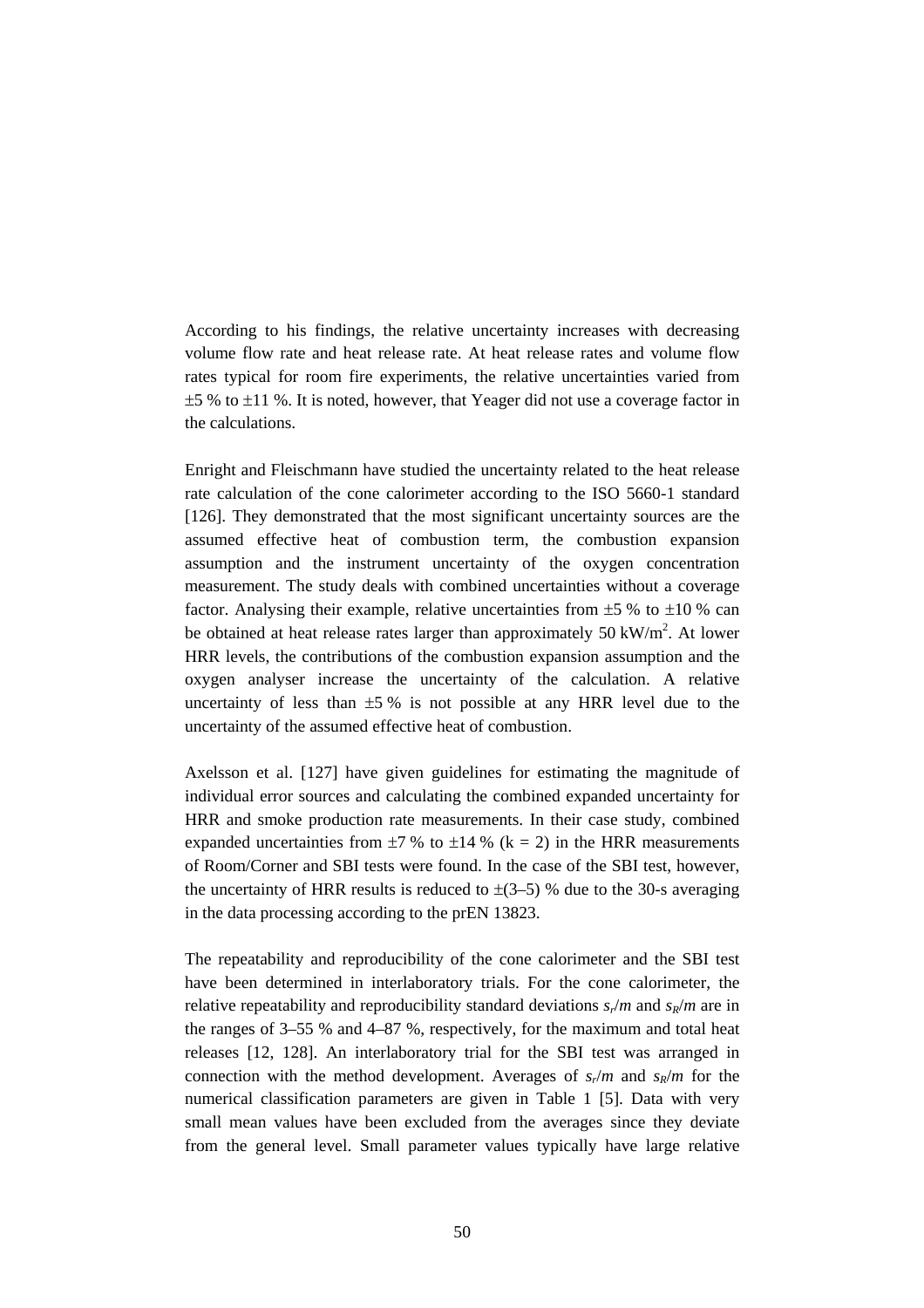According to his findings, the relative uncertainty increases with decreasing volume flow rate and heat release rate. At heat release rates and volume flow rates typical for room fire experiments, the relative uncertainties varied from  $\pm$ 5 % to  $\pm$ 11 %. It is noted, however, that Yeager did not use a coverage factor in the calculations.

Enright and Fleischmann have studied the uncertainty related to the heat release rate calculation of the cone calorimeter according to the ISO 5660-1 standard [126]. They demonstrated that the most significant uncertainty sources are the assumed effective heat of combustion term, the combustion expansion assumption and the instrument uncertainty of the oxygen concentration measurement. The study deals with combined uncertainties without a coverage factor. Analysing their example, relative uncertainties from  $\pm 5$  % to  $\pm 10$  % can be obtained at heat release rates larger than approximately 50 kW/m<sup>2</sup>. At lower HRR levels, the contributions of the combustion expansion assumption and the oxygen analyser increase the uncertainty of the calculation. A relative uncertainty of less than  $\pm 5$ % is not possible at any HRR level due to the uncertainty of the assumed effective heat of combustion.

Axelsson et al. [127] have given guidelines for estimating the magnitude of individual error sources and calculating the combined expanded uncertainty for HRR and smoke production rate measurements. In their case study, combined expanded uncertainties from  $\pm 7$  % to  $\pm 14$  % (k = 2) in the HRR measurements of Room/Corner and SBI tests were found. In the case of the SBI test, however, the uncertainty of HRR results is reduced to  $\pm(3-5)$  % due to the 30-s averaging in the data processing according to the prEN 13823.

The repeatability and reproducibility of the cone calorimeter and the SBI test have been determined in interlaboratory trials. For the cone calorimeter, the relative repeatability and reproducibility standard deviations  $s_r/m$  and  $s_R/m$  are in the ranges of 3–55 % and 4–87 %, respectively, for the maximum and total heat releases [12, 128]. An interlaboratory trial for the SBI test was arranged in connection with the method development. Averages of  $s_r/m$  and  $s_R/m$  for the numerical classification parameters are given in Table 1 [5]. Data with very small mean values have been excluded from the averages since they deviate from the general level. Small parameter values typically have large relative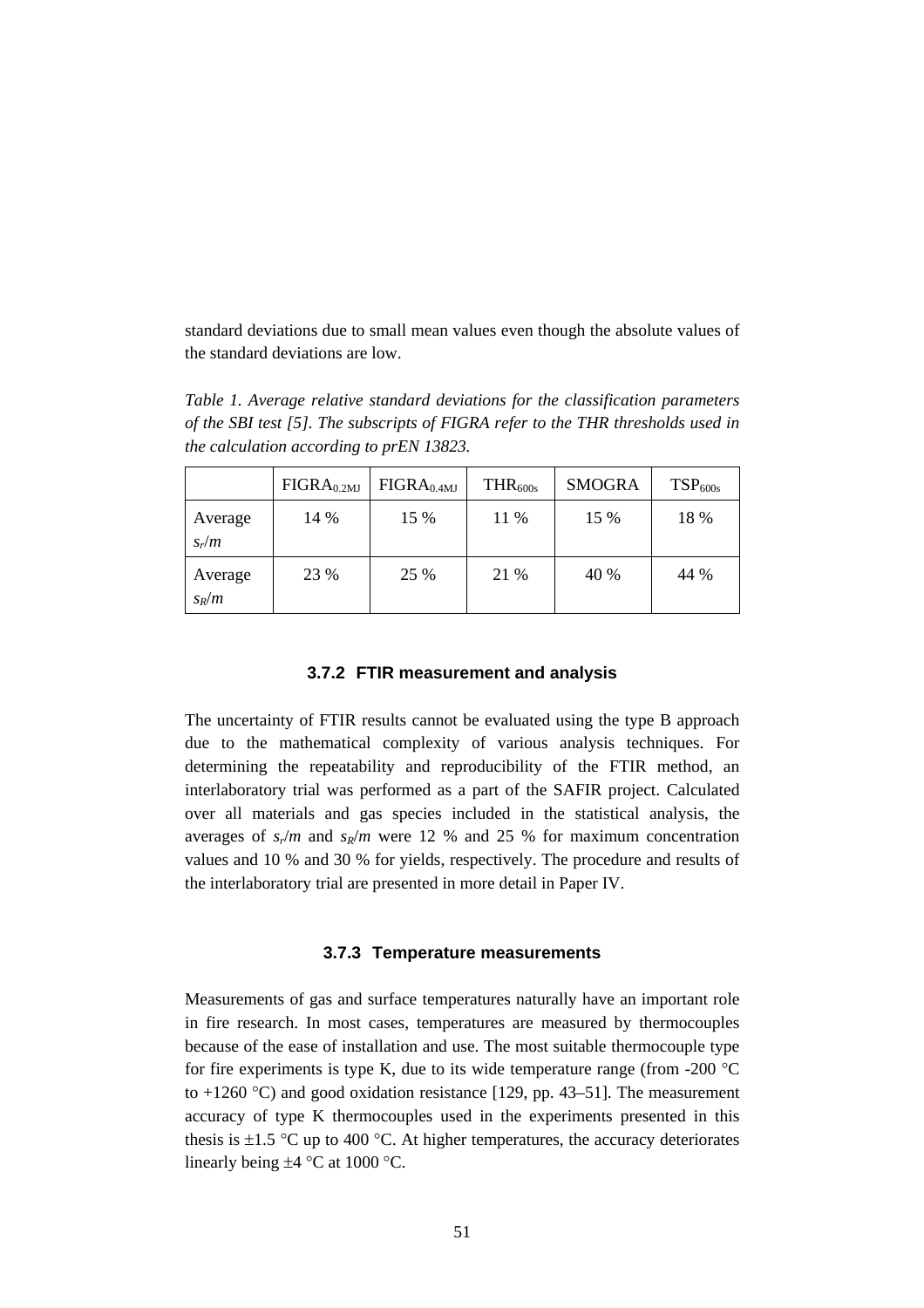standard deviations due to small mean values even though the absolute values of the standard deviations are low.

*Table 1. Average relative standard deviations for the classification parameters of the SBI test [5]. The subscripts of FIGRA refer to the THR thresholds used in the calculation according to prEN 13823.*

|                    | FIGRA <sub>0.2MJ</sub> | FIGRA <sub>0.4MJ</sub> | $THR_{600s}$ | <b>SMOGRA</b> | TSP <sub>600s</sub> |
|--------------------|------------------------|------------------------|--------------|---------------|---------------------|
| Average<br>$S_r/m$ | 14 %                   | 15 %                   | 11 %         | 15 %          | 18 %                |
| Average<br>$S_R/m$ | 23 %                   | 25 %                   | 21 %         | 40 %          | 44 %                |

#### **3.7.2 FTIR measurement and analysis**

The uncertainty of FTIR results cannot be evaluated using the type B approach due to the mathematical complexity of various analysis techniques. For determining the repeatability and reproducibility of the FTIR method, an interlaboratory trial was performed as a part of the SAFIR project. Calculated over all materials and gas species included in the statistical analysis, the averages of  $s_r/m$  and  $s_R/m$  were 12 % and 25 % for maximum concentration values and 10 % and 30 % for yields, respectively. The procedure and results of the interlaboratory trial are presented in more detail in Paper IV.

#### **3.7.3 Temperature measurements**

Measurements of gas and surface temperatures naturally have an important role in fire research. In most cases, temperatures are measured by thermocouples because of the ease of installation and use. The most suitable thermocouple type for fire experiments is type K, due to its wide temperature range (from -200  $\degree$ C) to  $+1260$  °C) and good oxidation resistance [129, pp. 43–51]. The measurement accuracy of type K thermocouples used in the experiments presented in this thesis is  $\pm 1.5$  °C up to 400 °C. At higher temperatures, the accuracy deteriorates linearly being  $\pm 4$  °C at 1000 °C.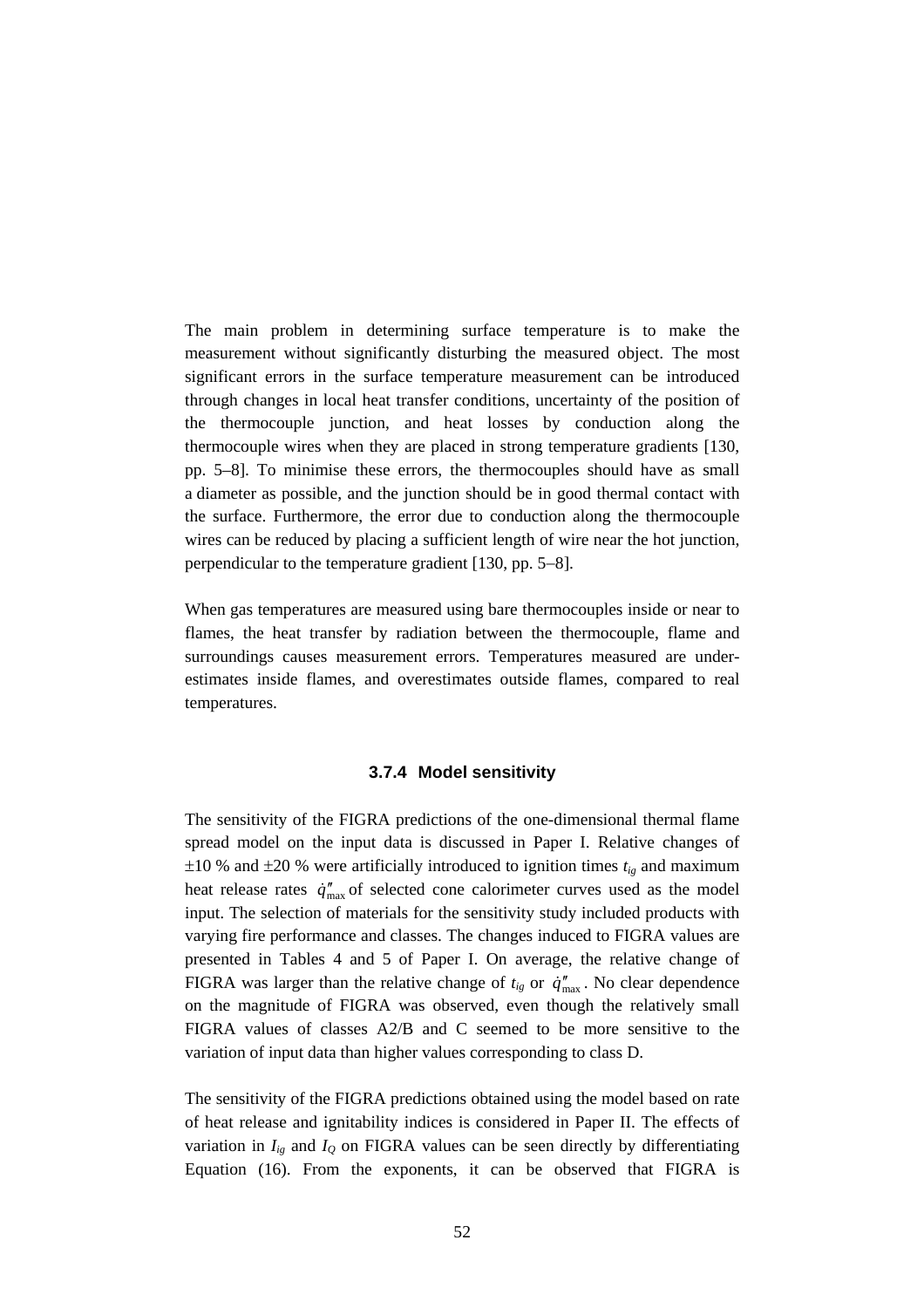The main problem in determining surface temperature is to make the measurement without significantly disturbing the measured object. The most significant errors in the surface temperature measurement can be introduced through changes in local heat transfer conditions, uncertainty of the position of the thermocouple junction, and heat losses by conduction along the thermocouple wires when they are placed in strong temperature gradients [130, pp. 5–8]. To minimise these errors, the thermocouples should have as small a diameter as possible, and the junction should be in good thermal contact with the surface. Furthermore, the error due to conduction along the thermocouple wires can be reduced by placing a sufficient length of wire near the hot junction, perpendicular to the temperature gradient [130, pp. 5−8].

When gas temperatures are measured using bare thermocouples inside or near to flames, the heat transfer by radiation between the thermocouple, flame and surroundings causes measurement errors. Temperatures measured are underestimates inside flames, and overestimates outside flames, compared to real temperatures.

#### **3.7.4 Model sensitivity**

The sensitivity of the FIGRA predictions of the one-dimensional thermal flame spread model on the input data is discussed in Paper I. Relative changes of  $\pm 10$  % and  $\pm 20$  % were artificially introduced to ignition times  $t_{ig}$  and maximum heat release rates  $\dot{q}_{\text{max}}^{"}$  of selected cone calorimeter curves used as the model input. The selection of materials for the sensitivity study included products with varying fire performance and classes. The changes induced to FIGRA values are presented in Tables 4 and 5 of Paper I. On average, the relative change of FIGRA was larger than the relative change of  $t_{ig}$  or  $\dot{q}_{max}^{"}$ . No clear dependence on the magnitude of FIGRA was observed, even though the relatively small FIGRA values of classes A2/B and C seemed to be more sensitive to the variation of input data than higher values corresponding to class D.

The sensitivity of the FIGRA predictions obtained using the model based on rate of heat release and ignitability indices is considered in Paper II. The effects of variation in  $I_{ig}$  and  $I_{0}$  on FIGRA values can be seen directly by differentiating Equation (16). From the exponents, it can be observed that FIGRA is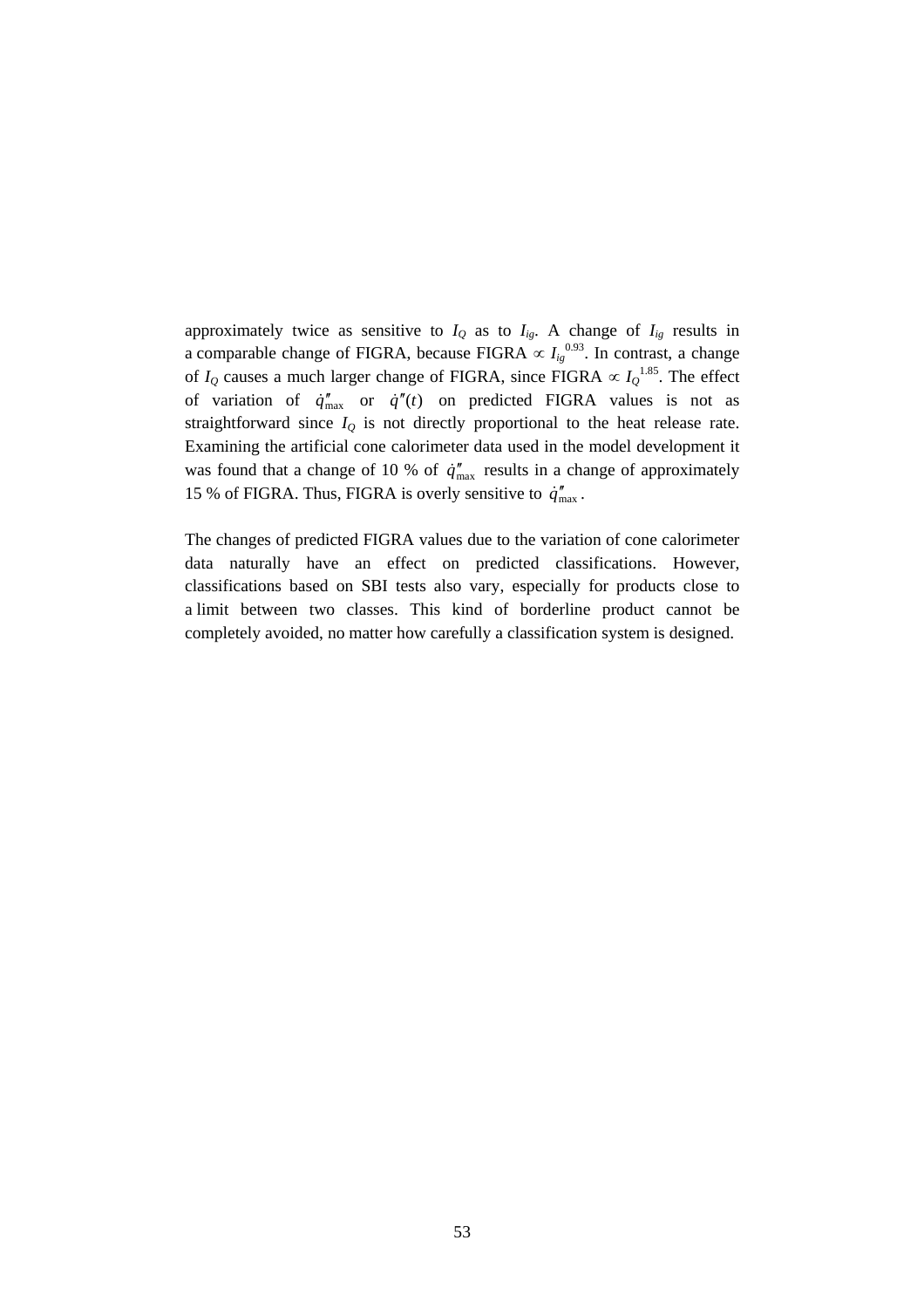approximately twice as sensitive to  $I_Q$  as to  $I_{ig}$ . A change of  $I_{ig}$  results in a comparable change of FIGRA, because FIGRA  $\propto I_{ig}^{0.93}$ . In contrast, a change of  $I_Q$  causes a much larger change of FIGRA, since FIGRA  $\propto I_Q^{1.85}$ . The effect of variation of  $\dot{q}_{\text{max}}^{"}$  or  $\dot{q}^{"}(t)$  on predicted FIGRA values is not as straightforward since  $I_Q$  is not directly proportional to the heat release rate. Examining the artificial cone calorimeter data used in the model development it was found that a change of 10 % of  $\dot{q}_{\text{max}}^{"}$  results in a change of approximately 15 % of FIGRA. Thus, FIGRA is overly sensitive to  $\dot{q}_{\text{max}}^{"}$ .

The changes of predicted FIGRA values due to the variation of cone calorimeter data naturally have an effect on predicted classifications. However, classifications based on SBI tests also vary, especially for products close to a limit between two classes. This kind of borderline product cannot be completely avoided, no matter how carefully a classification system is designed.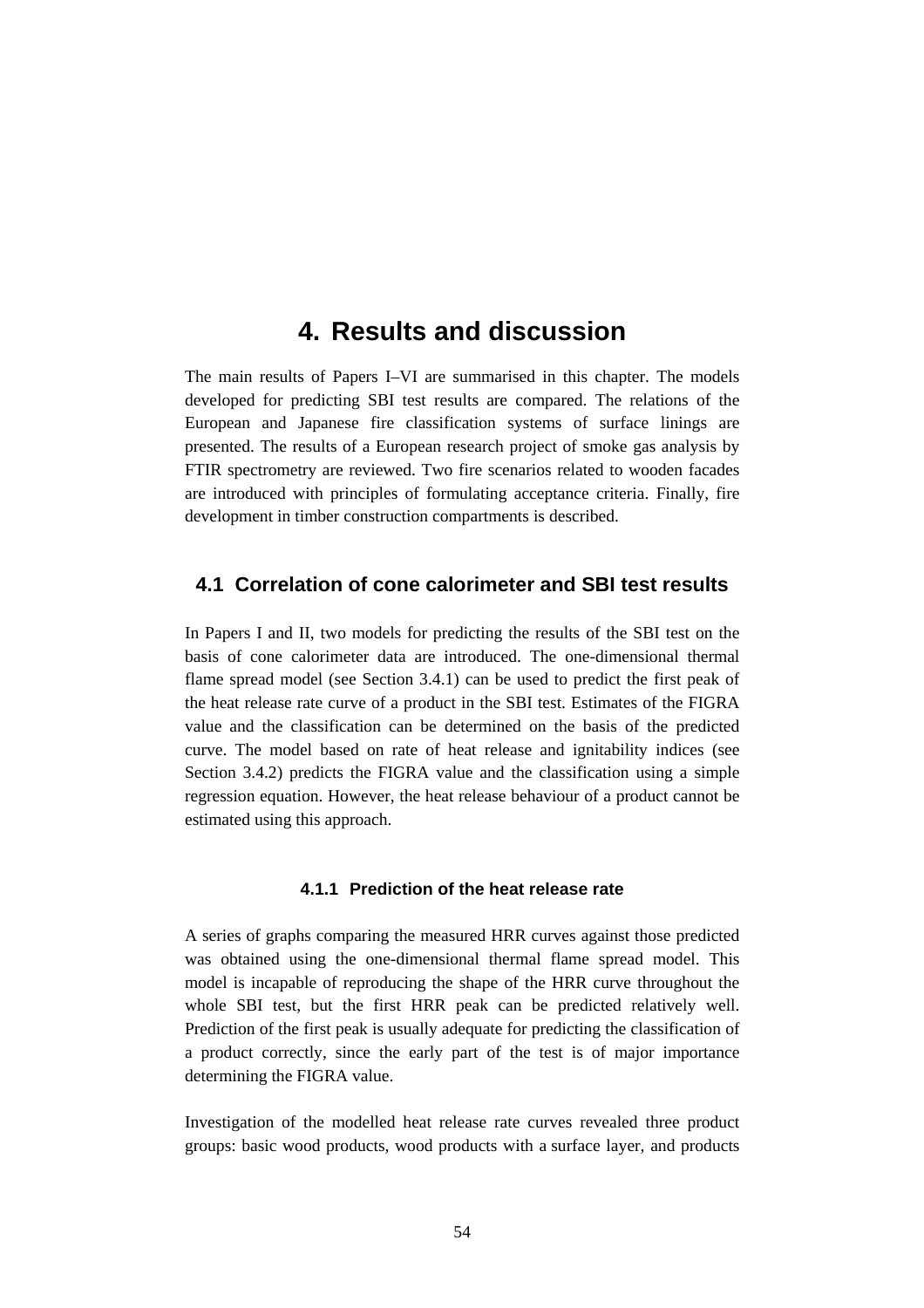# **4. Results and discussion**

The main results of Papers I–VI are summarised in this chapter. The models developed for predicting SBI test results are compared. The relations of the European and Japanese fire classification systems of surface linings are presented. The results of a European research project of smoke gas analysis by FTIR spectrometry are reviewed. Two fire scenarios related to wooden facades are introduced with principles of formulating acceptance criteria. Finally, fire development in timber construction compartments is described.

# **4.1 Correlation of cone calorimeter and SBI test results**

In Papers I and II, two models for predicting the results of the SBI test on the basis of cone calorimeter data are introduced. The one-dimensional thermal flame spread model (see Section 3.4.1) can be used to predict the first peak of the heat release rate curve of a product in the SBI test. Estimates of the FIGRA value and the classification can be determined on the basis of the predicted curve. The model based on rate of heat release and ignitability indices (see Section 3.4.2) predicts the FIGRA value and the classification using a simple regression equation. However, the heat release behaviour of a product cannot be estimated using this approach.

### **4.1.1 Prediction of the heat release rate**

A series of graphs comparing the measured HRR curves against those predicted was obtained using the one-dimensional thermal flame spread model. This model is incapable of reproducing the shape of the HRR curve throughout the whole SBI test, but the first HRR peak can be predicted relatively well. Prediction of the first peak is usually adequate for predicting the classification of a product correctly, since the early part of the test is of major importance determining the FIGRA value.

Investigation of the modelled heat release rate curves revealed three product groups: basic wood products, wood products with a surface layer, and products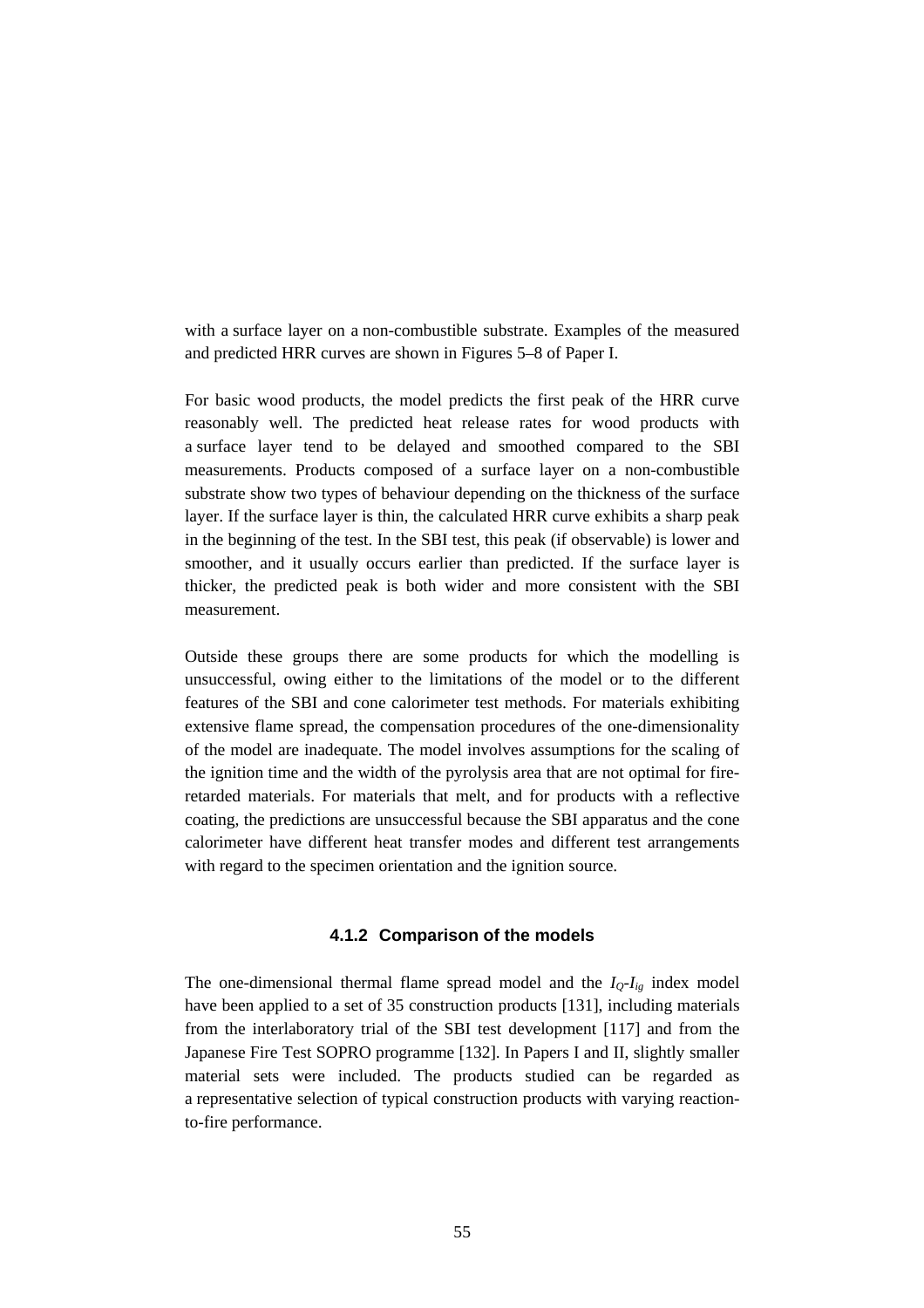with a surface layer on a non-combustible substrate. Examples of the measured and predicted HRR curves are shown in Figures 5–8 of Paper I.

For basic wood products, the model predicts the first peak of the HRR curve reasonably well. The predicted heat release rates for wood products with a surface layer tend to be delayed and smoothed compared to the SBI measurements. Products composed of a surface layer on a non-combustible substrate show two types of behaviour depending on the thickness of the surface layer. If the surface layer is thin, the calculated HRR curve exhibits a sharp peak in the beginning of the test. In the SBI test, this peak (if observable) is lower and smoother, and it usually occurs earlier than predicted. If the surface layer is thicker, the predicted peak is both wider and more consistent with the SBI measurement.

Outside these groups there are some products for which the modelling is unsuccessful, owing either to the limitations of the model or to the different features of the SBI and cone calorimeter test methods. For materials exhibiting extensive flame spread, the compensation procedures of the one-dimensionality of the model are inadequate. The model involves assumptions for the scaling of the ignition time and the width of the pyrolysis area that are not optimal for fireretarded materials. For materials that melt, and for products with a reflective coating, the predictions are unsuccessful because the SBI apparatus and the cone calorimeter have different heat transfer modes and different test arrangements with regard to the specimen orientation and the ignition source.

#### **4.1.2 Comparison of the models**

The one-dimensional thermal flame spread model and the  $I_0$ - $I_{ig}$  index model have been applied to a set of 35 construction products [131], including materials from the interlaboratory trial of the SBI test development [117] and from the Japanese Fire Test SOPRO programme [132]. In Papers I and II, slightly smaller material sets were included. The products studied can be regarded as a representative selection of typical construction products with varying reactionto-fire performance.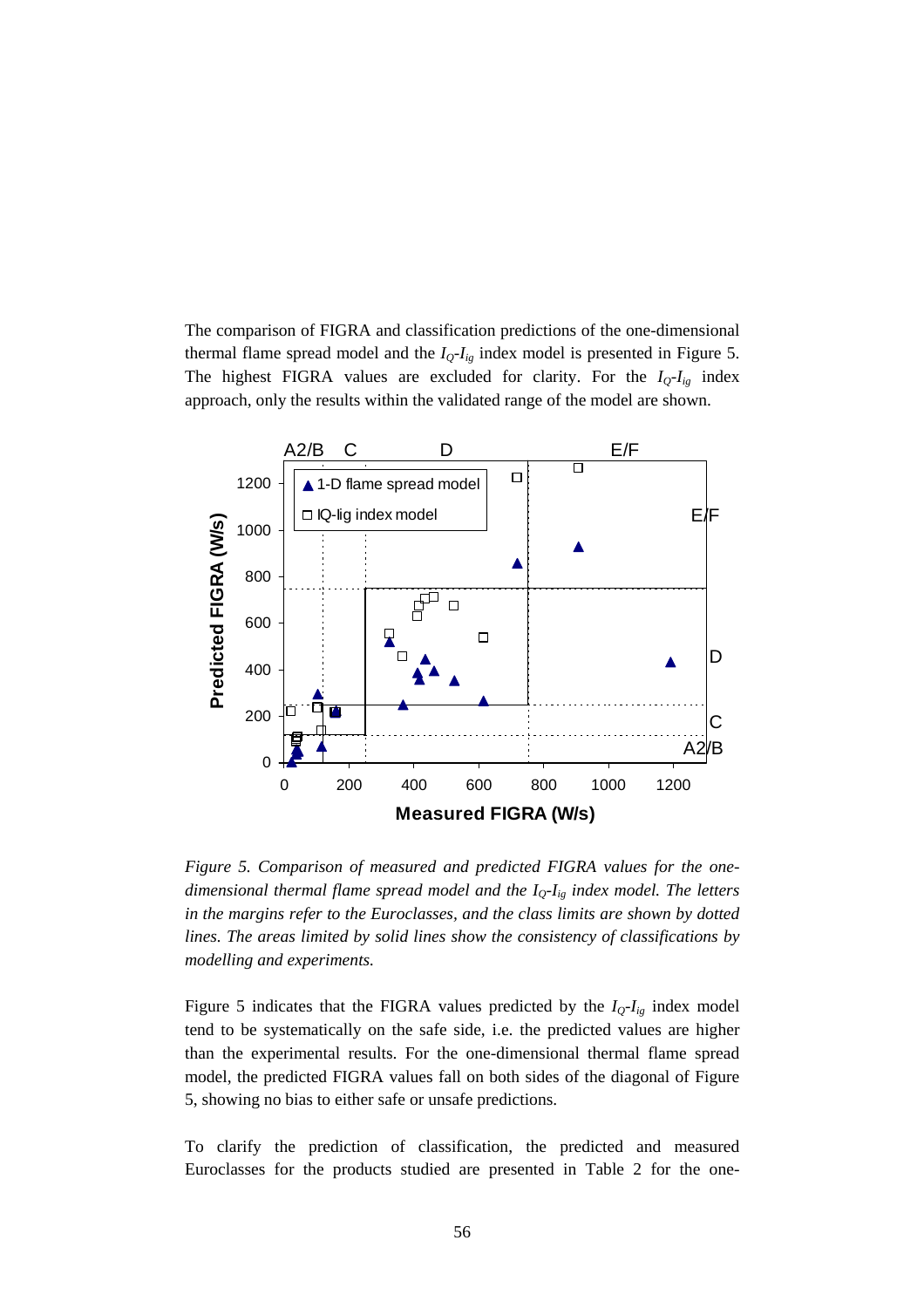The comparison of FIGRA and classification predictions of the one-dimensional thermal flame spread model and the  $I_Q-I_{ig}$  index model is presented in Figure 5. The highest FIGRA values are excluded for clarity. For the  $I_Q-I_{ig}$  index approach, only the results within the validated range of the model are shown.



*Figure 5. Comparison of measured and predicted FIGRA values for the onedimensional thermal flame spread model and the IQ-Iig index model. The letters in the margins refer to the Euroclasses, and the class limits are shown by dotted lines. The areas limited by solid lines show the consistency of classifications by modelling and experiments.*

Figure 5 indicates that the FIGRA values predicted by the  $I_Q-I_{ig}$  index model tend to be systematically on the safe side, i.e. the predicted values are higher than the experimental results. For the one-dimensional thermal flame spread model, the predicted FIGRA values fall on both sides of the diagonal of Figure 5, showing no bias to either safe or unsafe predictions.

To clarify the prediction of classification, the predicted and measured Euroclasses for the products studied are presented in Table 2 for the one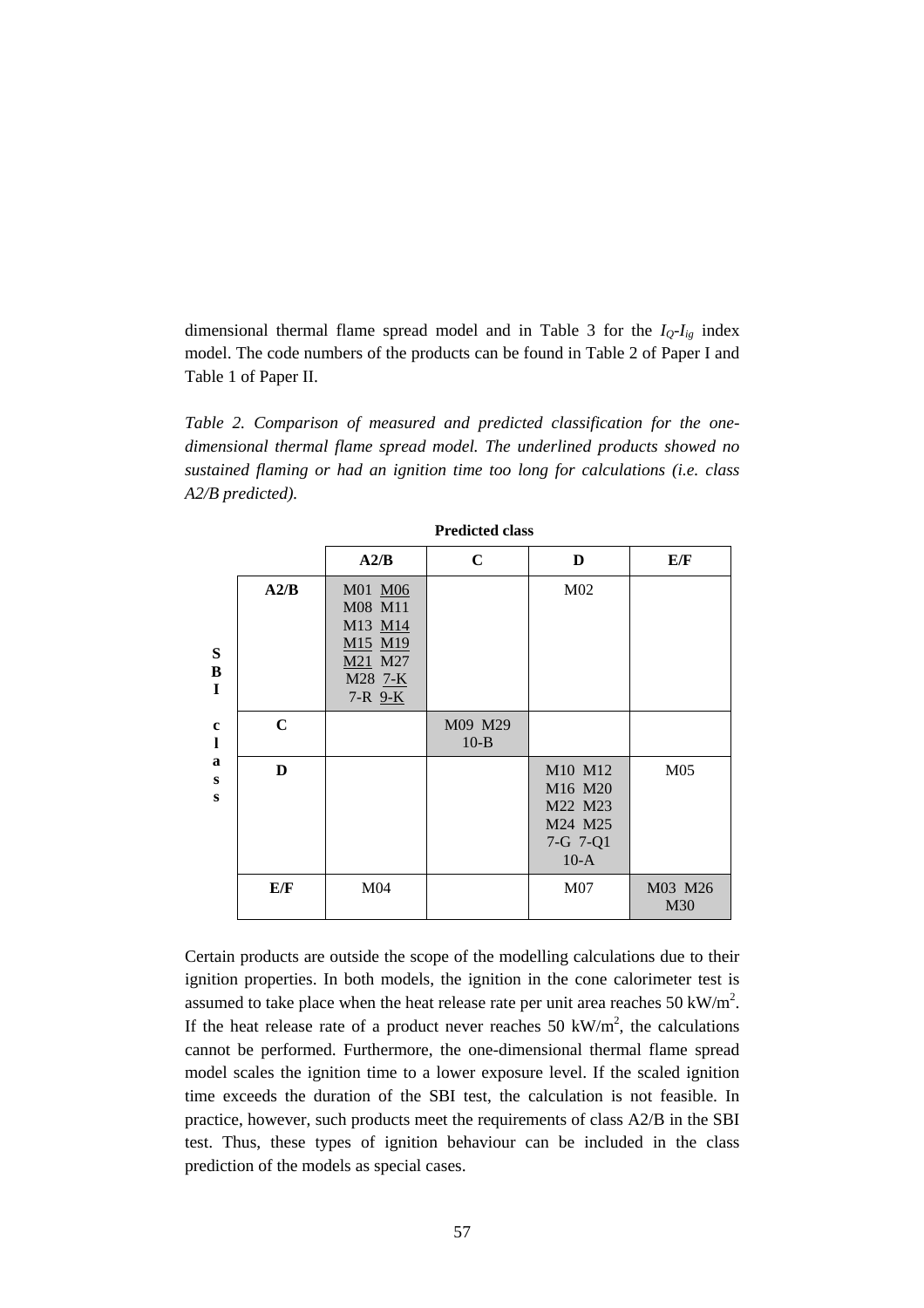dimensional thermal flame spread model and in Table 3 for the  $I_Q-I_{ig}$  index model. The code numbers of the products can be found in Table 2 of Paper I and Table 1 of Paper II.

*Table 2. Comparison of measured and predicted classification for the onedimensional thermal flame spread model. The underlined products showed no sustained flaming or had an ignition time too long for calculations (i.e. class A2/B predicted).*

|                  |             | A2/B                                                                              | $\mathbf C$         | D                                                              | E/F             |
|------------------|-------------|-----------------------------------------------------------------------------------|---------------------|----------------------------------------------------------------|-----------------|
| S<br>B<br>I      | A2/B        | M01 M06<br>M08 M11<br>M13 M14<br>M15 M19<br>M21 M27<br>M28 7-K<br>$7 - R$ $9 - K$ |                     | M <sub>02</sub>                                                |                 |
| $\mathbf c$<br>1 | $\mathbf C$ |                                                                                   | M09 M29<br>$10 - B$ |                                                                |                 |
| a<br>S<br>S      | D           |                                                                                   |                     | M10 M12<br>M16 M20<br>M22 M23<br>M24 M25<br>7-G 7-Q1<br>$10-A$ | M <sub>05</sub> |
|                  | E/F         | M <sub>04</sub>                                                                   |                     | M <sub>07</sub>                                                | M03 M26<br>M30  |

**Predicted class**

Certain products are outside the scope of the modelling calculations due to their ignition properties. In both models, the ignition in the cone calorimeter test is assumed to take place when the heat release rate per unit area reaches 50 kW/m<sup>2</sup>. If the heat release rate of a product never reaches 50 kW/m<sup>2</sup>, the calculations cannot be performed. Furthermore, the one-dimensional thermal flame spread model scales the ignition time to a lower exposure level. If the scaled ignition time exceeds the duration of the SBI test, the calculation is not feasible. In practice, however, such products meet the requirements of class A2/B in the SBI test. Thus, these types of ignition behaviour can be included in the class prediction of the models as special cases.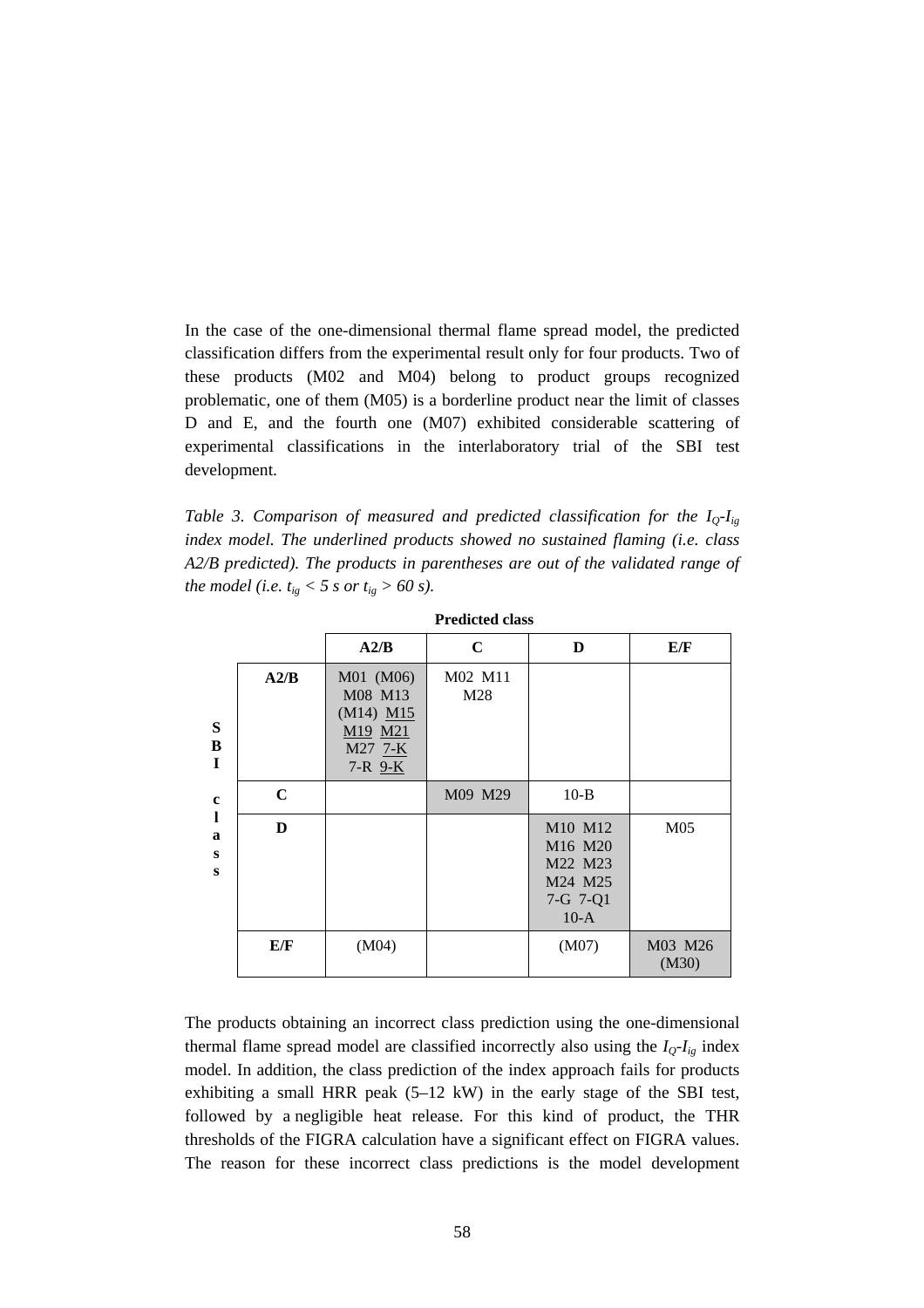In the case of the one-dimensional thermal flame spread model, the predicted classification differs from the experimental result only for four products. Two of these products (M02 and M04) belong to product groups recognized problematic, one of them (M05) is a borderline product near the limit of classes D and E, and the fourth one (M07) exhibited considerable scattering of experimental classifications in the interlaboratory trial of the SBI test development.

*Table 3. Comparison of measured and predicted classification for the IQ-Iig index model. The underlined products showed no sustained flaming (i.e. class A2/B predicted). The products in parentheses are out of the validated range of the model (i.e.*  $t_{ig} < 5 \text{ s or } t_{ig} > 60 \text{ s}.$ 

|                  |             | A2/B                                                                           | $\mathbf C$    | D                                                                                      | E/F              |
|------------------|-------------|--------------------------------------------------------------------------------|----------------|----------------------------------------------------------------------------------------|------------------|
| S<br>B<br>I      | A2/B        | M01 (M06)<br>M08 M13<br>$(M14)$ $M15$<br>M19 M21<br>M27 7-K<br>$7 - R$ $9 - K$ | M02 M11<br>M28 |                                                                                        |                  |
| $\mathbf c$      | $\mathbf C$ |                                                                                | M09 M29        | $10-B$                                                                                 |                  |
| 1<br>a<br>S<br>s | D           |                                                                                |                | M10 M12<br>M <sub>16</sub> M <sub>20</sub><br>M22 M23<br>M24 M25<br>7-G 7-Q1<br>$10-A$ | M <sub>05</sub>  |
|                  | E/F         | (M04)                                                                          |                | (M07)                                                                                  | M03 M26<br>(M30) |

| <b>Predicted class</b> |  |
|------------------------|--|
|------------------------|--|

The products obtaining an incorrect class prediction using the one-dimensional thermal flame spread model are classified incorrectly also using the  $I_Q-I_{ig}$  index model. In addition, the class prediction of the index approach fails for products exhibiting a small HRR peak  $(5-12 \text{ kW})$  in the early stage of the SBI test, followed by a negligible heat release. For this kind of product, the THR thresholds of the FIGRA calculation have a significant effect on FIGRA values. The reason for these incorrect class predictions is the model development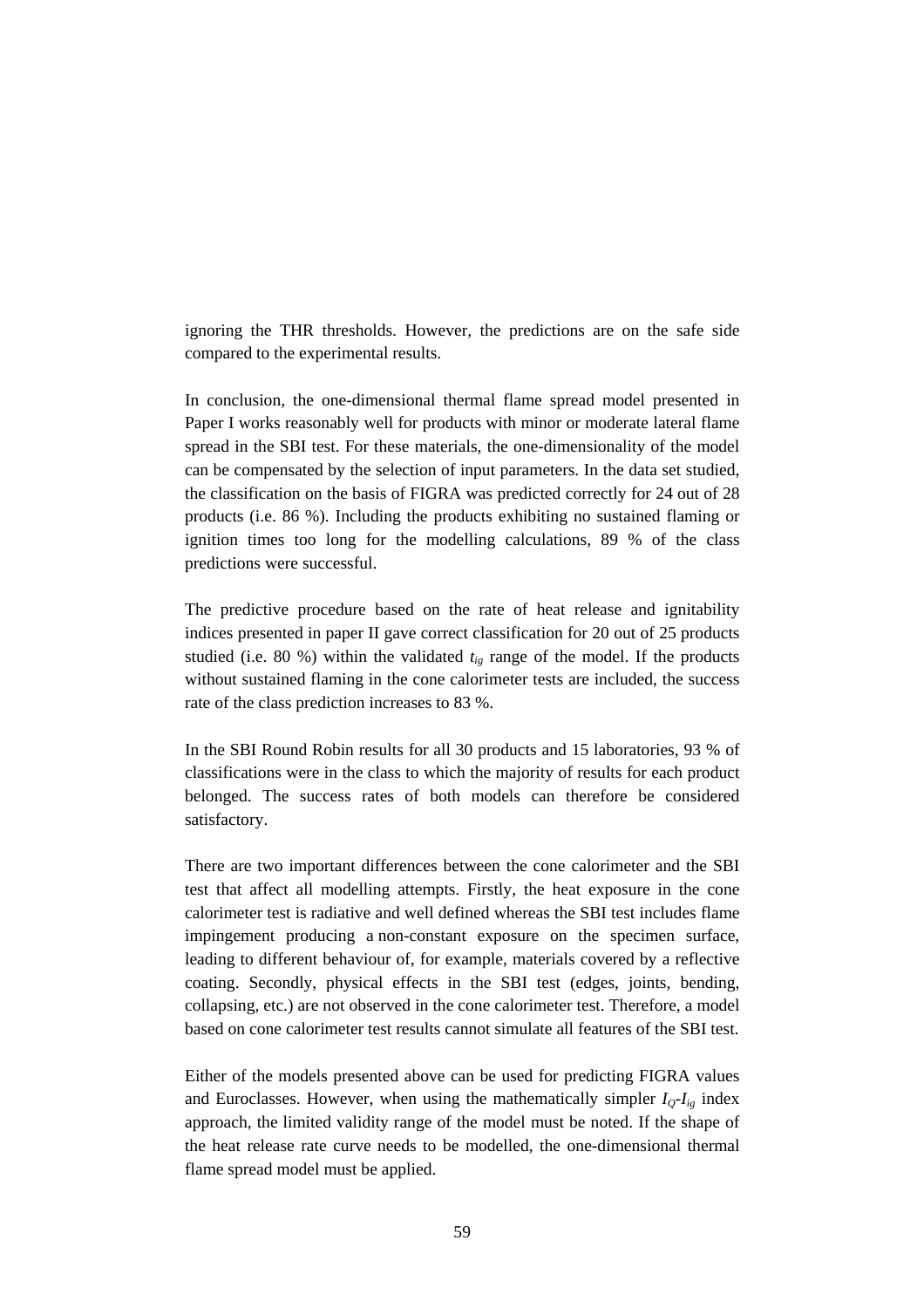ignoring the THR thresholds. However, the predictions are on the safe side compared to the experimental results.

In conclusion, the one-dimensional thermal flame spread model presented in Paper I works reasonably well for products with minor or moderate lateral flame spread in the SBI test. For these materials, the one-dimensionality of the model can be compensated by the selection of input parameters. In the data set studied, the classification on the basis of FIGRA was predicted correctly for 24 out of 28 products (i.e. 86 %). Including the products exhibiting no sustained flaming or ignition times too long for the modelling calculations, 89 % of the class predictions were successful.

The predictive procedure based on the rate of heat release and ignitability indices presented in paper II gave correct classification for 20 out of 25 products studied (i.e. 80 %) within the validated  $t_{ig}$  range of the model. If the products without sustained flaming in the cone calorimeter tests are included, the success rate of the class prediction increases to 83 %.

In the SBI Round Robin results for all 30 products and 15 laboratories, 93 % of classifications were in the class to which the majority of results for each product belonged. The success rates of both models can therefore be considered satisfactory.

There are two important differences between the cone calorimeter and the SBI test that affect all modelling attempts. Firstly, the heat exposure in the cone calorimeter test is radiative and well defined whereas the SBI test includes flame impingement producing a non-constant exposure on the specimen surface, leading to different behaviour of, for example, materials covered by a reflective coating. Secondly, physical effects in the SBI test (edges, joints, bending, collapsing, etc.) are not observed in the cone calorimeter test. Therefore, a model based on cone calorimeter test results cannot simulate all features of the SBI test.

Either of the models presented above can be used for predicting FIGRA values and Euroclasses. However, when using the mathematically simpler  $I_0$ - $I_{i}$  index approach, the limited validity range of the model must be noted. If the shape of the heat release rate curve needs to be modelled, the one-dimensional thermal flame spread model must be applied.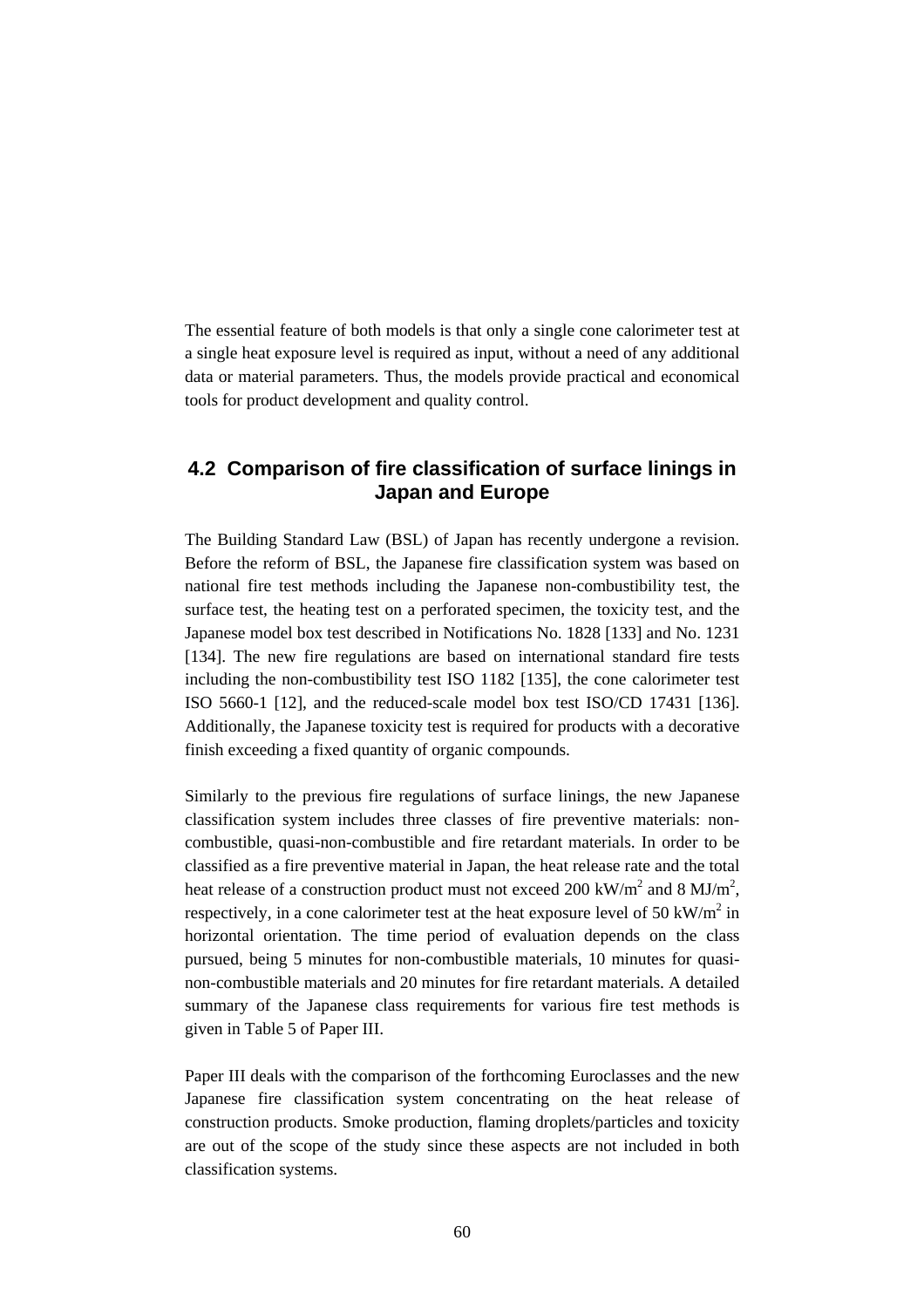The essential feature of both models is that only a single cone calorimeter test at a single heat exposure level is required as input, without a need of any additional data or material parameters. Thus, the models provide practical and economical tools for product development and quality control.

# **4.2 Comparison of fire classification of surface linings in Japan and Europe**

The Building Standard Law (BSL) of Japan has recently undergone a revision. Before the reform of BSL, the Japanese fire classification system was based on national fire test methods including the Japanese non-combustibility test, the surface test, the heating test on a perforated specimen, the toxicity test, and the Japanese model box test described in Notifications No. 1828 [133] and No. 1231 [134]. The new fire regulations are based on international standard fire tests including the non-combustibility test ISO 1182 [135], the cone calorimeter test ISO 5660-1 [12], and the reduced-scale model box test ISO/CD 17431 [136]. Additionally, the Japanese toxicity test is required for products with a decorative finish exceeding a fixed quantity of organic compounds.

Similarly to the previous fire regulations of surface linings, the new Japanese classification system includes three classes of fire preventive materials: noncombustible, quasi-non-combustible and fire retardant materials. In order to be classified as a fire preventive material in Japan, the heat release rate and the total heat release of a construction product must not exceed 200 kW/m<sup>2</sup> and 8 MJ/m<sup>2</sup>, respectively, in a cone calorimeter test at the heat exposure level of 50 kW/ $m^2$  in horizontal orientation. The time period of evaluation depends on the class pursued, being 5 minutes for non-combustible materials, 10 minutes for quasinon-combustible materials and 20 minutes for fire retardant materials. A detailed summary of the Japanese class requirements for various fire test methods is given in Table 5 of Paper III.

Paper III deals with the comparison of the forthcoming Euroclasses and the new Japanese fire classification system concentrating on the heat release of construction products. Smoke production, flaming droplets/particles and toxicity are out of the scope of the study since these aspects are not included in both classification systems.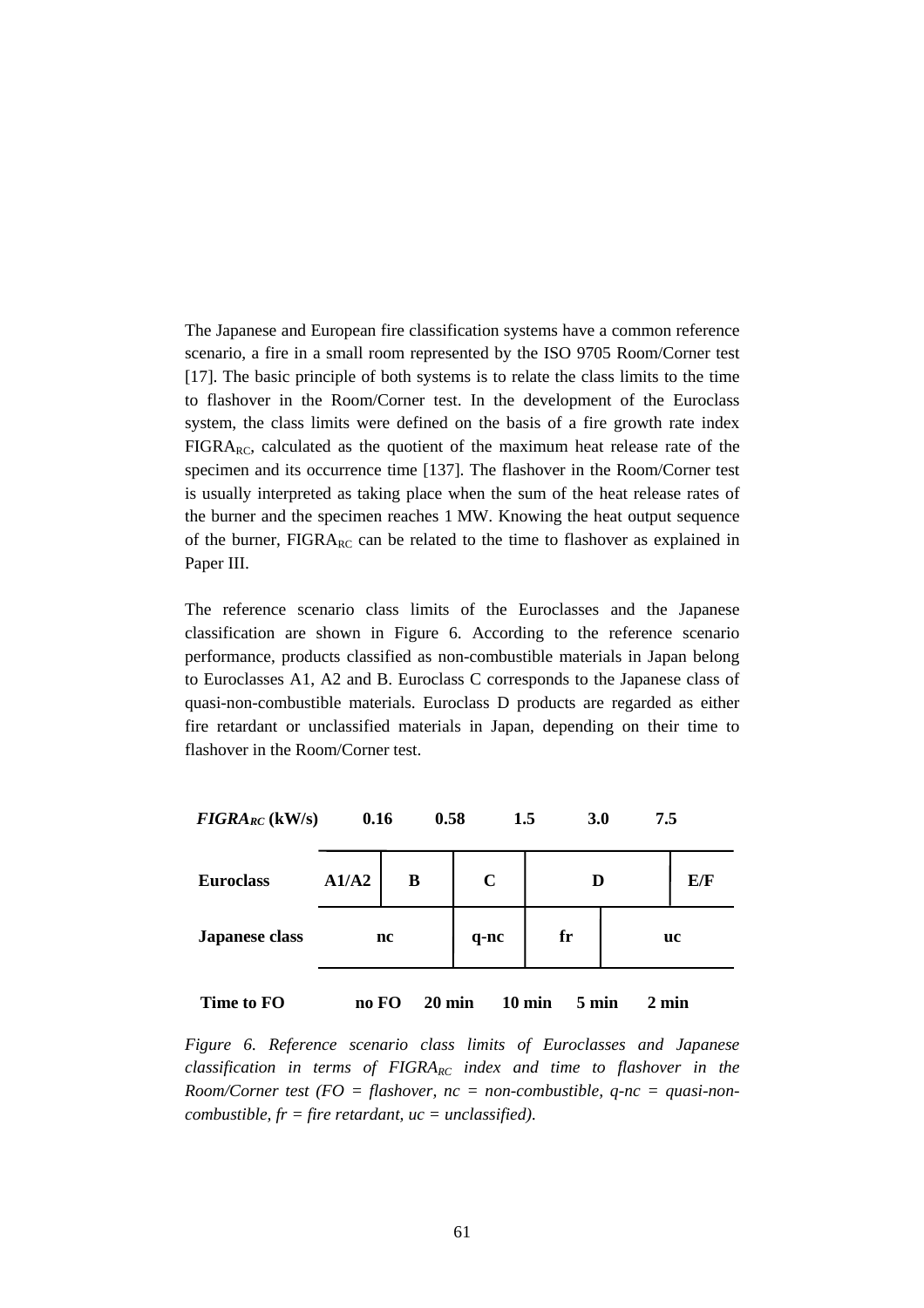The Japanese and European fire classification systems have a common reference scenario, a fire in a small room represented by the ISO 9705 Room/Corner test [17]. The basic principle of both systems is to relate the class limits to the time to flashover in the Room/Corner test. In the development of the Euroclass system, the class limits were defined on the basis of a fire growth rate index  $FIGRA_{RC}$ , calculated as the quotient of the maximum heat release rate of the specimen and its occurrence time [137]. The flashover in the Room/Corner test is usually interpreted as taking place when the sum of the heat release rates of the burner and the specimen reaches 1 MW. Knowing the heat output sequence of the burner,  $FIGRA_{RC}$  can be related to the time to flashover as explained in Paper III.

The reference scenario class limits of the Euroclasses and the Japanese classification are shown in Figure 6. According to the reference scenario performance, products classified as non-combustible materials in Japan belong to Euroclasses A1, A2 and B. Euroclass C corresponds to the Japanese class of quasi-non-combustible materials. Euroclass D products are regarded as either fire retardant or unclassified materials in Japan, depending on their time to flashover in the Room/Corner test.

| $FIGRA_{RC}$ (kW/s)   | 0.16  |                  | 0.58        | 3.0<br>1.5                | 7.5             |     |
|-----------------------|-------|------------------|-------------|---------------------------|-----------------|-----|
| <b>Euroclass</b>      | A1/A2 | B                | $\mathbf C$ | D                         |                 | E/F |
| <b>Japanese class</b> | nc    |                  | q-nc        | fr                        |                 | uc  |
| Time to FO            | no FO | $20 \text{ min}$ |             | $10 \text{ min}$<br>5 min | $2 \text{ min}$ |     |

*Figure 6. Reference scenario class limits of Euroclasses and Japanese classification in terms of FIGRARC index and time to flashover in the Room/Corner test (FO = flashover, nc = non-combustible, q-nc = quasi-noncombustible, fr = fire retardant, uc = unclassified).*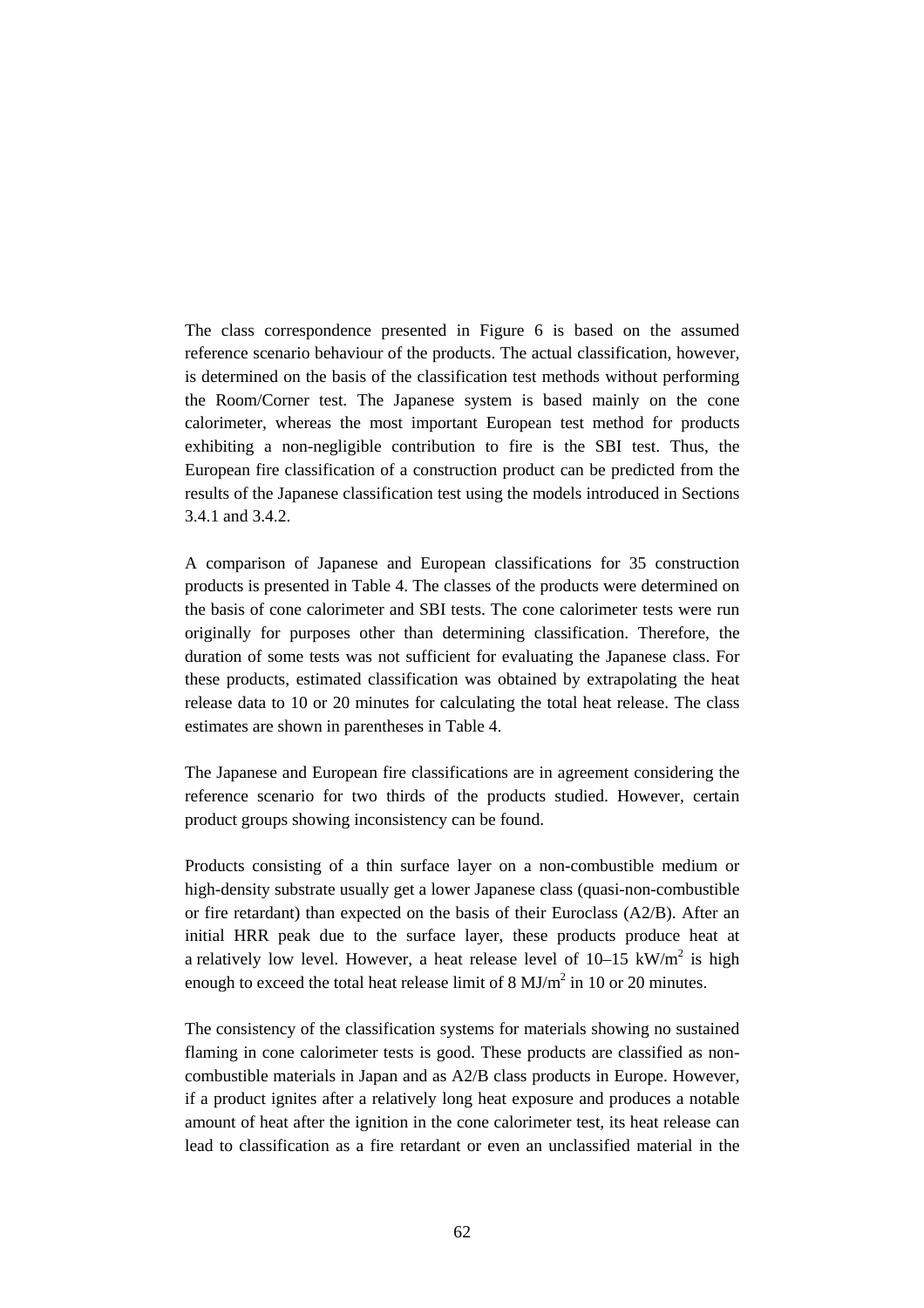The class correspondence presented in Figure 6 is based on the assumed reference scenario behaviour of the products. The actual classification, however, is determined on the basis of the classification test methods without performing the Room/Corner test. The Japanese system is based mainly on the cone calorimeter, whereas the most important European test method for products exhibiting a non-negligible contribution to fire is the SBI test. Thus, the European fire classification of a construction product can be predicted from the results of the Japanese classification test using the models introduced in Sections 3.4.1 and 3.4.2.

A comparison of Japanese and European classifications for 35 construction products is presented in Table 4. The classes of the products were determined on the basis of cone calorimeter and SBI tests. The cone calorimeter tests were run originally for purposes other than determining classification. Therefore, the duration of some tests was not sufficient for evaluating the Japanese class. For these products, estimated classification was obtained by extrapolating the heat release data to 10 or 20 minutes for calculating the total heat release. The class estimates are shown in parentheses in Table 4.

The Japanese and European fire classifications are in agreement considering the reference scenario for two thirds of the products studied. However, certain product groups showing inconsistency can be found.

Products consisting of a thin surface layer on a non-combustible medium or high-density substrate usually get a lower Japanese class (quasi-non-combustible or fire retardant) than expected on the basis of their Euroclass (A2/B). After an initial HRR peak due to the surface layer, these products produce heat at a relatively low level. However, a heat release level of  $10-15 \text{ kW/m}^2$  is high enough to exceed the total heat release limit of 8  $MJ/m<sup>2</sup>$  in 10 or 20 minutes.

The consistency of the classification systems for materials showing no sustained flaming in cone calorimeter tests is good. These products are classified as noncombustible materials in Japan and as A2/B class products in Europe. However, if a product ignites after a relatively long heat exposure and produces a notable amount of heat after the ignition in the cone calorimeter test, its heat release can lead to classification as a fire retardant or even an unclassified material in the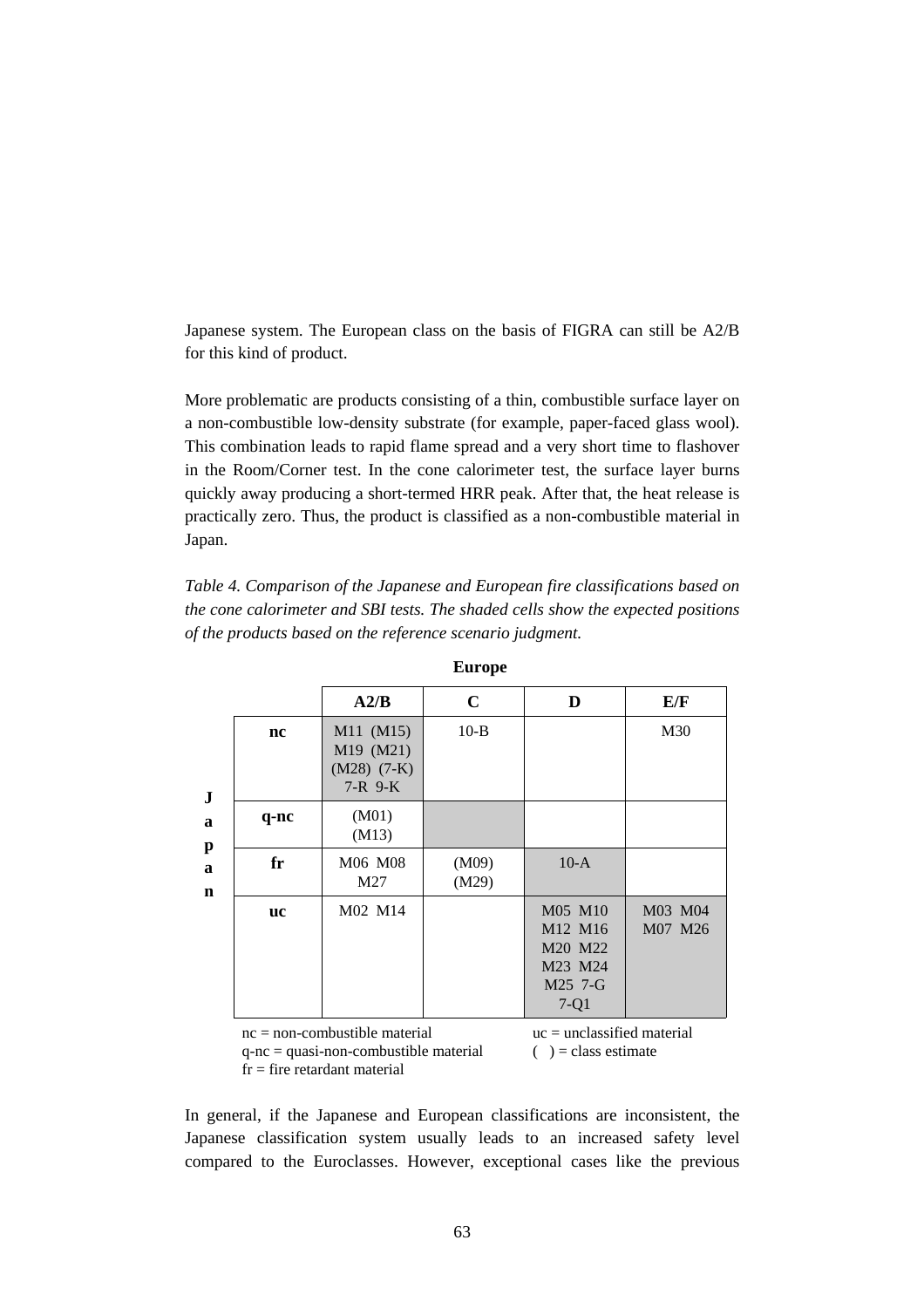Japanese system. The European class on the basis of FIGRA can still be A2/B for this kind of product.

More problematic are products consisting of a thin, combustible surface layer on a non-combustible low-density substrate (for example, paper-faced glass wool). This combination leads to rapid flame spread and a very short time to flashover in the Room/Corner test. In the cone calorimeter test, the surface layer burns quickly away producing a short-termed HRR peak. After that, the heat release is practically zero. Thus, the product is classified as a non-combustible material in Japan.

*Table 4. Comparison of the Japanese and European fire classifications based on the cone calorimeter and SBI tests. The shaded cells show the expected positions of the products based on the reference scenario judgment.*

|           | A2/B                                                 | C              | D                                                                                     | E/F                |
|-----------|------------------------------------------------------|----------------|---------------------------------------------------------------------------------------|--------------------|
| nc        | M11 (M15)<br>M19 (M21)<br>$(M28)$ (7-K)<br>$7-R$ 9-K | $10-B$         |                                                                                       | M30                |
| q-nc      | (M01)<br>(M13)                                       |                |                                                                                       |                    |
| fr        | M06 M08<br>M27                                       | (M09)<br>(M29) | $10-A$                                                                                |                    |
| <b>uc</b> | M02 M14                                              |                | M05 M10<br>M <sub>12</sub> M <sub>16</sub><br>M20 M22<br>M23 M24<br>M25 7-G<br>$7-Q1$ | M03 M04<br>M07 M26 |

**Europe**

 $nc = non-combustible material$ q-nc = quasi-non-combustible material

 $fr = fire$  retardant material

 $uc =$ unclassified material

 $()$  = class estimate

In general, if the Japanese and European classifications are inconsistent, the Japanese classification system usually leads to an increased safety level compared to the Euroclasses. However, exceptional cases like the previous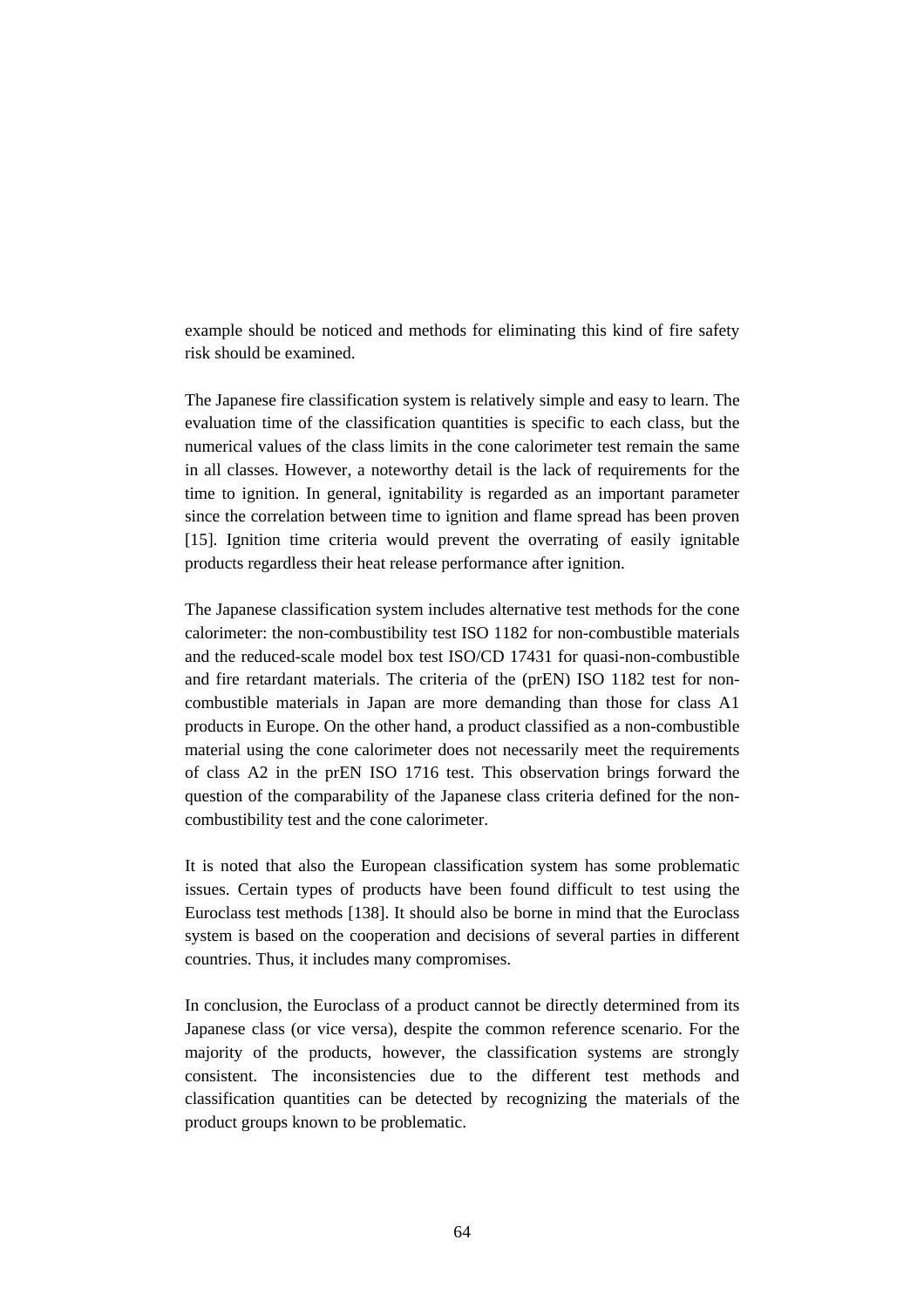example should be noticed and methods for eliminating this kind of fire safety risk should be examined.

The Japanese fire classification system is relatively simple and easy to learn. The evaluation time of the classification quantities is specific to each class, but the numerical values of the class limits in the cone calorimeter test remain the same in all classes. However, a noteworthy detail is the lack of requirements for the time to ignition. In general, ignitability is regarded as an important parameter since the correlation between time to ignition and flame spread has been proven [15]. Ignition time criteria would prevent the overrating of easily ignitable products regardless their heat release performance after ignition.

The Japanese classification system includes alternative test methods for the cone calorimeter: the non-combustibility test ISO 1182 for non-combustible materials and the reduced-scale model box test ISO/CD 17431 for quasi-non-combustible and fire retardant materials. The criteria of the (prEN) ISO 1182 test for noncombustible materials in Japan are more demanding than those for class A1 products in Europe. On the other hand, a product classified as a non-combustible material using the cone calorimeter does not necessarily meet the requirements of class A2 in the prEN ISO 1716 test. This observation brings forward the question of the comparability of the Japanese class criteria defined for the noncombustibility test and the cone calorimeter.

It is noted that also the European classification system has some problematic issues. Certain types of products have been found difficult to test using the Euroclass test methods [138]. It should also be borne in mind that the Euroclass system is based on the cooperation and decisions of several parties in different countries. Thus, it includes many compromises.

In conclusion, the Euroclass of a product cannot be directly determined from its Japanese class (or vice versa), despite the common reference scenario. For the majority of the products, however, the classification systems are strongly consistent. The inconsistencies due to the different test methods and classification quantities can be detected by recognizing the materials of the product groups known to be problematic.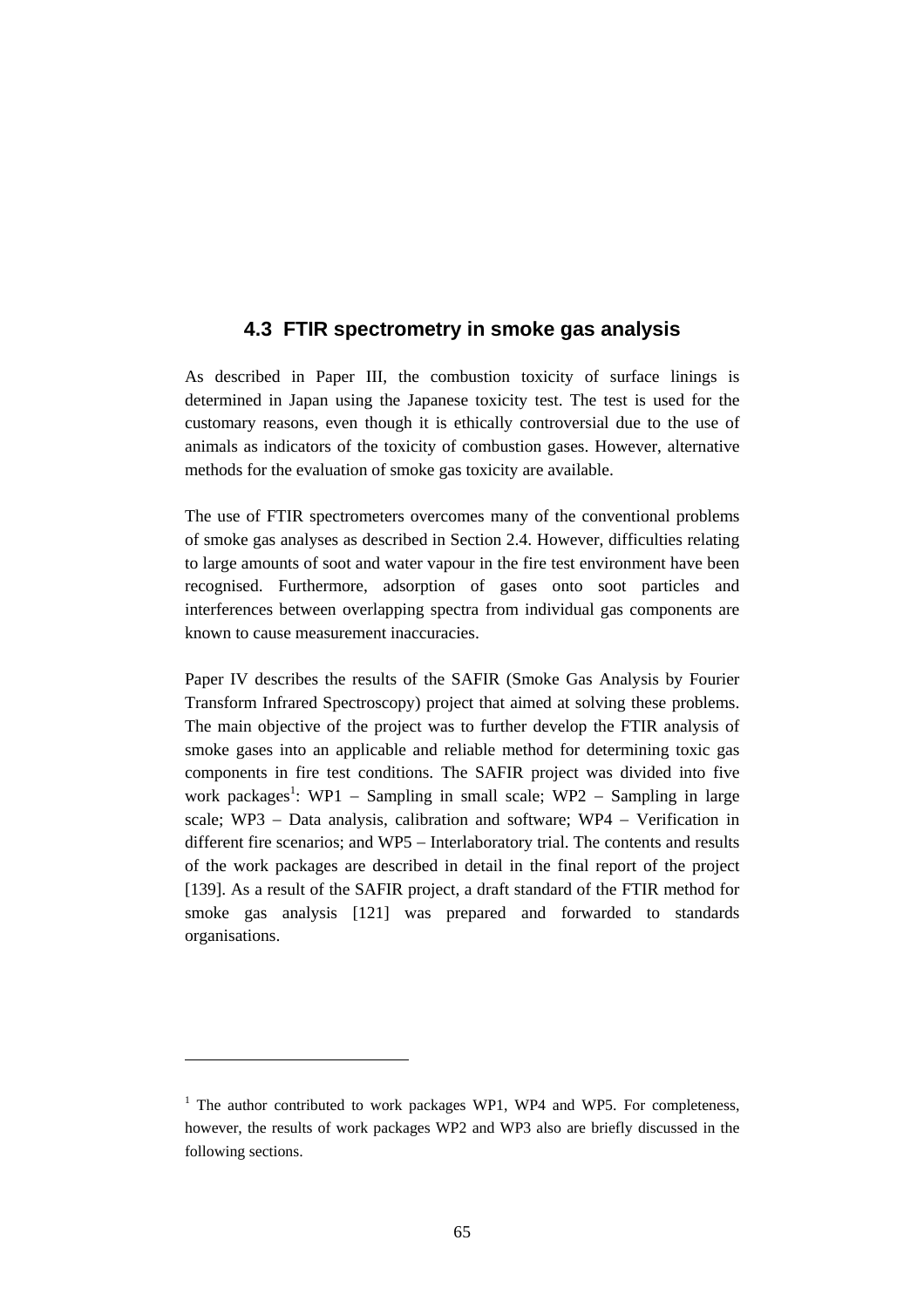# **4.3 FTIR spectrometry in smoke gas analysis**

As described in Paper III, the combustion toxicity of surface linings is determined in Japan using the Japanese toxicity test. The test is used for the customary reasons, even though it is ethically controversial due to the use of animals as indicators of the toxicity of combustion gases. However, alternative methods for the evaluation of smoke gas toxicity are available.

The use of FTIR spectrometers overcomes many of the conventional problems of smoke gas analyses as described in Section 2.4. However, difficulties relating to large amounts of soot and water vapour in the fire test environment have been recognised. Furthermore, adsorption of gases onto soot particles and interferences between overlapping spectra from individual gas components are known to cause measurement inaccuracies.

Paper IV describes the results of the SAFIR (Smoke Gas Analysis by Fourier Transform Infrared Spectroscopy) project that aimed at solving these problems. The main objective of the project was to further develop the FTIR analysis of smoke gases into an applicable and reliable method for determining toxic gas components in fire test conditions. The SAFIR project was divided into five work packages<sup>1</sup>: WP1 – Sampling in small scale; WP2 – Sampling in large scale; WP3 – Data analysis, calibration and software; WP4 – Verification in different fire scenarios; and WP5 − Interlaboratory trial. The contents and results of the work packages are described in detail in the final report of the project [139]. As a result of the SAFIR project, a draft standard of the FTIR method for smoke gas analysis [121] was prepared and forwarded to standards organisations.

1

<sup>&</sup>lt;sup>1</sup> The author contributed to work packages WP1, WP4 and WP5. For completeness, however, the results of work packages WP2 and WP3 also are briefly discussed in the following sections.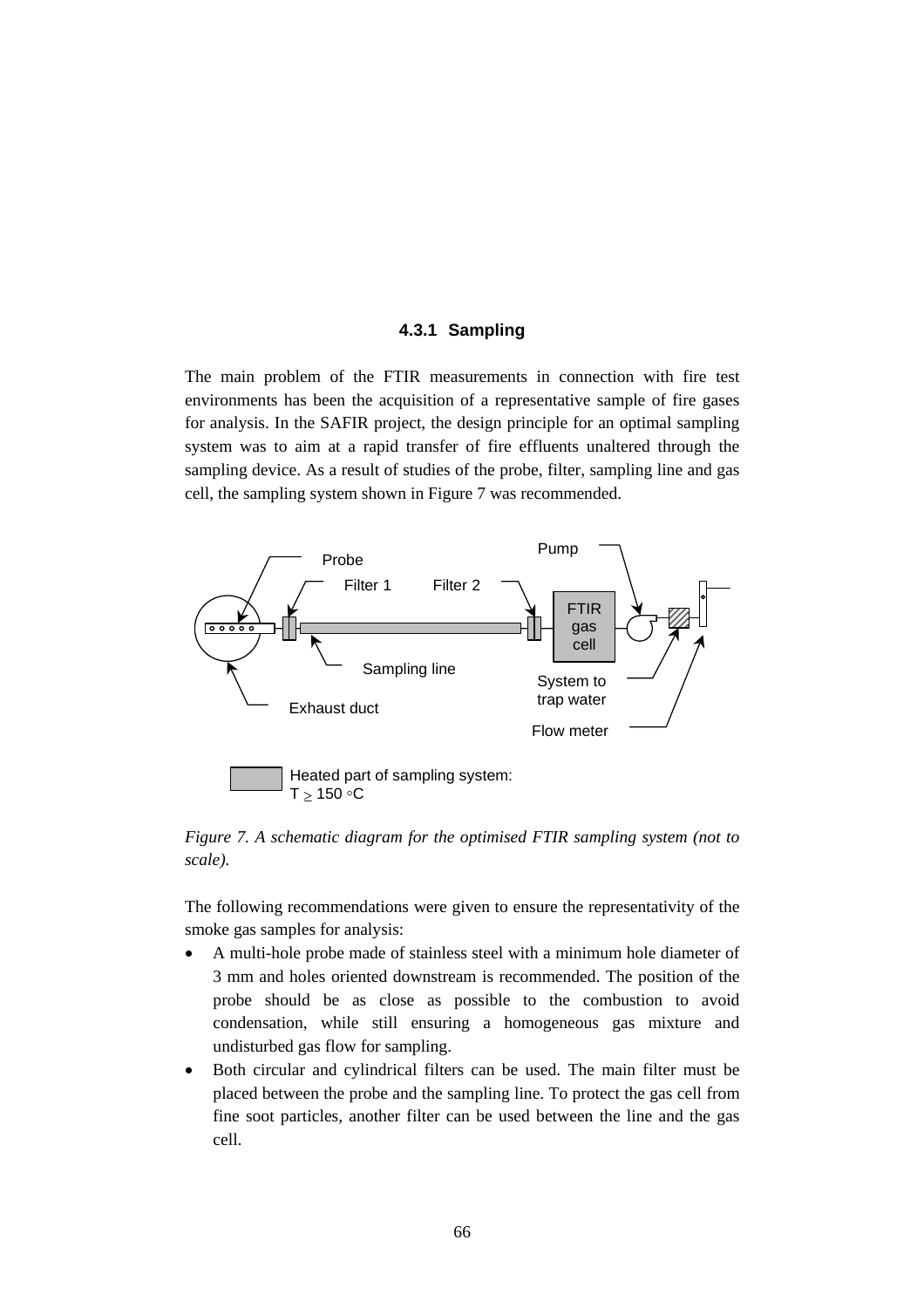### **4.3.1 Sampling**

The main problem of the FTIR measurements in connection with fire test environments has been the acquisition of a representative sample of fire gases for analysis. In the SAFIR project, the design principle for an optimal sampling system was to aim at a rapid transfer of fire effluents unaltered through the sampling device. As a result of studies of the probe, filter, sampling line and gas cell, the sampling system shown in Figure 7 was recommended.



*Figure 7. A schematic diagram for the optimised FTIR sampling system (not to scale).*

The following recommendations were given to ensure the representativity of the smoke gas samples for analysis:

- A multi-hole probe made of stainless steel with a minimum hole diameter of 3 mm and holes oriented downstream is recommended. The position of the probe should be as close as possible to the combustion to avoid condensation, while still ensuring a homogeneous gas mixture and undisturbed gas flow for sampling.
- Both circular and cylindrical filters can be used. The main filter must be placed between the probe and the sampling line. To protect the gas cell from fine soot particles, another filter can be used between the line and the gas cell.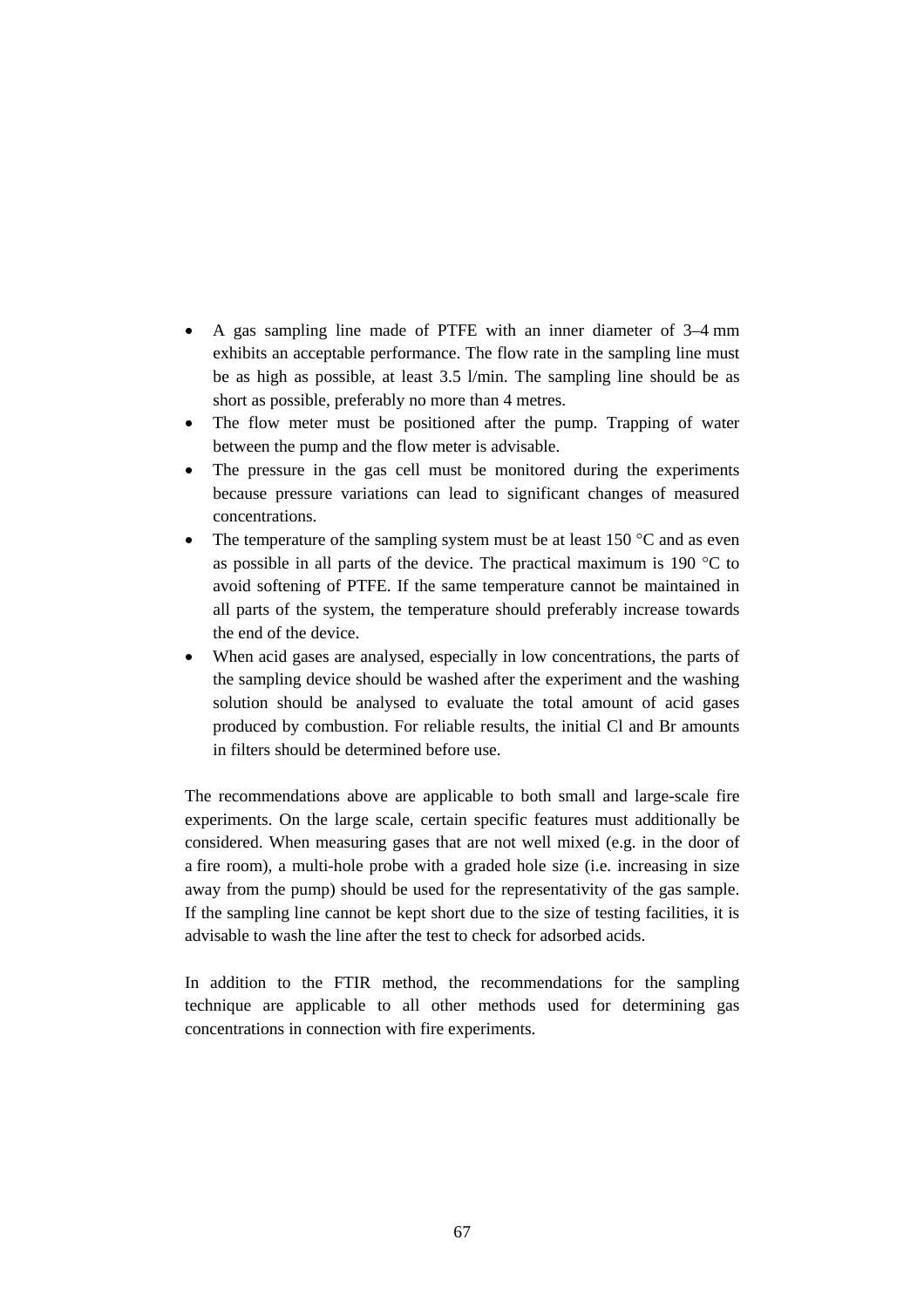- A gas sampling line made of PTFE with an inner diameter of 3–4 mm exhibits an acceptable performance. The flow rate in the sampling line must be as high as possible, at least 3.5 l/min. The sampling line should be as short as possible, preferably no more than 4 metres.
- The flow meter must be positioned after the pump. Trapping of water between the pump and the flow meter is advisable.
- The pressure in the gas cell must be monitored during the experiments because pressure variations can lead to significant changes of measured concentrations.
- The temperature of the sampling system must be at least  $150^{\circ}$ C and as even as possible in all parts of the device. The practical maximum is 190 °C to avoid softening of PTFE. If the same temperature cannot be maintained in all parts of the system, the temperature should preferably increase towards the end of the device.
- When acid gases are analysed, especially in low concentrations, the parts of the sampling device should be washed after the experiment and the washing solution should be analysed to evaluate the total amount of acid gases produced by combustion. For reliable results, the initial Cl and Br amounts in filters should be determined before use.

The recommendations above are applicable to both small and large-scale fire experiments. On the large scale, certain specific features must additionally be considered. When measuring gases that are not well mixed (e.g. in the door of a fire room), a multi-hole probe with a graded hole size (i.e. increasing in size away from the pump) should be used for the representativity of the gas sample. If the sampling line cannot be kept short due to the size of testing facilities, it is advisable to wash the line after the test to check for adsorbed acids.

In addition to the FTIR method, the recommendations for the sampling technique are applicable to all other methods used for determining gas concentrations in connection with fire experiments.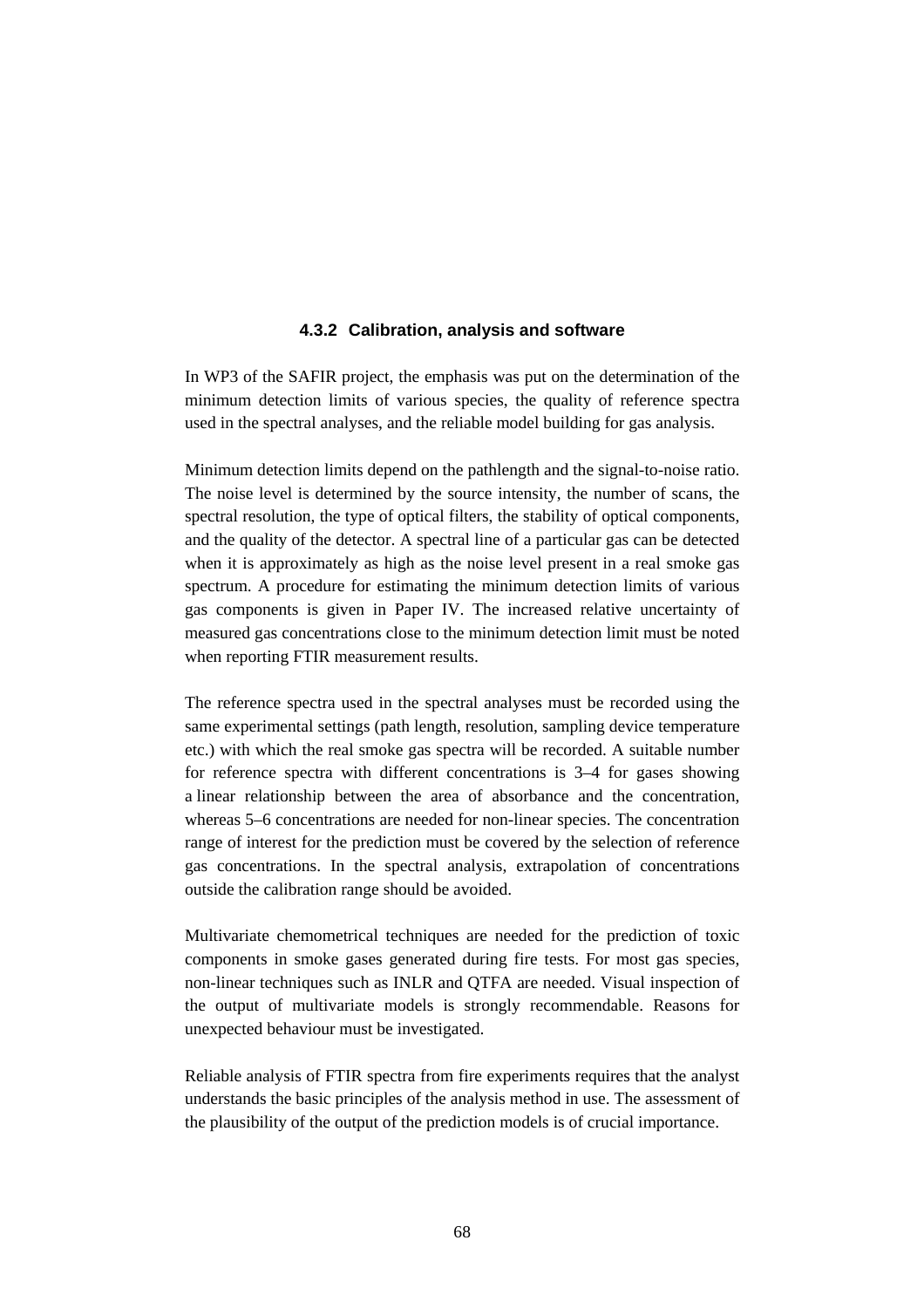### **4.3.2 Calibration, analysis and software**

In WP3 of the SAFIR project, the emphasis was put on the determination of the minimum detection limits of various species, the quality of reference spectra used in the spectral analyses, and the reliable model building for gas analysis.

Minimum detection limits depend on the pathlength and the signal-to-noise ratio. The noise level is determined by the source intensity, the number of scans, the spectral resolution, the type of optical filters, the stability of optical components, and the quality of the detector. A spectral line of a particular gas can be detected when it is approximately as high as the noise level present in a real smoke gas spectrum. A procedure for estimating the minimum detection limits of various gas components is given in Paper IV. The increased relative uncertainty of measured gas concentrations close to the minimum detection limit must be noted when reporting FTIR measurement results.

The reference spectra used in the spectral analyses must be recorded using the same experimental settings (path length, resolution, sampling device temperature etc.) with which the real smoke gas spectra will be recorded. A suitable number for reference spectra with different concentrations is 3–4 for gases showing a linear relationship between the area of absorbance and the concentration, whereas 5–6 concentrations are needed for non-linear species. The concentration range of interest for the prediction must be covered by the selection of reference gas concentrations. In the spectral analysis, extrapolation of concentrations outside the calibration range should be avoided.

Multivariate chemometrical techniques are needed for the prediction of toxic components in smoke gases generated during fire tests. For most gas species, non-linear techniques such as INLR and QTFA are needed. Visual inspection of the output of multivariate models is strongly recommendable. Reasons for unexpected behaviour must be investigated.

Reliable analysis of FTIR spectra from fire experiments requires that the analyst understands the basic principles of the analysis method in use. The assessment of the plausibility of the output of the prediction models is of crucial importance.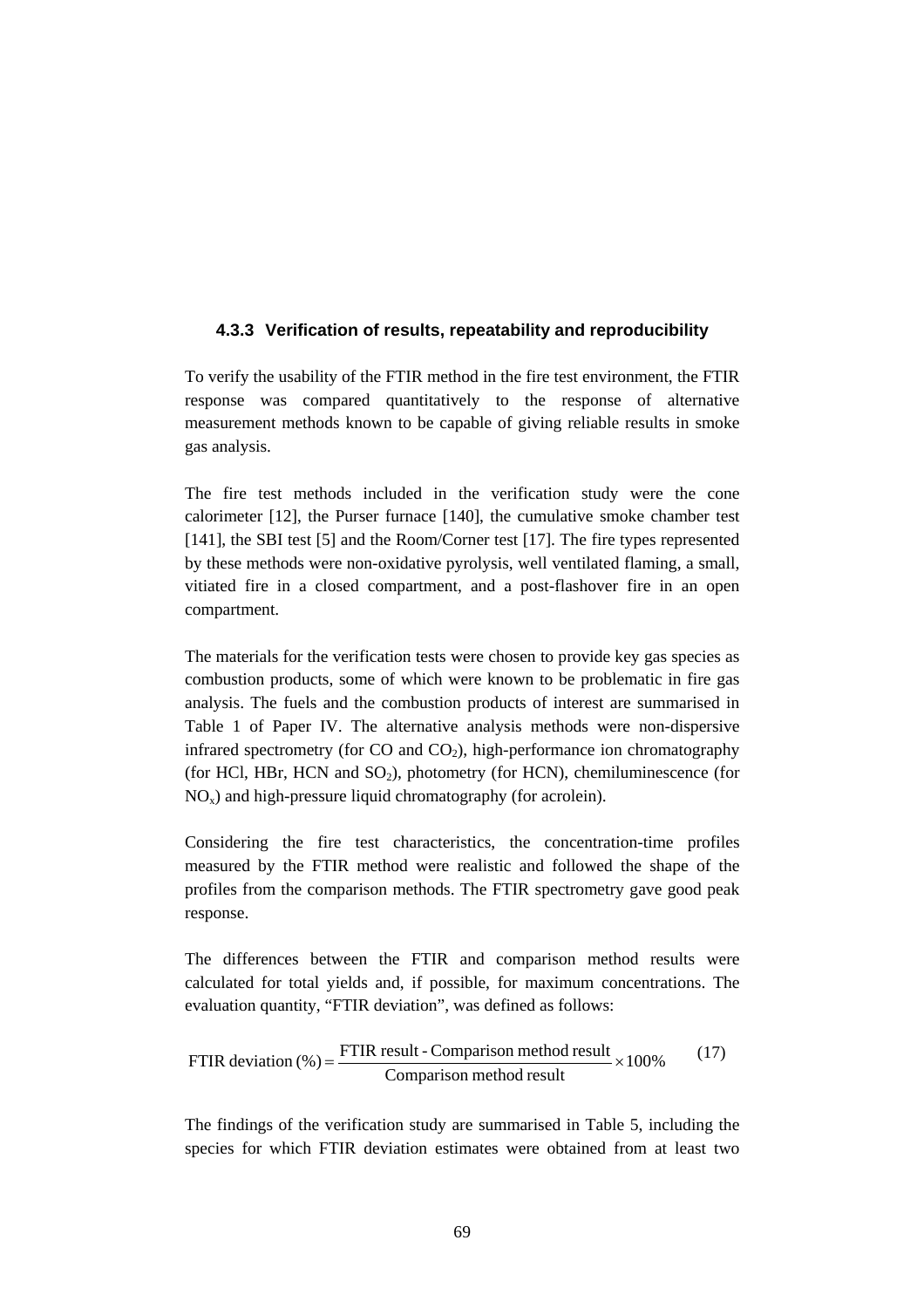### **4.3.3 Verification of results, repeatability and reproducibility**

To verify the usability of the FTIR method in the fire test environment, the FTIR response was compared quantitatively to the response of alternative measurement methods known to be capable of giving reliable results in smoke gas analysis.

The fire test methods included in the verification study were the cone calorimeter [12], the Purser furnace [140], the cumulative smoke chamber test [141], the SBI test [5] and the Room/Corner test [17]. The fire types represented by these methods were non-oxidative pyrolysis, well ventilated flaming, a small, vitiated fire in a closed compartment, and a post-flashover fire in an open compartment.

The materials for the verification tests were chosen to provide key gas species as combustion products, some of which were known to be problematic in fire gas analysis. The fuels and the combustion products of interest are summarised in Table 1 of Paper IV. The alternative analysis methods were non-dispersive infrared spectrometry (for CO and  $CO<sub>2</sub>$ ), high-performance ion chromatography (for HCl, HBr, HCN and  $SO<sub>2</sub>$ ), photometry (for HCN), chemiluminescence (for  $NO<sub>x</sub>$ ) and high-pressure liquid chromatography (for acrolein).

Considering the fire test characteristics, the concentration-time profiles measured by the FTIR method were realistic and followed the shape of the profiles from the comparison methods. The FTIR spectrometry gave good peak response.

The differences between the FTIR and comparison method results were calculated for total yields and, if possible, for maximum concentrations. The evaluation quantity, "FTIR deviation", was defined as follows:

FTIR deviation (%) = 
$$
\frac{FTIR \text{ result - Comparison method result}}{Comparison \text{ method result}} \times 100\%
$$
 (17)

The findings of the verification study are summarised in Table 5, including the species for which FTIR deviation estimates were obtained from at least two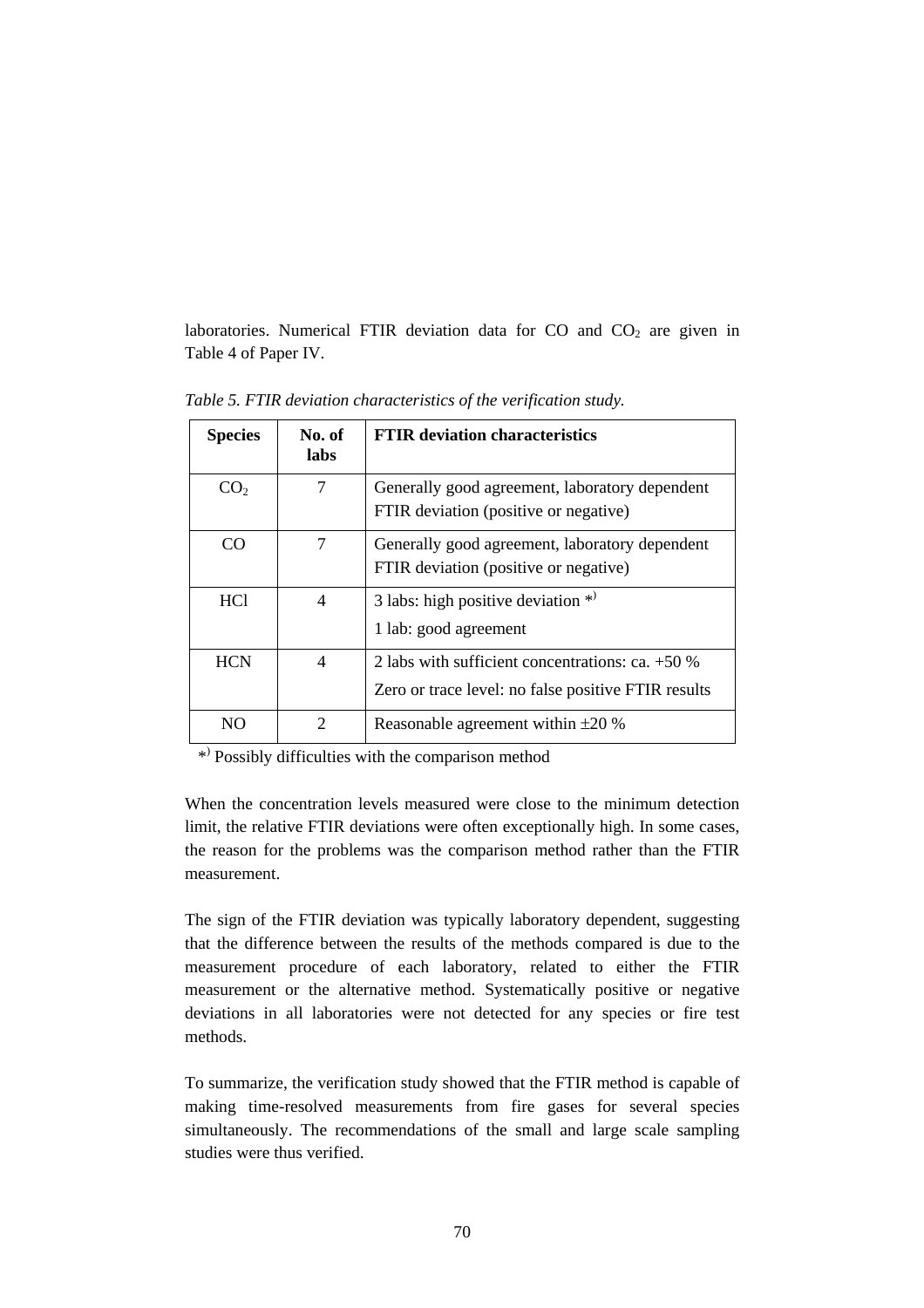laboratories. Numerical FTIR deviation data for  $CO$  and  $CO<sub>2</sub>$  are given in Table 4 of Paper IV.

| <b>Species</b>  | No. of<br>labs | <b>FTIR</b> deviation characteristics                                                                   |
|-----------------|----------------|---------------------------------------------------------------------------------------------------------|
| CO <sub>2</sub> | 7              | Generally good agreement, laboratory dependent<br>FTIR deviation (positive or negative)                 |
| CO              | 7              | Generally good agreement, laboratory dependent<br>FTIR deviation (positive or negative)                 |
| <b>HCl</b>      | 4              | 3 labs: high positive deviation $*$<br>1 lab: good agreement                                            |
| <b>HCN</b>      | 4              | 2 labs with sufficient concentrations: ca. +50 %<br>Zero or trace level: no false positive FTIR results |
| NΩ              | 2              | Reasonable agreement within $\pm 20$ %                                                                  |

*Table 5. FTIR deviation characteristics of the verification study.*

\*) Possibly difficulties with the comparison method

When the concentration levels measured were close to the minimum detection limit, the relative FTIR deviations were often exceptionally high. In some cases, the reason for the problems was the comparison method rather than the FTIR measurement.

The sign of the FTIR deviation was typically laboratory dependent, suggesting that the difference between the results of the methods compared is due to the measurement procedure of each laboratory, related to either the FTIR measurement or the alternative method. Systematically positive or negative deviations in all laboratories were not detected for any species or fire test methods.

To summarize, the verification study showed that the FTIR method is capable of making time-resolved measurements from fire gases for several species simultaneously. The recommendations of the small and large scale sampling studies were thus verified.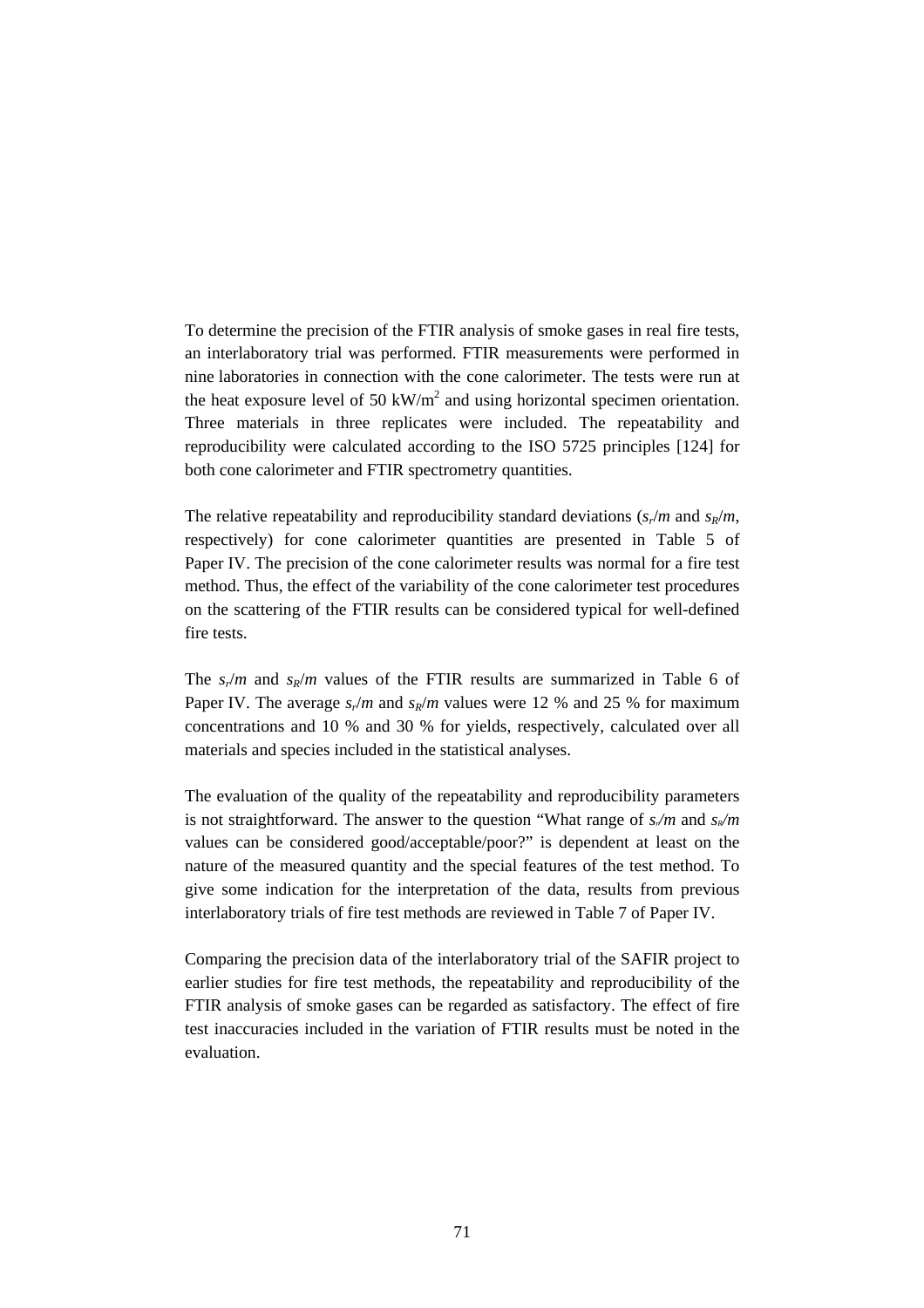To determine the precision of the FTIR analysis of smoke gases in real fire tests, an interlaboratory trial was performed. FTIR measurements were performed in nine laboratories in connection with the cone calorimeter. The tests were run at the heat exposure level of 50 kW/ $m<sup>2</sup>$  and using horizontal specimen orientation. Three materials in three replicates were included. The repeatability and reproducibility were calculated according to the ISO 5725 principles [124] for both cone calorimeter and FTIR spectrometry quantities.

The relative repeatability and reproducibility standard deviations  $(s_r/m$  and  $s_R/m$ , respectively) for cone calorimeter quantities are presented in Table 5 of Paper IV. The precision of the cone calorimeter results was normal for a fire test method. Thus, the effect of the variability of the cone calorimeter test procedures on the scattering of the FTIR results can be considered typical for well-defined fire tests.

The  $s_r/m$  and  $s_R/m$  values of the FTIR results are summarized in Table 6 of Paper IV. The average  $s_r/m$  and  $s_R/m$  values were 12 % and 25 % for maximum concentrations and 10 % and 30 % for yields, respectively, calculated over all materials and species included in the statistical analyses.

The evaluation of the quality of the repeatability and reproducibility parameters is not straightforward. The answer to the question "What range of  $s/m$  and  $s/m$ values can be considered good/acceptable/poor?" is dependent at least on the nature of the measured quantity and the special features of the test method. To give some indication for the interpretation of the data, results from previous interlaboratory trials of fire test methods are reviewed in Table 7 of Paper IV.

Comparing the precision data of the interlaboratory trial of the SAFIR project to earlier studies for fire test methods, the repeatability and reproducibility of the FTIR analysis of smoke gases can be regarded as satisfactory. The effect of fire test inaccuracies included in the variation of FTIR results must be noted in the evaluation.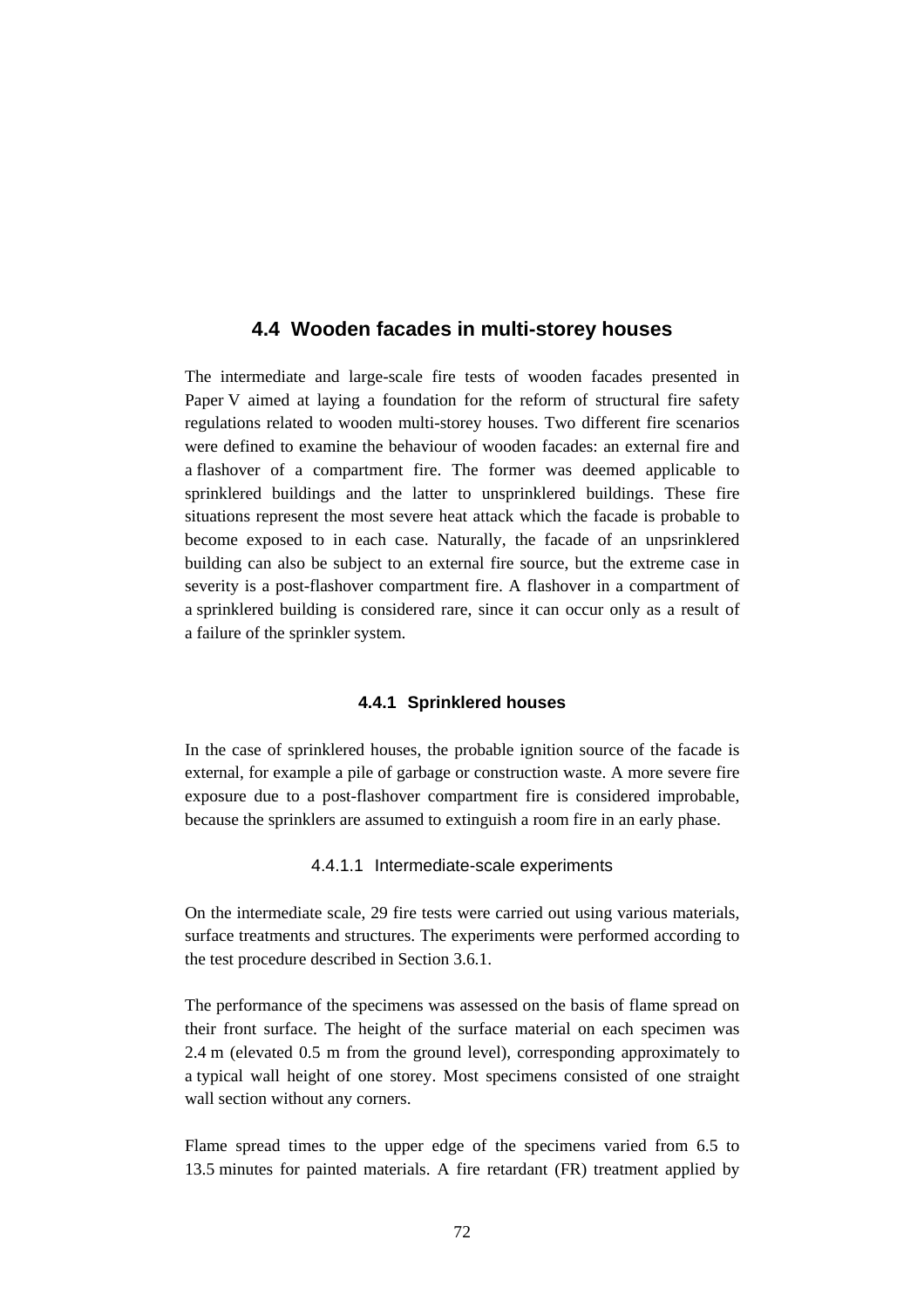## **4.4 Wooden facades in multi-storey houses**

The intermediate and large-scale fire tests of wooden facades presented in Paper V aimed at laying a foundation for the reform of structural fire safety regulations related to wooden multi-storey houses. Two different fire scenarios were defined to examine the behaviour of wooden facades: an external fire and a flashover of a compartment fire. The former was deemed applicable to sprinklered buildings and the latter to unsprinklered buildings. These fire situations represent the most severe heat attack which the facade is probable to become exposed to in each case. Naturally, the facade of an unpsrinklered building can also be subject to an external fire source, but the extreme case in severity is a post-flashover compartment fire. A flashover in a compartment of a sprinklered building is considered rare, since it can occur only as a result of a failure of the sprinkler system.

### **4.4.1 Sprinklered houses**

In the case of sprinklered houses, the probable ignition source of the facade is external, for example a pile of garbage or construction waste. A more severe fire exposure due to a post-flashover compartment fire is considered improbable, because the sprinklers are assumed to extinguish a room fire in an early phase.

### 4.4.1.1 Intermediate-scale experiments

On the intermediate scale, 29 fire tests were carried out using various materials, surface treatments and structures. The experiments were performed according to the test procedure described in Section 3.6.1.

The performance of the specimens was assessed on the basis of flame spread on their front surface. The height of the surface material on each specimen was 2.4 m (elevated 0.5 m from the ground level), corresponding approximately to a typical wall height of one storey. Most specimens consisted of one straight wall section without any corners.

Flame spread times to the upper edge of the specimens varied from 6.5 to 13.5 minutes for painted materials. A fire retardant (FR) treatment applied by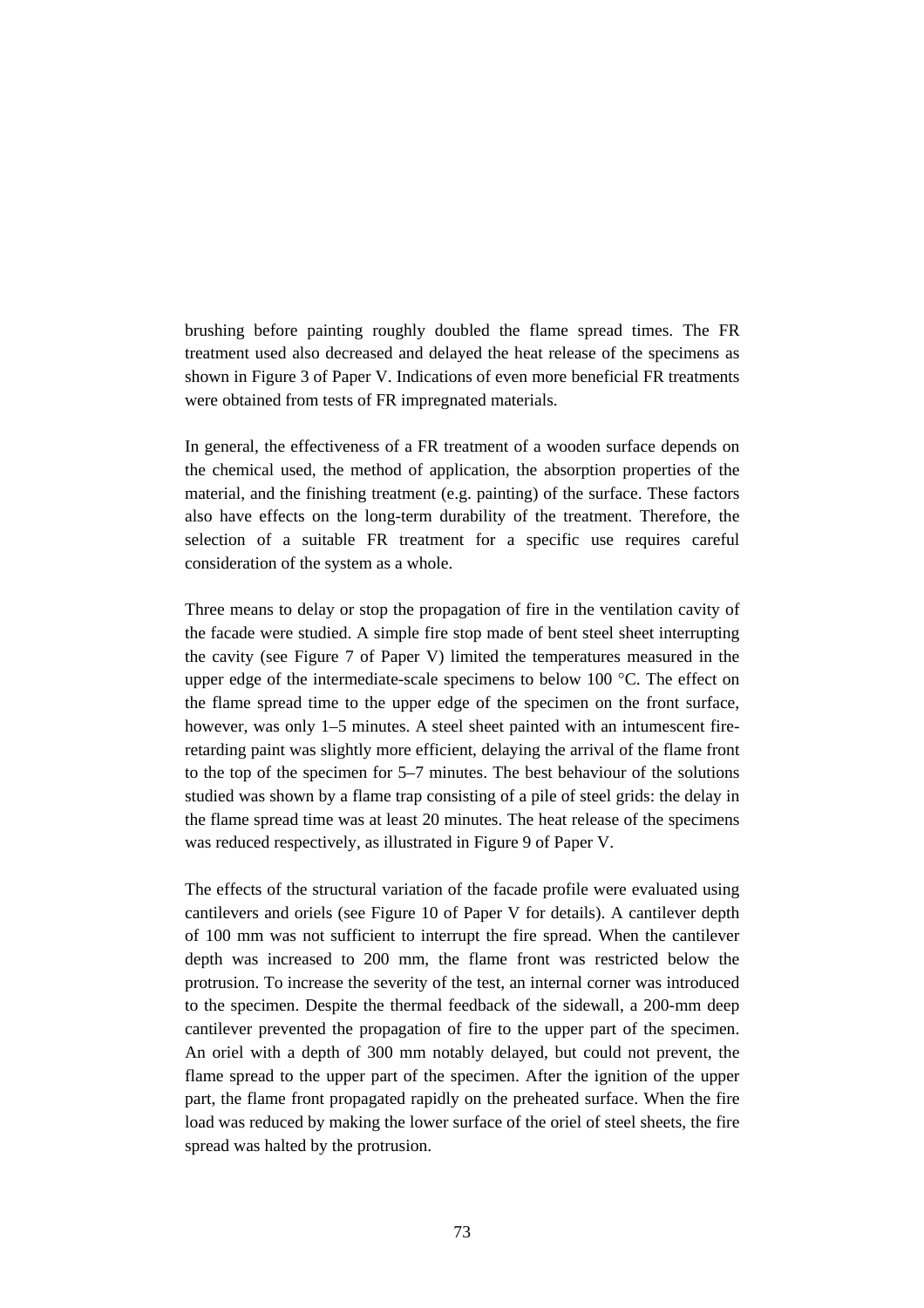brushing before painting roughly doubled the flame spread times. The FR treatment used also decreased and delayed the heat release of the specimens as shown in Figure 3 of Paper V. Indications of even more beneficial FR treatments were obtained from tests of FR impregnated materials.

In general, the effectiveness of a FR treatment of a wooden surface depends on the chemical used, the method of application, the absorption properties of the material, and the finishing treatment (e.g. painting) of the surface. These factors also have effects on the long-term durability of the treatment. Therefore, the selection of a suitable FR treatment for a specific use requires careful consideration of the system as a whole.

Three means to delay or stop the propagation of fire in the ventilation cavity of the facade were studied. A simple fire stop made of bent steel sheet interrupting the cavity (see Figure 7 of Paper V) limited the temperatures measured in the upper edge of the intermediate-scale specimens to below 100 °C. The effect on the flame spread time to the upper edge of the specimen on the front surface, however, was only 1–5 minutes. A steel sheet painted with an intumescent fireretarding paint was slightly more efficient, delaying the arrival of the flame front to the top of the specimen for 5–7 minutes. The best behaviour of the solutions studied was shown by a flame trap consisting of a pile of steel grids: the delay in the flame spread time was at least 20 minutes. The heat release of the specimens was reduced respectively, as illustrated in Figure 9 of Paper V.

The effects of the structural variation of the facade profile were evaluated using cantilevers and oriels (see Figure 10 of Paper V for details). A cantilever depth of 100 mm was not sufficient to interrupt the fire spread. When the cantilever depth was increased to 200 mm, the flame front was restricted below the protrusion. To increase the severity of the test, an internal corner was introduced to the specimen. Despite the thermal feedback of the sidewall, a 200-mm deep cantilever prevented the propagation of fire to the upper part of the specimen. An oriel with a depth of 300 mm notably delayed, but could not prevent, the flame spread to the upper part of the specimen. After the ignition of the upper part, the flame front propagated rapidly on the preheated surface. When the fire load was reduced by making the lower surface of the oriel of steel sheets, the fire spread was halted by the protrusion.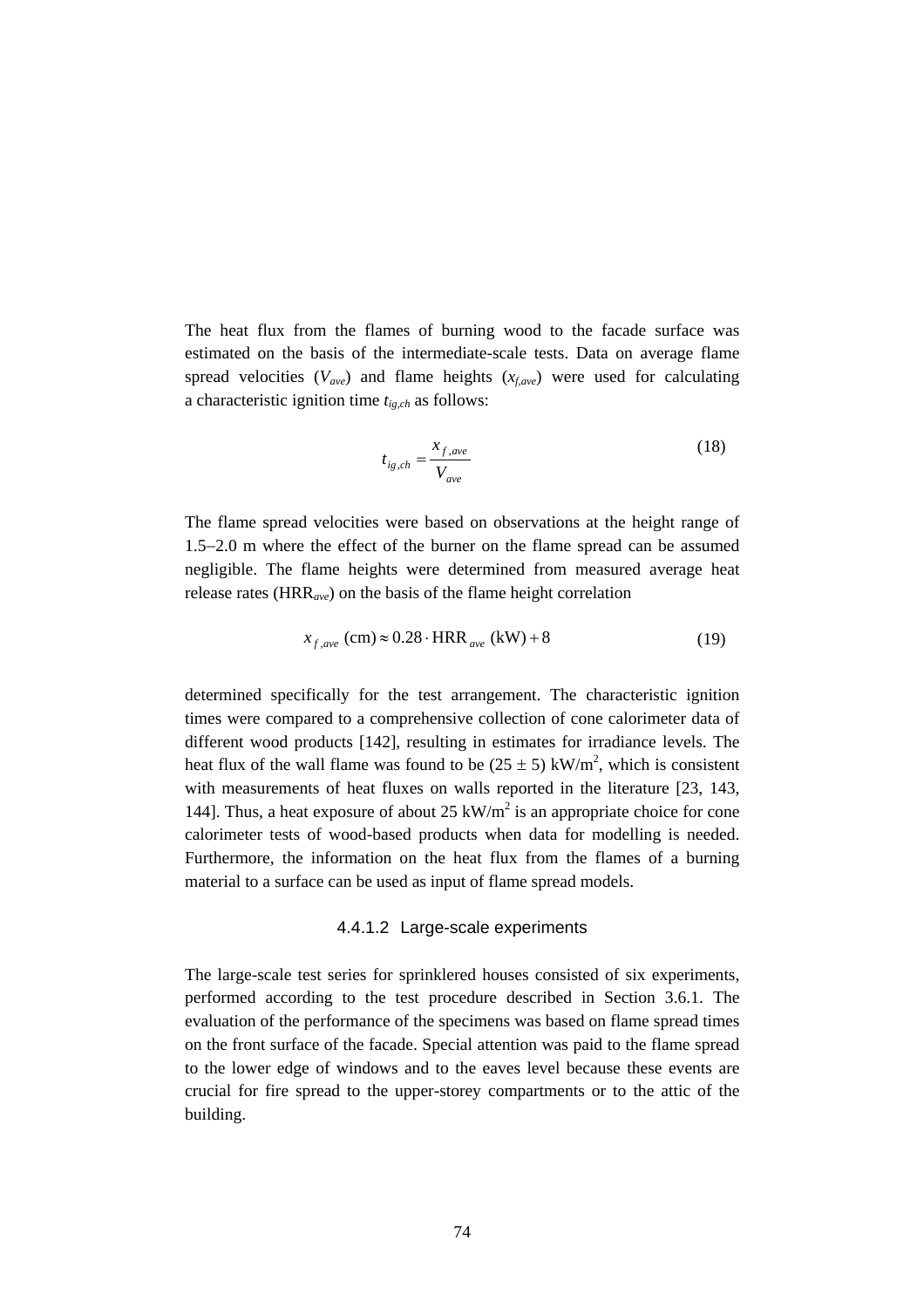The heat flux from the flames of burning wood to the facade surface was estimated on the basis of the intermediate-scale tests. Data on average flame spread velocities  $(V_{ave})$  and flame heights  $(x_{f,ave})$  were used for calculating a characteristic ignition time *tig,ch* as follows:

$$
t_{ig,ch} = \frac{x_{f,ave}}{V_{ave}}
$$
 (18)

The flame spread velocities were based on observations at the height range of 1.5−2.0 m where the effect of the burner on the flame spread can be assumed negligible. The flame heights were determined from measured average heat release rates (HRR*ave*) on the basis of the flame height correlation

$$
x_{f,ave} \text{ (cm)} \approx 0.28 \cdot \text{HRR}_{ave} \text{ (kW)} + 8 \tag{19}
$$

determined specifically for the test arrangement. The characteristic ignition times were compared to a comprehensive collection of cone calorimeter data of different wood products [142], resulting in estimates for irradiance levels. The heat flux of the wall flame was found to be  $(25 \pm 5)$  kW/m<sup>2</sup>, which is consistent with measurements of heat fluxes on walls reported in the literature [23, 143, 144]. Thus, a heat exposure of about  $25 \text{ kW/m}^2$  is an appropriate choice for cone calorimeter tests of wood-based products when data for modelling is needed. Furthermore, the information on the heat flux from the flames of a burning material to a surface can be used as input of flame spread models.

#### 4.4.1.2 Large-scale experiments

The large-scale test series for sprinklered houses consisted of six experiments, performed according to the test procedure described in Section 3.6.1. The evaluation of the performance of the specimens was based on flame spread times on the front surface of the facade. Special attention was paid to the flame spread to the lower edge of windows and to the eaves level because these events are crucial for fire spread to the upper-storey compartments or to the attic of the building.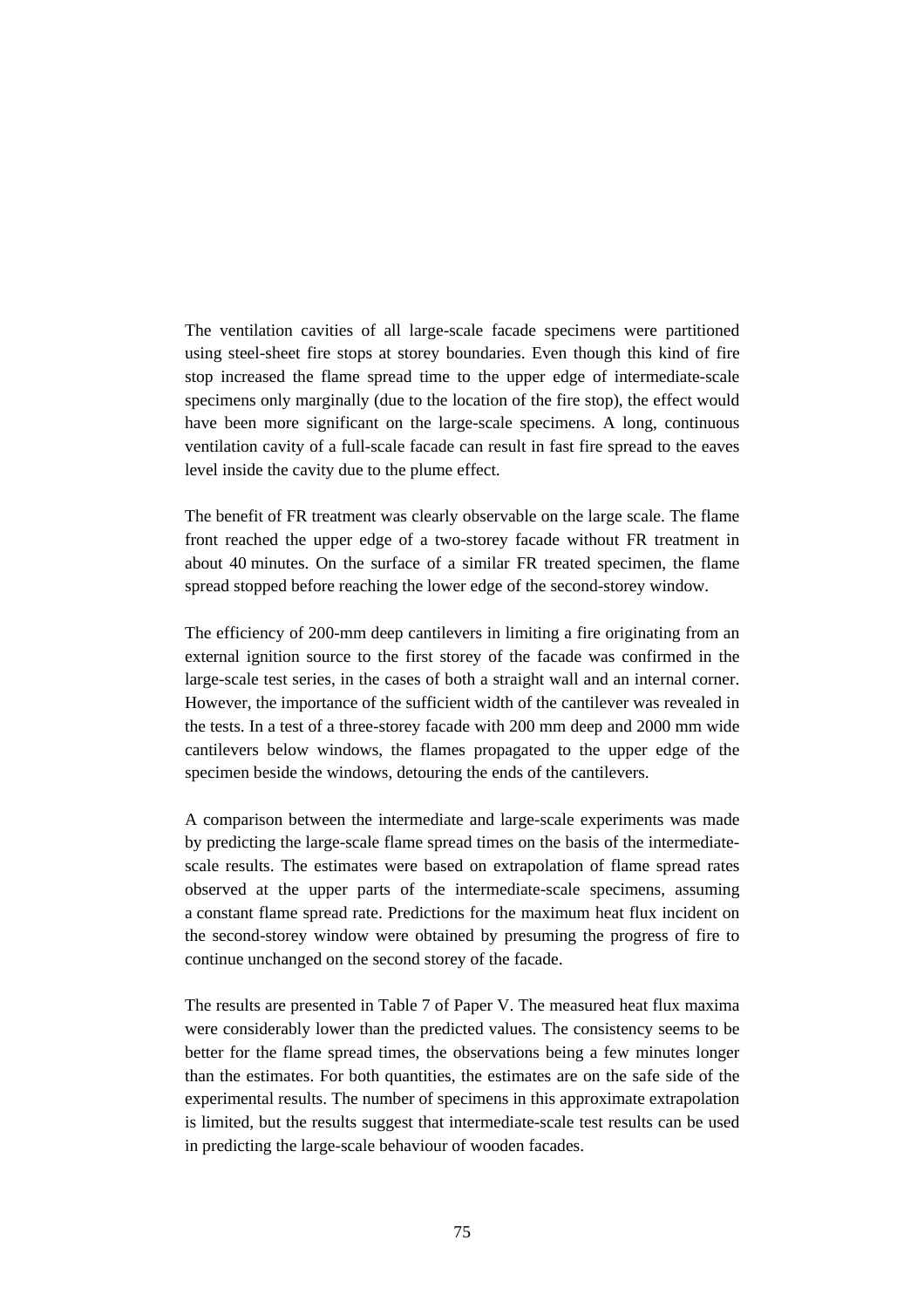The ventilation cavities of all large-scale facade specimens were partitioned using steel-sheet fire stops at storey boundaries. Even though this kind of fire stop increased the flame spread time to the upper edge of intermediate-scale specimens only marginally (due to the location of the fire stop), the effect would have been more significant on the large-scale specimens. A long, continuous ventilation cavity of a full-scale facade can result in fast fire spread to the eaves level inside the cavity due to the plume effect.

The benefit of FR treatment was clearly observable on the large scale. The flame front reached the upper edge of a two-storey facade without FR treatment in about 40 minutes. On the surface of a similar FR treated specimen, the flame spread stopped before reaching the lower edge of the second-storey window.

The efficiency of 200-mm deep cantilevers in limiting a fire originating from an external ignition source to the first storey of the facade was confirmed in the large-scale test series, in the cases of both a straight wall and an internal corner. However, the importance of the sufficient width of the cantilever was revealed in the tests. In a test of a three-storey facade with 200 mm deep and 2000 mm wide cantilevers below windows, the flames propagated to the upper edge of the specimen beside the windows, detouring the ends of the cantilevers.

A comparison between the intermediate and large-scale experiments was made by predicting the large-scale flame spread times on the basis of the intermediatescale results. The estimates were based on extrapolation of flame spread rates observed at the upper parts of the intermediate-scale specimens, assuming a constant flame spread rate. Predictions for the maximum heat flux incident on the second-storey window were obtained by presuming the progress of fire to continue unchanged on the second storey of the facade.

The results are presented in Table 7 of Paper V. The measured heat flux maxima were considerably lower than the predicted values. The consistency seems to be better for the flame spread times, the observations being a few minutes longer than the estimates. For both quantities, the estimates are on the safe side of the experimental results. The number of specimens in this approximate extrapolation is limited, but the results suggest that intermediate-scale test results can be used in predicting the large-scale behaviour of wooden facades.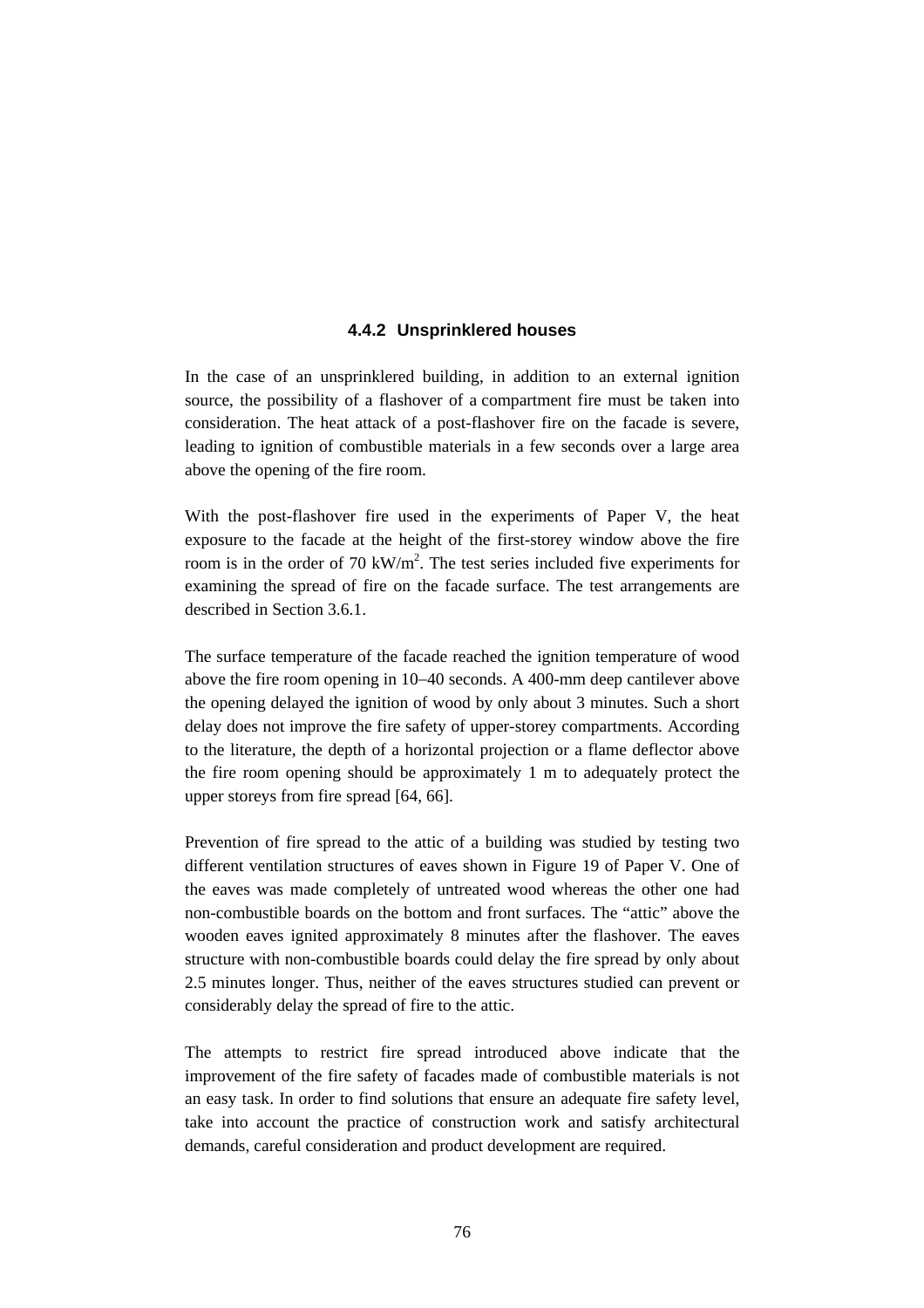### **4.4.2 Unsprinklered houses**

In the case of an unsprinklered building, in addition to an external ignition source, the possibility of a flashover of a compartment fire must be taken into consideration. The heat attack of a post-flashover fire on the facade is severe, leading to ignition of combustible materials in a few seconds over a large area above the opening of the fire room.

With the post-flashover fire used in the experiments of Paper V, the heat exposure to the facade at the height of the first-storey window above the fire room is in the order of 70 kW/m<sup>2</sup>. The test series included five experiments for examining the spread of fire on the facade surface. The test arrangements are described in Section 3.6.1.

The surface temperature of the facade reached the ignition temperature of wood above the fire room opening in 10−40 seconds. A 400-mm deep cantilever above the opening delayed the ignition of wood by only about 3 minutes. Such a short delay does not improve the fire safety of upper-storey compartments. According to the literature, the depth of a horizontal projection or a flame deflector above the fire room opening should be approximately 1 m to adequately protect the upper storeys from fire spread [64, 66].

Prevention of fire spread to the attic of a building was studied by testing two different ventilation structures of eaves shown in Figure 19 of Paper V. One of the eaves was made completely of untreated wood whereas the other one had non-combustible boards on the bottom and front surfaces. The "attic" above the wooden eaves ignited approximately 8 minutes after the flashover. The eaves structure with non-combustible boards could delay the fire spread by only about 2.5 minutes longer. Thus, neither of the eaves structures studied can prevent or considerably delay the spread of fire to the attic.

The attempts to restrict fire spread introduced above indicate that the improvement of the fire safety of facades made of combustible materials is not an easy task. In order to find solutions that ensure an adequate fire safety level, take into account the practice of construction work and satisfy architectural demands, careful consideration and product development are required.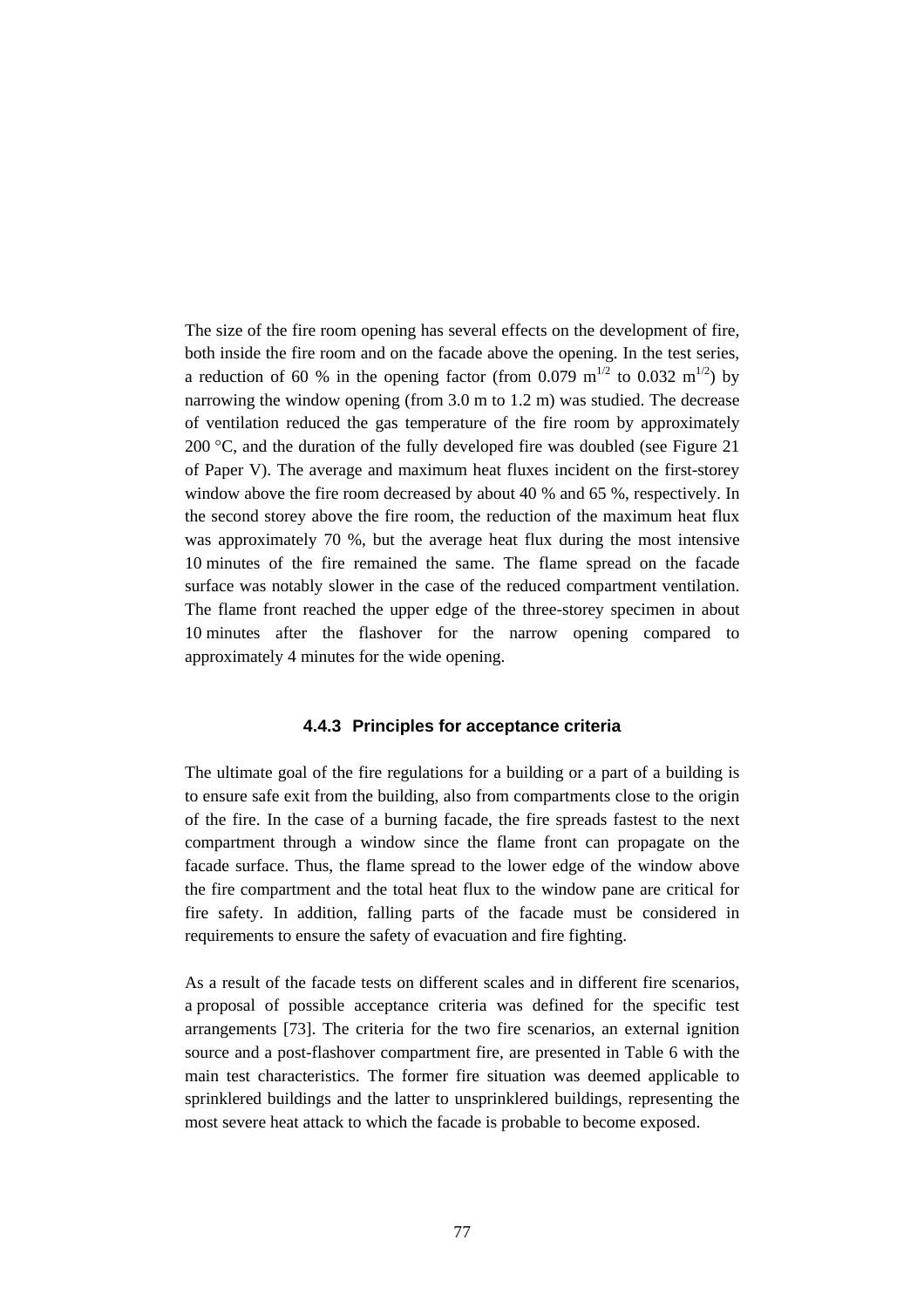The size of the fire room opening has several effects on the development of fire, both inside the fire room and on the facade above the opening. In the test series, a reduction of 60 % in the opening factor (from 0.079 m<sup>1/2</sup> to 0.032 m<sup>1/2</sup>) by narrowing the window opening (from 3.0 m to 1.2 m) was studied. The decrease of ventilation reduced the gas temperature of the fire room by approximately 200 °C, and the duration of the fully developed fire was doubled (see Figure 21 of Paper V). The average and maximum heat fluxes incident on the first-storey window above the fire room decreased by about 40 % and 65 %, respectively. In the second storey above the fire room, the reduction of the maximum heat flux was approximately 70 %, but the average heat flux during the most intensive 10 minutes of the fire remained the same. The flame spread on the facade surface was notably slower in the case of the reduced compartment ventilation. The flame front reached the upper edge of the three-storey specimen in about 10 minutes after the flashover for the narrow opening compared to approximately 4 minutes for the wide opening.

#### **4.4.3 Principles for acceptance criteria**

The ultimate goal of the fire regulations for a building or a part of a building is to ensure safe exit from the building, also from compartments close to the origin of the fire. In the case of a burning facade, the fire spreads fastest to the next compartment through a window since the flame front can propagate on the facade surface. Thus, the flame spread to the lower edge of the window above the fire compartment and the total heat flux to the window pane are critical for fire safety. In addition, falling parts of the facade must be considered in requirements to ensure the safety of evacuation and fire fighting.

As a result of the facade tests on different scales and in different fire scenarios, a proposal of possible acceptance criteria was defined for the specific test arrangements [73]. The criteria for the two fire scenarios, an external ignition source and a post-flashover compartment fire, are presented in Table 6 with the main test characteristics. The former fire situation was deemed applicable to sprinklered buildings and the latter to unsprinklered buildings, representing the most severe heat attack to which the facade is probable to become exposed.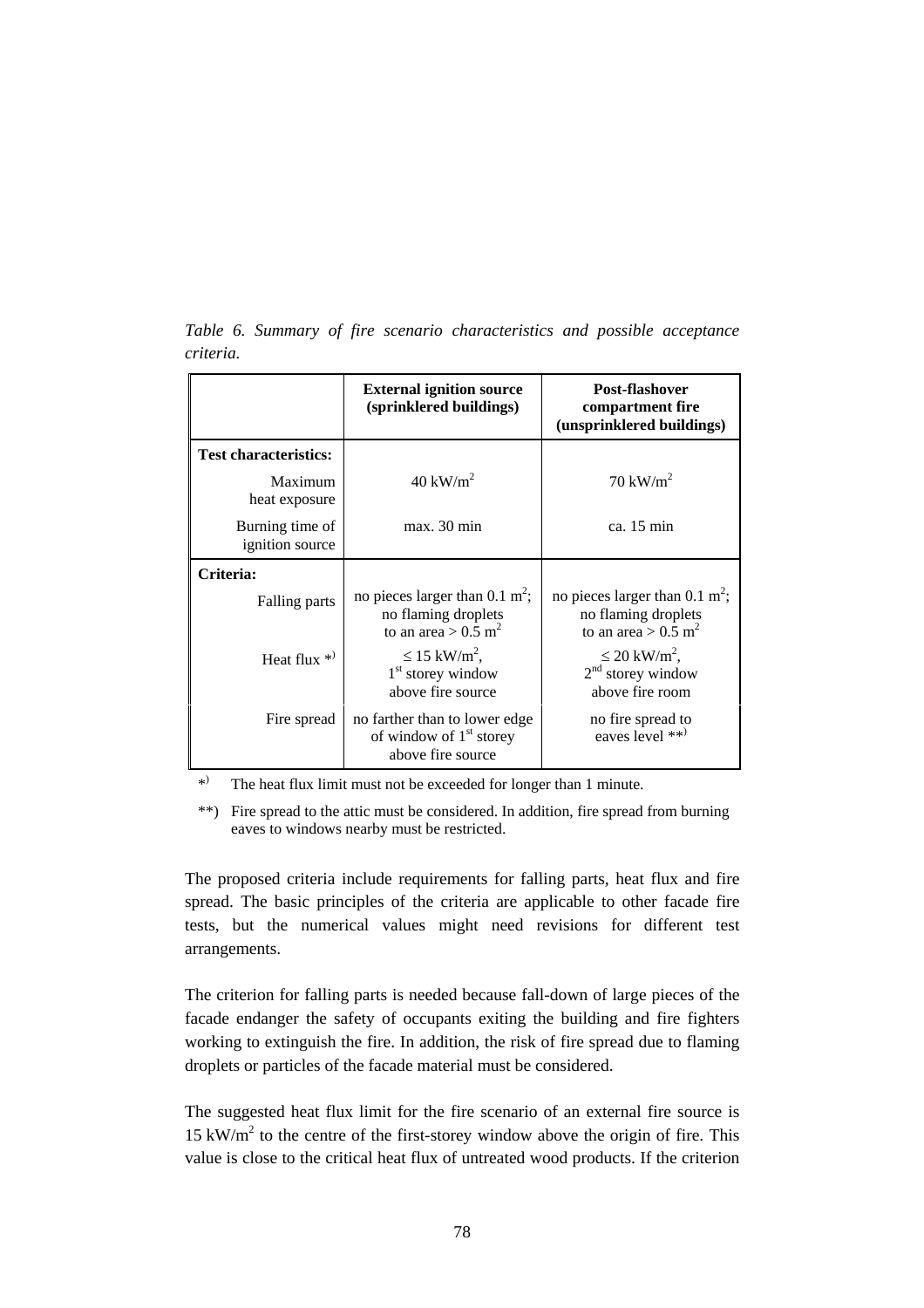|                                    | <b>External ignition source</b><br>(sprinklered buildings)                                                       | Post-flashover<br>compartment fire<br>(unsprinklered buildings)                                                  |
|------------------------------------|------------------------------------------------------------------------------------------------------------------|------------------------------------------------------------------------------------------------------------------|
| <b>Test characteristics:</b>       |                                                                                                                  |                                                                                                                  |
| Maximum<br>heat exposure           | $40 \text{ kW/m}^2$                                                                                              | $70 \text{ kW/m}^2$                                                                                              |
| Burning time of<br>ignition source | max. 30 min                                                                                                      | ca. 15 min                                                                                                       |
| Criteria:                          |                                                                                                                  |                                                                                                                  |
| Falling parts                      | no pieces larger than $0.1 \text{ m}^2$ ;<br>no flaming droplets<br>to an area > $0.\overline{5}$ m <sup>2</sup> | no pieces larger than $0.1 \text{ m}^2$ ;<br>no flaming droplets<br>to an area > $0.\overline{5}$ m <sup>2</sup> |
| Heat flux $*$                      | $\leq 15$ kW/m <sup>2</sup> .<br>$1st$ storey window<br>above fire source                                        | $\leq 20$ kW/m <sup>2</sup> ,<br>$2nd$ storey window<br>above fire room                                          |
| Fire spread                        | no farther than to lower edge<br>of window of $1st$ storey<br>above fire source                                  | no fire spread to<br>eaves level **)                                                                             |

*Table 6. Summary of fire scenario characteristics and possible acceptance criteria.*

\*) The heat flux limit must not be exceeded for longer than 1 minute.

\*\*) Fire spread to the attic must be considered. In addition, fire spread from burning eaves to windows nearby must be restricted.

The proposed criteria include requirements for falling parts, heat flux and fire spread. The basic principles of the criteria are applicable to other facade fire tests, but the numerical values might need revisions for different test arrangements.

The criterion for falling parts is needed because fall-down of large pieces of the facade endanger the safety of occupants exiting the building and fire fighters working to extinguish the fire. In addition, the risk of fire spread due to flaming droplets or particles of the facade material must be considered.

The suggested heat flux limit for the fire scenario of an external fire source is  $15 \text{ kW/m}^2$  to the centre of the first-storey window above the origin of fire. This value is close to the critical heat flux of untreated wood products. If the criterion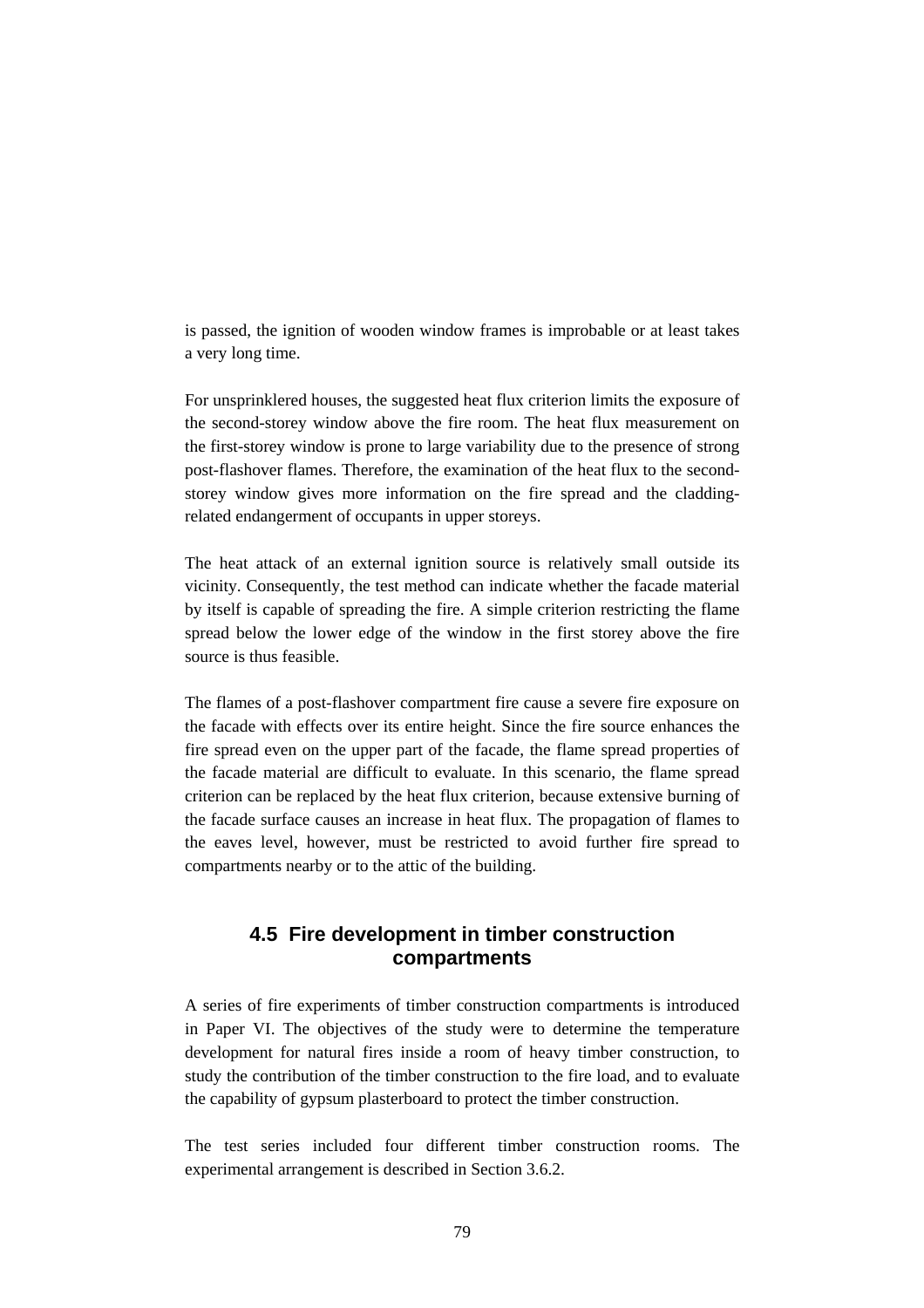is passed, the ignition of wooden window frames is improbable or at least takes a very long time.

For unsprinklered houses, the suggested heat flux criterion limits the exposure of the second-storey window above the fire room. The heat flux measurement on the first-storey window is prone to large variability due to the presence of strong post-flashover flames. Therefore, the examination of the heat flux to the secondstorey window gives more information on the fire spread and the claddingrelated endangerment of occupants in upper storeys.

The heat attack of an external ignition source is relatively small outside its vicinity. Consequently, the test method can indicate whether the facade material by itself is capable of spreading the fire. A simple criterion restricting the flame spread below the lower edge of the window in the first storey above the fire source is thus feasible.

The flames of a post-flashover compartment fire cause a severe fire exposure on the facade with effects over its entire height. Since the fire source enhances the fire spread even on the upper part of the facade, the flame spread properties of the facade material are difficult to evaluate. In this scenario, the flame spread criterion can be replaced by the heat flux criterion, because extensive burning of the facade surface causes an increase in heat flux. The propagation of flames to the eaves level, however, must be restricted to avoid further fire spread to compartments nearby or to the attic of the building.

## **4.5 Fire development in timber construction compartments**

A series of fire experiments of timber construction compartments is introduced in Paper VI. The objectives of the study were to determine the temperature development for natural fires inside a room of heavy timber construction, to study the contribution of the timber construction to the fire load, and to evaluate the capability of gypsum plasterboard to protect the timber construction.

The test series included four different timber construction rooms. The experimental arrangement is described in Section 3.6.2.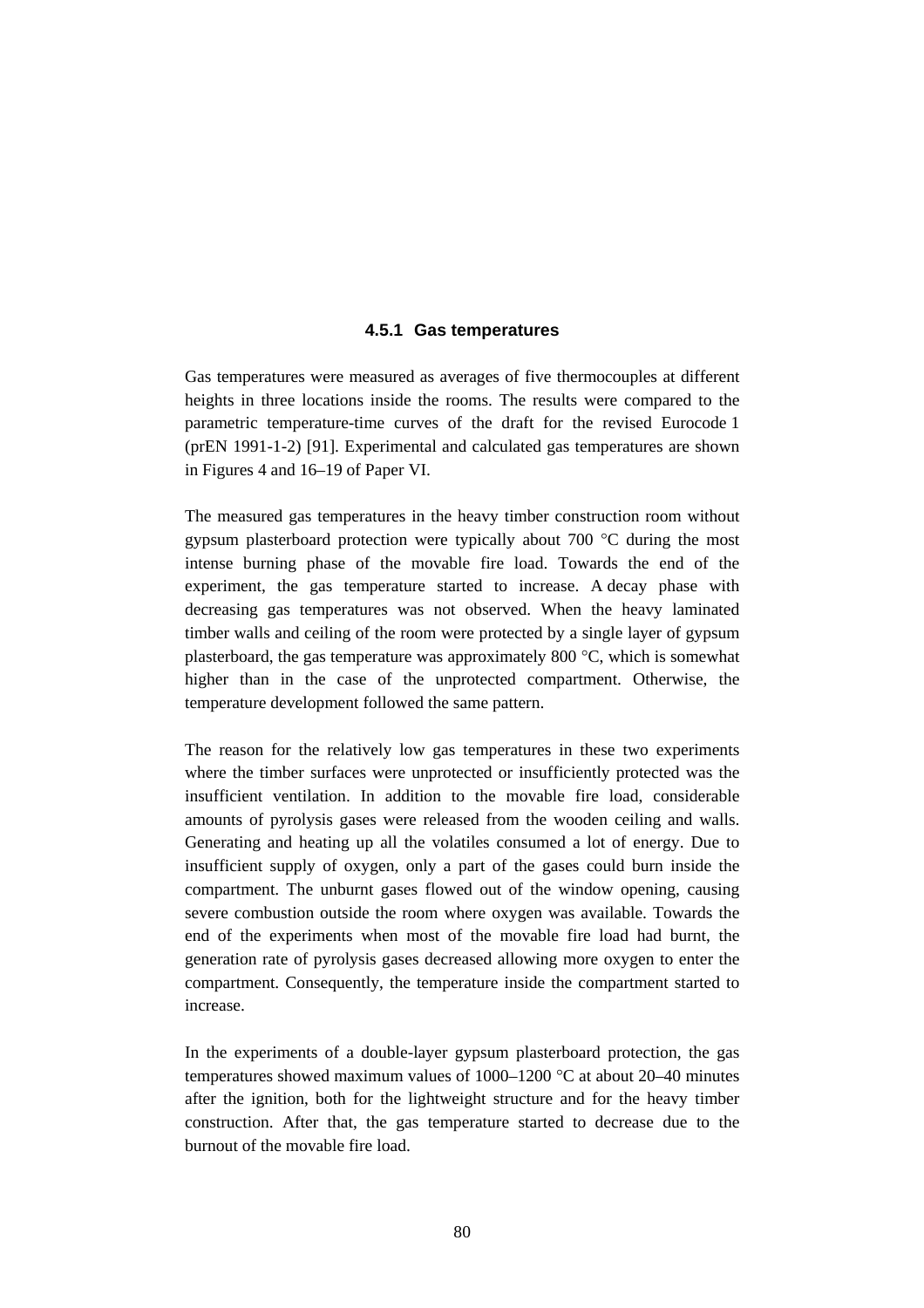### **4.5.1 Gas temperatures**

Gas temperatures were measured as averages of five thermocouples at different heights in three locations inside the rooms. The results were compared to the parametric temperature-time curves of the draft for the revised Eurocode 1 (prEN 1991-1-2) [91]. Experimental and calculated gas temperatures are shown in Figures 4 and 16–19 of Paper VI.

The measured gas temperatures in the heavy timber construction room without gypsum plasterboard protection were typically about 700 °C during the most intense burning phase of the movable fire load. Towards the end of the experiment, the gas temperature started to increase. A decay phase with decreasing gas temperatures was not observed. When the heavy laminated timber walls and ceiling of the room were protected by a single layer of gypsum plasterboard, the gas temperature was approximately 800  $\degree$ C, which is somewhat higher than in the case of the unprotected compartment. Otherwise, the temperature development followed the same pattern.

The reason for the relatively low gas temperatures in these two experiments where the timber surfaces were unprotected or insufficiently protected was the insufficient ventilation. In addition to the movable fire load, considerable amounts of pyrolysis gases were released from the wooden ceiling and walls. Generating and heating up all the volatiles consumed a lot of energy. Due to insufficient supply of oxygen, only a part of the gases could burn inside the compartment. The unburnt gases flowed out of the window opening, causing severe combustion outside the room where oxygen was available. Towards the end of the experiments when most of the movable fire load had burnt, the generation rate of pyrolysis gases decreased allowing more oxygen to enter the compartment. Consequently, the temperature inside the compartment started to increase.

In the experiments of a double-layer gypsum plasterboard protection, the gas temperatures showed maximum values of  $1000-1200$  °C at about 20–40 minutes after the ignition, both for the lightweight structure and for the heavy timber construction. After that, the gas temperature started to decrease due to the burnout of the movable fire load.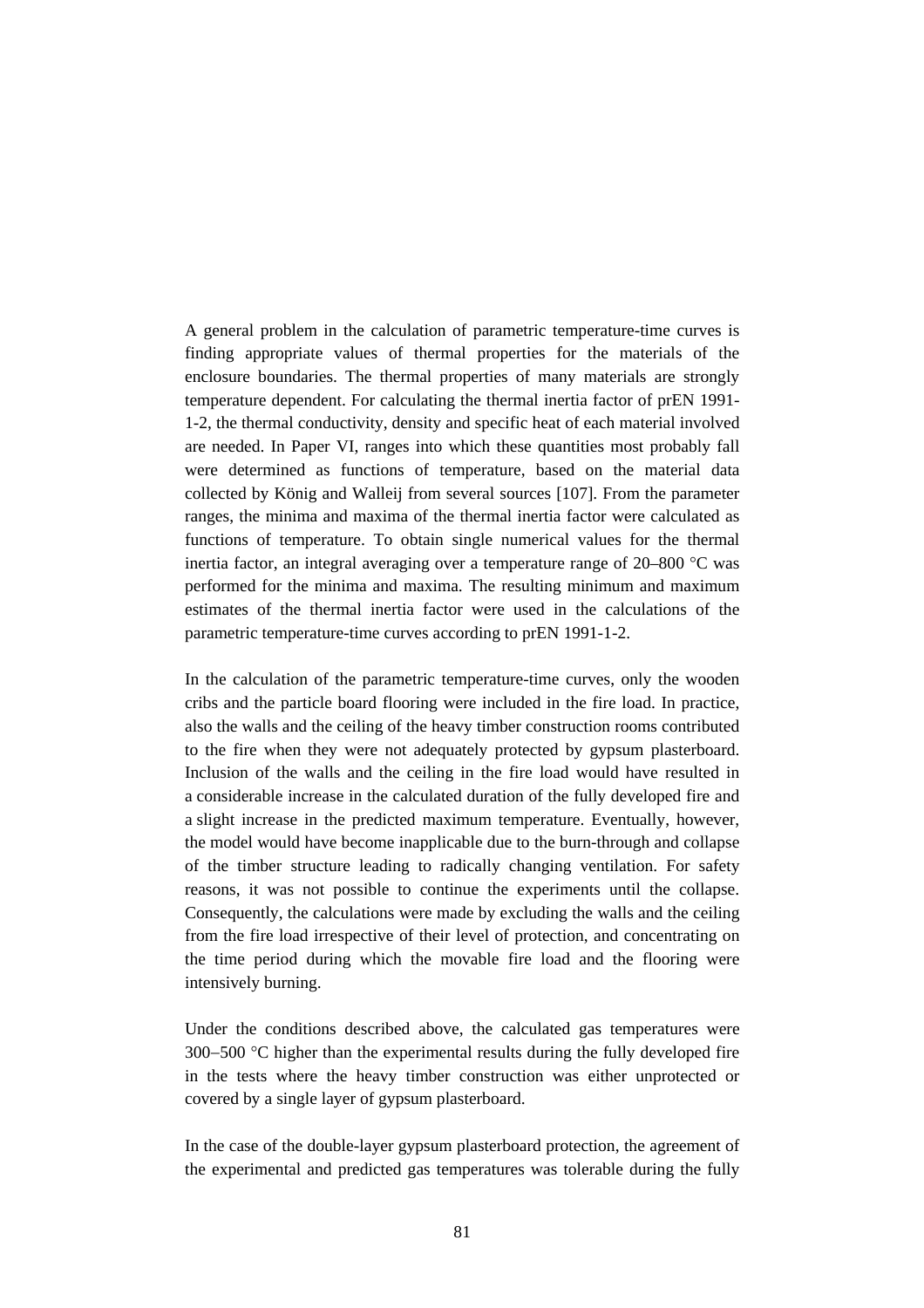A general problem in the calculation of parametric temperature-time curves is finding appropriate values of thermal properties for the materials of the enclosure boundaries. The thermal properties of many materials are strongly temperature dependent. For calculating the thermal inertia factor of prEN 1991- 1-2, the thermal conductivity, density and specific heat of each material involved are needed. In Paper VI, ranges into which these quantities most probably fall were determined as functions of temperature, based on the material data collected by König and Walleij from several sources [107]. From the parameter ranges, the minima and maxima of the thermal inertia factor were calculated as functions of temperature. To obtain single numerical values for the thermal inertia factor, an integral averaging over a temperature range of 20–800 °C was performed for the minima and maxima. The resulting minimum and maximum estimates of the thermal inertia factor were used in the calculations of the parametric temperature-time curves according to prEN 1991-1-2.

In the calculation of the parametric temperature-time curves, only the wooden cribs and the particle board flooring were included in the fire load. In practice, also the walls and the ceiling of the heavy timber construction rooms contributed to the fire when they were not adequately protected by gypsum plasterboard. Inclusion of the walls and the ceiling in the fire load would have resulted in a considerable increase in the calculated duration of the fully developed fire and a slight increase in the predicted maximum temperature. Eventually, however, the model would have become inapplicable due to the burn-through and collapse of the timber structure leading to radically changing ventilation. For safety reasons, it was not possible to continue the experiments until the collapse. Consequently, the calculations were made by excluding the walls and the ceiling from the fire load irrespective of their level of protection, and concentrating on the time period during which the movable fire load and the flooring were intensively burning.

Under the conditions described above, the calculated gas temperatures were 300−500 °C higher than the experimental results during the fully developed fire in the tests where the heavy timber construction was either unprotected or covered by a single layer of gypsum plasterboard.

In the case of the double-layer gypsum plasterboard protection, the agreement of the experimental and predicted gas temperatures was tolerable during the fully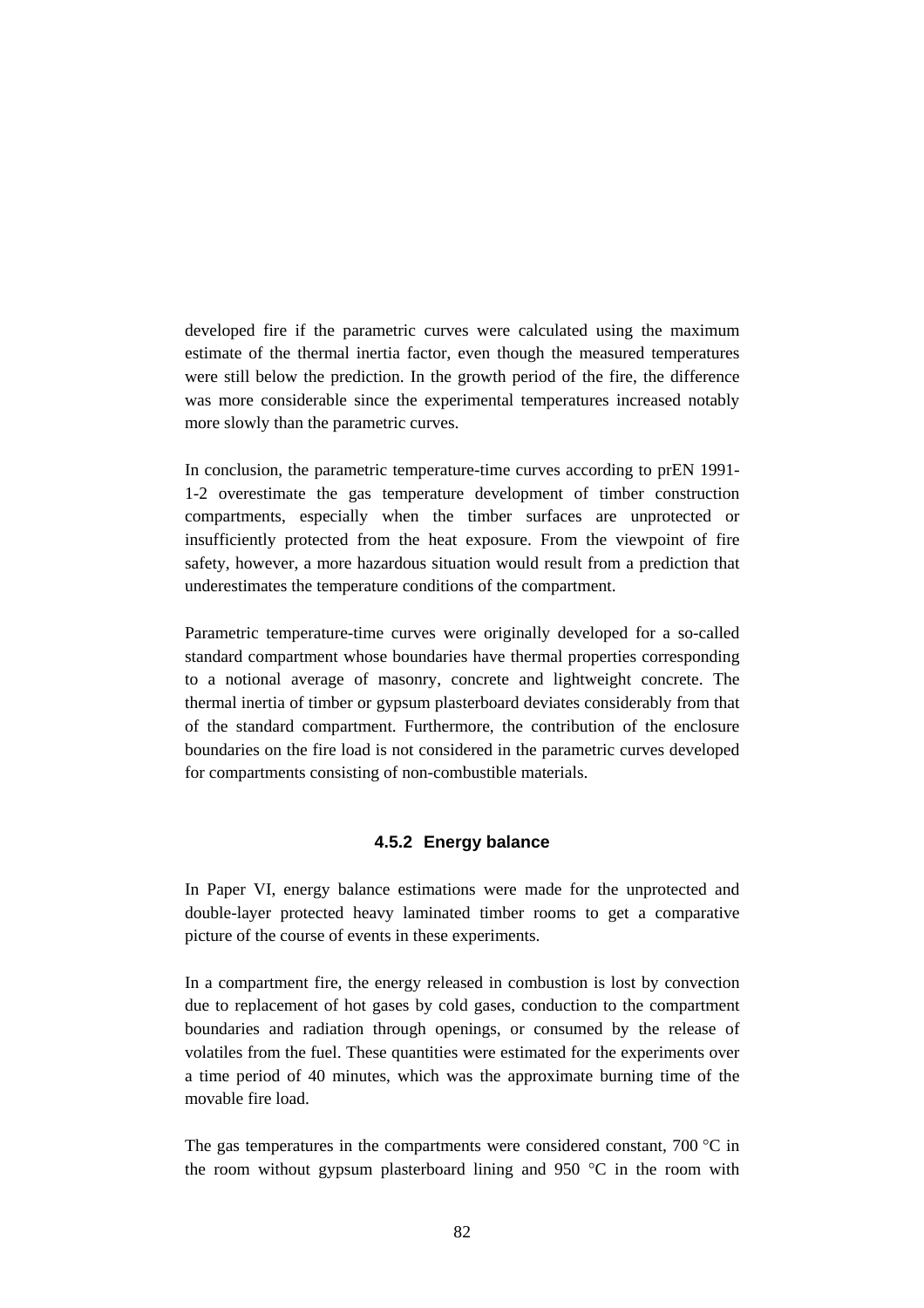developed fire if the parametric curves were calculated using the maximum estimate of the thermal inertia factor, even though the measured temperatures were still below the prediction. In the growth period of the fire, the difference was more considerable since the experimental temperatures increased notably more slowly than the parametric curves.

In conclusion, the parametric temperature-time curves according to prEN 1991- 1-2 overestimate the gas temperature development of timber construction compartments, especially when the timber surfaces are unprotected or insufficiently protected from the heat exposure. From the viewpoint of fire safety, however, a more hazardous situation would result from a prediction that underestimates the temperature conditions of the compartment.

Parametric temperature-time curves were originally developed for a so-called standard compartment whose boundaries have thermal properties corresponding to a notional average of masonry, concrete and lightweight concrete. The thermal inertia of timber or gypsum plasterboard deviates considerably from that of the standard compartment. Furthermore, the contribution of the enclosure boundaries on the fire load is not considered in the parametric curves developed for compartments consisting of non-combustible materials.

### **4.5.2 Energy balance**

In Paper VI, energy balance estimations were made for the unprotected and double-layer protected heavy laminated timber rooms to get a comparative picture of the course of events in these experiments.

In a compartment fire, the energy released in combustion is lost by convection due to replacement of hot gases by cold gases, conduction to the compartment boundaries and radiation through openings, or consumed by the release of volatiles from the fuel. These quantities were estimated for the experiments over a time period of 40 minutes, which was the approximate burning time of the movable fire load.

The gas temperatures in the compartments were considered constant, 700  $^{\circ}$ C in the room without gypsum plasterboard lining and 950  $\degree$ C in the room with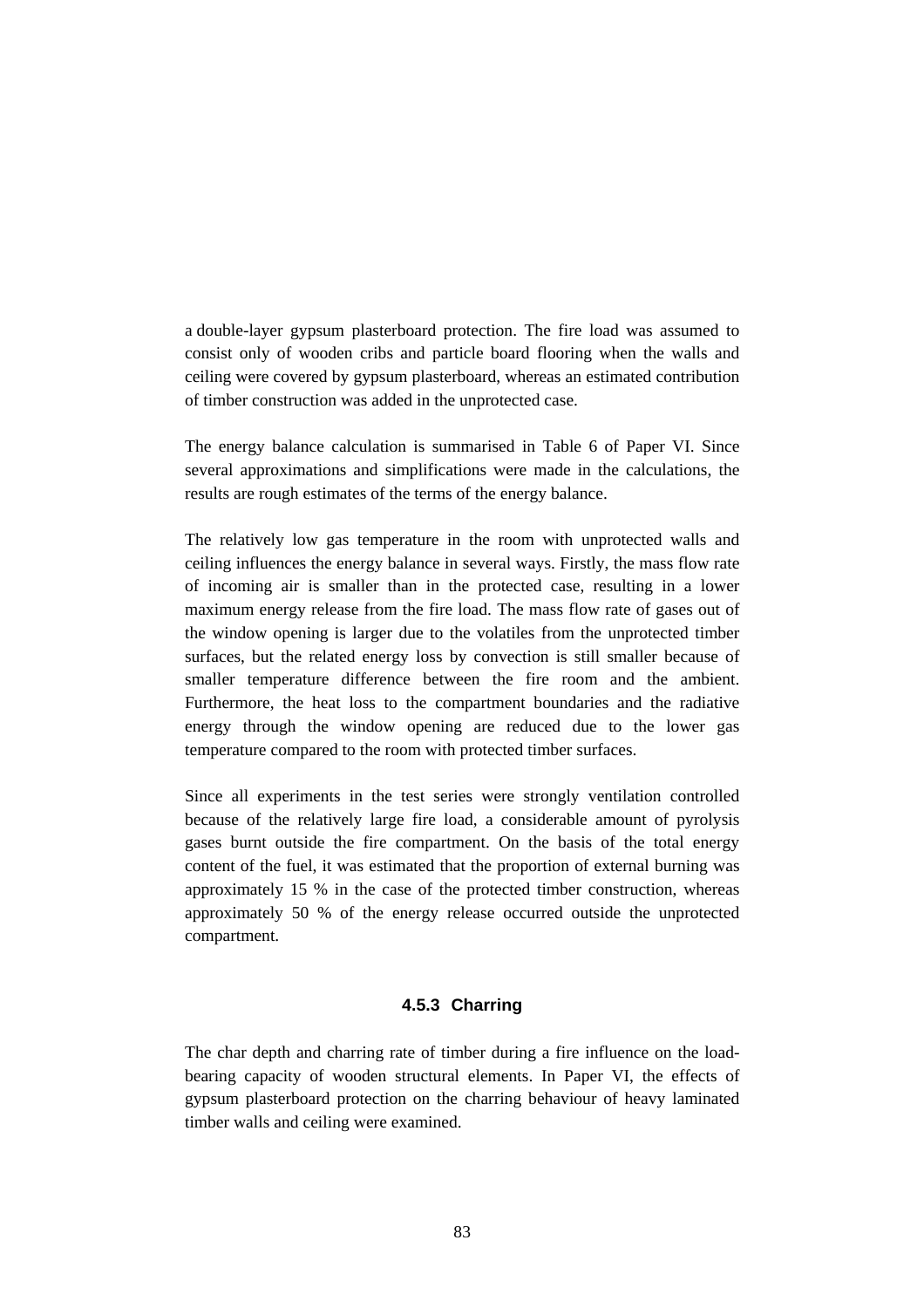a double-layer gypsum plasterboard protection. The fire load was assumed to consist only of wooden cribs and particle board flooring when the walls and ceiling were covered by gypsum plasterboard, whereas an estimated contribution of timber construction was added in the unprotected case.

The energy balance calculation is summarised in Table 6 of Paper VI. Since several approximations and simplifications were made in the calculations, the results are rough estimates of the terms of the energy balance.

The relatively low gas temperature in the room with unprotected walls and ceiling influences the energy balance in several ways. Firstly, the mass flow rate of incoming air is smaller than in the protected case, resulting in a lower maximum energy release from the fire load. The mass flow rate of gases out of the window opening is larger due to the volatiles from the unprotected timber surfaces, but the related energy loss by convection is still smaller because of smaller temperature difference between the fire room and the ambient. Furthermore, the heat loss to the compartment boundaries and the radiative energy through the window opening are reduced due to the lower gas temperature compared to the room with protected timber surfaces.

Since all experiments in the test series were strongly ventilation controlled because of the relatively large fire load, a considerable amount of pyrolysis gases burnt outside the fire compartment. On the basis of the total energy content of the fuel, it was estimated that the proportion of external burning was approximately 15 % in the case of the protected timber construction, whereas approximately 50 % of the energy release occurred outside the unprotected compartment.

### **4.5.3 Charring**

The char depth and charring rate of timber during a fire influence on the loadbearing capacity of wooden structural elements. In Paper VI, the effects of gypsum plasterboard protection on the charring behaviour of heavy laminated timber walls and ceiling were examined.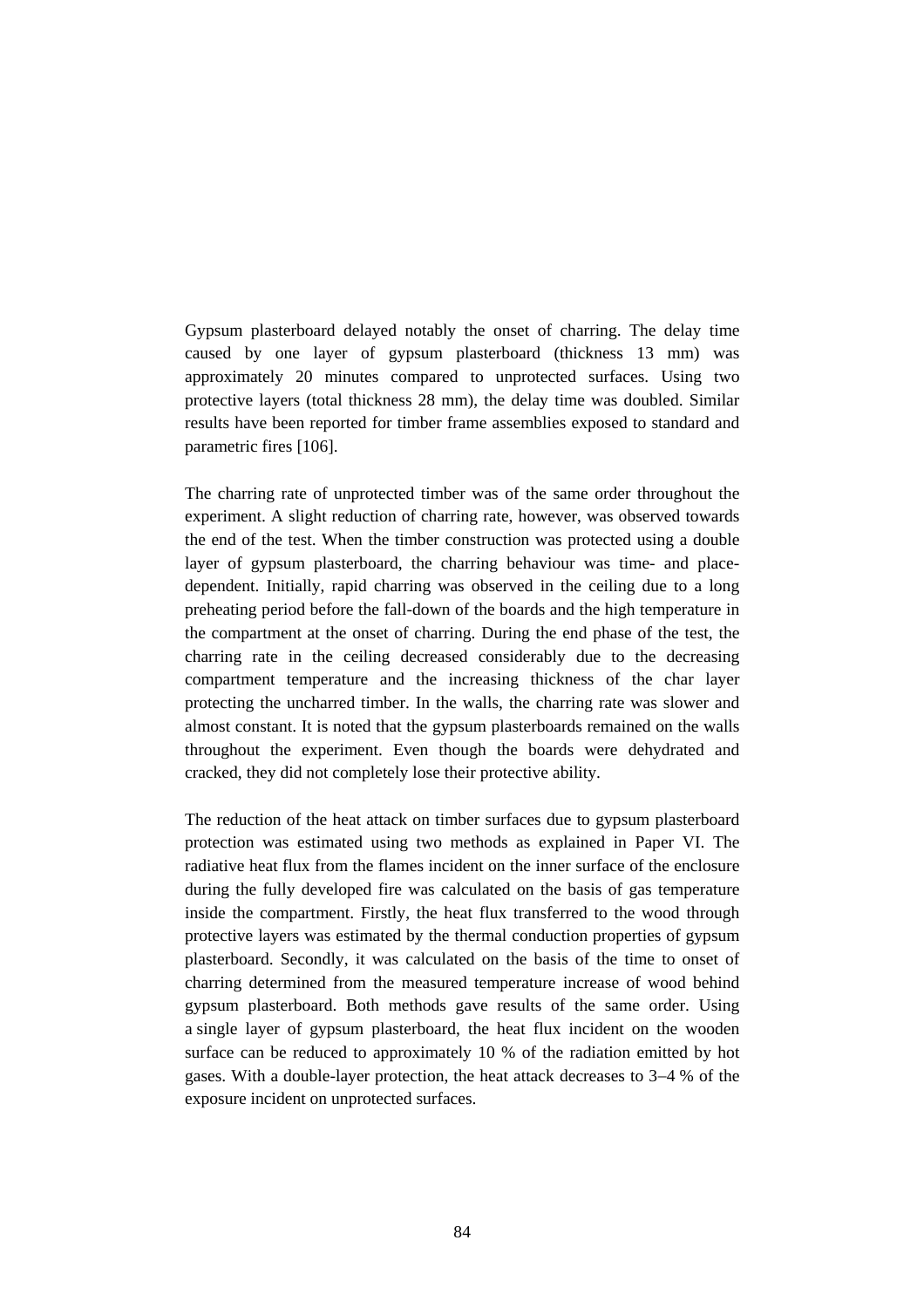Gypsum plasterboard delayed notably the onset of charring. The delay time caused by one layer of gypsum plasterboard (thickness 13 mm) was approximately 20 minutes compared to unprotected surfaces. Using two protective layers (total thickness 28 mm), the delay time was doubled. Similar results have been reported for timber frame assemblies exposed to standard and parametric fires [106].

The charring rate of unprotected timber was of the same order throughout the experiment. A slight reduction of charring rate, however, was observed towards the end of the test. When the timber construction was protected using a double layer of gypsum plasterboard, the charring behaviour was time- and placedependent. Initially, rapid charring was observed in the ceiling due to a long preheating period before the fall-down of the boards and the high temperature in the compartment at the onset of charring. During the end phase of the test, the charring rate in the ceiling decreased considerably due to the decreasing compartment temperature and the increasing thickness of the char layer protecting the uncharred timber. In the walls, the charring rate was slower and almost constant. It is noted that the gypsum plasterboards remained on the walls throughout the experiment. Even though the boards were dehydrated and cracked, they did not completely lose their protective ability.

The reduction of the heat attack on timber surfaces due to gypsum plasterboard protection was estimated using two methods as explained in Paper VI. The radiative heat flux from the flames incident on the inner surface of the enclosure during the fully developed fire was calculated on the basis of gas temperature inside the compartment. Firstly, the heat flux transferred to the wood through protective layers was estimated by the thermal conduction properties of gypsum plasterboard. Secondly, it was calculated on the basis of the time to onset of charring determined from the measured temperature increase of wood behind gypsum plasterboard. Both methods gave results of the same order. Using a single layer of gypsum plasterboard, the heat flux incident on the wooden surface can be reduced to approximately 10 % of the radiation emitted by hot gases. With a double-layer protection, the heat attack decreases to 3−4 % of the exposure incident on unprotected surfaces.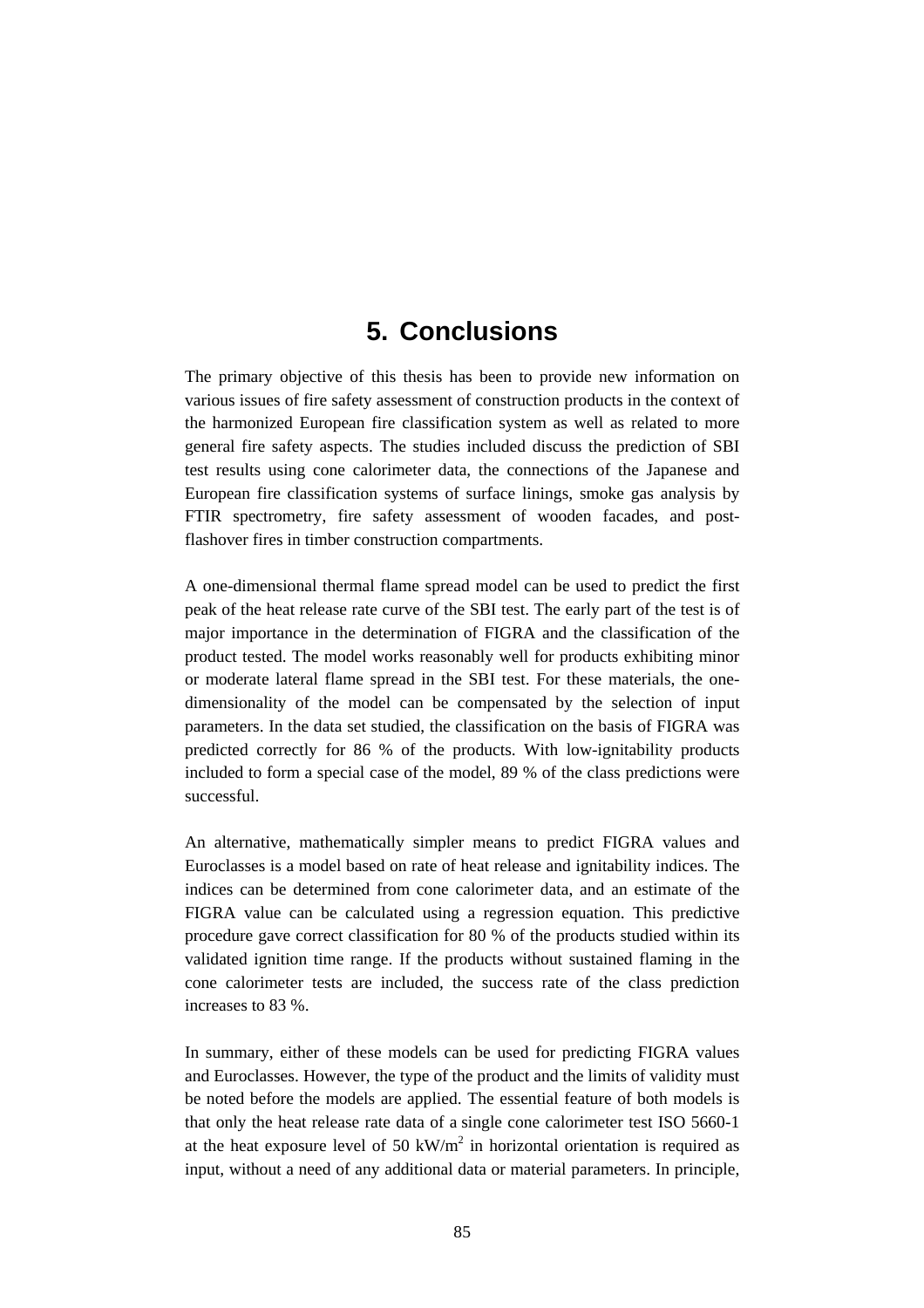# **5. Conclusions**

The primary objective of this thesis has been to provide new information on various issues of fire safety assessment of construction products in the context of the harmonized European fire classification system as well as related to more general fire safety aspects. The studies included discuss the prediction of SBI test results using cone calorimeter data, the connections of the Japanese and European fire classification systems of surface linings, smoke gas analysis by FTIR spectrometry, fire safety assessment of wooden facades, and postflashover fires in timber construction compartments.

A one-dimensional thermal flame spread model can be used to predict the first peak of the heat release rate curve of the SBI test. The early part of the test is of major importance in the determination of FIGRA and the classification of the product tested. The model works reasonably well for products exhibiting minor or moderate lateral flame spread in the SBI test. For these materials, the onedimensionality of the model can be compensated by the selection of input parameters. In the data set studied, the classification on the basis of FIGRA was predicted correctly for 86 % of the products. With low-ignitability products included to form a special case of the model, 89 % of the class predictions were successful.

An alternative, mathematically simpler means to predict FIGRA values and Euroclasses is a model based on rate of heat release and ignitability indices. The indices can be determined from cone calorimeter data, and an estimate of the FIGRA value can be calculated using a regression equation. This predictive procedure gave correct classification for 80 % of the products studied within its validated ignition time range. If the products without sustained flaming in the cone calorimeter tests are included, the success rate of the class prediction increases to 83 %.

In summary, either of these models can be used for predicting FIGRA values and Euroclasses. However, the type of the product and the limits of validity must be noted before the models are applied. The essential feature of both models is that only the heat release rate data of a single cone calorimeter test ISO 5660-1 at the heat exposure level of 50 kW/ $m<sup>2</sup>$  in horizontal orientation is required as input, without a need of any additional data or material parameters. In principle,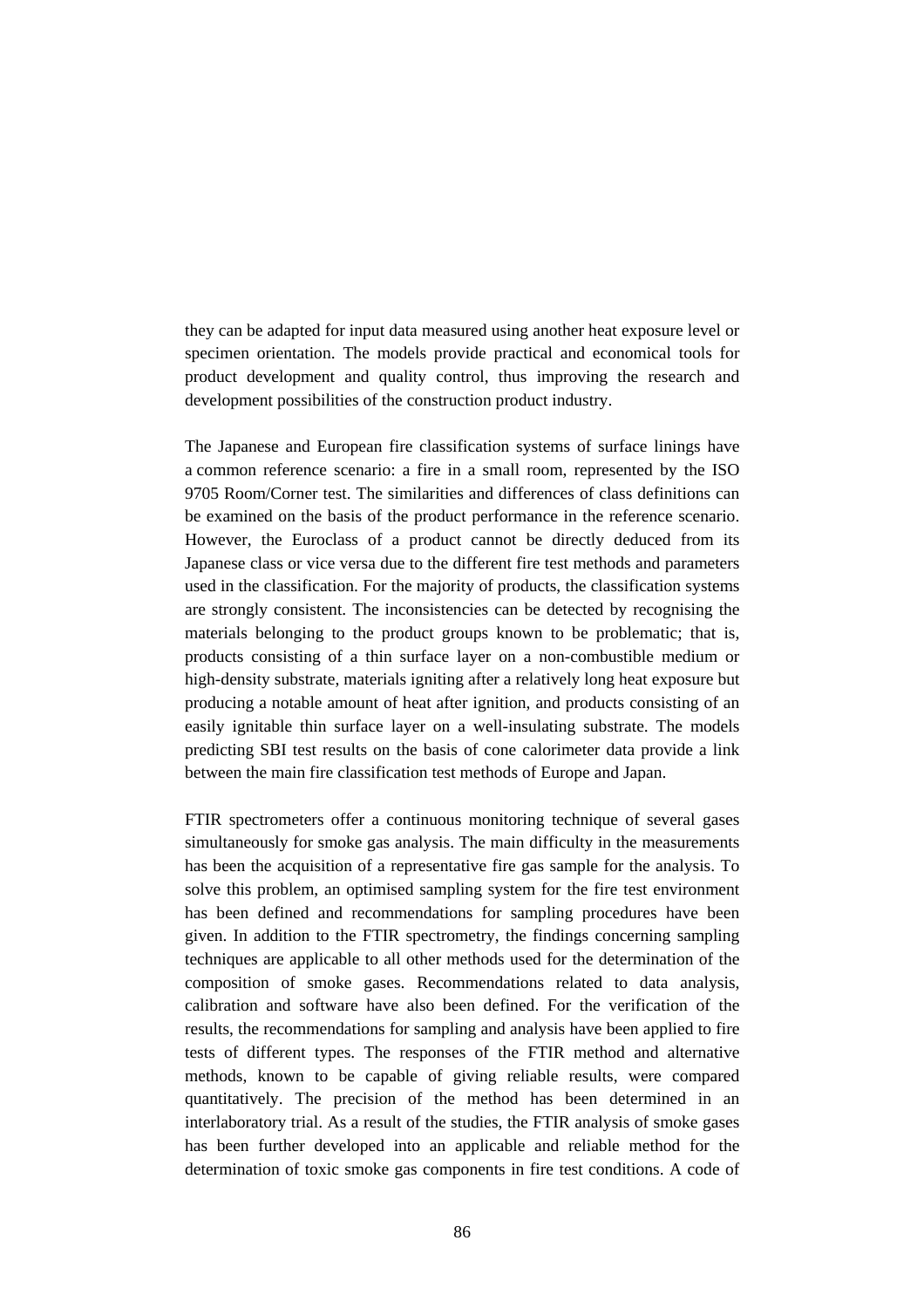they can be adapted for input data measured using another heat exposure level or specimen orientation. The models provide practical and economical tools for product development and quality control, thus improving the research and development possibilities of the construction product industry.

The Japanese and European fire classification systems of surface linings have a common reference scenario: a fire in a small room, represented by the ISO 9705 Room/Corner test. The similarities and differences of class definitions can be examined on the basis of the product performance in the reference scenario. However, the Euroclass of a product cannot be directly deduced from its Japanese class or vice versa due to the different fire test methods and parameters used in the classification. For the majority of products, the classification systems are strongly consistent. The inconsistencies can be detected by recognising the materials belonging to the product groups known to be problematic; that is, products consisting of a thin surface layer on a non-combustible medium or high-density substrate, materials igniting after a relatively long heat exposure but producing a notable amount of heat after ignition, and products consisting of an easily ignitable thin surface layer on a well-insulating substrate. The models predicting SBI test results on the basis of cone calorimeter data provide a link between the main fire classification test methods of Europe and Japan.

FTIR spectrometers offer a continuous monitoring technique of several gases simultaneously for smoke gas analysis. The main difficulty in the measurements has been the acquisition of a representative fire gas sample for the analysis. To solve this problem, an optimised sampling system for the fire test environment has been defined and recommendations for sampling procedures have been given. In addition to the FTIR spectrometry, the findings concerning sampling techniques are applicable to all other methods used for the determination of the composition of smoke gases. Recommendations related to data analysis, calibration and software have also been defined. For the verification of the results, the recommendations for sampling and analysis have been applied to fire tests of different types. The responses of the FTIR method and alternative methods, known to be capable of giving reliable results, were compared quantitatively. The precision of the method has been determined in an interlaboratory trial. As a result of the studies, the FTIR analysis of smoke gases has been further developed into an applicable and reliable method for the determination of toxic smoke gas components in fire test conditions. A code of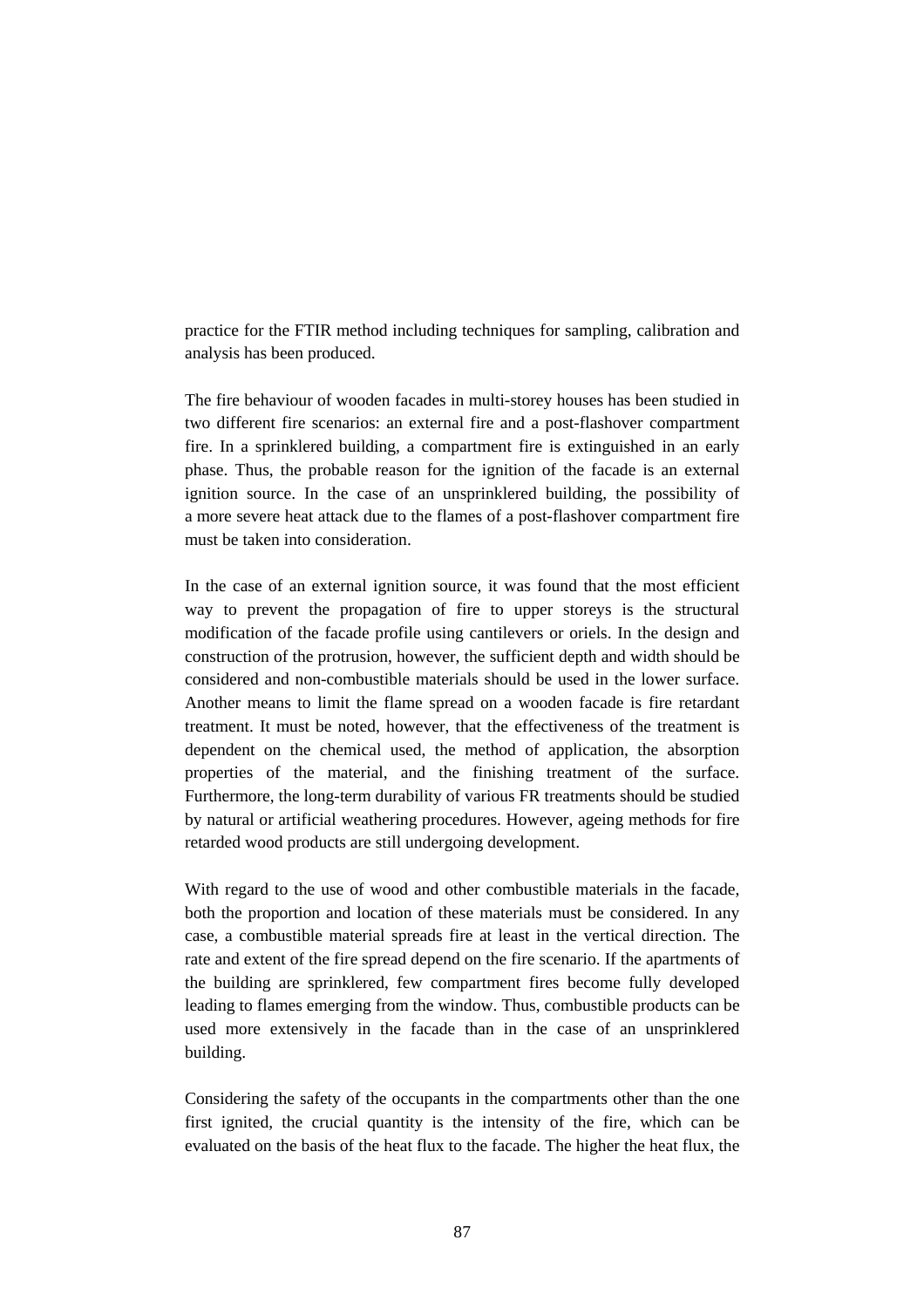practice for the FTIR method including techniques for sampling, calibration and analysis has been produced.

The fire behaviour of wooden facades in multi-storey houses has been studied in two different fire scenarios: an external fire and a post-flashover compartment fire. In a sprinklered building, a compartment fire is extinguished in an early phase. Thus, the probable reason for the ignition of the facade is an external ignition source. In the case of an unsprinklered building, the possibility of a more severe heat attack due to the flames of a post-flashover compartment fire must be taken into consideration.

In the case of an external ignition source, it was found that the most efficient way to prevent the propagation of fire to upper storeys is the structural modification of the facade profile using cantilevers or oriels. In the design and construction of the protrusion, however, the sufficient depth and width should be considered and non-combustible materials should be used in the lower surface. Another means to limit the flame spread on a wooden facade is fire retardant treatment. It must be noted, however, that the effectiveness of the treatment is dependent on the chemical used, the method of application, the absorption properties of the material, and the finishing treatment of the surface. Furthermore, the long-term durability of various FR treatments should be studied by natural or artificial weathering procedures. However, ageing methods for fire retarded wood products are still undergoing development.

With regard to the use of wood and other combustible materials in the facade, both the proportion and location of these materials must be considered. In any case, a combustible material spreads fire at least in the vertical direction. The rate and extent of the fire spread depend on the fire scenario. If the apartments of the building are sprinklered, few compartment fires become fully developed leading to flames emerging from the window. Thus, combustible products can be used more extensively in the facade than in the case of an unsprinklered building.

Considering the safety of the occupants in the compartments other than the one first ignited, the crucial quantity is the intensity of the fire, which can be evaluated on the basis of the heat flux to the facade. The higher the heat flux, the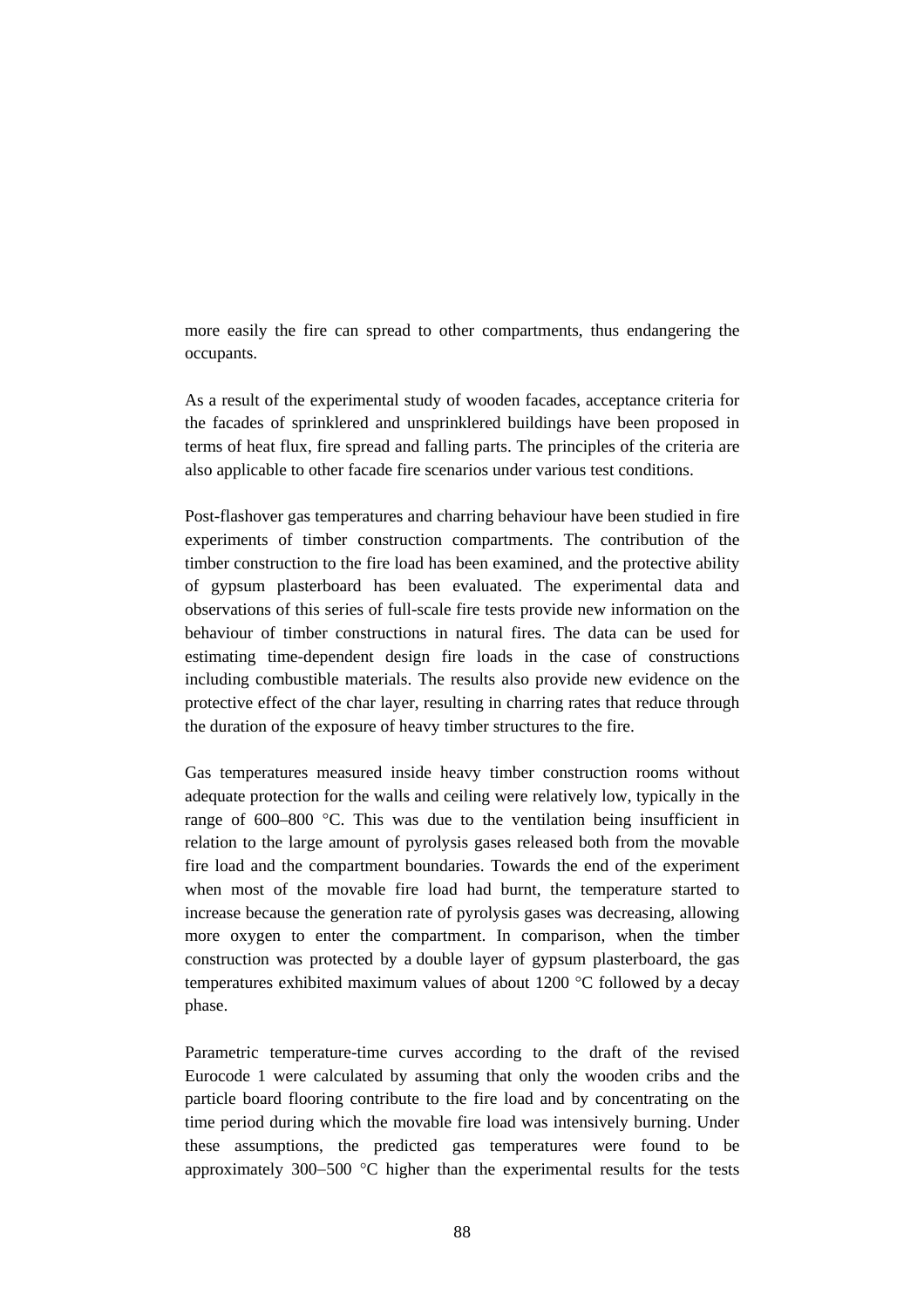more easily the fire can spread to other compartments, thus endangering the occupants.

As a result of the experimental study of wooden facades, acceptance criteria for the facades of sprinklered and unsprinklered buildings have been proposed in terms of heat flux, fire spread and falling parts. The principles of the criteria are also applicable to other facade fire scenarios under various test conditions.

Post-flashover gas temperatures and charring behaviour have been studied in fire experiments of timber construction compartments. The contribution of the timber construction to the fire load has been examined, and the protective ability of gypsum plasterboard has been evaluated. The experimental data and observations of this series of full-scale fire tests provide new information on the behaviour of timber constructions in natural fires. The data can be used for estimating time-dependent design fire loads in the case of constructions including combustible materials. The results also provide new evidence on the protective effect of the char layer, resulting in charring rates that reduce through the duration of the exposure of heavy timber structures to the fire.

Gas temperatures measured inside heavy timber construction rooms without adequate protection for the walls and ceiling were relatively low, typically in the range of  $600-800$  °C. This was due to the ventilation being insufficient in relation to the large amount of pyrolysis gases released both from the movable fire load and the compartment boundaries. Towards the end of the experiment when most of the movable fire load had burnt, the temperature started to increase because the generation rate of pyrolysis gases was decreasing, allowing more oxygen to enter the compartment. In comparison, when the timber construction was protected by a double layer of gypsum plasterboard, the gas temperatures exhibited maximum values of about 1200 °C followed by a decay phase.

Parametric temperature-time curves according to the draft of the revised Eurocode 1 were calculated by assuming that only the wooden cribs and the particle board flooring contribute to the fire load and by concentrating on the time period during which the movable fire load was intensively burning. Under these assumptions, the predicted gas temperatures were found to be approximately 300−500 °C higher than the experimental results for the tests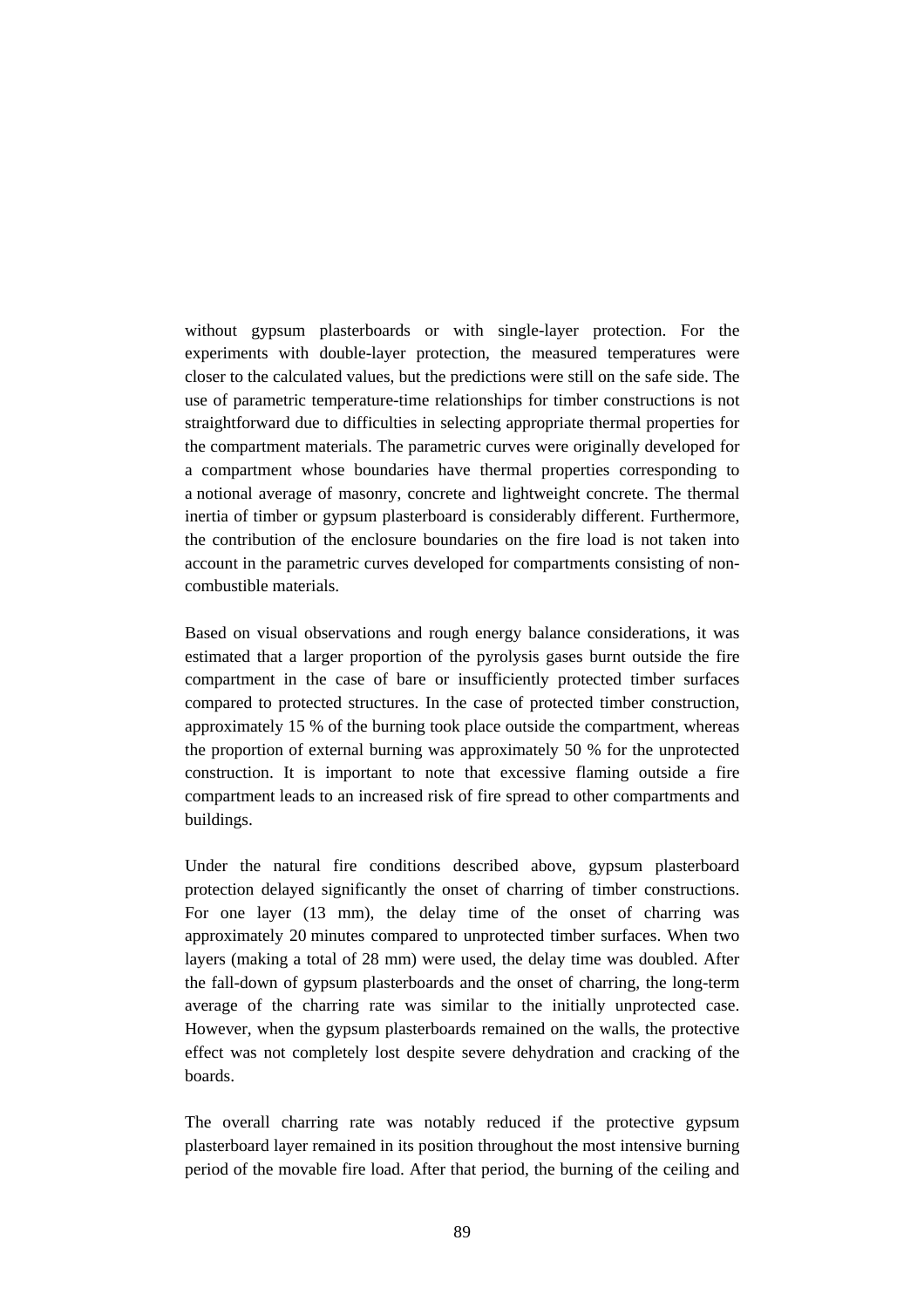without gypsum plasterboards or with single-layer protection. For the experiments with double-layer protection, the measured temperatures were closer to the calculated values, but the predictions were still on the safe side. The use of parametric temperature-time relationships for timber constructions is not straightforward due to difficulties in selecting appropriate thermal properties for the compartment materials. The parametric curves were originally developed for a compartment whose boundaries have thermal properties corresponding to a notional average of masonry, concrete and lightweight concrete. The thermal inertia of timber or gypsum plasterboard is considerably different. Furthermore, the contribution of the enclosure boundaries on the fire load is not taken into account in the parametric curves developed for compartments consisting of noncombustible materials.

Based on visual observations and rough energy balance considerations, it was estimated that a larger proportion of the pyrolysis gases burnt outside the fire compartment in the case of bare or insufficiently protected timber surfaces compared to protected structures. In the case of protected timber construction, approximately 15 % of the burning took place outside the compartment, whereas the proportion of external burning was approximately 50 % for the unprotected construction. It is important to note that excessive flaming outside a fire compartment leads to an increased risk of fire spread to other compartments and buildings.

Under the natural fire conditions described above, gypsum plasterboard protection delayed significantly the onset of charring of timber constructions. For one layer (13 mm), the delay time of the onset of charring was approximately 20 minutes compared to unprotected timber surfaces. When two layers (making a total of 28 mm) were used, the delay time was doubled. After the fall-down of gypsum plasterboards and the onset of charring, the long-term average of the charring rate was similar to the initially unprotected case. However, when the gypsum plasterboards remained on the walls, the protective effect was not completely lost despite severe dehydration and cracking of the boards.

The overall charring rate was notably reduced if the protective gypsum plasterboard layer remained in its position throughout the most intensive burning period of the movable fire load. After that period, the burning of the ceiling and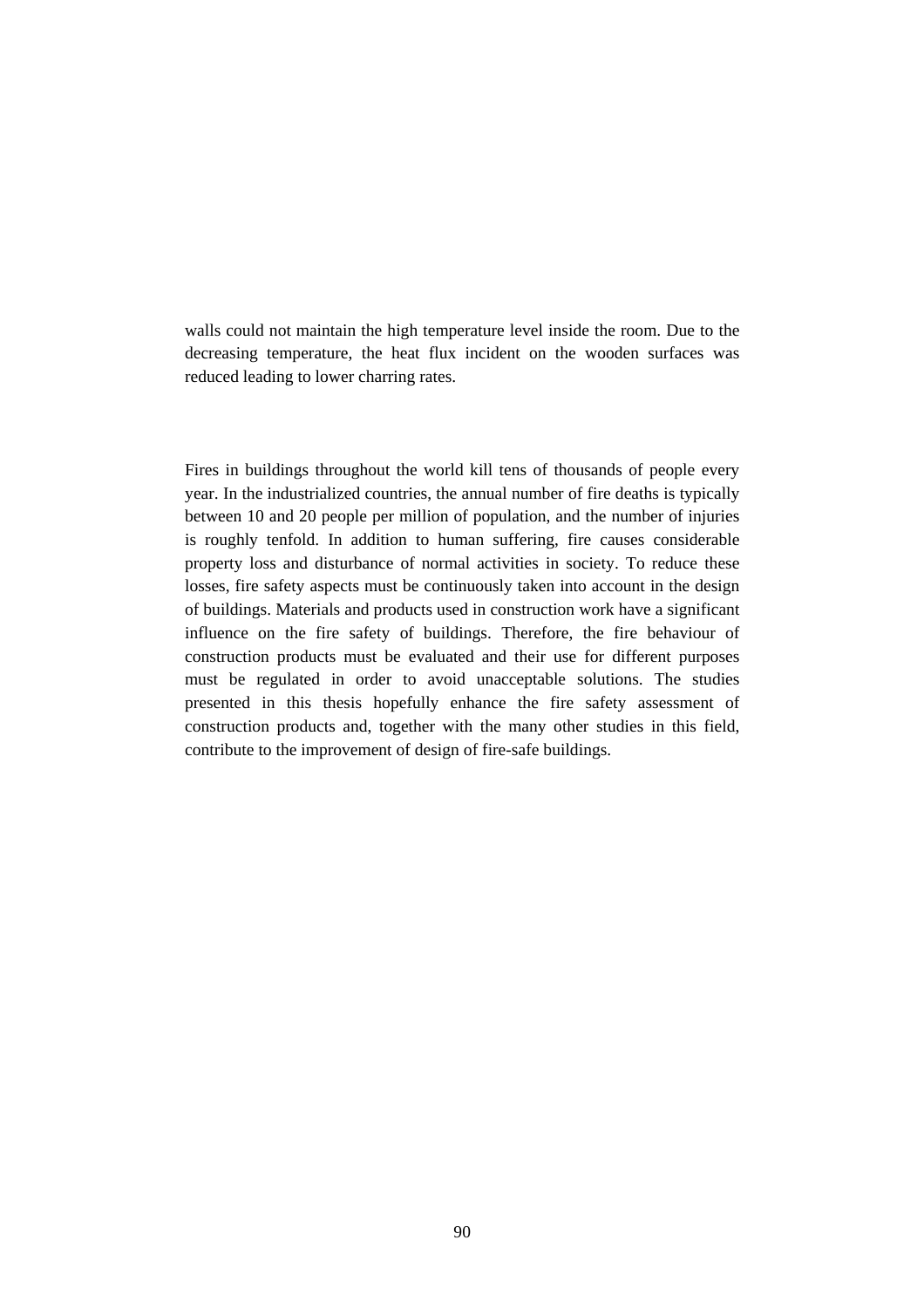walls could not maintain the high temperature level inside the room. Due to the decreasing temperature, the heat flux incident on the wooden surfaces was reduced leading to lower charring rates.

Fires in buildings throughout the world kill tens of thousands of people every year. In the industrialized countries, the annual number of fire deaths is typically between 10 and 20 people per million of population, and the number of injuries is roughly tenfold. In addition to human suffering, fire causes considerable property loss and disturbance of normal activities in society. To reduce these losses, fire safety aspects must be continuously taken into account in the design of buildings. Materials and products used in construction work have a significant influence on the fire safety of buildings. Therefore, the fire behaviour of construction products must be evaluated and their use for different purposes must be regulated in order to avoid unacceptable solutions. The studies presented in this thesis hopefully enhance the fire safety assessment of construction products and, together with the many other studies in this field, contribute to the improvement of design of fire-safe buildings.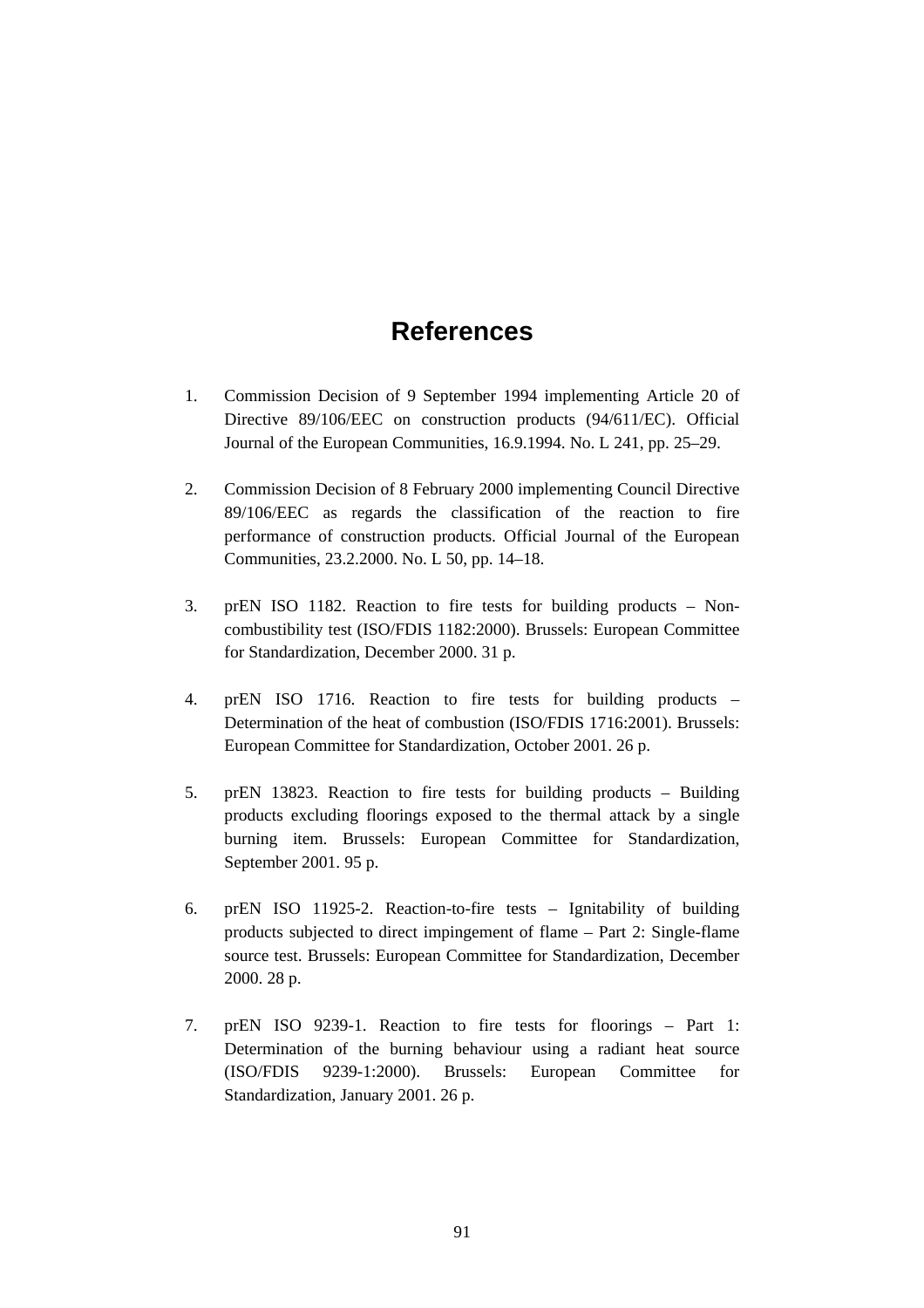# **References**

- 1. Commission Decision of 9 September 1994 implementing Article 20 of Directive 89/106/EEC on construction products (94/611/EC). Official Journal of the European Communities, 16.9.1994. No. L 241, pp. 25–29.
- 2. Commission Decision of 8 February 2000 implementing Council Directive 89/106/EEC as regards the classification of the reaction to fire performance of construction products. Official Journal of the European Communities, 23.2.2000. No. L 50, pp. 14–18.
- 3. prEN ISO 1182. Reaction to fire tests for building products Noncombustibility test (ISO/FDIS 1182:2000). Brussels: European Committee for Standardization, December 2000. 31 p.
- 4. prEN ISO 1716. Reaction to fire tests for building products Determination of the heat of combustion (ISO/FDIS 1716:2001). Brussels: European Committee for Standardization, October 2001. 26 p.
- 5. prEN 13823. Reaction to fire tests for building products Building products excluding floorings exposed to the thermal attack by a single burning item. Brussels: European Committee for Standardization, September 2001. 95 p.
- 6. prEN ISO 11925-2. Reaction-to-fire tests Ignitability of building products subjected to direct impingement of flame – Part 2: Single-flame source test. Brussels: European Committee for Standardization, December 2000. 28 p.
- 7. prEN ISO 9239-1. Reaction to fire tests for floorings Part 1: Determination of the burning behaviour using a radiant heat source (ISO/FDIS 9239-1:2000). Brussels: European Committee for Standardization, January 2001. 26 p.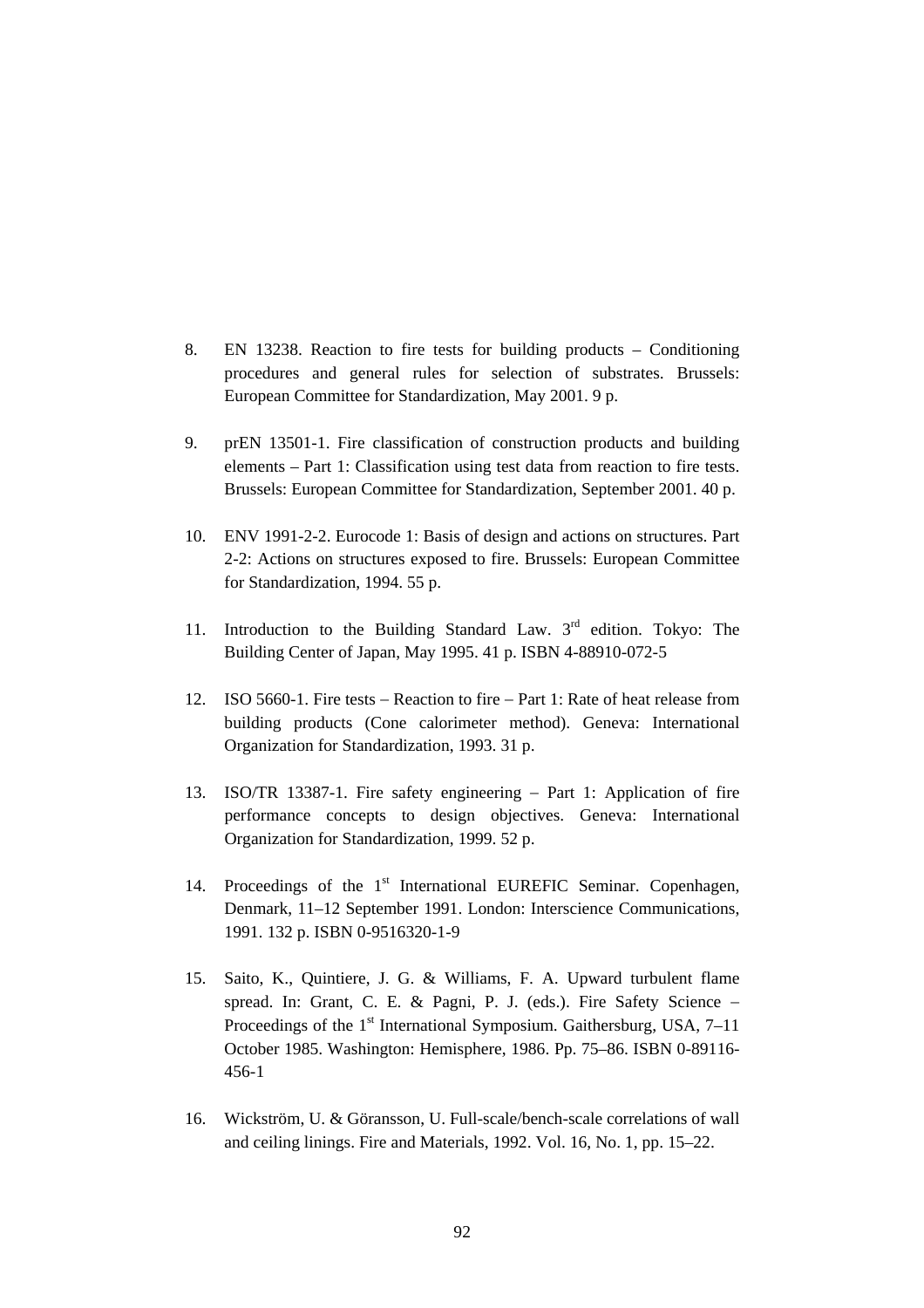- 8. EN 13238. Reaction to fire tests for building products Conditioning procedures and general rules for selection of substrates. Brussels: European Committee for Standardization, May 2001. 9 p.
- 9. prEN 13501-1. Fire classification of construction products and building elements – Part 1: Classification using test data from reaction to fire tests. Brussels: European Committee for Standardization, September 2001. 40 p.
- 10. ENV 1991-2-2. Eurocode 1: Basis of design and actions on structures. Part 2-2: Actions on structures exposed to fire. Brussels: European Committee for Standardization, 1994. 55 p.
- 11. Introduction to the Building Standard Law. 3<sup>rd</sup> edition. Tokyo: The Building Center of Japan, May 1995. 41 p. ISBN 4-88910-072-5
- 12. ISO 5660-1. Fire tests − Reaction to fire − Part 1: Rate of heat release from building products (Cone calorimeter method). Geneva: International Organization for Standardization, 1993. 31 p.
- 13. ISO/TR 13387-1. Fire safety engineering − Part 1: Application of fire performance concepts to design objectives. Geneva: International Organization for Standardization, 1999. 52 p.
- 14. Proceedings of the 1<sup>st</sup> International EUREFIC Seminar. Copenhagen, Denmark, 11–12 September 1991. London: Interscience Communications, 1991. 132 p. ISBN 0-9516320-1-9
- 15. Saito, K., Quintiere, J. G. & Williams, F. A. Upward turbulent flame spread. In: Grant, C. E. & Pagni, P. J. (eds.). Fire Safety Science − Proceedings of the  $1<sup>st</sup>$  International Symposium. Gaithersburg, USA,  $7-11$ October 1985. Washington: Hemisphere, 1986. Pp. 75–86. ISBN 0-89116- 456-1
- 16. Wickström, U. & Göransson, U. Full-scale/bench-scale correlations of wall and ceiling linings. Fire and Materials, 1992. Vol. 16, No. 1, pp. 15–22.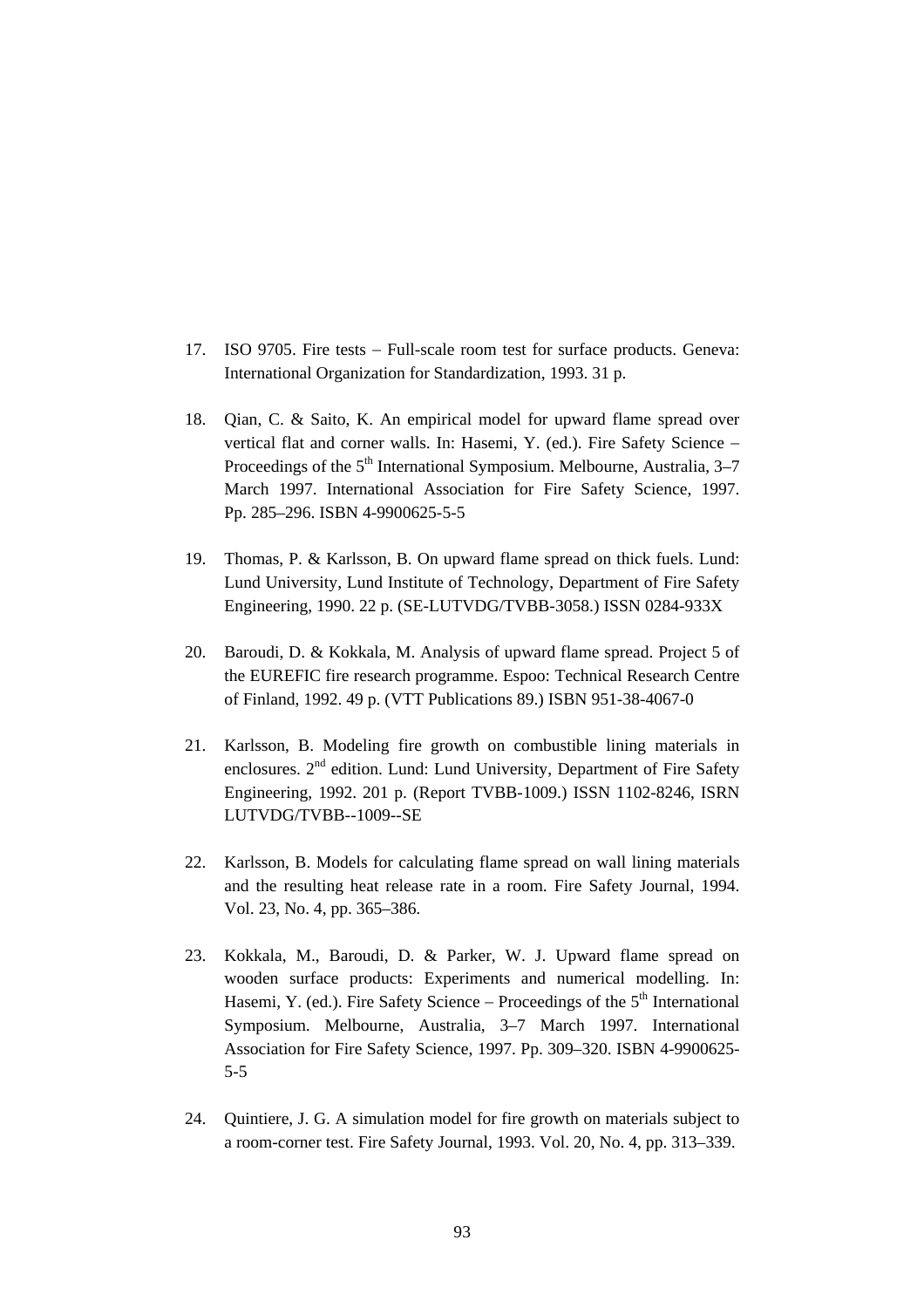- 17. ISO 9705. Fire tests − Full-scale room test for surface products. Geneva: International Organization for Standardization, 1993. 31 p.
- 18. Qian, C. & Saito, K. An empirical model for upward flame spread over vertical flat and corner walls. In: Hasemi, Y. (ed.). Fire Safety Science − Proceedings of the  $5<sup>th</sup>$  International Symposium. Melbourne, Australia,  $3-7$ March 1997. International Association for Fire Safety Science, 1997. Pp. 285–296. ISBN 4-9900625-5-5
- 19. Thomas, P. & Karlsson, B. On upward flame spread on thick fuels. Lund: Lund University, Lund Institute of Technology, Department of Fire Safety Engineering, 1990. 22 p. (SE-LUTVDG/TVBB-3058.) ISSN 0284-933X
- 20. Baroudi, D. & Kokkala, M. Analysis of upward flame spread. Project 5 of the EUREFIC fire research programme. Espoo: Technical Research Centre of Finland, 1992. 49 p. (VTT Publications 89.) ISBN 951-38-4067-0
- 21. Karlsson, B. Modeling fire growth on combustible lining materials in enclosures. 2<sup>nd</sup> edition. Lund: Lund University, Department of Fire Safety Engineering, 1992. 201 p. (Report TVBB-1009.) ISSN 1102-8246, ISRN LUTVDG/TVBB--1009--SE
- 22. Karlsson, B. Models for calculating flame spread on wall lining materials and the resulting heat release rate in a room. Fire Safety Journal, 1994. Vol. 23, No. 4, pp. 365–386.
- 23. Kokkala, M., Baroudi, D. & Parker, W. J. Upward flame spread on wooden surface products: Experiments and numerical modelling. In: Hasemi, Y. (ed.). Fire Safety Science – Proceedings of the  $5<sup>th</sup>$  International Symposium. Melbourne, Australia, 3–7 March 1997. International Association for Fire Safety Science, 1997. Pp. 309–320. ISBN 4-9900625- 5-5
- 24. Quintiere, J. G. A simulation model for fire growth on materials subject to a room-corner test. Fire Safety Journal, 1993. Vol. 20, No. 4, pp. 313–339.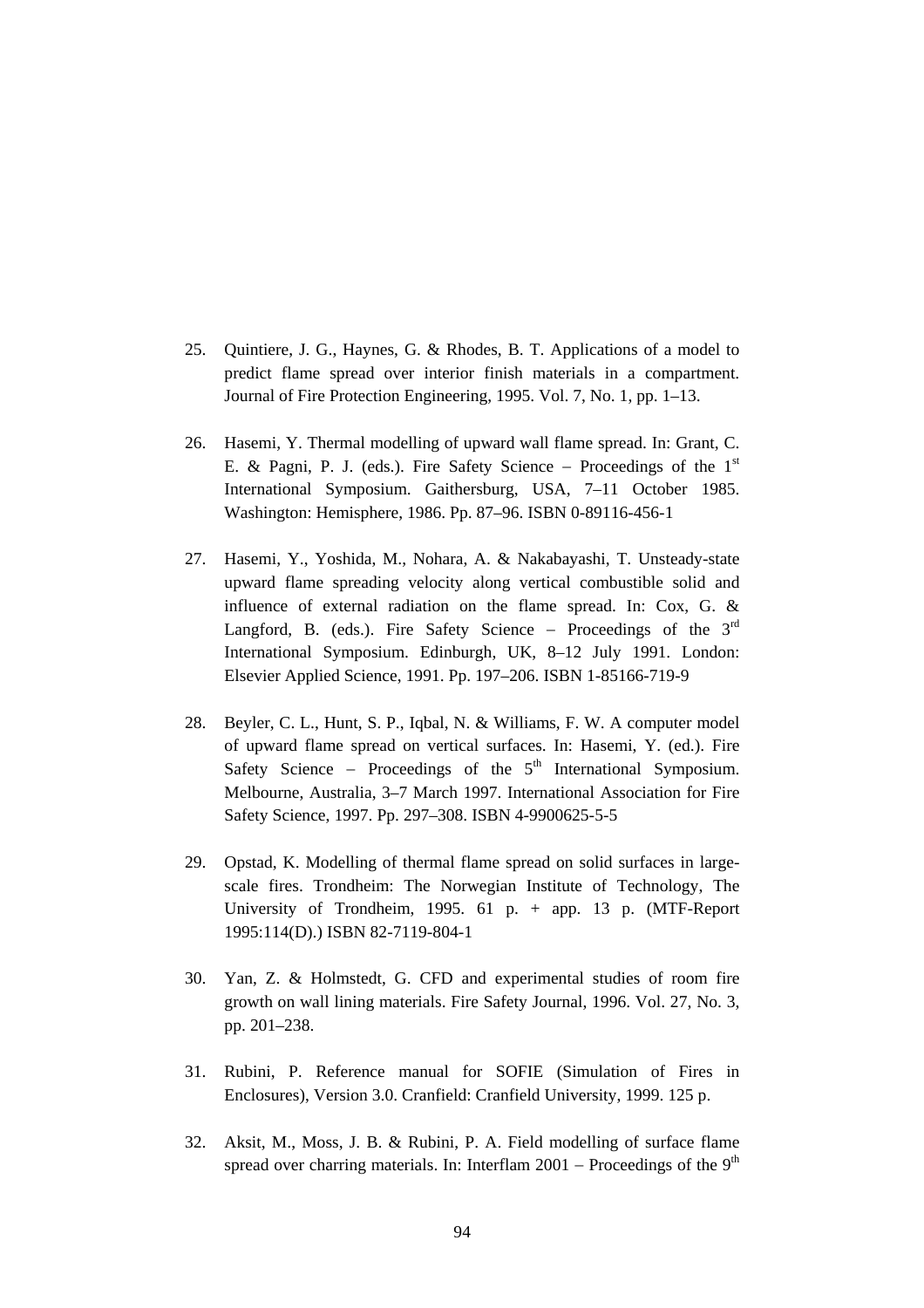- 25. Quintiere, J. G., Haynes, G. & Rhodes, B. T. Applications of a model to predict flame spread over interior finish materials in a compartment. Journal of Fire Protection Engineering, 1995. Vol. 7, No. 1, pp. 1–13.
- 26. Hasemi, Y. Thermal modelling of upward wall flame spread. In: Grant, C. E. & Pagni, P. J. (eds.). Fire Safety Science − Proceedings of the 1st International Symposium. Gaithersburg, USA, 7–11 October 1985. Washington: Hemisphere, 1986. Pp. 87–96. ISBN 0-89116-456-1
- 27. Hasemi, Y., Yoshida, M., Nohara, A. & Nakabayashi, T. Unsteady-state upward flame spreading velocity along vertical combustible solid and influence of external radiation on the flame spread. In: Cox, G. & Langford, B. (eds.). Fire Safety Science – Proceedings of the  $3<sup>rd</sup>$ International Symposium. Edinburgh, UK, 8–12 July 1991. London: Elsevier Applied Science, 1991. Pp. 197–206. ISBN 1-85166-719-9
- 28. Beyler, C. L., Hunt, S. P., Iqbal, N. & Williams, F. W. A computer model of upward flame spread on vertical surfaces. In: Hasemi, Y. (ed.). Fire Safety Science – Proceedings of the 5<sup>th</sup> International Symposium. Melbourne, Australia, 3–7 March 1997. International Association for Fire Safety Science, 1997. Pp. 297–308. ISBN 4-9900625-5-5
- 29. Opstad, K. Modelling of thermal flame spread on solid surfaces in largescale fires. Trondheim: The Norwegian Institute of Technology, The University of Trondheim, 1995.  $61$  p. + app. 13 p. (MTF-Report 1995:114(D).) ISBN 82-7119-804-1
- 30. Yan, Z. & Holmstedt, G. CFD and experimental studies of room fire growth on wall lining materials. Fire Safety Journal, 1996. Vol. 27, No. 3, pp. 201–238.
- 31. Rubini, P. Reference manual for SOFIE (Simulation of Fires in Enclosures), Version 3.0. Cranfield: Cranfield University, 1999. 125 p.
- 32. Aksit, M., Moss, J. B. & Rubini, P. A. Field modelling of surface flame spread over charring materials. In: Interflam 2001 – Proceedings of the 9<sup>th</sup>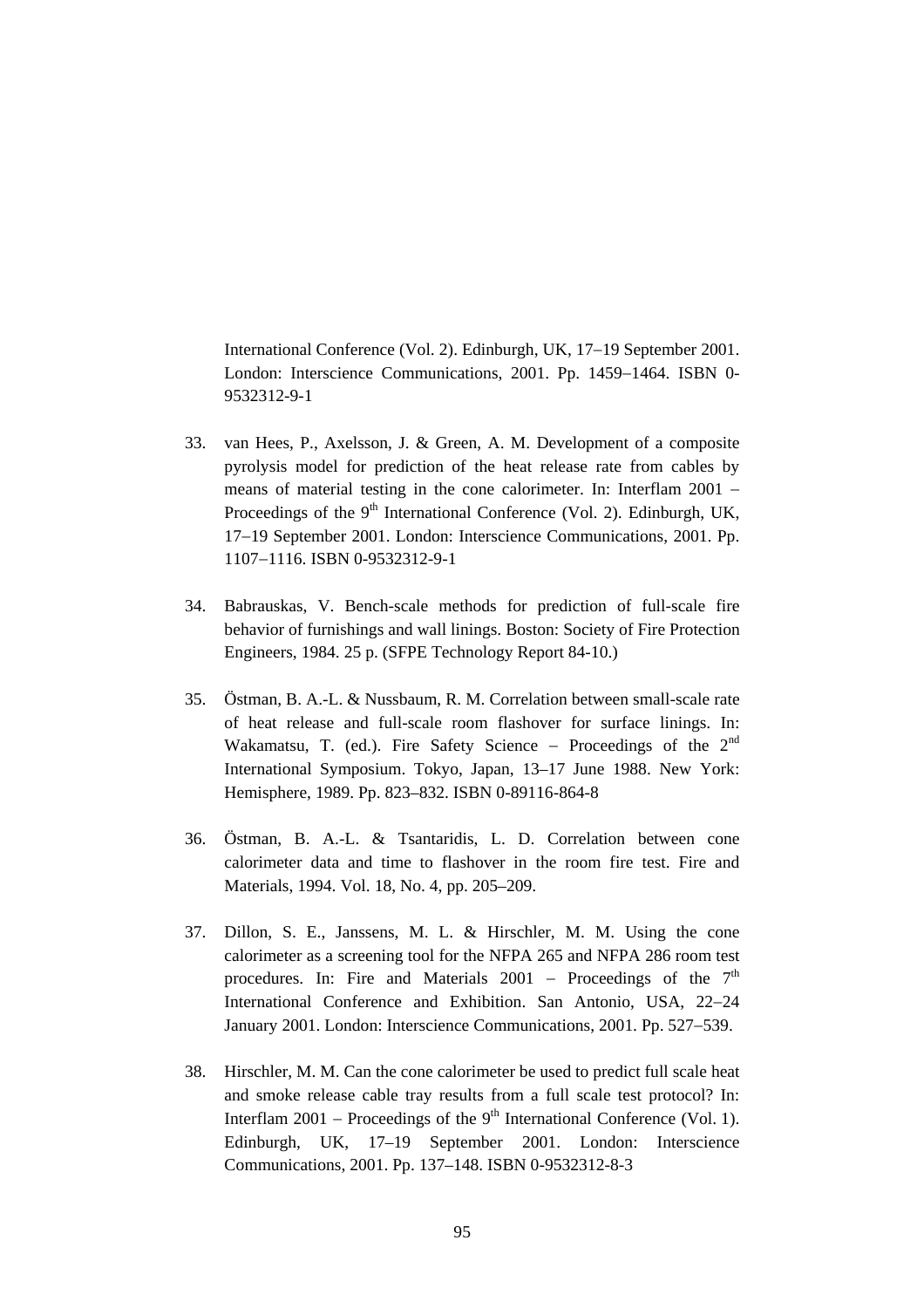International Conference (Vol. 2). Edinburgh, UK, 17−19 September 2001. London: Interscience Communications, 2001. Pp. 1459−1464. ISBN 0- 9532312-9-1

- 33. van Hees, P., Axelsson, J. & Green, A. M. Development of a composite pyrolysis model for prediction of the heat release rate from cables by means of material testing in the cone calorimeter. In: Interflam 2001 − Proceedings of the 9<sup>th</sup> International Conference (Vol. 2). Edinburgh, UK, 17−19 September 2001. London: Interscience Communications, 2001. Pp. 1107−1116. ISBN 0-9532312-9-1
- 34. Babrauskas, V. Bench-scale methods for prediction of full-scale fire behavior of furnishings and wall linings. Boston: Society of Fire Protection Engineers, 1984. 25 p. (SFPE Technology Report 84-10.)
- 35. Östman, B. A.-L. & Nussbaum, R. M. Correlation between small-scale rate of heat release and full-scale room flashover for surface linings. In: Wakamatsu, T. (ed.). Fire Safety Science – Proceedings of the  $2<sup>nd</sup>$ International Symposium. Tokyo, Japan, 13–17 June 1988. New York: Hemisphere, 1989. Pp. 823–832. ISBN 0-89116-864-8
- 36. Östman, B. A.-L. & Tsantaridis, L. D. Correlation between cone calorimeter data and time to flashover in the room fire test. Fire and Materials, 1994. Vol. 18, No. 4, pp. 205–209.
- 37. Dillon, S. E., Janssens, M. L. & Hirschler, M. M. Using the cone calorimeter as a screening tool for the NFPA 265 and NFPA 286 room test procedures. In: Fire and Materials 2001 – Proceedings of the  $7<sup>th</sup>$ International Conference and Exhibition. San Antonio, USA, 22−24 January 2001. London: Interscience Communications, 2001. Pp. 527−539.
- 38. Hirschler, M. M. Can the cone calorimeter be used to predict full scale heat and smoke release cable tray results from a full scale test protocol? In: Interflam 2001 – Proceedings of the 9<sup>th</sup> International Conference (Vol. 1). Edinburgh, UK, 17–19 September 2001. London: Interscience Communications, 2001. Pp. 137–148. ISBN 0-9532312-8-3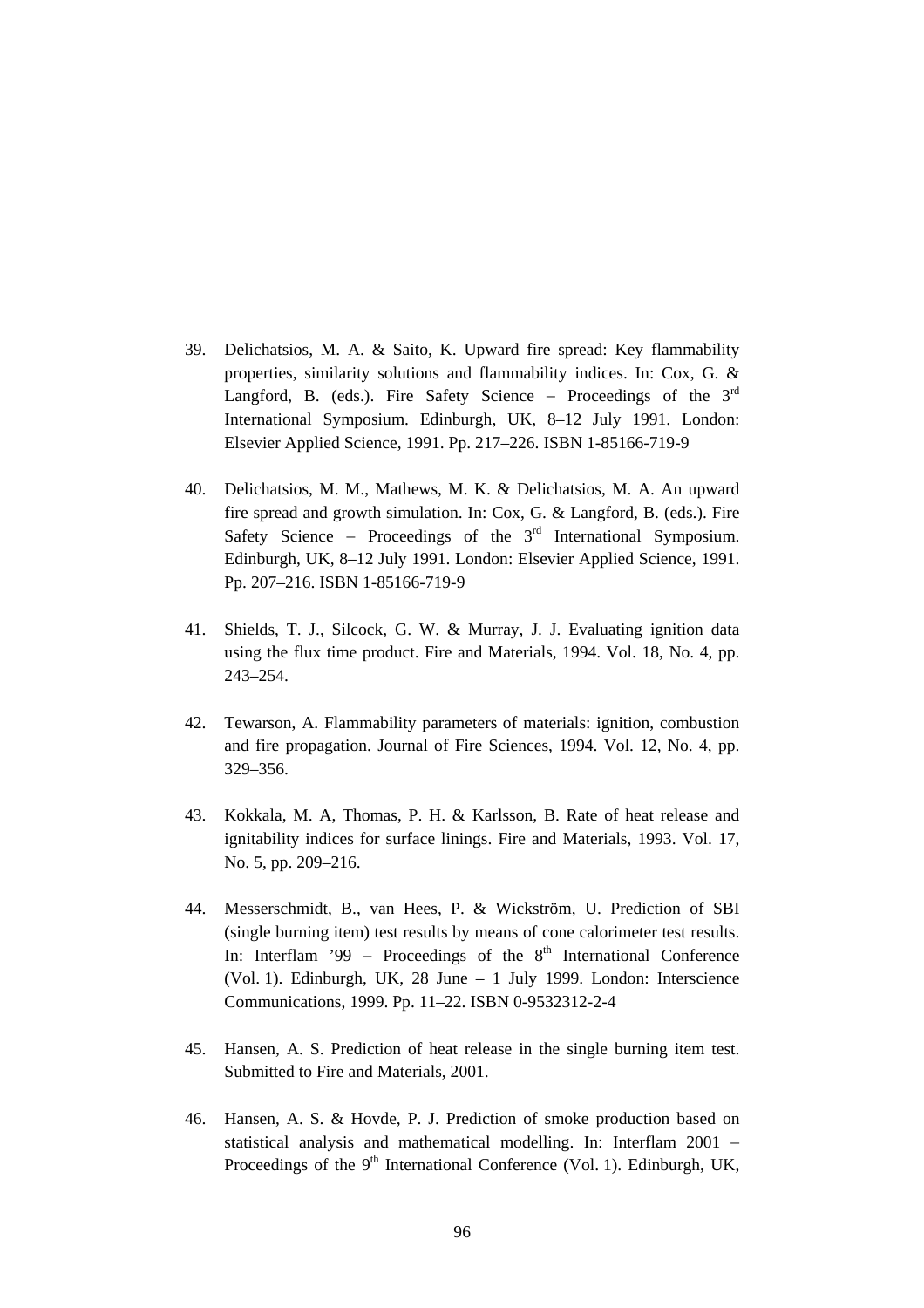- 39. Delichatsios, M. A. & Saito, K. Upward fire spread: Key flammability properties, similarity solutions and flammability indices. In: Cox, G. & Langford, B. (eds.). Fire Safety Science – Proceedings of the  $3<sup>rd</sup>$ International Symposium. Edinburgh, UK, 8–12 July 1991. London: Elsevier Applied Science, 1991. Pp. 217–226. ISBN 1-85166-719-9
- 40. Delichatsios, M. M., Mathews, M. K. & Delichatsios, M. A. An upward fire spread and growth simulation. In: Cox, G. & Langford, B. (eds.). Fire Safety Science − Proceedings of the 3<sup>rd</sup> International Symposium. Edinburgh, UK, 8–12 July 1991. London: Elsevier Applied Science, 1991. Pp. 207–216. ISBN 1-85166-719-9
- 41. Shields, T. J., Silcock, G. W. & Murray, J. J. Evaluating ignition data using the flux time product. Fire and Materials, 1994. Vol. 18, No. 4, pp. 243–254.
- 42. Tewarson, A. Flammability parameters of materials: ignition, combustion and fire propagation. Journal of Fire Sciences, 1994. Vol. 12, No. 4, pp. 329–356.
- 43. Kokkala, M. A, Thomas, P. H. & Karlsson, B. Rate of heat release and ignitability indices for surface linings. Fire and Materials, 1993. Vol. 17, No. 5, pp. 209–216.
- 44. Messerschmidt, B., van Hees, P. & Wickström, U. Prediction of SBI (single burning item) test results by means of cone calorimeter test results. In: Interflam '99 – Proceedings of the  $8<sup>th</sup>$  International Conference (Vol. 1). Edinburgh, UK, 28 June – 1 July 1999. London: Interscience Communications, 1999. Pp. 11–22. ISBN 0-9532312-2-4
- 45. Hansen, A. S. Prediction of heat release in the single burning item test. Submitted to Fire and Materials, 2001.
- 46. Hansen, A. S. & Hovde, P. J. Prediction of smoke production based on statistical analysis and mathematical modelling. In: Interflam 2001 − Proceedings of the  $9<sup>th</sup>$  International Conference (Vol. 1). Edinburgh, UK,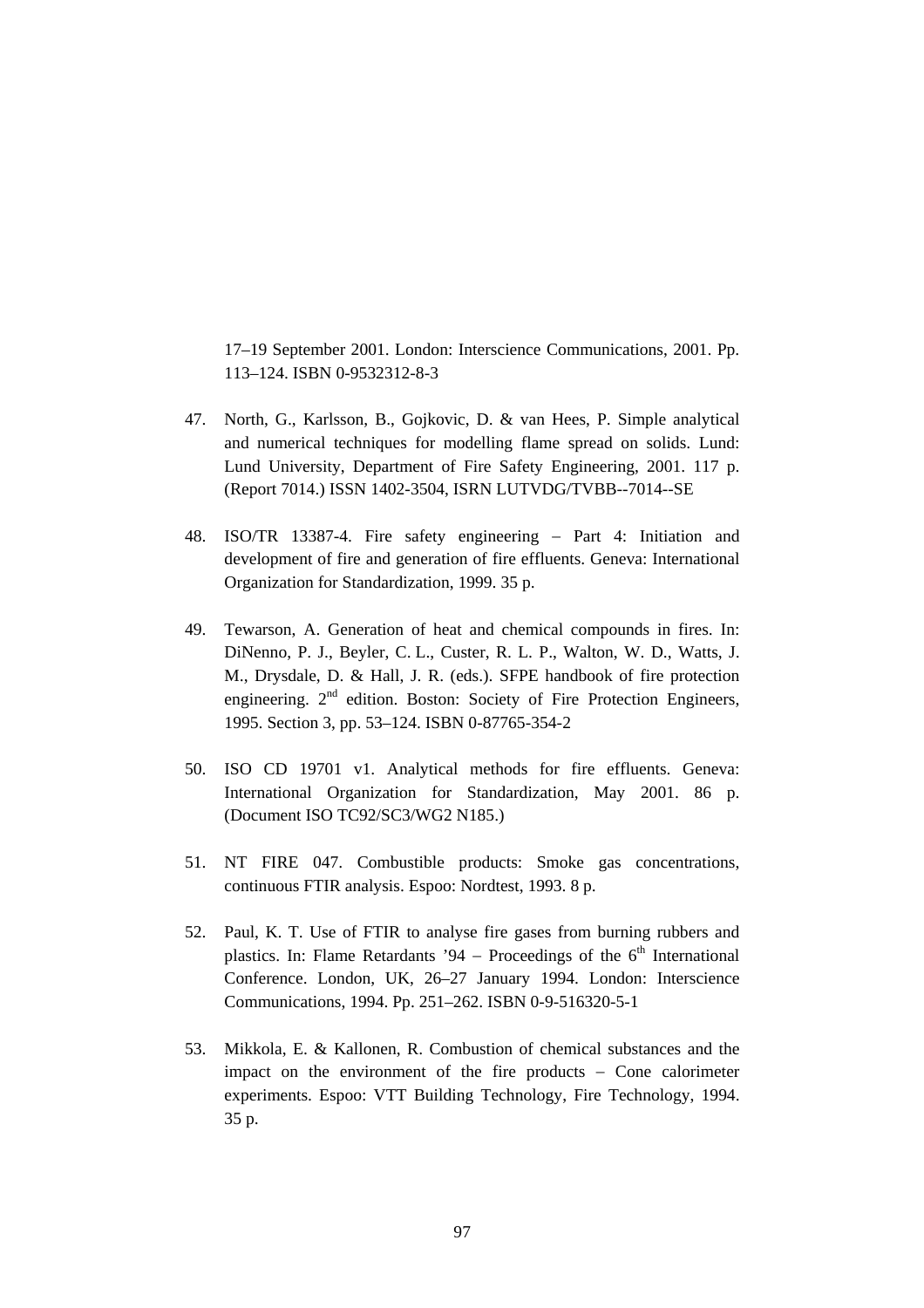17–19 September 2001. London: Interscience Communications, 2001. Pp. 113–124. ISBN 0-9532312-8-3

- 47. North, G., Karlsson, B., Gojkovic, D. & van Hees, P. Simple analytical and numerical techniques for modelling flame spread on solids. Lund: Lund University, Department of Fire Safety Engineering, 2001. 117 p. (Report 7014.) ISSN 1402-3504, ISRN LUTVDG/TVBB--7014--SE
- 48. ISO/TR 13387-4. Fire safety engineering − Part 4: Initiation and development of fire and generation of fire effluents. Geneva: International Organization for Standardization, 1999. 35 p.
- 49. Tewarson, A. Generation of heat and chemical compounds in fires. In: DiNenno, P. J., Beyler, C. L., Custer, R. L. P., Walton, W. D., Watts, J. M., Drysdale, D. & Hall, J. R. (eds.). SFPE handbook of fire protection engineering. 2<sup>nd</sup> edition. Boston: Society of Fire Protection Engineers, 1995. Section 3, pp. 53–124. ISBN 0-87765-354-2
- 50. ISO CD 19701 v1. Analytical methods for fire effluents. Geneva: International Organization for Standardization, May 2001. 86 p. (Document ISO TC92/SC3/WG2 N185.)
- 51. NT FIRE 047. Combustible products: Smoke gas concentrations, continuous FTIR analysis. Espoo: Nordtest, 1993. 8 p.
- 52. Paul, K. T. Use of FTIR to analyse fire gases from burning rubbers and plastics. In: Flame Retardants '94 – Proceedings of the  $6<sup>th</sup>$  International Conference. London, UK, 26–27 January 1994. London: Interscience Communications, 1994. Pp. 251–262. ISBN 0-9-516320-5-1
- 53. Mikkola, E. & Kallonen, R. Combustion of chemical substances and the impact on the environment of the fire products − Cone calorimeter experiments. Espoo: VTT Building Technology, Fire Technology, 1994. 35 p.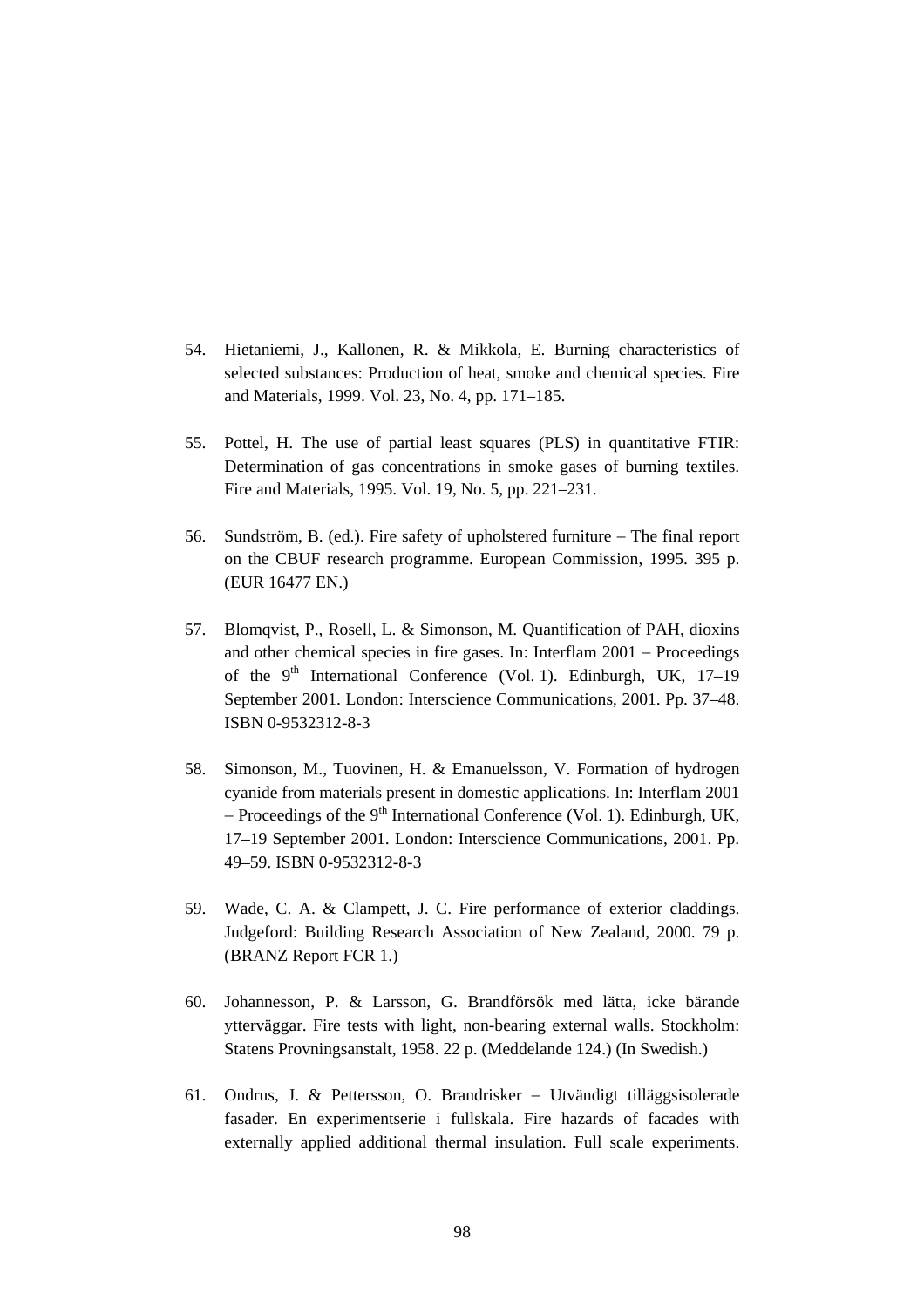- 54. Hietaniemi, J., Kallonen, R. & Mikkola, E. Burning characteristics of selected substances: Production of heat, smoke and chemical species. Fire and Materials, 1999. Vol. 23, No. 4, pp. 171–185.
- 55. Pottel, H. The use of partial least squares (PLS) in quantitative FTIR: Determination of gas concentrations in smoke gases of burning textiles. Fire and Materials, 1995. Vol. 19, No. 5, pp. 221–231.
- 56. Sundström, B. (ed.). Fire safety of upholstered furniture − The final report on the CBUF research programme. European Commission, 1995. 395 p. (EUR 16477 EN.)
- 57. Blomqvist, P., Rosell, L. & Simonson, M. Quantification of PAH, dioxins and other chemical species in fire gases. In: Interflam 2001 − Proceedings of the  $9<sup>th</sup>$  International Conference (Vol. 1). Edinburgh, UK, 17–19 September 2001. London: Interscience Communications, 2001. Pp. 37–48. ISBN 0-9532312-8-3
- 58. Simonson, M., Tuovinen, H. & Emanuelsson, V. Formation of hydrogen cyanide from materials present in domestic applications. In: Interflam 2001 − Proceedings of the 9<sup>th</sup> International Conference (Vol. 1). Edinburgh, UK, 17–19 September 2001. London: Interscience Communications, 2001. Pp. 49–59. ISBN 0-9532312-8-3
- 59. Wade, C. A. & Clampett, J. C. Fire performance of exterior claddings. Judgeford: Building Research Association of New Zealand, 2000. 79 p. (BRANZ Report FCR 1.)
- 60. Johannesson, P. & Larsson, G. Brandförsök med lätta, icke bärande ytterväggar. Fire tests with light, non-bearing external walls. Stockholm: Statens Provningsanstalt, 1958. 22 p. (Meddelande 124.) (In Swedish.)
- 61. Ondrus, J. & Pettersson, O. Brandrisker − Utvändigt tilläggsisolerade fasader. En experimentserie i fullskala. Fire hazards of facades with externally applied additional thermal insulation. Full scale experiments.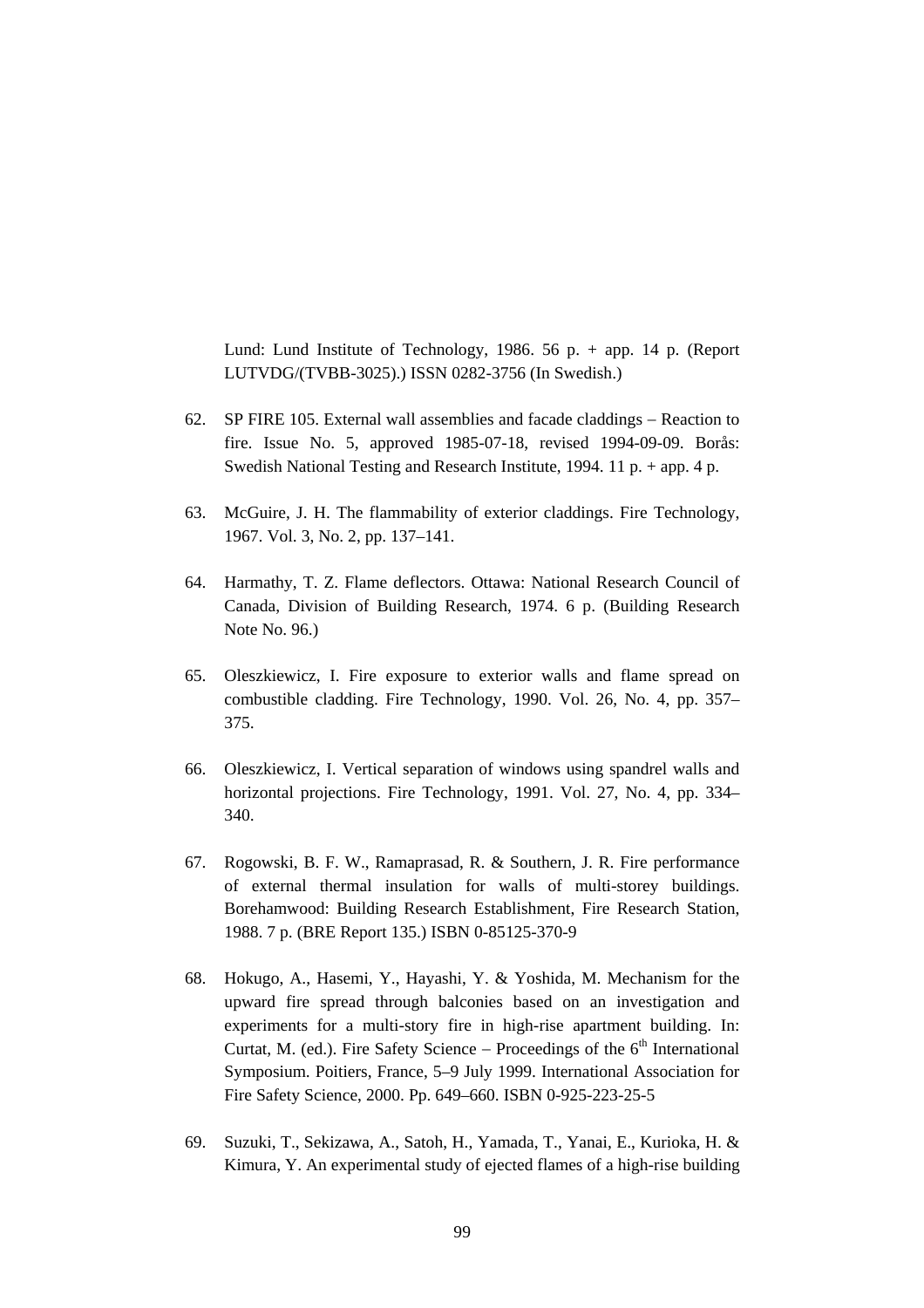Lund: Lund Institute of Technology, 1986, 56 p.  $+$  app. 14 p. (Report LUTVDG/(TVBB-3025).) ISSN 0282-3756 (In Swedish.)

- 62. SP FIRE 105. External wall assemblies and facade claddings − Reaction to fire. Issue No. 5, approved 1985-07-18, revised 1994-09-09. Borås: Swedish National Testing and Research Institute, 1994. 11 p. + app. 4 p.
- 63. McGuire, J. H. The flammability of exterior claddings. Fire Technology, 1967. Vol. 3, No. 2, pp. 137–141.
- 64. Harmathy, T. Z. Flame deflectors. Ottawa: National Research Council of Canada, Division of Building Research, 1974. 6 p. (Building Research Note No. 96.)
- 65. Oleszkiewicz, I. Fire exposure to exterior walls and flame spread on combustible cladding. Fire Technology, 1990. Vol. 26, No. 4, pp. 357– 375.
- 66. Oleszkiewicz, I. Vertical separation of windows using spandrel walls and horizontal projections. Fire Technology, 1991. Vol. 27, No. 4, pp. 334– 340.
- 67. Rogowski, B. F. W., Ramaprasad, R. & Southern, J. R. Fire performance of external thermal insulation for walls of multi-storey buildings. Borehamwood: Building Research Establishment, Fire Research Station, 1988. 7 p. (BRE Report 135.) ISBN 0-85125-370-9
- 68. Hokugo, A., Hasemi, Y., Hayashi, Y. & Yoshida, M. Mechanism for the upward fire spread through balconies based on an investigation and experiments for a multi-story fire in high-rise apartment building. In: Curtat, M. (ed.). Fire Safety Science – Proceedings of the  $6<sup>th</sup>$  International Symposium. Poitiers, France, 5–9 July 1999. International Association for Fire Safety Science, 2000. Pp. 649–660. ISBN 0-925-223-25-5
- 69. Suzuki, T., Sekizawa, A., Satoh, H., Yamada, T., Yanai, E., Kurioka, H. & Kimura, Y. An experimental study of ejected flames of a high-rise building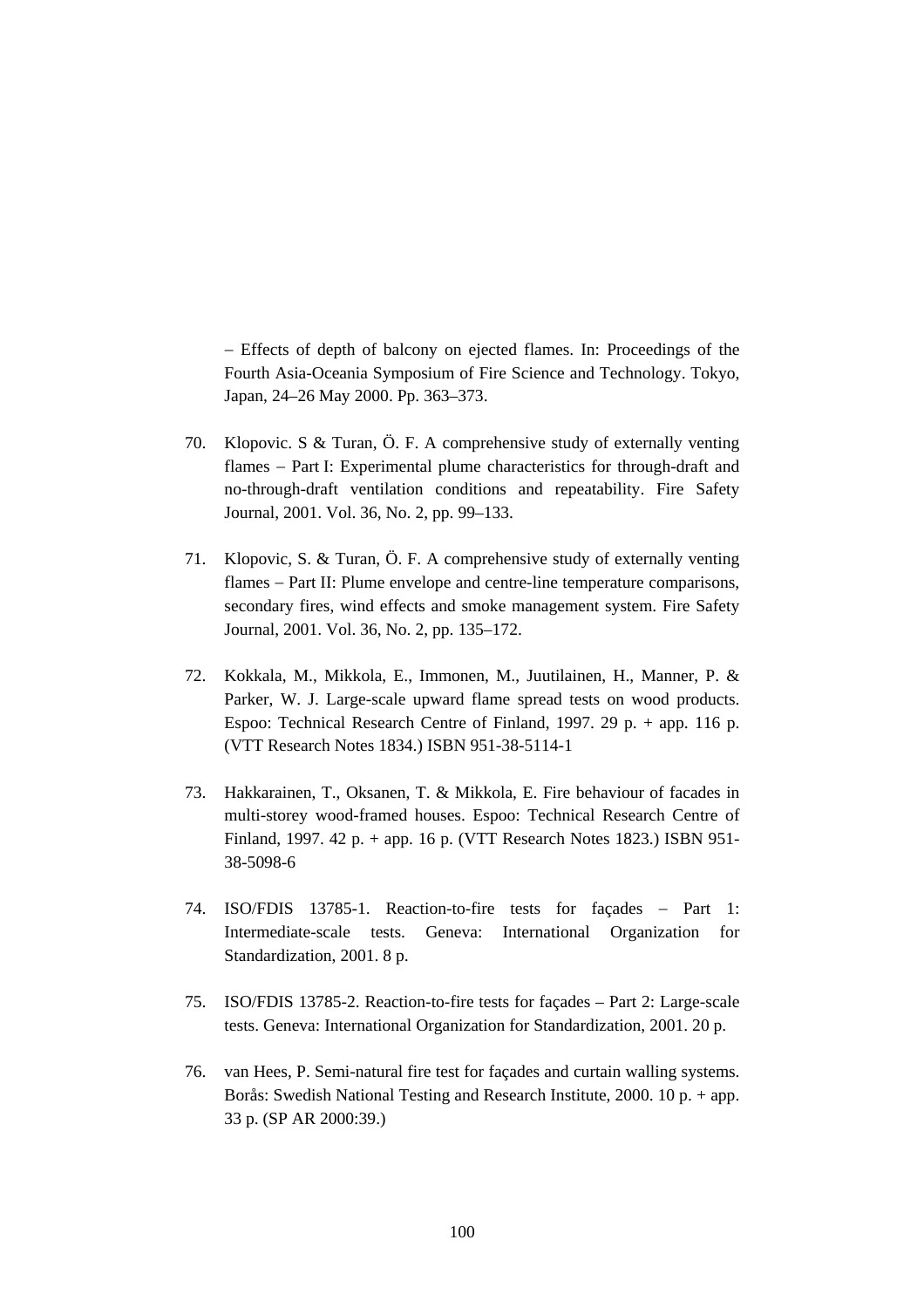− Effects of depth of balcony on ejected flames. In: Proceedings of the Fourth Asia-Oceania Symposium of Fire Science and Technology. Tokyo, Japan, 24–26 May 2000. Pp. 363–373.

- 70. Klopovic. S & Turan, Ö. F. A comprehensive study of externally venting flames – Part I: Experimental plume characteristics for through-draft and no-through-draft ventilation conditions and repeatability. Fire Safety Journal, 2001. Vol. 36, No. 2, pp. 99–133.
- 71. Klopovic, S. & Turan, Ö. F. A comprehensive study of externally venting flames − Part II: Plume envelope and centre-line temperature comparisons, secondary fires, wind effects and smoke management system. Fire Safety Journal, 2001. Vol. 36, No. 2, pp. 135–172.
- 72. Kokkala, M., Mikkola, E., Immonen, M., Juutilainen, H., Manner, P. & Parker, W. J. Large-scale upward flame spread tests on wood products. Espoo: Technical Research Centre of Finland, 1997. 29 p. + app. 116 p. (VTT Research Notes 1834.) ISBN 951-38-5114-1
- 73. Hakkarainen, T., Oksanen, T. & Mikkola, E. Fire behaviour of facades in multi-storey wood-framed houses. Espoo: Technical Research Centre of Finland, 1997. 42 p. + app. 16 p. (VTT Research Notes 1823.) ISBN 951- 38-5098-6
- 74. ISO/FDIS 13785-1. Reaction-to-fire tests for façades − Part 1: Intermediate-scale tests. Geneva: International Organization for Standardization, 2001. 8 p.
- 75. ISO/FDIS 13785-2. Reaction-to-fire tests for façades Part 2: Large-scale tests. Geneva: International Organization for Standardization, 2001. 20 p.
- 76. van Hees, P. Semi-natural fire test for façades and curtain walling systems. Borås: Swedish National Testing and Research Institute, 2000. 10 p. + app. 33 p. (SP AR 2000:39.)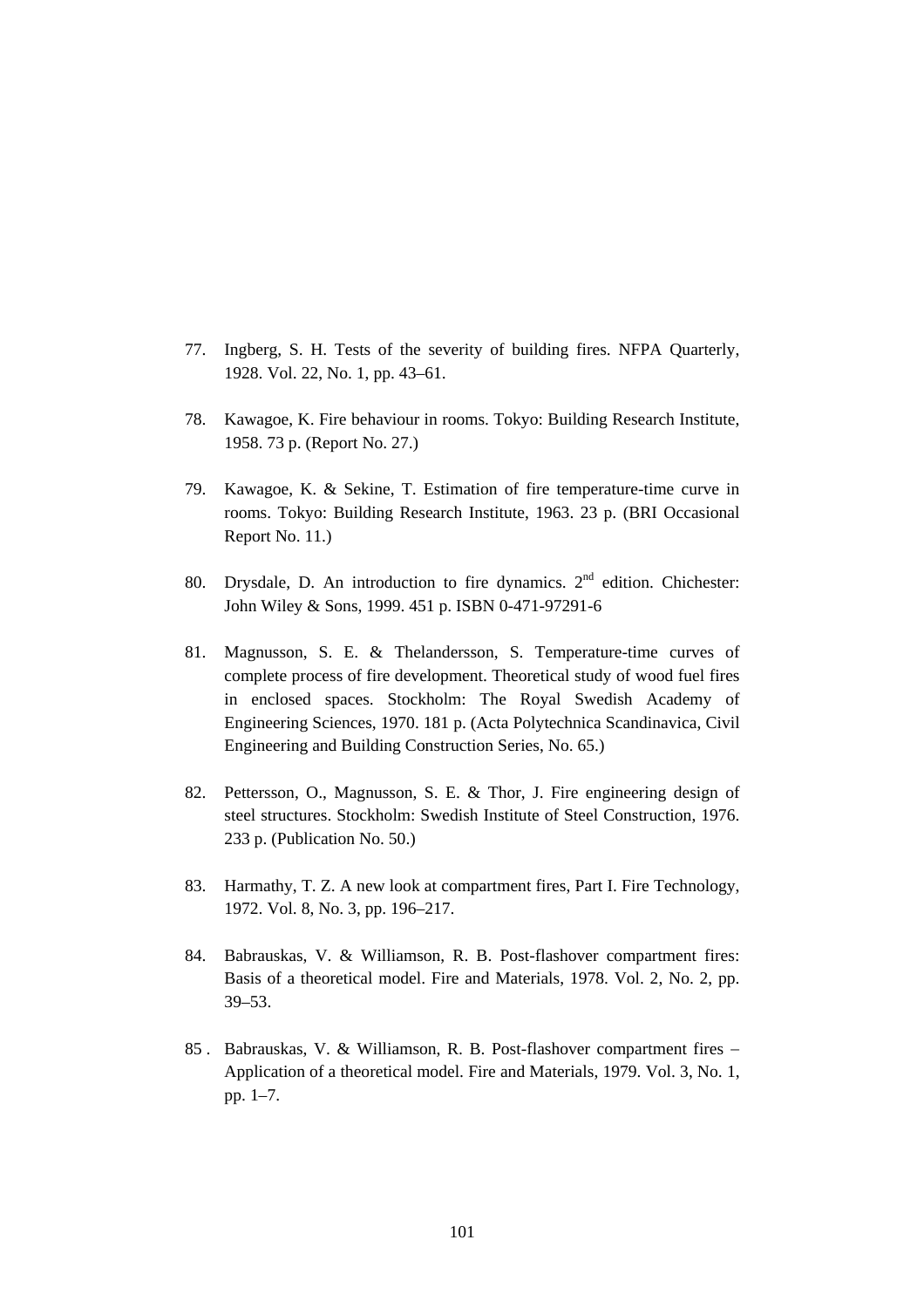- 77. Ingberg, S. H. Tests of the severity of building fires. NFPA Quarterly, 1928. Vol. 22, No. 1, pp. 43–61.
- 78. Kawagoe, K. Fire behaviour in rooms. Tokyo: Building Research Institute, 1958. 73 p. (Report No. 27.)
- 79. Kawagoe, K. & Sekine, T. Estimation of fire temperature-time curve in rooms. Tokyo: Building Research Institute, 1963. 23 p. (BRI Occasional Report No. 11.)
- 80. Drysdale, D. An introduction to fire dynamics.  $2<sup>nd</sup>$  edition. Chichester: John Wiley & Sons, 1999. 451 p. ISBN 0-471-97291-6
- 81. Magnusson, S. E. & Thelandersson, S. Temperature-time curves of complete process of fire development. Theoretical study of wood fuel fires in enclosed spaces. Stockholm: The Royal Swedish Academy of Engineering Sciences, 1970. 181 p. (Acta Polytechnica Scandinavica, Civil Engineering and Building Construction Series, No. 65.)
- 82. Pettersson, O., Magnusson, S. E. & Thor, J. Fire engineering design of steel structures. Stockholm: Swedish Institute of Steel Construction, 1976. 233 p. (Publication No. 50.)
- 83. Harmathy, T. Z. A new look at compartment fires, Part I. Fire Technology, 1972. Vol. 8, No. 3, pp. 196–217.
- 84. Babrauskas, V. & Williamson, R. B. Post-flashover compartment fires: Basis of a theoretical model. Fire and Materials, 1978. Vol. 2, No. 2, pp. 39–53.
- 85 . Babrauskas, V. & Williamson, R. B. Post-flashover compartment fires − Application of a theoretical model. Fire and Materials, 1979. Vol. 3, No. 1, pp. 1–7.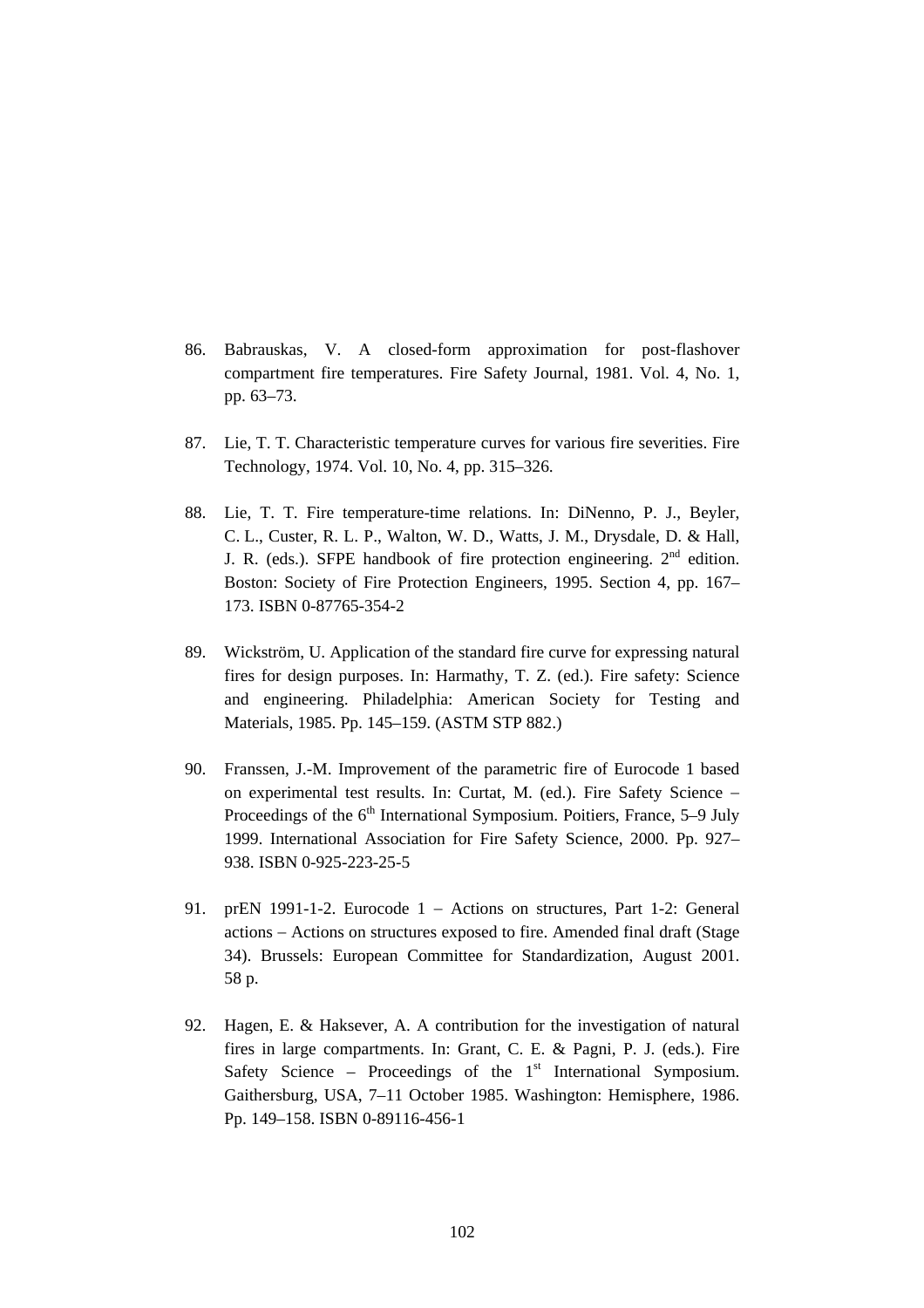- 86. Babrauskas, V. A closed-form approximation for post-flashover compartment fire temperatures. Fire Safety Journal, 1981. Vol. 4, No. 1, pp. 63–73.
- 87. Lie, T. T. Characteristic temperature curves for various fire severities. Fire Technology, 1974. Vol. 10, No. 4, pp. 315–326.
- 88. Lie, T. T. Fire temperature-time relations. In: DiNenno, P. J., Beyler, C. L., Custer, R. L. P., Walton, W. D., Watts, J. M., Drysdale, D. & Hall, J. R. (eds.). SFPE handbook of fire protection engineering.  $2<sup>nd</sup>$  edition. Boston: Society of Fire Protection Engineers, 1995. Section 4, pp. 167– 173. ISBN 0-87765-354-2
- 89. Wickström, U. Application of the standard fire curve for expressing natural fires for design purposes. In: Harmathy, T. Z. (ed.). Fire safety: Science and engineering. Philadelphia: American Society for Testing and Materials, 1985. Pp. 145–159. (ASTM STP 882.)
- 90. Franssen, J.-M. Improvement of the parametric fire of Eurocode 1 based on experimental test results. In: Curtat, M. (ed.). Fire Safety Science − Proceedings of the  $6<sup>th</sup>$  International Symposium. Poitiers, France, 5–9 July 1999. International Association for Fire Safety Science, 2000. Pp. 927– 938. ISBN 0-925-223-25-5
- 91. prEN 1991-1-2. Eurocode 1 − Actions on structures, Part 1-2: General actions − Actions on structures exposed to fire. Amended final draft (Stage 34). Brussels: European Committee for Standardization, August 2001. 58 p.
- 92. Hagen, E. & Haksever, A. A contribution for the investigation of natural fires in large compartments. In: Grant, C. E. & Pagni, P. J. (eds.). Fire Safety Science – Proceedings of the  $1<sup>st</sup>$  International Symposium. Gaithersburg, USA, 7–11 October 1985. Washington: Hemisphere, 1986. Pp. 149–158. ISBN 0-89116-456-1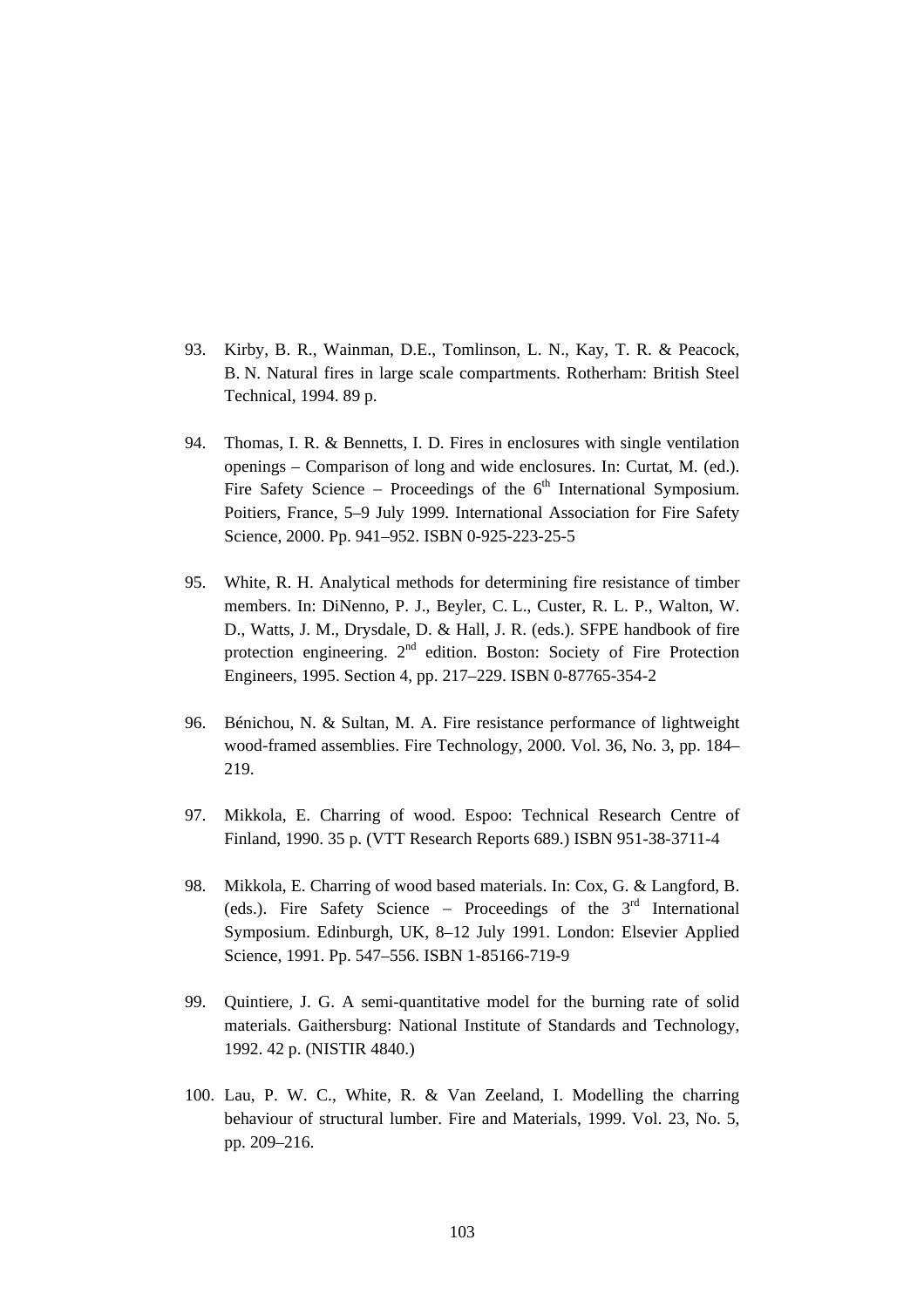- 93. Kirby, B. R., Wainman, D.E., Tomlinson, L. N., Kay, T. R. & Peacock, B. N. Natural fires in large scale compartments. Rotherham: British Steel Technical, 1994. 89 p.
- 94. Thomas, I. R. & Bennetts, I. D. Fires in enclosures with single ventilation openings – Comparison of long and wide enclosures. In: Curtat, M. (ed.). Fire Safety Science – Proceedings of the  $6<sup>th</sup>$  International Symposium. Poitiers, France, 5–9 July 1999. International Association for Fire Safety Science, 2000. Pp. 941–952. ISBN 0-925-223-25-5
- 95. White, R. H. Analytical methods for determining fire resistance of timber members. In: DiNenno, P. J., Beyler, C. L., Custer, R. L. P., Walton, W. D., Watts, J. M., Drysdale, D. & Hall, J. R. (eds.). SFPE handbook of fire protection engineering.  $2<sup>nd</sup>$  edition. Boston: Society of Fire Protection Engineers, 1995. Section 4, pp. 217–229. ISBN 0-87765-354-2
- 96. Bénichou, N. & Sultan, M. A. Fire resistance performance of lightweight wood-framed assemblies. Fire Technology, 2000. Vol. 36, No. 3, pp. 184– 219.
- 97. Mikkola, E. Charring of wood. Espoo: Technical Research Centre of Finland, 1990. 35 p. (VTT Research Reports 689.) ISBN 951-38-3711-4
- 98. Mikkola, E. Charring of wood based materials. In: Cox, G. & Langford, B. (eds.). Fire Safety Science − Proceedings of the 3rd International Symposium. Edinburgh, UK, 8–12 July 1991. London: Elsevier Applied Science, 1991. Pp. 547–556. ISBN 1-85166-719-9
- 99. Quintiere, J. G. A semi-quantitative model for the burning rate of solid materials. Gaithersburg: National Institute of Standards and Technology, 1992. 42 p. (NISTIR 4840.)
- 100. Lau, P. W. C., White, R. & Van Zeeland, I. Modelling the charring behaviour of structural lumber. Fire and Materials, 1999. Vol. 23, No. 5, pp. 209–216.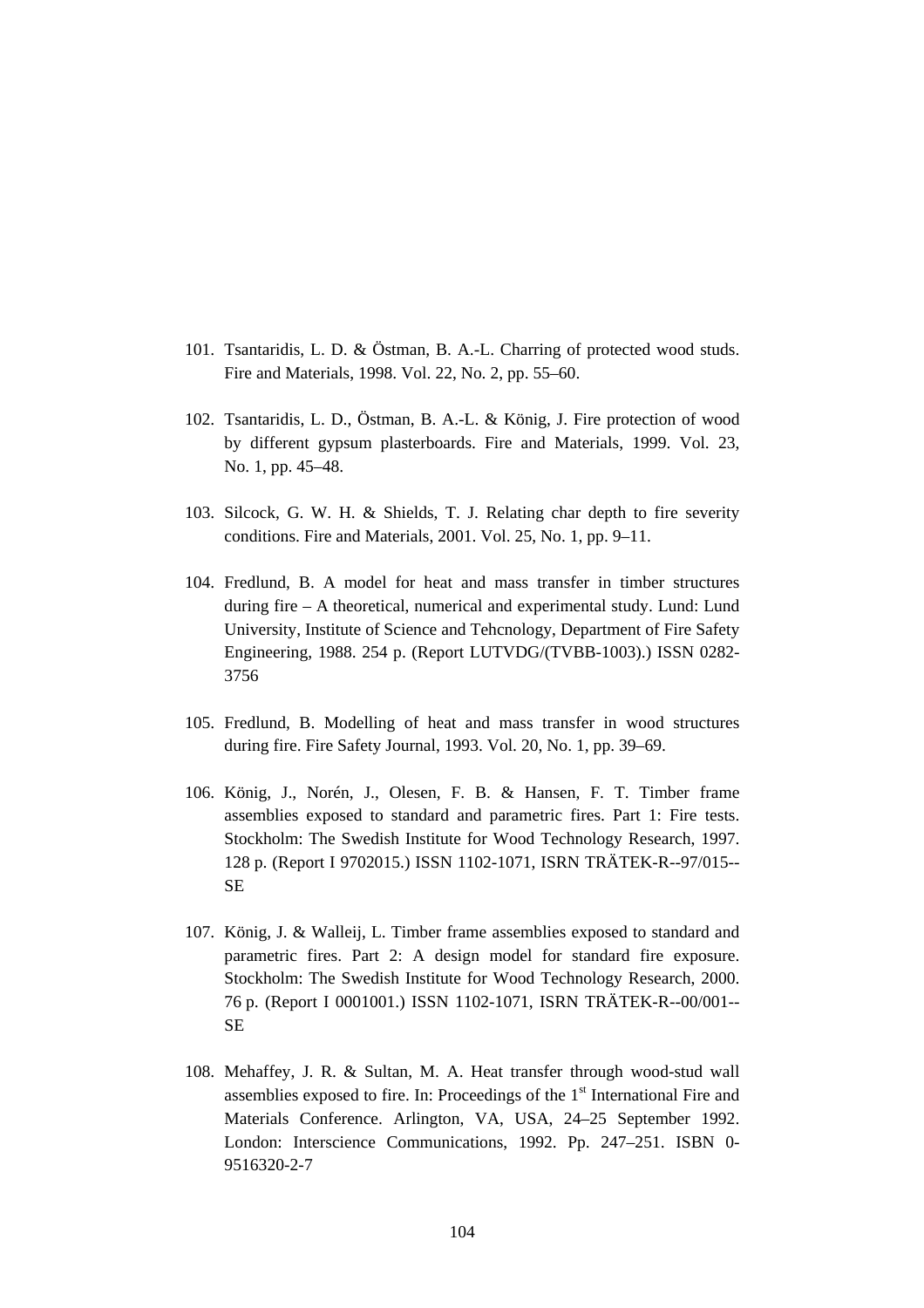- 101. Tsantaridis, L. D. & Östman, B. A.-L. Charring of protected wood studs. Fire and Materials, 1998. Vol. 22, No. 2, pp. 55–60.
- 102. Tsantaridis, L. D., Östman, B. A.-L. & König, J. Fire protection of wood by different gypsum plasterboards. Fire and Materials, 1999. Vol. 23, No. 1, pp. 45–48.
- 103. Silcock, G. W. H. & Shields, T. J. Relating char depth to fire severity conditions. Fire and Materials, 2001. Vol. 25, No. 1, pp. 9–11.
- 104. Fredlund, B. A model for heat and mass transfer in timber structures during fire – A theoretical, numerical and experimental study. Lund: Lund University, Institute of Science and Tehcnology, Department of Fire Safety Engineering, 1988. 254 p. (Report LUTVDG/(TVBB-1003).) ISSN 0282- 3756
- 105. Fredlund, B. Modelling of heat and mass transfer in wood structures during fire. Fire Safety Journal, 1993. Vol. 20, No. 1, pp. 39–69.
- 106. König, J., Norén, J., Olesen, F. B. & Hansen, F. T. Timber frame assemblies exposed to standard and parametric fires. Part 1: Fire tests. Stockholm: The Swedish Institute for Wood Technology Research, 1997. 128 p. (Report I 9702015.) ISSN 1102-1071, ISRN TRÄTEK-R--97/015-- SE
- 107. König, J. & Walleij, L. Timber frame assemblies exposed to standard and parametric fires. Part 2: A design model for standard fire exposure. Stockholm: The Swedish Institute for Wood Technology Research, 2000. 76 p. (Report I 0001001.) ISSN 1102-1071, ISRN TRÄTEK-R--00/001-- SE
- 108. Mehaffey, J. R. & Sultan, M. A. Heat transfer through wood-stud wall assemblies exposed to fire. In: Proceedings of the  $1<sup>st</sup>$  International Fire and Materials Conference. Arlington, VA, USA, 24–25 September 1992. London: Interscience Communications, 1992. Pp. 247–251. ISBN 0- 9516320-2-7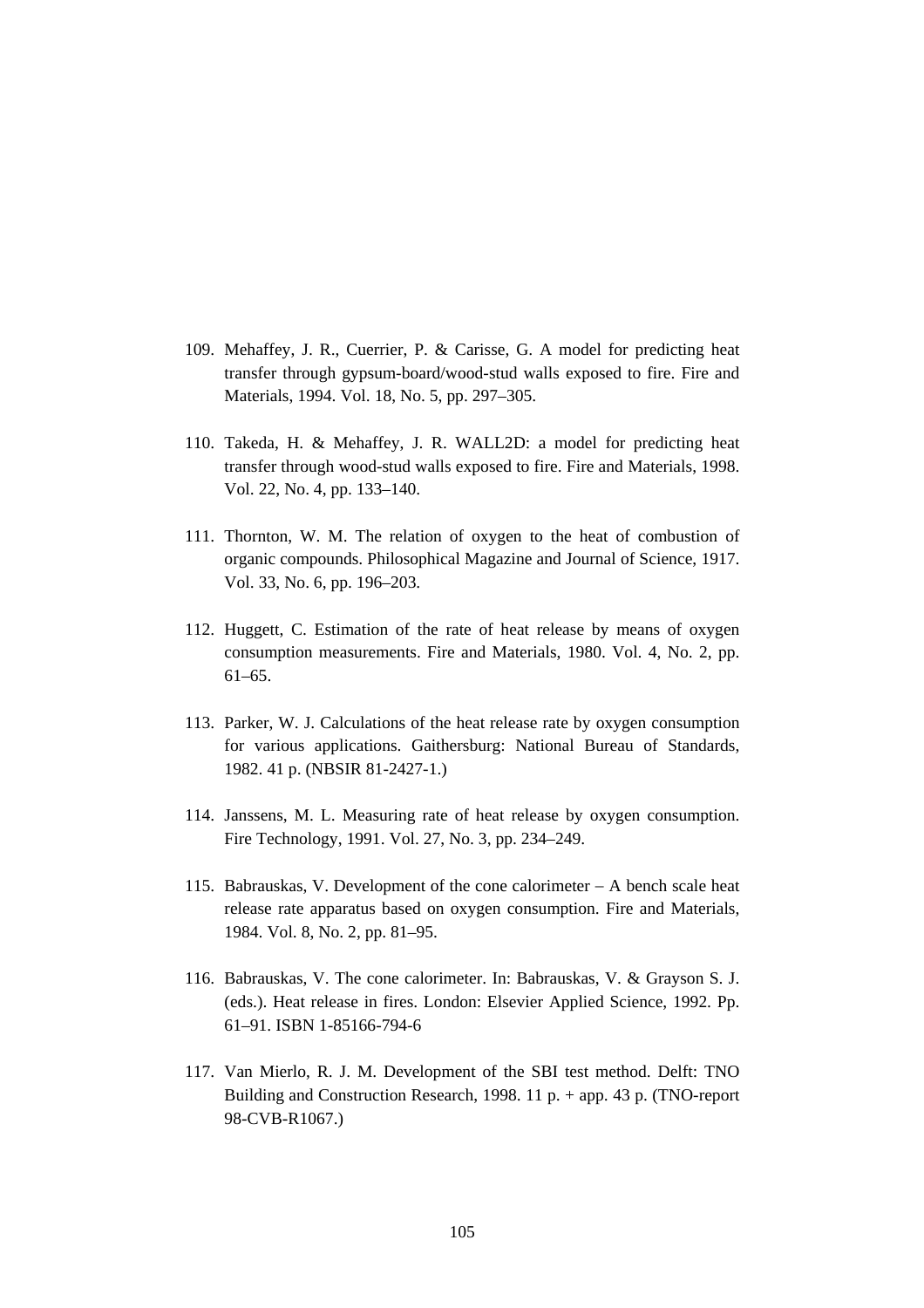- 109. Mehaffey, J. R., Cuerrier, P. & Carisse, G. A model for predicting heat transfer through gypsum-board/wood-stud walls exposed to fire. Fire and Materials, 1994. Vol. 18, No. 5, pp. 297–305.
- 110. Takeda, H. & Mehaffey, J. R. WALL2D: a model for predicting heat transfer through wood-stud walls exposed to fire. Fire and Materials, 1998. Vol. 22, No. 4, pp. 133–140.
- 111. Thornton, W. M. The relation of oxygen to the heat of combustion of organic compounds. Philosophical Magazine and Journal of Science, 1917. Vol. 33, No. 6, pp. 196–203.
- 112. Huggett, C. Estimation of the rate of heat release by means of oxygen consumption measurements. Fire and Materials, 1980. Vol. 4, No. 2, pp. 61–65.
- 113. Parker, W. J. Calculations of the heat release rate by oxygen consumption for various applications. Gaithersburg: National Bureau of Standards, 1982. 41 p. (NBSIR 81-2427-1.)
- 114. Janssens, M. L. Measuring rate of heat release by oxygen consumption. Fire Technology, 1991. Vol. 27, No. 3, pp. 234–249.
- 115. Babrauskas, V. Development of the cone calorimeter − A bench scale heat release rate apparatus based on oxygen consumption. Fire and Materials, 1984. Vol. 8, No. 2, pp. 81–95.
- 116. Babrauskas, V. The cone calorimeter. In: Babrauskas, V. & Grayson S. J. (eds.). Heat release in fires. London: Elsevier Applied Science, 1992. Pp. 61–91. ISBN 1-85166-794-6
- 117. Van Mierlo, R. J. M. Development of the SBI test method. Delft: TNO Building and Construction Research, 1998. 11 p. + app. 43 p. (TNO-report 98-CVB-R1067.)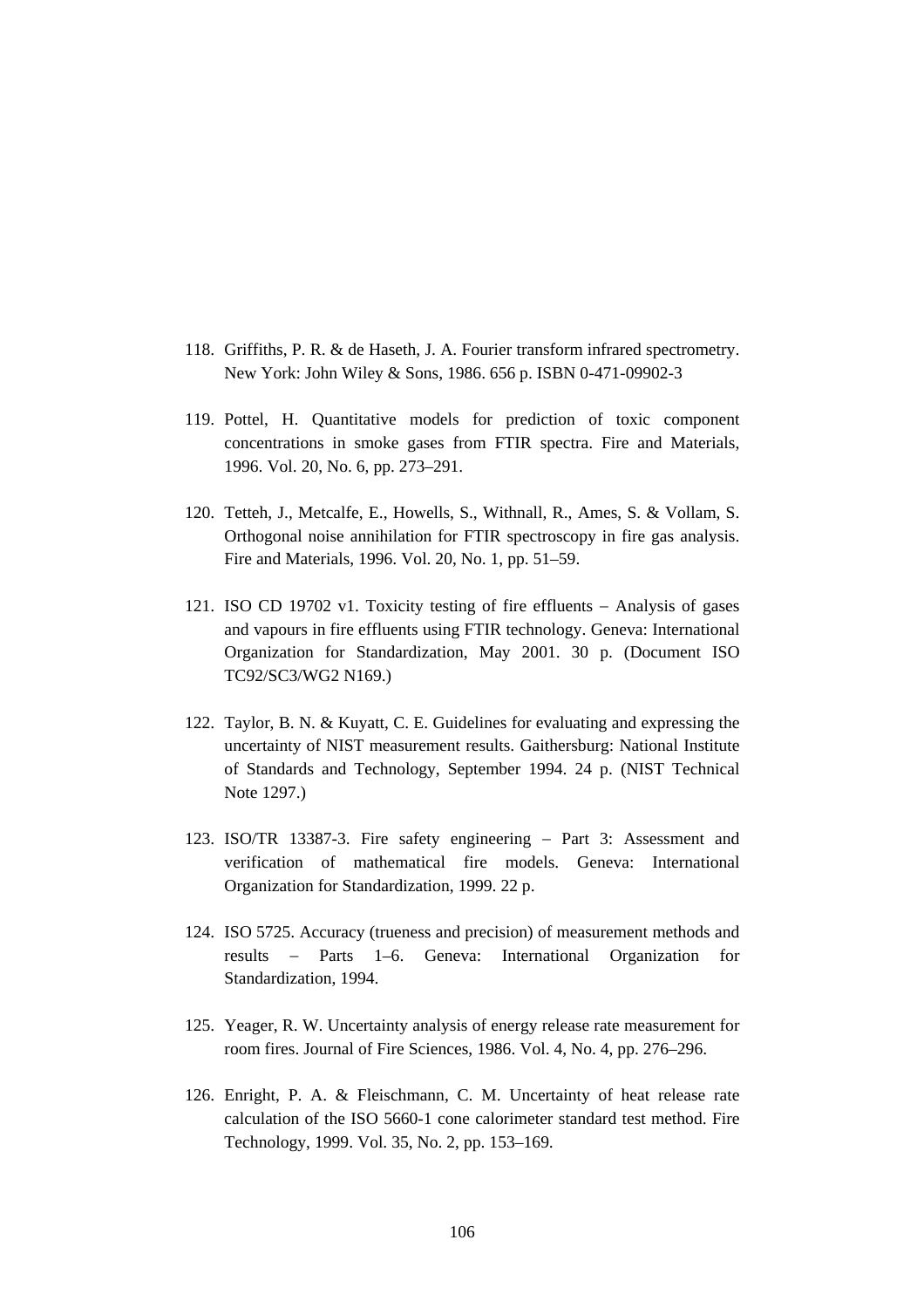- 118. Griffiths, P. R. & de Haseth, J. A. Fourier transform infrared spectrometry. New York: John Wiley & Sons, 1986. 656 p. ISBN 0-471-09902-3
- 119. Pottel, H. Quantitative models for prediction of toxic component concentrations in smoke gases from FTIR spectra. Fire and Materials, 1996. Vol. 20, No. 6, pp. 273–291.
- 120. Tetteh, J., Metcalfe, E., Howells, S., Withnall, R., Ames, S. & Vollam, S. Orthogonal noise annihilation for FTIR spectroscopy in fire gas analysis. Fire and Materials, 1996. Vol. 20, No. 1, pp. 51–59.
- 121. ISO CD 19702 v1. Toxicity testing of fire effluents − Analysis of gases and vapours in fire effluents using FTIR technology. Geneva: International Organization for Standardization, May 2001. 30 p. (Document ISO TC92/SC3/WG2 N169.)
- 122. Taylor, B. N. & Kuyatt, C. E. Guidelines for evaluating and expressing the uncertainty of NIST measurement results. Gaithersburg: National Institute of Standards and Technology, September 1994. 24 p. (NIST Technical Note 1297.)
- 123. ISO/TR 13387-3. Fire safety engineering − Part 3: Assessment and verification of mathematical fire models. Geneva: International Organization for Standardization, 1999. 22 p.
- 124. ISO 5725. Accuracy (trueness and precision) of measurement methods and results − Parts 1–6. Geneva: International Organization for Standardization, 1994.
- 125. Yeager, R. W. Uncertainty analysis of energy release rate measurement for room fires. Journal of Fire Sciences, 1986. Vol. 4, No. 4, pp. 276–296.
- 126. Enright, P. A. & Fleischmann, C. M. Uncertainty of heat release rate calculation of the ISO 5660-1 cone calorimeter standard test method. Fire Technology, 1999. Vol. 35, No. 2, pp. 153–169.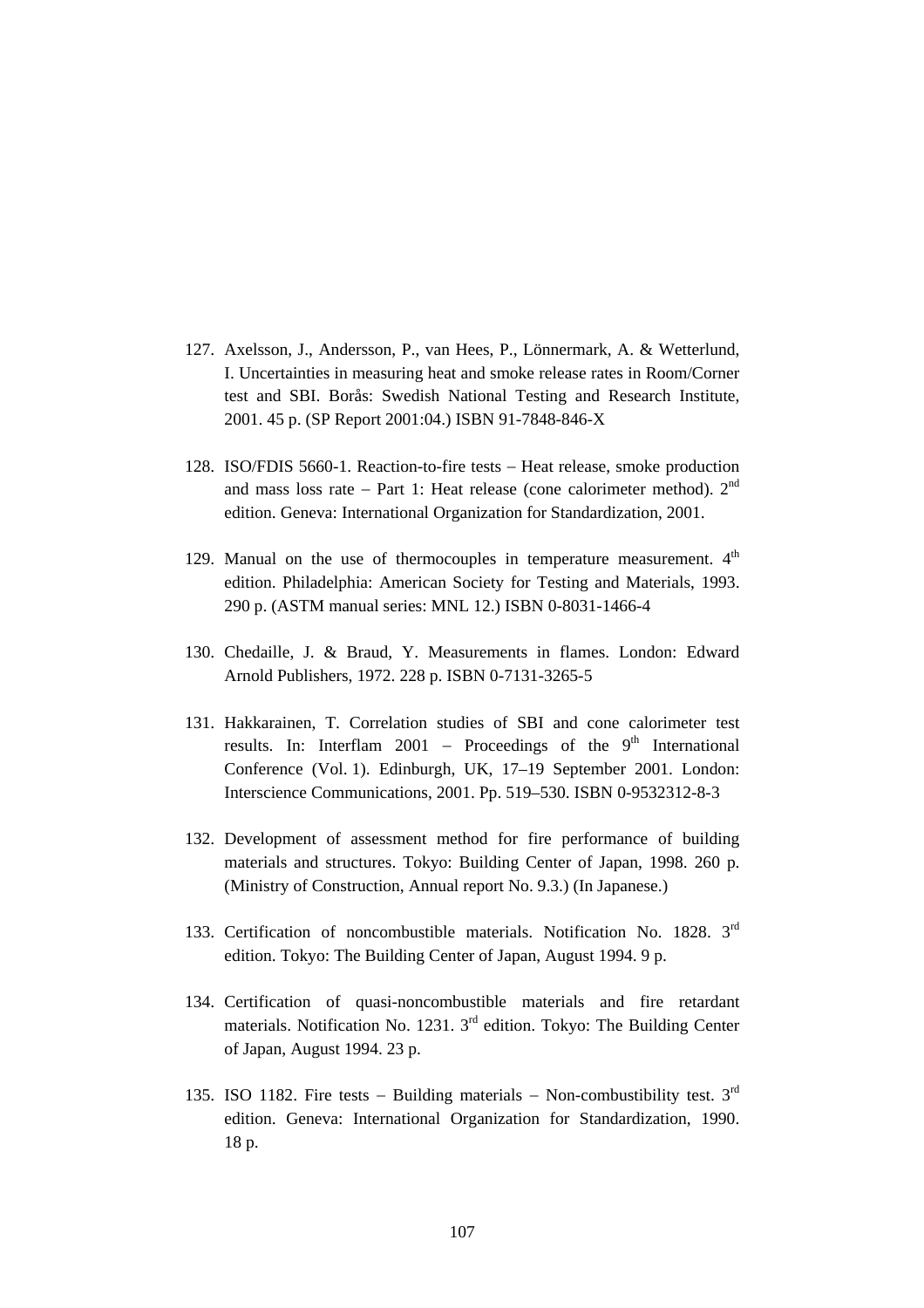- 127. Axelsson, J., Andersson, P., van Hees, P., Lönnermark, A. & Wetterlund, I. Uncertainties in measuring heat and smoke release rates in Room/Corner test and SBI. Borås: Swedish National Testing and Research Institute, 2001. 45 p. (SP Report 2001:04.) ISBN 91-7848-846-X
- 128. ISO/FDIS 5660-1. Reaction-to-fire tests − Heat release, smoke production and mass loss rate – Part 1: Heat release (cone calorimeter method).  $2^{nd}$ edition. Geneva: International Organization for Standardization, 2001.
- 129. Manual on the use of thermocouples in temperature measurement.  $4<sup>th</sup>$ edition. Philadelphia: American Society for Testing and Materials, 1993. 290 p. (ASTM manual series: MNL 12.) ISBN 0-8031-1466-4
- 130. Chedaille, J. & Braud, Y. Measurements in flames. London: Edward Arnold Publishers, 1972. 228 p. ISBN 0-7131-3265-5
- 131. Hakkarainen, T. Correlation studies of SBI and cone calorimeter test results. In: Interflam 2001 – Proceedings of the 9<sup>th</sup> International Conference (Vol. 1). Edinburgh, UK, 17–19 September 2001. London: Interscience Communications, 2001. Pp. 519–530. ISBN 0-9532312-8-3
- 132. Development of assessment method for fire performance of building materials and structures. Tokyo: Building Center of Japan, 1998. 260 p. (Ministry of Construction, Annual report No. 9.3.) (In Japanese.)
- 133. Certification of noncombustible materials. Notification No. 1828. 3<sup>rd</sup> edition. Tokyo: The Building Center of Japan, August 1994. 9 p.
- 134. Certification of quasi-noncombustible materials and fire retardant materials. Notification No. 1231. 3rd edition. Tokyo: The Building Center of Japan, August 1994. 23 p.
- 135. ISO 1182. Fire tests − Building materials − Non-combustibility test. 3rd edition. Geneva: International Organization for Standardization, 1990. 18 p.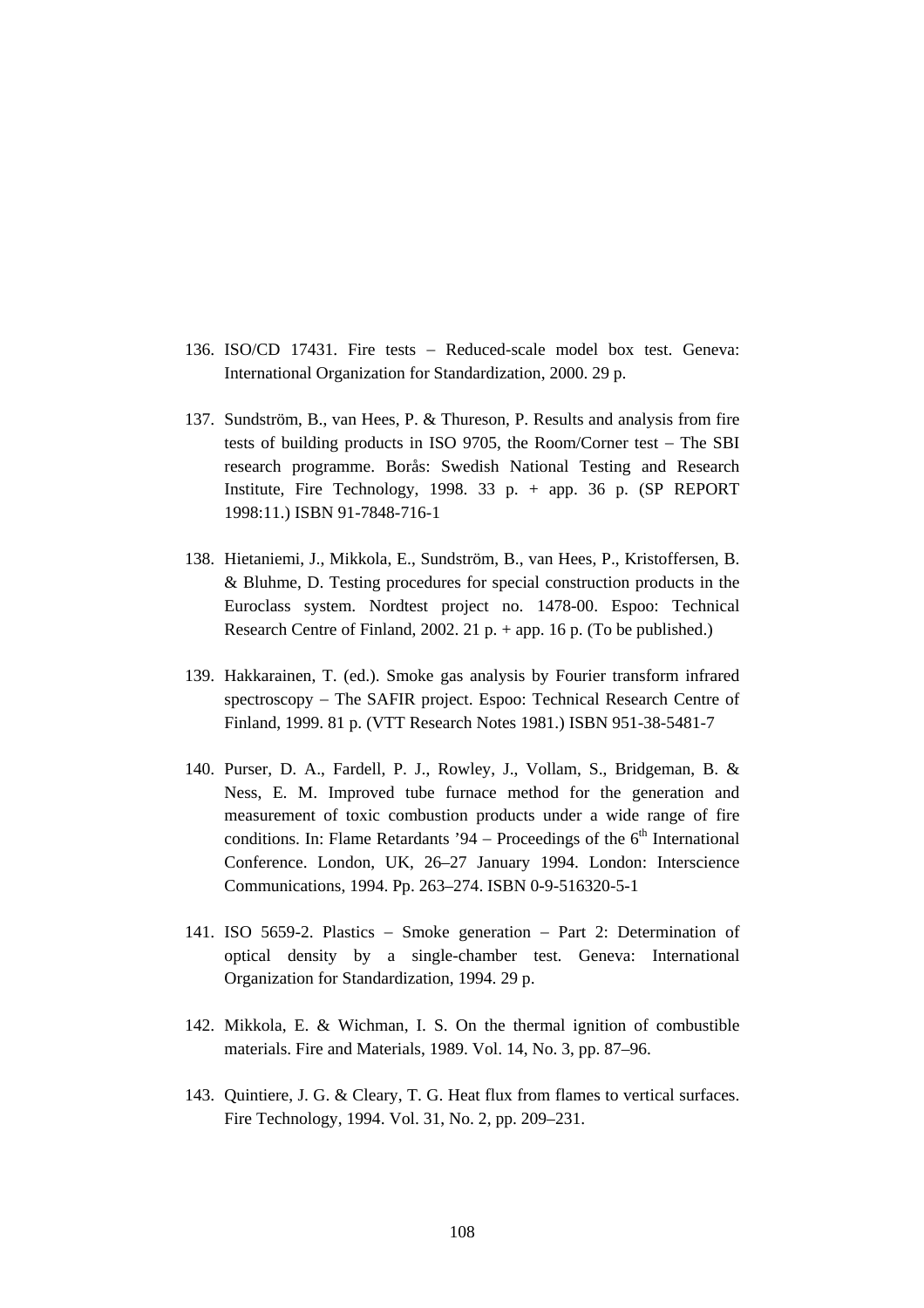- 136. ISO/CD 17431. Fire tests − Reduced-scale model box test. Geneva: International Organization for Standardization, 2000. 29 p.
- 137. Sundström, B., van Hees, P. & Thureson, P. Results and analysis from fire tests of building products in ISO 9705, the Room/Corner test − The SBI research programme. Borås: Swedish National Testing and Research Institute, Fire Technology, 1998.  $33$  p.  $+$  app. 36 p. (SP REPORT 1998:11.) ISBN 91-7848-716-1
- 138. Hietaniemi, J., Mikkola, E., Sundström, B., van Hees, P., Kristoffersen, B. & Bluhme, D. Testing procedures for special construction products in the Euroclass system. Nordtest project no. 1478-00. Espoo: Technical Research Centre of Finland, 2002. 21 p. + app. 16 p. (To be published.)
- 139. Hakkarainen, T. (ed.). Smoke gas analysis by Fourier transform infrared spectroscopy – The SAFIR project. Espoo: Technical Research Centre of Finland, 1999. 81 p. (VTT Research Notes 1981.) ISBN 951-38-5481-7
- 140. Purser, D. A., Fardell, P. J., Rowley, J., Vollam, S., Bridgeman, B. & Ness, E. M. Improved tube furnace method for the generation and measurement of toxic combustion products under a wide range of fire conditions. In: Flame Retardants '94 – Proceedings of the  $6<sup>th</sup>$  International Conference. London, UK, 26–27 January 1994. London: Interscience Communications, 1994. Pp. 263–274. ISBN 0-9-516320-5-1
- 141. ISO 5659-2. Plastics − Smoke generation − Part 2: Determination of optical density by a single-chamber test. Geneva: International Organization for Standardization, 1994. 29 p.
- 142. Mikkola, E. & Wichman, I. S. On the thermal ignition of combustible materials. Fire and Materials, 1989. Vol. 14, No. 3, pp. 87–96.
- 143. Quintiere, J. G. & Cleary, T. G. Heat flux from flames to vertical surfaces. Fire Technology, 1994. Vol. 31, No. 2, pp. 209–231.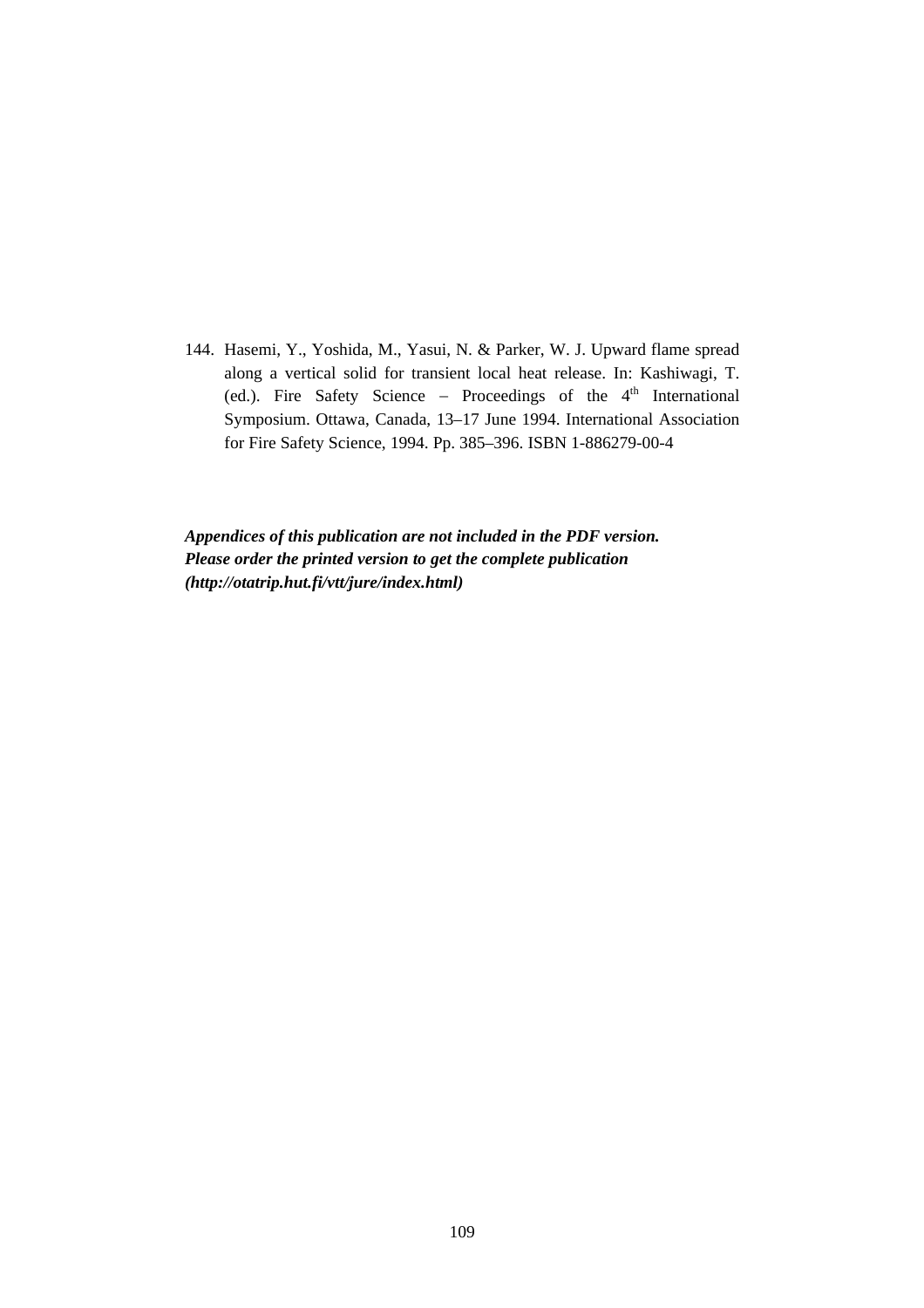144. Hasemi, Y., Yoshida, M., Yasui, N. & Parker, W. J. Upward flame spread along a vertical solid for transient local heat release. In: Kashiwagi, T. (ed.). Fire Safety Science – Proceedings of the  $4<sup>th</sup>$  International Symposium. Ottawa, Canada, 13–17 June 1994. International Association for Fire Safety Science, 1994. Pp. 385–396. ISBN 1-886279-00-4

*Appendices of this publication are not included in the PDF version. Please order the printed version to get the complete publication (http://otatrip.hut.fi/vtt/jure/index.html)*